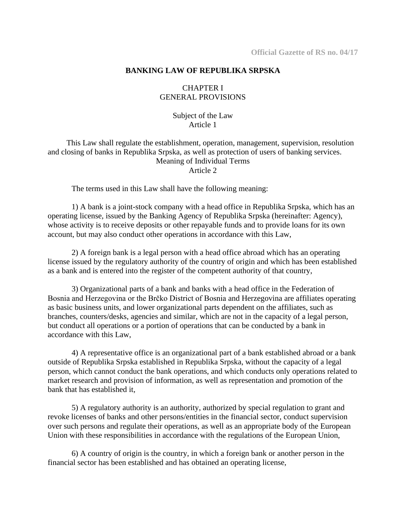#### **BANKING LAW OF REPUBLIKA SRPSKA**

# CHAPTER I GENERAL PROVISIONS

Subject of the Law Article 1

This Law shall regulate the establishment, operation, management, supervision, resolution and closing of banks in Republika Srpska, as well as protection of users of banking services. Meaning of Individual Terms Article 2

The terms used in this Law shall have the following meaning:

1) A bank is a joint-stock company with a head office in Republika Srpska, which has an operating license, issued by the Banking Agency of Republika Srpska (hereinafter: Agency), whose activity is to receive deposits or other repayable funds and to provide loans for its own account, but may also conduct other operations in accordance with this Law,

2) A foreign bank is a legal person with a head office abroad which has an operating license issued by the regulatory authority of the country of origin and which has been established as a bank and is entered into the register of the competent authority of that country,

3) Organizational parts of a bank and banks with a head office in the Federation of Bosnia and Herzegovina or the Brčko District of Bosnia and Herzegovina are affiliates operating as basic business units, and lower organizational parts dependent on the affiliates, such as branches, counters/desks, agencies and similar, which are not in the capacity of a legal person, but conduct all operations or a portion of operations that can be conducted by a bank in accordance with this Law,

4) A representative office is an organizational part of a bank established abroad or a bank outside of Republika Srpska established in Republika Srpska, without the capacity of a legal person, which cannot conduct the bank operations, and which conducts only operations related to market research and provision of information, as well as representation and promotion of the bank that has established it,

5) A regulatory authority is an authority, authorized by special regulation to grant and revoke licenses of banks and other persons/entities in the financial sector, conduct supervision over such persons and regulate their operations, as well as an appropriate body of the European Union with these responsibilities in accordance with the regulations of the European Union,

6) A country of origin is the country, in which a foreign bank or another person in the financial sector has been established and has obtained an operating license,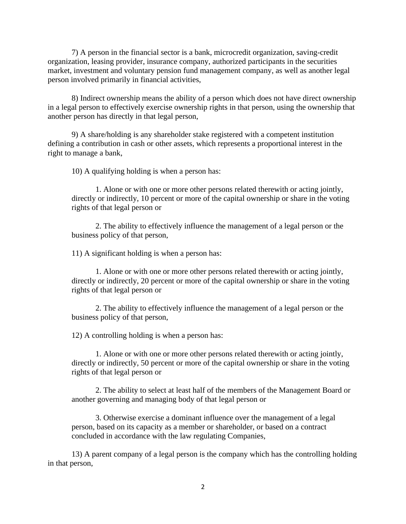7) A person in the financial sector is a bank, microcredit organization, saving-credit organization, leasing provider, insurance company, authorized participants in the securities market, investment and voluntary pension fund management company, as well as another legal person involved primarily in financial activities,

8) Indirect ownership means the ability of a person which does not have direct ownership in a legal person to effectively exercise ownership rights in that person, using the ownership that another person has directly in that legal person,

9) A share/holding is any shareholder stake registered with a competent institution defining a contribution in cash or other assets, which represents a proportional interest in the right to manage a bank,

10) A qualifying holding is when a person has:

1. Alone or with one or more other persons related therewith or acting jointly, directly or indirectly, 10 percent or more of the capital ownership or share in the voting rights of that legal person or

2. The ability to effectively influence the management of a legal person or the business policy of that person,

11) A significant holding is when a person has:

1. Alone or with one or more other persons related therewith or acting jointly, directly or indirectly, 20 percent or more of the capital ownership or share in the voting rights of that legal person or

2. The ability to effectively influence the management of a legal person or the business policy of that person,

12) A controlling holding is when a person has:

1. Alone or with one or more other persons related therewith or acting jointly, directly or indirectly, 50 percent or more of the capital ownership or share in the voting rights of that legal person or

2. The ability to select at least half of the members of the Management Board or another governing and managing body of that legal person or

3. Otherwise exercise a dominant influence over the management of a legal person, based on its capacity as a member or shareholder, or based on a contract concluded in accordance with the law regulating Companies,

13) A parent company of a legal person is the company which has the controlling holding in that person,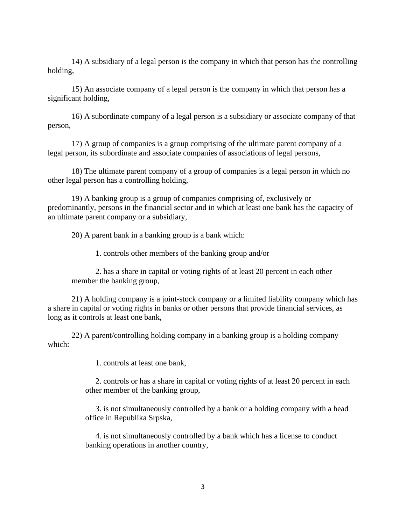14) A subsidiary of a legal person is the company in which that person has the controlling holding,

15) An associate company of a legal person is the company in which that person has a significant holding,

16) A subordinate company of a legal person is a subsidiary or associate company of that person,

17) A group of companies is a group comprising of the ultimate parent company of a legal person, its subordinate and associate companies of associations of legal persons,

18) The ultimate parent company of a group of companies is a legal person in which no other legal person has a controlling holding,

19) A banking group is a group of companies comprising of, exclusively or predominantly, persons in the financial sector and in which at least one bank has the capacity of an ultimate parent company or a subsidiary,

20) A parent bank in a banking group is a bank which:

1. controls other members of the banking group and/or

2. has a share in capital or voting rights of at least 20 percent in each other member the banking group,

21) A holding company is a joint-stock company or a limited liability company which has a share in capital or voting rights in banks or other persons that provide financial services, as long as it controls at least one bank,

22) A parent/controlling holding company in a banking group is a holding company which:

1. controls at least one bank,

2. controls or has a share in capital or voting rights of at least 20 percent in each other member of the banking group,

3. is not simultaneously controlled by a bank or a holding company with a head office in Republika Srpska,

4. is not simultaneously controlled by a bank which has a license to conduct banking operations in another country,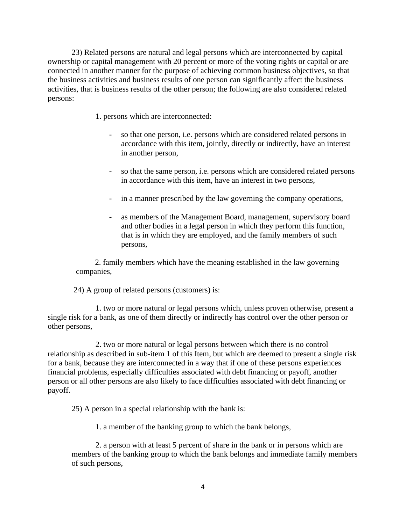23) Related persons are natural and legal persons which are interconnected by capital ownership or capital management with 20 percent or more of the voting rights or capital or are connected in another manner for the purpose of achieving common business objectives, so that the business activities and business results of one person can significantly affect the business activities, that is business results of the other person; the following are also considered related persons:

- 1. persons which are interconnected:
	- so that one person, i.e. persons which are considered related persons in accordance with this item, jointly, directly or indirectly, have an interest in another person,
	- so that the same person, i.e. persons which are considered related persons in accordance with this item, have an interest in two persons,
	- in a manner prescribed by the law governing the company operations,
	- as members of the Management Board, management, supervisory board and other bodies in a legal person in which they perform this function, that is in which they are employed, and the family members of such persons,

2. family members which have the meaning established in the law governing companies,

24) A group of related persons (customers) is:

1. two or more natural or legal persons which, unless proven otherwise, present a single risk for a bank, as one of them directly or indirectly has control over the other person or other persons,

2. two or more natural or legal persons between which there is no control relationship as described in sub-item 1 of this Item, but which are deemed to present a single risk for a bank, because they are interconnected in a way that if one of these persons experiences financial problems, especially difficulties associated with debt financing or payoff, another person or all other persons are also likely to face difficulties associated with debt financing or payoff.

25) A person in a special relationship with the bank is:

1. a member of the banking group to which the bank belongs,

2. a person with at least 5 percent of share in the bank or in persons which are members of the banking group to which the bank belongs and immediate family members of such persons,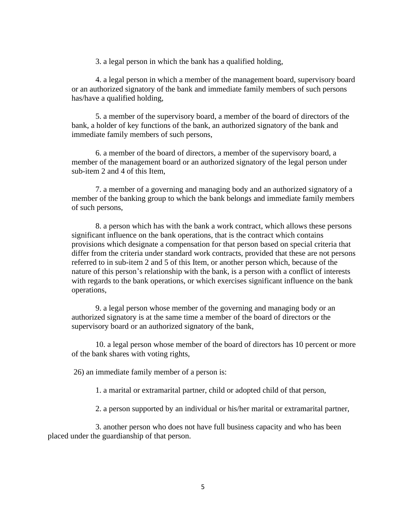3. a legal person in which the bank has a qualified holding,

4. a legal person in which a member of the management board, supervisory board or an authorized signatory of the bank and immediate family members of such persons has/have a qualified holding,

5. a member of the supervisory board, a member of the board of directors of the bank, a holder of key functions of the bank, an authorized signatory of the bank and immediate family members of such persons,

6. a member of the board of directors, a member of the supervisory board, a member of the management board or an authorized signatory of the legal person under sub-item 2 and 4 of this Item,

7. a member of a governing and managing body and an authorized signatory of a member of the banking group to which the bank belongs and immediate family members of such persons,

8. a person which has with the bank a work contract, which allows these persons significant influence on the bank operations, that is the contract which contains provisions which designate a compensation for that person based on special criteria that differ from the criteria under standard work contracts, provided that these are not persons referred to in sub-item 2 and 5 of this Item, or another person which, because of the nature of this person's relationship with the bank, is a person with a conflict of interests with regards to the bank operations, or which exercises significant influence on the bank operations,

9. a legal person whose member of the governing and managing body or an authorized signatory is at the same time a member of the board of directors or the supervisory board or an authorized signatory of the bank,

10. a legal person whose member of the board of directors has 10 percent or more of the bank shares with voting rights,

26) an immediate family member of a person is:

1. a marital or extramarital partner, child or adopted child of that person,

2. a person supported by an individual or his/her marital or extramarital partner,

3. another person who does not have full business capacity and who has been placed under the guardianship of that person.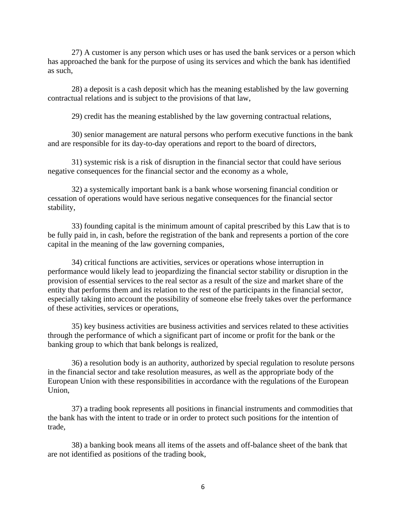27) A customer is any person which uses or has used the bank services or a person which has approached the bank for the purpose of using its services and which the bank has identified as such,

28) a deposit is a cash deposit which has the meaning established by the law governing contractual relations and is subject to the provisions of that law,

29) credit has the meaning established by the law governing contractual relations,

30) senior management are natural persons who perform executive functions in the bank and are responsible for its day-to-day operations and report to the board of directors,

31) systemic risk is a risk of disruption in the financial sector that could have serious negative consequences for the financial sector and the economy as a whole,

32) a systemically important bank is a bank whose worsening financial condition or cessation of operations would have serious negative consequences for the financial sector stability,

33) founding capital is the minimum amount of capital prescribed by this Law that is to be fully paid in, in cash, before the registration of the bank and represents a portion of the core capital in the meaning of the law governing companies,

34) critical functions are activities, services or operations whose interruption in performance would likely lead to jeopardizing the financial sector stability or disruption in the provision of essential services to the real sector as a result of the size and market share of the entity that performs them and its relation to the rest of the participants in the financial sector, especially taking into account the possibility of someone else freely takes over the performance of these activities, services or operations,

35) key business activities are business activities and services related to these activities through the performance of which a significant part of income or profit for the bank or the banking group to which that bank belongs is realized,

36) a resolution body is an authority, authorized by special regulation to resolute persons in the financial sector and take resolution measures, as well as the appropriate body of the European Union with these responsibilities in accordance with the regulations of the European Union,

37) a trading book represents all positions in financial instruments and commodities that the bank has with the intent to trade or in order to protect such positions for the intention of trade,

38) a banking book means all items of the assets and off-balance sheet of the bank that are not identified as positions of the trading book,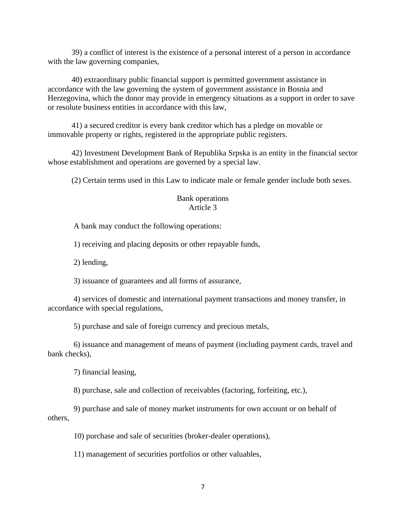39) a conflict of interest is the existence of a personal interest of a person in accordance with the law governing companies,

40) extraordinary public financial support is permitted government assistance in accordance with the law governing the system of government assistance in Bosnia and Herzegovina, which the donor may provide in emergency situations as a support in order to save or resolute business entities in accordance with this law,

41) a secured creditor is every bank creditor which has a pledge on movable or immovable property or rights, registered in the appropriate public registers.

42) Investment Development Bank of Republika Srpska is an entity in the financial sector whose establishment and operations are governed by a special law.

(2) Certain terms used in this Law to indicate male or female gender include both sexes.

### Bank operations Article 3

A bank may conduct the following operations:

1) receiving and placing deposits or other repayable funds,

2) lending,

3) issuance of guarantees and all forms of assurance,

4) services of domestic and international payment transactions and money transfer, in accordance with special regulations,

5) purchase and sale of foreign currency and precious metals,

6) issuance and management of means of payment (including payment cards, travel and bank checks),

7) financial leasing,

8) purchase, sale and collection of receivables (factoring, forfeiting, etc.),

9) purchase and sale of money market instruments for own account or on behalf of others,

10) purchase and sale of securities (broker-dealer operations),

11) management of securities portfolios or other valuables,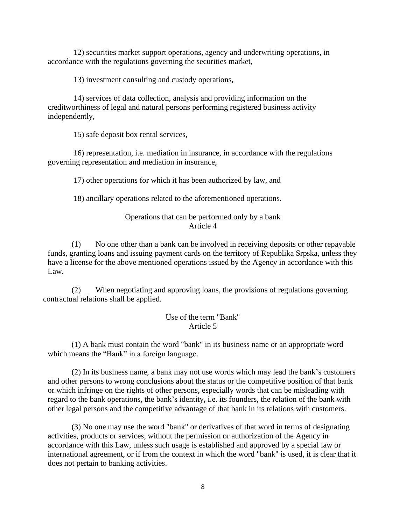12) securities market support operations, agency and underwriting operations, in accordance with the regulations governing the securities market,

13) investment consulting and custody operations,

14) services of data collection, analysis and providing information on the creditworthiness of legal and natural persons performing registered business activity independently,

15) safe deposit box rental services,

16) representation, i.e. mediation in insurance, in accordance with the regulations governing representation and mediation in insurance,

17) other operations for which it has been authorized by law, and

18) ancillary operations related to the aforementioned operations.

### Operations that can be performed only by a bank Article 4

(1) No one other than a bank can be involved in receiving deposits or other repayable funds, granting loans and issuing payment cards on the territory of Republika Srpska, unless they have a license for the above mentioned operations issued by the Agency in accordance with this Law.

(2) When negotiating and approving loans, the provisions of regulations governing contractual relations shall be applied.

# Use of the term "Bank" Article 5

(1) A bank must contain the word "bank" in its business name or an appropriate word which means the "Bank" in a foreign language.

(2) In its business name, a bank may not use words which may lead the bank's customers and other persons to wrong conclusions about the status or the competitive position of that bank or which infringe on the rights of other persons, especially words that can be misleading with regard to the bank operations, the bank's identity, i.e. its founders, the relation of the bank with other legal persons and the competitive advantage of that bank in its relations with customers.

(3) No one may use the word "bank" or derivatives of that word in terms of designating activities, products or services, without the permission or authorization of the Agency in accordance with this Law, unless such usage is established and approved by a special law or international agreement, or if from the context in which the word "bank" is used, it is clear that it does not pertain to banking activities.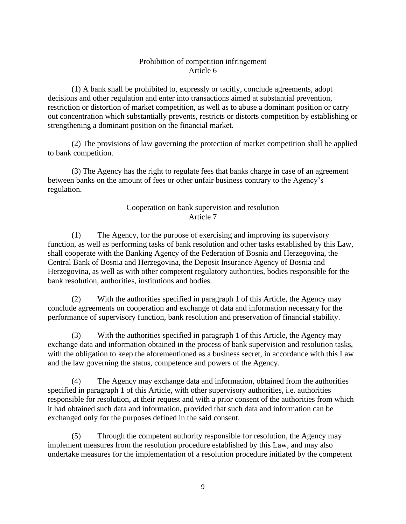# Prohibition of competition infringement Article 6

(1) A bank shall be prohibited to, expressly or tacitly, conclude agreements, adopt decisions and other regulation and enter into transactions aimed at substantial prevention, restriction or distortion of market competition, as well as to abuse a dominant position or carry out concentration which substantially prevents, restricts or distorts competition by establishing or strengthening a dominant position on the financial market.

(2) The provisions of law governing the protection of market competition shall be applied to bank competition.

(3) The Agency has the right to regulate fees that banks charge in case of an agreement between banks on the amount of fees or other unfair business contrary to the Agency's regulation.

# Cooperation on bank supervision and resolution Article 7

(1) The Agency, for the purpose of exercising and improving its supervisory function, as well as performing tasks of bank resolution and other tasks established by this Law, shall cooperate with the Banking Agency of the Federation of Bosnia and Herzegovina, the Central Bank of Bosnia and Herzegovina, the Deposit Insurance Agency of Bosnia and Herzegovina, as well as with other competent regulatory authorities, bodies responsible for the bank resolution, authorities, institutions and bodies.

(2) With the authorities specified in paragraph 1 of this Article, the Agency may conclude agreements on cooperation and exchange of data and information necessary for the performance of supervisory function, bank resolution and preservation of financial stability.

(3) With the authorities specified in paragraph 1 of this Article, the Agency may exchange data and information obtained in the process of bank supervision and resolution tasks, with the obligation to keep the aforementioned as a business secret, in accordance with this Law and the law governing the status, competence and powers of the Agency.

(4) The Agency may exchange data and information, obtained from the authorities specified in paragraph 1 of this Article, with other supervisory authorities, i.e. authorities responsible for resolution, at their request and with a prior consent of the authorities from which it had obtained such data and information, provided that such data and information can be exchanged only for the purposes defined in the said consent.

(5) Through the competent authority responsible for resolution, the Agency may implement measures from the resolution procedure established by this Law, and may also undertake measures for the implementation of a resolution procedure initiated by the competent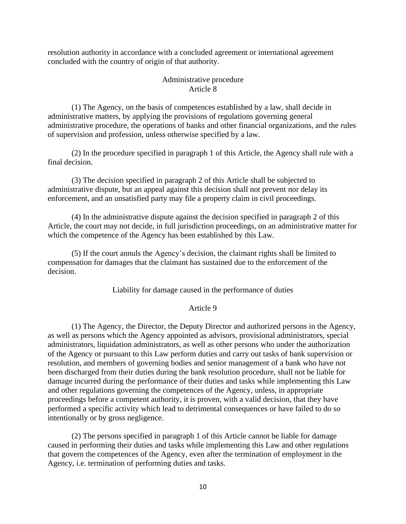resolution authority in accordance with a concluded agreement or international agreement concluded with the country of origin of that authority.

### Administrative procedure Article 8

(1) The Agency, on the basis of competences established by a law, shall decide in administrative matters, by applying the provisions of regulations governing general administrative procedure, the operations of banks and other financial organizations, and the rules of supervision and profession, unless otherwise specified by a law.

(2) In the procedure specified in paragraph 1 of this Article, the Agency shall rule with a final decision.

(3) The decision specified in paragraph 2 of this Article shall be subjected to administrative dispute, but an appeal against this decision shall not prevent nor delay its enforcement, and an unsatisfied party may file a property claim in civil proceedings.

(4) In the administrative dispute against the decision specified in paragraph 2 of this Article, the court may not decide, in full jurisdiction proceedings, on an administrative matter for which the competence of the Agency has been established by this Law.

(5) If the court annuls the Agency's decision, the claimant rights shall be limited to compensation for damages that the claimant has sustained due to the enforcement of the decision.

Liability for damage caused in the performance of duties

#### Article 9

(1) The Agency, the Director, the Deputy Director and authorized persons in the Agency, as well as persons which the Agency appointed as advisors, provisional administrators, special administrators, liquidation administrators, as well as other persons who under the authorization of the Agency or pursuant to this Law perform duties and carry out tasks of bank supervision or resolution, and members of governing bodies and senior management of a bank who have not been discharged from their duties during the bank resolution procedure, shall not be liable for damage incurred during the performance of their duties and tasks while implementing this Law and other regulations governing the competences of the Agency, unless, in appropriate proceedings before a competent authority, it is proven, with a valid decision, that they have performed a specific activity which lead to detrimental consequences or have failed to do so intentionally or by gross negligence.

(2) The persons specified in paragraph 1 of this Article cannot be liable for damage caused in performing their duties and tasks while implementing this Law and other regulations that govern the competences of the Agency, even after the termination of employment in the Agency, i.e. termination of performing duties and tasks.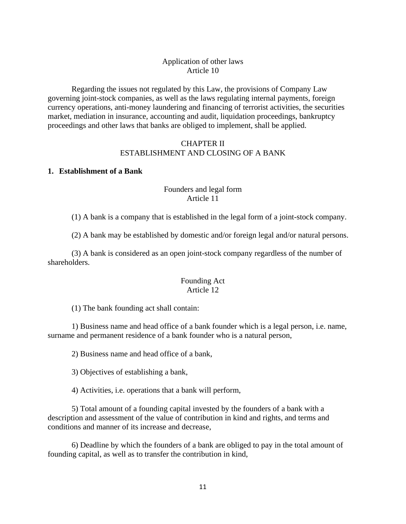# Application of other laws Article 10

Regarding the issues not regulated by this Law, the provisions of Company Law governing joint-stock companies, as well as the laws regulating internal payments, foreign currency operations, anti-money laundering and financing of terrorist activities, the securities market, mediation in insurance, accounting and audit, liquidation proceedings, bankruptcy proceedings and other laws that banks are obliged to implement, shall be applied.

# CHAPTER II ESTABLISHMENT AND CLOSING OF A BANK

# **1. Establishment of a Bank**

# Founders and legal form Article 11

(1) A bank is a company that is established in the legal form of a joint-stock company.

(2) A bank may be established by domestic and/or foreign legal and/or natural persons.

(3) A bank is considered as an open joint-stock company regardless of the number of shareholders.

### Founding Act Article 12

(1) The bank founding act shall contain:

1) Business name and head office of a bank founder which is a legal person, i.e. name, surname and permanent residence of a bank founder who is a natural person,

2) Business name and head office of a bank,

3) Objectives of establishing a bank,

4) Activities, i.e. operations that a bank will perform,

5) Total amount of a founding capital invested by the founders of a bank with a description and assessment of the value of contribution in kind and rights, and terms and conditions and manner of its increase and decrease,

6) Deadline by which the founders of a bank are obliged to pay in the total amount of founding capital, as well as to transfer the contribution in kind,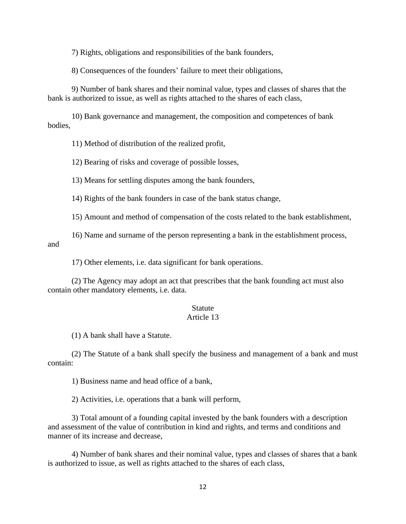7) Rights, obligations and responsibilities of the bank founders,

8) Consequences of the founders' failure to meet their obligations,

9) Number of bank shares and their nominal value, types and classes of shares that the bank is authorized to issue, as well as rights attached to the shares of each class,

10) Bank governance and management, the composition and competences of bank bodies,

11) Method of distribution of the realized profit,

12) Bearing of risks and coverage of possible losses,

13) Means for settling disputes among the bank founders,

14) Rights of the bank founders in case of the bank status change,

15) Amount and method of compensation of the costs related to the bank establishment,

16) Name and surname of the person representing a bank in the establishment process, and

17) Other elements, i.e. data significant for bank operations.

(2) The Agency may adopt an act that prescribes that the bank founding act must also contain other mandatory elements, i.e. data.

### **Statute**

### Article 13

(1) A bank shall have a Statute.

(2) The Statute of a bank shall specify the business and management of a bank and must contain:

1) Business name and head office of a bank,

2) Activities, i.e. operations that a bank will perform,

3) Total amount of a founding capital invested by the bank founders with a description and assessment of the value of contribution in kind and rights, and terms and conditions and manner of its increase and decrease,

4) Number of bank shares and their nominal value, types and classes of shares that a bank is authorized to issue, as well as rights attached to the shares of each class,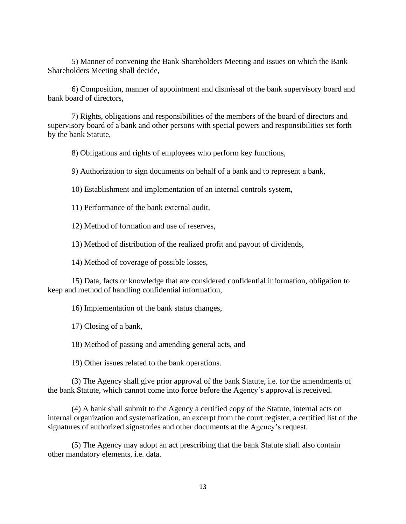5) Manner of convening the Bank Shareholders Meeting and issues on which the Bank Shareholders Meeting shall decide,

6) Composition, manner of appointment and dismissal of the bank supervisory board and bank board of directors,

7) Rights, obligations and responsibilities of the members of the board of directors and supervisory board of a bank and other persons with special powers and responsibilities set forth by the bank Statute,

8) Obligations and rights of employees who perform key functions,

9) Authorization to sign documents on behalf of a bank and to represent a bank,

10) Establishment and implementation of an internal controls system,

11) Performance of the bank external audit,

12) Method of formation and use of reserves,

13) Method of distribution of the realized profit and payout of dividends,

14) Method of coverage of possible losses,

15) Data, facts or knowledge that are considered confidential information, obligation to keep and method of handling confidential information,

16) Implementation of the bank status changes,

17) Closing of a bank,

18) Method of passing and amending general acts, and

19) Other issues related to the bank operations.

(3) The Agency shall give prior approval of the bank Statute, i.e. for the amendments of the bank Statute, which cannot come into force before the Agency's approval is received.

(4) A bank shall submit to the Agency a certified copy of the Statute, internal acts on internal organization and systematization, an excerpt from the court register, a certified list of the signatures of authorized signatories and other documents at the Agency's request.

(5) The Agency may adopt an act prescribing that the bank Statute shall also contain other mandatory elements, i.e. data.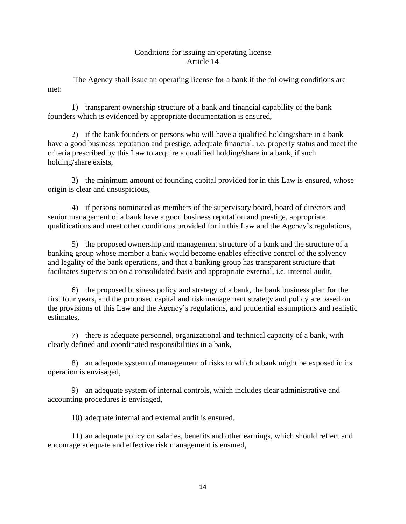# Conditions for issuing an operating license Article 14

The Agency shall issue an operating license for a bank if the following conditions are met:

1) transparent ownership structure of a bank and financial capability of the bank founders which is evidenced by appropriate documentation is ensured,

2) if the bank founders or persons who will have a qualified holding/share in a bank have a good business reputation and prestige, adequate financial, i.e. property status and meet the criteria prescribed by this Law to acquire a qualified holding/share in a bank, if such holding/share exists,

3) the minimum amount of founding capital provided for in this Law is ensured, whose origin is clear and unsuspicious,

4) if persons nominated as members of the supervisory board, board of directors and senior management of a bank have a good business reputation and prestige, appropriate qualifications and meet other conditions provided for in this Law and the Agency's regulations,

5) the proposed ownership and management structure of a bank and the structure of a banking group whose member a bank would become enables effective control of the solvency and legality of the bank operations, and that a banking group has transparent structure that facilitates supervision on a consolidated basis and appropriate external, i.e. internal audit,

6) the proposed business policy and strategy of a bank, the bank business plan for the first four years, and the proposed capital and risk management strategy and policy are based on the provisions of this Law and the Agency's regulations, and prudential assumptions and realistic estimates,

7) there is adequate personnel, organizational and technical capacity of a bank, with clearly defined and coordinated responsibilities in a bank,

8) an adequate system of management of risks to which a bank might be exposed in its operation is envisaged,

9) an adequate system of internal controls, which includes clear administrative and accounting procedures is envisaged,

10) adequate internal and external audit is ensured,

11) an adequate policy on salaries, benefits and other earnings, which should reflect and encourage adequate and effective risk management is ensured,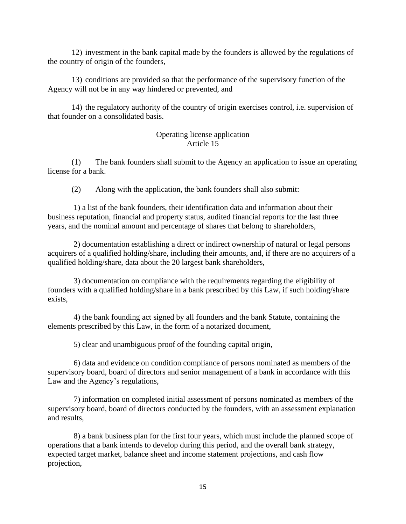12) investment in the bank capital made by the founders is allowed by the regulations of the country of origin of the founders,

13) conditions are provided so that the performance of the supervisory function of the Agency will not be in any way hindered or prevented, and

14) the regulatory authority of the country of origin exercises control, i.e. supervision of that founder on a consolidated basis.

# Operating license application Article 15

(1) The bank founders shall submit to the Agency an application to issue an operating license for a bank.

(2) Along with the application, the bank founders shall also submit:

1) a list of the bank founders, their identification data and information about their business reputation, financial and property status, audited financial reports for the last three years, and the nominal amount and percentage of shares that belong to shareholders,

2) documentation establishing a direct or indirect ownership of natural or legal persons acquirers of a qualified holding/share, including their amounts, and, if there are no acquirers of a qualified holding/share, data about the 20 largest bank shareholders,

3) documentation on compliance with the requirements regarding the eligibility of founders with a qualified holding/share in a bank prescribed by this Law, if such holding/share exists,

4) the bank founding act signed by all founders and the bank Statute, containing the elements prescribed by this Law, in the form of a notarized document,

5) clear and unambiguous proof of the founding capital origin,

6) data and evidence on condition compliance of persons nominated as members of the supervisory board, board of directors and senior management of a bank in accordance with this Law and the Agency's regulations,

7) information on completed initial assessment of persons nominated as members of the supervisory board, board of directors conducted by the founders, with an assessment explanation and results,

8) a bank business plan for the first four years, which must include the planned scope of operations that a bank intends to develop during this period, and the overall bank strategy, expected target market, balance sheet and income statement projections, and cash flow projection,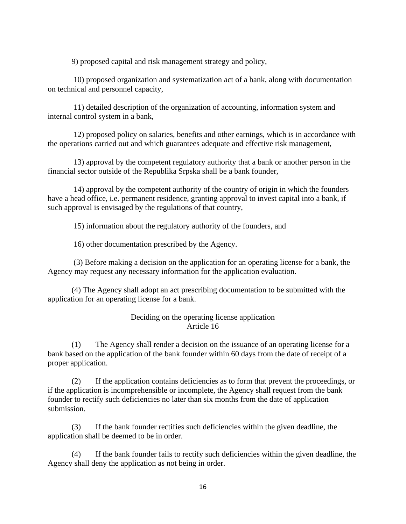9) proposed capital and risk management strategy and policy,

10) proposed organization and systematization act of a bank, along with documentation on technical and personnel capacity,

11) detailed description of the organization of accounting, information system and internal control system in a bank,

12) proposed policy on salaries, benefits and other earnings, which is in accordance with the operations carried out and which guarantees adequate and effective risk management,

13) approval by the competent regulatory authority that a bank or another person in the financial sector outside of the Republika Srpska shall be a bank founder,

14) approval by the competent authority of the country of origin in which the founders have a head office, i.e. permanent residence, granting approval to invest capital into a bank, if such approval is envisaged by the regulations of that country,

15) information about the regulatory authority of the founders, and

16) other documentation prescribed by the Agency.

(3) Before making a decision on the application for an operating license for a bank, the Agency may request any necessary information for the application evaluation.

(4) The Agency shall adopt an act prescribing documentation to be submitted with the application for an operating license for a bank.

### Deciding on the operating license application Article 16

(1) The Agency shall render a decision on the issuance of an operating license for a bank based on the application of the bank founder within 60 days from the date of receipt of a proper application.

(2) If the application contains deficiencies as to form that prevent the proceedings, or if the application is incomprehensible or incomplete, the Agency shall request from the bank founder to rectify such deficiencies no later than six months from the date of application submission.

(3) If the bank founder rectifies such deficiencies within the given deadline, the application shall be deemed to be in order.

(4) If the bank founder fails to rectify such deficiencies within the given deadline, the Agency shall deny the application as not being in order.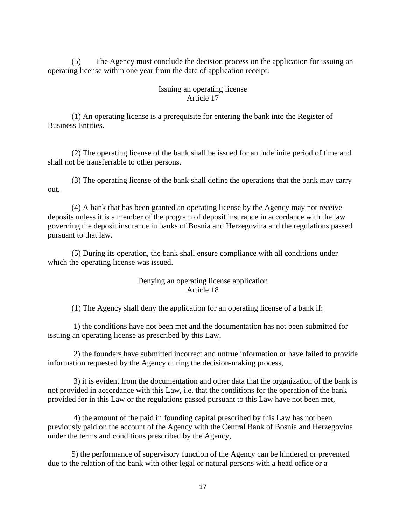(5) The Agency must conclude the decision process on the application for issuing an operating license within one year from the date of application receipt.

### Issuing an operating license Article 17

(1) An operating license is a prerequisite for entering the bank into the Register of Business Entities.

(2) The operating license of the bank shall be issued for an indefinite period of time and shall not be transferrable to other persons.

(3) The operating license of the bank shall define the operations that the bank may carry out.

(4) A bank that has been granted an operating license by the Agency may not receive deposits unless it is a member of the program of deposit insurance in accordance with the law governing the deposit insurance in banks of Bosnia and Herzegovina and the regulations passed pursuant to that law.

(5) During its operation, the bank shall ensure compliance with all conditions under which the operating license was issued.

## Denying an operating license application Article 18

(1) The Agency shall deny the application for an operating license of a bank if:

1) the conditions have not been met and the documentation has not been submitted for issuing an operating license as prescribed by this Law,

2) the founders have submitted incorrect and untrue information or have failed to provide information requested by the Agency during the decision-making process,

3) it is evident from the documentation and other data that the organization of the bank is not provided in accordance with this Law, i.e. that the conditions for the operation of the bank provided for in this Law or the regulations passed pursuant to this Law have not been met,

4) the amount of the paid in founding capital prescribed by this Law has not been previously paid on the account of the Agency with the Central Bank of Bosnia and Herzegovina under the terms and conditions prescribed by the Agency,

5) the performance of supervisory function of the Agency can be hindered or prevented due to the relation of the bank with other legal or natural persons with a head office or a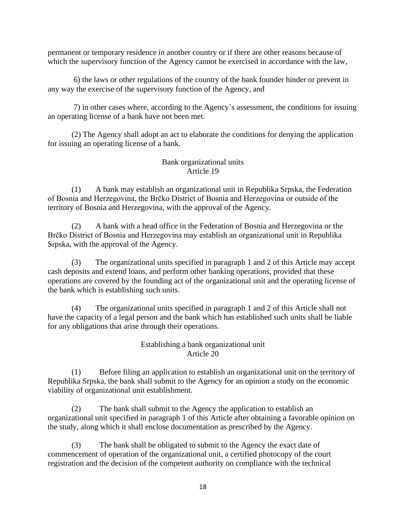permanent or temporary residence in another country or if there are other reasons because of which the supervisory function of the Agency cannot be exercised in accordance with the law,

6) the laws or other regulations of the country of the bank founder hinder or prevent in any way the exercise of the supervisory function of the Agency, and

7) in other cases where, according to the Agency's assessment, the conditions for issuing an operating license of a bank have not been met.

(2) The Agency shall adopt an act to elaborate the conditions for denying the application for issuing an operating license of a bank.

# Bank organizational units Article 19

(1) A bank may establish an organizational unit in Republika Srpska, the Federation of Bosnia and Herzegovina, the Brčko District of Bosnia and Herzegovina or outside of the territory of Bosnia and Herzegovina, with the approval of the Agency.

(2) A bank with a head office in the Federation of Bosnia and Herzegovina or the Brčko District of Bosnia and Herzegovina may establish an organizational unit in Republika Srpska, with the approval of the Agency.

(3) The organizational units specified in paragraph 1 and 2 of this Article may accept cash deposits and extend loans, and perform other banking operations, provided that these operations are covered by the founding act of the organizational unit and the operating license of the bank which is establishing such units.

(4) The organizational units specified in paragraph 1 and 2 of this Article shall not have the capacity of a legal person and the bank which has established such units shall be liable for any obligations that arise through their operations.

# Establishing a bank organizational unit Article 20

(1) Before filing an application to establish an organizational unit on the territory of Republika Srpska, the bank shall submit to the Agency for an opinion a study on the economic viability of organizational unit establishment.

(2) The bank shall submit to the Agency the application to establish an organizational unit specified in paragraph 1 of this Article after obtaining a favorable opinion on the study, along which it shall enclose documentation as prescribed by the Agency.

(3) The bank shall be obligated to submit to the Agency the exact date of commencement of operation of the organizational unit, a certified photocopy of the court registration and the decision of the competent authority on compliance with the technical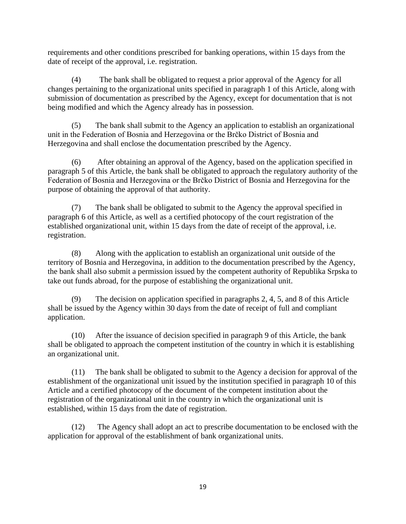requirements and other conditions prescribed for banking operations, within 15 days from the date of receipt of the approval, i.e. registration.

(4) The bank shall be obligated to request a prior approval of the Agency for all changes pertaining to the organizational units specified in paragraph 1 of this Article, along with submission of documentation as prescribed by the Agency, except for documentation that is not being modified and which the Agency already has in possession.

(5) The bank shall submit to the Agency an application to establish an organizational unit in the Federation of Bosnia and Herzegovina or the Brčko District of Bosnia and Herzegovina and shall enclose the documentation prescribed by the Agency.

(6) After obtaining an approval of the Agency, based on the application specified in paragraph 5 of this Article, the bank shall be obligated to approach the regulatory authority of the Federation of Bosnia and Herzegovina or the Brčko District of Bosnia and Herzegovina for the purpose of obtaining the approval of that authority.

(7) The bank shall be obligated to submit to the Agency the approval specified in paragraph 6 of this Article, as well as a certified photocopy of the court registration of the established organizational unit, within 15 days from the date of receipt of the approval, i.e. registration.

(8) Along with the application to establish an organizational unit outside of the territory of Bosnia and Herzegovina, in addition to the documentation prescribed by the Agency, the bank shall also submit a permission issued by the competent authority of Republika Srpska to take out funds abroad, for the purpose of establishing the organizational unit.

(9) The decision on application specified in paragraphs 2, 4, 5, and 8 of this Article shall be issued by the Agency within 30 days from the date of receipt of full and compliant application.

(10) After the issuance of decision specified in paragraph 9 of this Article, the bank shall be obligated to approach the competent institution of the country in which it is establishing an organizational unit.

(11) The bank shall be obligated to submit to the Agency a decision for approval of the establishment of the organizational unit issued by the institution specified in paragraph 10 of this Article and a certified photocopy of the document of the competent institution about the registration of the organizational unit in the country in which the organizational unit is established, within 15 days from the date of registration.

(12) The Agency shall adopt an act to prescribe documentation to be enclosed with the application for approval of the establishment of bank organizational units.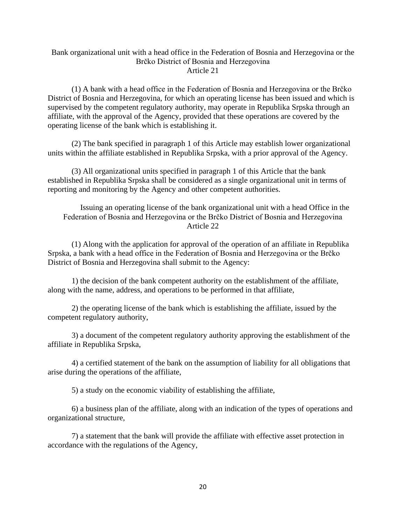### Bank organizational unit with a head office in the Federation of Bosnia and Herzegovina or the Brčko District of Bosnia and Herzegovina Article 21

(1) A bank with a head office in the Federation of Bosnia and Herzegovina or the Brčko District of Bosnia and Herzegovina, for which an operating license has been issued and which is supervised by the competent regulatory authority, may operate in Republika Srpska through an affiliate, with the approval of the Agency, provided that these operations are covered by the operating license of the bank which is establishing it.

(2) The bank specified in paragraph 1 of this Article may establish lower organizational units within the affiliate established in Republika Srpska, with a prior approval of the Agency.

(3) All organizational units specified in paragraph 1 of this Article that the bank established in Republika Srpska shall be considered as a single organizational unit in terms of reporting and monitoring by the Agency and other competent authorities.

Issuing an operating license of the bank organizational unit with a head Office in the Federation of Bosnia and Herzegovina or the Brčko District of Bosnia and Herzegovina Article 22

(1) Along with the application for approval of the operation of an affiliate in Republika Srpska, a bank with a head office in the Federation of Bosnia and Herzegovina or the Brčko District of Bosnia and Herzegovina shall submit to the Agency:

1) the decision of the bank competent authority on the establishment of the affiliate, along with the name, address, and operations to be performed in that affiliate,

2) the operating license of the bank which is establishing the affiliate, issued by the competent regulatory authority,

3) a document of the competent regulatory authority approving the establishment of the affiliate in Republika Srpska,

4) a certified statement of the bank on the assumption of liability for all obligations that arise during the operations of the affiliate,

5) a study on the economic viability of establishing the affiliate,

6) a business plan of the affiliate, along with an indication of the types of operations and organizational structure,

7) a statement that the bank will provide the affiliate with effective asset protection in accordance with the regulations of the Agency,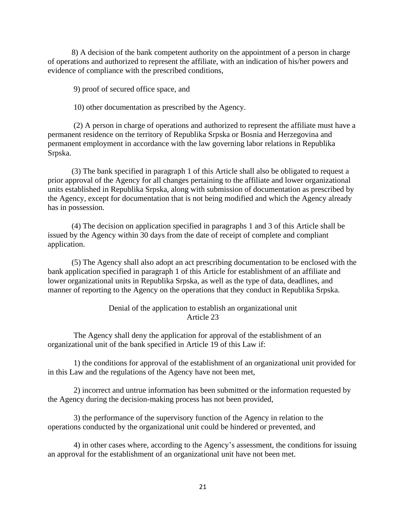8) A decision of the bank competent authority on the appointment of a person in charge of operations and authorized to represent the affiliate, with an indication of his/her powers and evidence of compliance with the prescribed conditions,

9) proof of secured office space, and

10) other documentation as prescribed by the Agency.

(2) A person in charge of operations and authorized to represent the affiliate must have a permanent residence on the territory of Republika Srpska or Bosnia and Herzegovina and permanent employment in accordance with the law governing labor relations in Republika Srpska.

(3) The bank specified in paragraph 1 of this Article shall also be obligated to request a prior approval of the Agency for all changes pertaining to the affiliate and lower organizational units established in Republika Srpska, along with submission of documentation as prescribed by the Agency, except for documentation that is not being modified and which the Agency already has in possession.

(4) The decision on application specified in paragraphs 1 and 3 of this Article shall be issued by the Agency within 30 days from the date of receipt of complete and compliant application.

(5) The Agency shall also adopt an act prescribing documentation to be enclosed with the bank application specified in paragraph 1 of this Article for establishment of an affiliate and lower organizational units in Republika Srpska, as well as the type of data, deadlines, and manner of reporting to the Agency on the operations that they conduct in Republika Srpska.

### Denial of the application to establish an organizational unit Article 23

The Agency shall deny the application for approval of the establishment of an organizational unit of the bank specified in Article 19 of this Law if:

1) the conditions for approval of the establishment of an organizational unit provided for in this Law and the regulations of the Agency have not been met,

2) incorrect and untrue information has been submitted or the information requested by the Agency during the decision-making process has not been provided,

3) the performance of the supervisory function of the Agency in relation to the operations conducted by the organizational unit could be hindered or prevented, and

4) in other cases where, according to the Agency's assessment, the conditions for issuing an approval for the establishment of an organizational unit have not been met.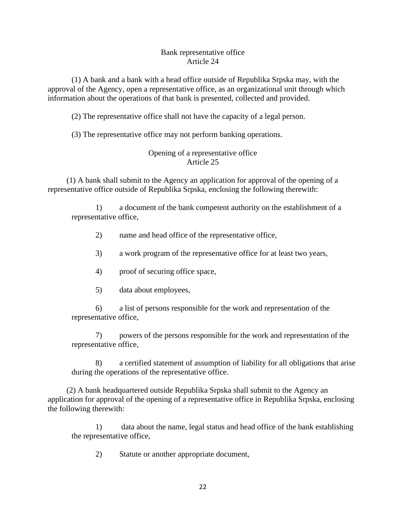### Bank representative office Article 24

(1) A bank and a bank with a head office outside of Republika Srpska may, with the approval of the Agency, open a representative office, as an organizational unit through which information about the operations of that bank is presented, collected and provided.

(2) The representative office shall not have the capacity of a legal person.

(3) The representative office may not perform banking operations.

# Opening of a representative office Article 25

(1) A bank shall submit to the Agency an application for approval of the opening of a representative office outside of Republika Srpska, enclosing the following therewith:

1) a document of the bank competent authority on the establishment of a representative office,

2) name and head office of the representative office,

- 3) a work program of the representative office for at least two years,
- 4) proof of securing office space,
- 5) data about employees,

6) a list of persons responsible for the work and representation of the representative office,

7) powers of the persons responsible for the work and representation of the representative office,

8) a certified statement of assumption of liability for all obligations that arise during the operations of the representative office.

(2) A bank headquartered outside Republika Srpska shall submit to the Agency an application for approval of the opening of a representative office in Republika Srpska, enclosing the following therewith:

1) data about the name, legal status and head office of the bank establishing the representative office,

2) Statute or another appropriate document,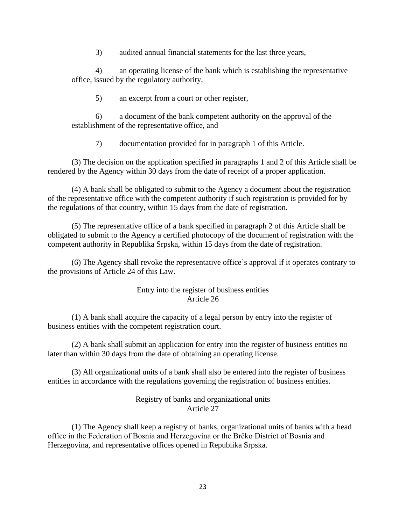3) audited annual financial statements for the last three years,

4) an operating license of the bank which is establishing the representative office, issued by the regulatory authority,

5) an excerpt from a court or other register,

6) a document of the bank competent authority on the approval of the establishment of the representative office, and

7) documentation provided for in paragraph 1 of this Article.

(3) The decision on the application specified in paragraphs 1 and 2 of this Article shall be rendered by the Agency within 30 days from the date of receipt of a proper application.

(4) A bank shall be obligated to submit to the Agency a document about the registration of the representative office with the competent authority if such registration is provided for by the regulations of that country, within 15 days from the date of registration.

(5) The representative office of a bank specified in paragraph 2 of this Article shall be obligated to submit to the Agency a certified photocopy of the document of registration with the competent authority in Republika Srpska, within 15 days from the date of registration.

(6) The Agency shall revoke the representative office's approval if it operates contrary to the provisions of Article 24 of this Law.

# Entry into the register of business entities Article 26

(1) A bank shall acquire the capacity of a legal person by entry into the register of business entities with the competent registration court.

(2) A bank shall submit an application for entry into the register of business entities no later than within 30 days from the date of obtaining an operating license.

(3) All organizational units of a bank shall also be entered into the register of business entities in accordance with the regulations governing the registration of business entities.

# Registry of banks and organizational units Article 27

(1) The Agency shall keep a registry of banks, organizational units of banks with a head office in the Federation of Bosnia and Herzegovina or the Brčko District of Bosnia and Herzegovina, and representative offices opened in Republika Srpska.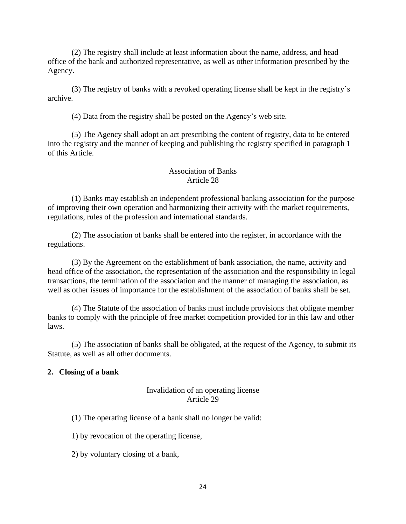(2) The registry shall include at least information about the name, address, and head office of the bank and authorized representative, as well as other information prescribed by the Agency.

(3) The registry of banks with a revoked operating license shall be kept in the registry's archive.

(4) Data from the registry shall be posted on the Agency's web site.

(5) The Agency shall adopt an act prescribing the content of registry, data to be entered into the registry and the manner of keeping and publishing the registry specified in paragraph 1 of this Article.

# Association of Banks Article 28

(1) Banks may establish an independent professional banking association for the purpose of improving their own operation and harmonizing their activity with the market requirements, regulations, rules of the profession and international standards.

(2) The association of banks shall be entered into the register, in accordance with the regulations.

(3) By the Agreement on the establishment of bank association, the name, activity and head office of the association, the representation of the association and the responsibility in legal transactions, the termination of the association and the manner of managing the association, as well as other issues of importance for the establishment of the association of banks shall be set.

(4) The Statute of the association of banks must include provisions that obligate member banks to comply with the principle of free market competition provided for in this law and other laws.

(5) The association of banks shall be obligated, at the request of the Agency, to submit its Statute, as well as all other documents.

#### **2. Closing of a bank**

### Invalidation of an operating license Article 29

(1) The operating license of a bank shall no longer be valid:

1) by revocation of the operating license,

2) by voluntary closing of a bank,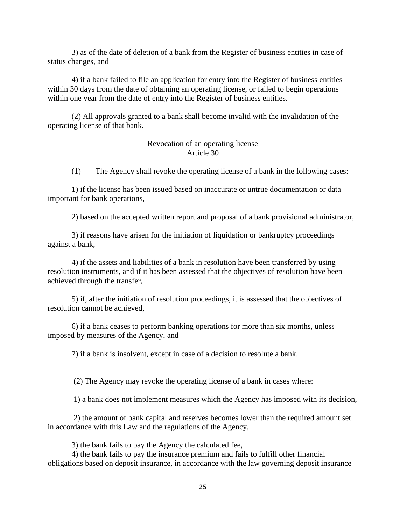3) as of the date of deletion of a bank from the Register of business entities in case of status changes, and

4) if a bank failed to file an application for entry into the Register of business entities within 30 days from the date of obtaining an operating license, or failed to begin operations within one year from the date of entry into the Register of business entities.

(2) All approvals granted to a bank shall become invalid with the invalidation of the operating license of that bank.

### Revocation of an operating license Article 30

(1) The Agency shall revoke the operating license of a bank in the following cases:

1) if the license has been issued based on inaccurate or untrue documentation or data important for bank operations,

2) based on the accepted written report and proposal of a bank provisional administrator,

3) if reasons have arisen for the initiation of liquidation or bankruptcy proceedings against a bank,

4) if the assets and liabilities of a bank in resolution have been transferred by using resolution instruments, and if it has been assessed that the objectives of resolution have been achieved through the transfer,

5) if, after the initiation of resolution proceedings, it is assessed that the objectives of resolution cannot be achieved,

6) if a bank ceases to perform banking operations for more than six months, unless imposed by measures of the Agency, and

7) if a bank is insolvent, except in case of a decision to resolute a bank.

(2) The Agency may revoke the operating license of a bank in cases where:

1) a bank does not implement measures which the Agency has imposed with its decision,

2) the amount of bank capital and reserves becomes lower than the required amount set in accordance with this Law and the regulations of the Agency,

3) the bank fails to pay the Agency the calculated fee,

4) the bank fails to pay the insurance premium and fails to fulfill other financial obligations based on deposit insurance, in accordance with the law governing deposit insurance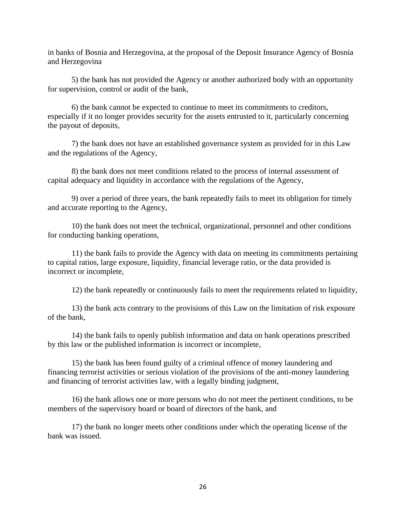in banks of Bosnia and Herzegovina, at the proposal of the Deposit Insurance Agency of Bosnia and Herzegovina

5) the bank has not provided the Agency or another authorized body with an opportunity for supervision, control or audit of the bank,

6) the bank cannot be expected to continue to meet its commitments to creditors, especially if it no longer provides security for the assets entrusted to it, particularly concerning the payout of deposits,

7) the bank does not have an established governance system as provided for in this Law and the regulations of the Agency,

8) the bank does not meet conditions related to the process of internal assessment of capital adequacy and liquidity in accordance with the regulations of the Agency,

9) over a period of three years, the bank repeatedly fails to meet its obligation for timely and accurate reporting to the Agency,

10) the bank does not meet the technical, organizational, personnel and other conditions for conducting banking operations,

11) the bank fails to provide the Agency with data on meeting its commitments pertaining to capital ratios, large exposure, liquidity, financial leverage ratio, or the data provided is incorrect or incomplete,

12) the bank repeatedly or continuously fails to meet the requirements related to liquidity,

13) the bank acts contrary to the provisions of this Law on the limitation of risk exposure of the bank,

14) the bank fails to openly publish information and data on bank operations prescribed by this law or the published information is incorrect or incomplete,

15) the bank has been found guilty of a criminal offence of money laundering and financing terrorist activities or serious violation of the provisions of the anti-money laundering and financing of terrorist activities law, with a legally binding judgment,

16) the bank allows one or more persons who do not meet the pertinent conditions, to be members of the supervisory board or board of directors of the bank, and

17) the bank no longer meets other conditions under which the operating license of the bank was issued.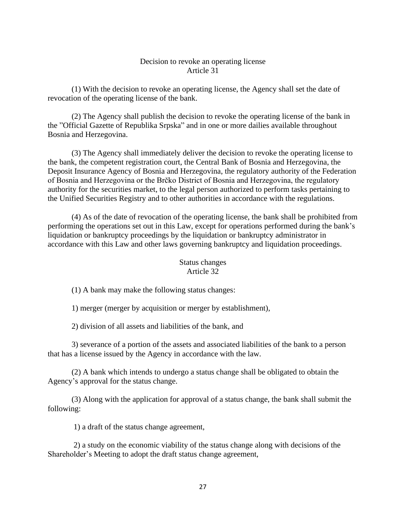### Decision to revoke an operating license Article 31

(1) With the decision to revoke an operating license, the Agency shall set the date of revocation of the operating license of the bank.

(2) The Agency shall publish the decision to revoke the operating license of the bank in the "Official Gazette of Republika Srpska" and in one or more dailies available throughout Bosnia and Herzegovina.

(3) The Agency shall immediately deliver the decision to revoke the operating license to the bank, the competent registration court, the Central Bank of Bosnia and Herzegovina, the Deposit Insurance Agency of Bosnia and Herzegovina, the regulatory authority of the Federation of Bosnia and Herzegovina or the Brčko District of Bosnia and Herzegovina, the regulatory authority for the securities market, to the legal person authorized to perform tasks pertaining to the Unified Securities Registry and to other authorities in accordance with the regulations.

(4) As of the date of revocation of the operating license, the bank shall be prohibited from performing the operations set out in this Law, except for operations performed during the bank's liquidation or bankruptcy proceedings by the liquidation or bankruptcy administrator in accordance with this Law and other laws governing bankruptcy and liquidation proceedings.

## Status changes Article 32

(1) A bank may make the following status changes:

1) merger (merger by acquisition or merger by establishment),

2) division of all assets and liabilities of the bank, and

3) severance of a portion of the assets and associated liabilities of the bank to a person that has a license issued by the Agency in accordance with the law.

(2) A bank which intends to undergo a status change shall be obligated to obtain the Agency's approval for the status change.

(3) Along with the application for approval of a status change, the bank shall submit the following:

1) a draft of the status change agreement,

2) a study on the economic viability of the status change along with decisions of the Shareholder's Meeting to adopt the draft status change agreement,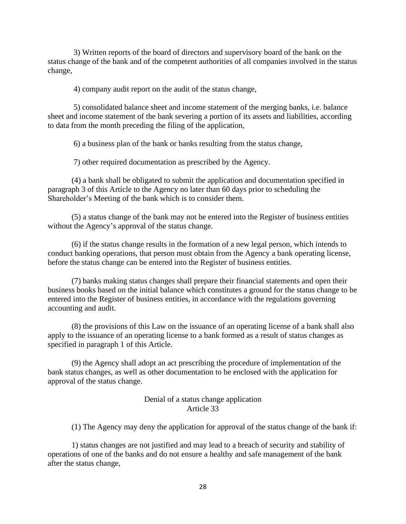3) Written reports of the board of directors and supervisory board of the bank on the status change of the bank and of the competent authorities of all companies involved in the status change,

4) company audit report on the audit of the status change,

5) consolidated balance sheet and income statement of the merging banks, i.e. balance sheet and income statement of the bank severing a portion of its assets and liabilities, according to data from the month preceding the filing of the application,

6) a business plan of the bank or banks resulting from the status change,

7) other required documentation as prescribed by the Agency.

(4) a bank shall be obligated to submit the application and documentation specified in paragraph 3 of this Article to the Agency no later than 60 days prior to scheduling the Shareholder's Meeting of the bank which is to consider them.

(5) a status change of the bank may not be entered into the Register of business entities without the Agency's approval of the status change.

(6) if the status change results in the formation of a new legal person, which intends to conduct banking operations, that person must obtain from the Agency a bank operating license, before the status change can be entered into the Register of business entities.

(7) banks making status changes shall prepare their financial statements and open their business books based on the initial balance which constitutes a ground for the status change to be entered into the Register of business entities, in accordance with the regulations governing accounting and audit.

(8) the provisions of this Law on the issuance of an operating license of a bank shall also apply to the issuance of an operating license to a bank formed as a result of status changes as specified in paragraph 1 of this Article.

(9) the Agency shall adopt an act prescribing the procedure of implementation of the bank status changes, as well as other documentation to be enclosed with the application for approval of the status change.

### Denial of a status change application Article 33

(1) The Agency may deny the application for approval of the status change of the bank if:

1) status changes are not justified and may lead to a breach of security and stability of operations of one of the banks and do not ensure a healthy and safe management of the bank after the status change,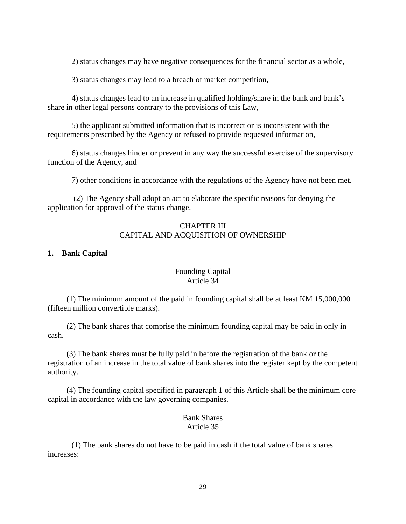2) status changes may have negative consequences for the financial sector as a whole,

3) status changes may lead to a breach of market competition,

4) status changes lead to an increase in qualified holding/share in the bank and bank's share in other legal persons contrary to the provisions of this Law,

5) the applicant submitted information that is incorrect or is inconsistent with the requirements prescribed by the Agency or refused to provide requested information,

6) status changes hinder or prevent in any way the successful exercise of the supervisory function of the Agency, and

7) other conditions in accordance with the regulations of the Agency have not been met.

(2) The Agency shall adopt an act to elaborate the specific reasons for denying the application for approval of the status change.

# CHAPTER III CAPITAL AND ACQUISITION OF OWNERSHIP

### **1. Bank Capital**

### Founding Capital Article 34

(1) The minimum amount of the paid in founding capital shall be at least KM 15,000,000 (fifteen million convertible marks).

(2) The bank shares that comprise the minimum founding capital may be paid in only in cash.

(3) The bank shares must be fully paid in before the registration of the bank or the registration of an increase in the total value of bank shares into the register kept by the competent authority.

(4) The founding capital specified in paragraph 1 of this Article shall be the minimum core capital in accordance with the law governing companies.

### Bank Shares Article 35

(1) The bank shares do not have to be paid in cash if the total value of bank shares increases: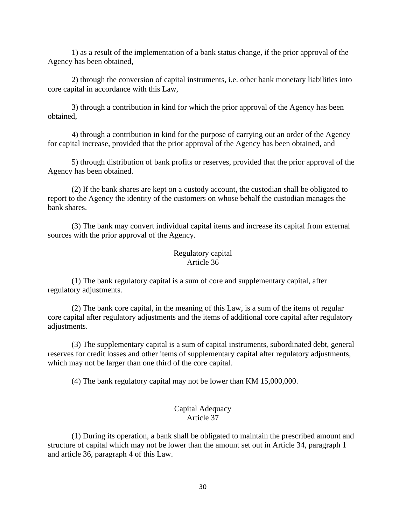1) as a result of the implementation of a bank status change, if the prior approval of the Agency has been obtained,

2) through the conversion of capital instruments, i.e. other bank monetary liabilities into core capital in accordance with this Law,

3) through a contribution in kind for which the prior approval of the Agency has been obtained,

4) through a contribution in kind for the purpose of carrying out an order of the Agency for capital increase, provided that the prior approval of the Agency has been obtained, and

5) through distribution of bank profits or reserves, provided that the prior approval of the Agency has been obtained.

(2) If the bank shares are kept on a custody account, the custodian shall be obligated to report to the Agency the identity of the customers on whose behalf the custodian manages the bank shares.

(3) The bank may convert individual capital items and increase its capital from external sources with the prior approval of the Agency.

# Regulatory capital Article 36

(1) The bank regulatory capital is a sum of core and supplementary capital, after regulatory adjustments.

(2) The bank core capital, in the meaning of this Law, is a sum of the items of regular core capital after regulatory adjustments and the items of additional core capital after regulatory adjustments.

(3) The supplementary capital is a sum of capital instruments, subordinated debt, general reserves for credit losses and other items of supplementary capital after regulatory adjustments, which may not be larger than one third of the core capital.

(4) The bank regulatory capital may not be lower than KM 15,000,000.

### Capital Adequacy Article 37

(1) During its operation, a bank shall be obligated to maintain the prescribed amount and structure of capital which may not be lower than the amount set out in Article 34, paragraph 1 and article 36, paragraph 4 of this Law.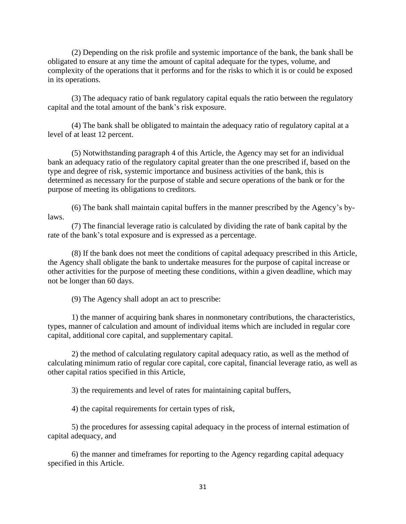(2) Depending on the risk profile and systemic importance of the bank, the bank shall be obligated to ensure at any time the amount of capital adequate for the types, volume, and complexity of the operations that it performs and for the risks to which it is or could be exposed in its operations.

(3) The adequacy ratio of bank regulatory capital equals the ratio between the regulatory capital and the total amount of the bank's risk exposure.

(4) The bank shall be obligated to maintain the adequacy ratio of regulatory capital at a level of at least 12 percent.

(5) Notwithstanding paragraph 4 of this Article, the Agency may set for an individual bank an adequacy ratio of the regulatory capital greater than the one prescribed if, based on the type and degree of risk, systemic importance and business activities of the bank, this is determined as necessary for the purpose of stable and secure operations of the bank or for the purpose of meeting its obligations to creditors.

(6) The bank shall maintain capital buffers in the manner prescribed by the Agency's bylaws.

(7) The financial leverage ratio is calculated by dividing the rate of bank capital by the rate of the bank's total exposure and is expressed as a percentage.

(8) If the bank does not meet the conditions of capital adequacy prescribed in this Article, the Agency shall obligate the bank to undertake measures for the purpose of capital increase or other activities for the purpose of meeting these conditions, within a given deadline, which may not be longer than 60 days.

(9) The Agency shall adopt an act to prescribe:

1) the manner of acquiring bank shares in nonmonetary contributions, the characteristics, types, manner of calculation and amount of individual items which are included in regular core capital, additional core capital, and supplementary capital.

2) the method of calculating regulatory capital adequacy ratio, as well as the method of calculating minimum ratio of regular core capital, core capital, financial leverage ratio, as well as other capital ratios specified in this Article,

3) the requirements and level of rates for maintaining capital buffers,

4) the capital requirements for certain types of risk,

5) the procedures for assessing capital adequacy in the process of internal estimation of capital adequacy, and

6) the manner and timeframes for reporting to the Agency regarding capital adequacy specified in this Article.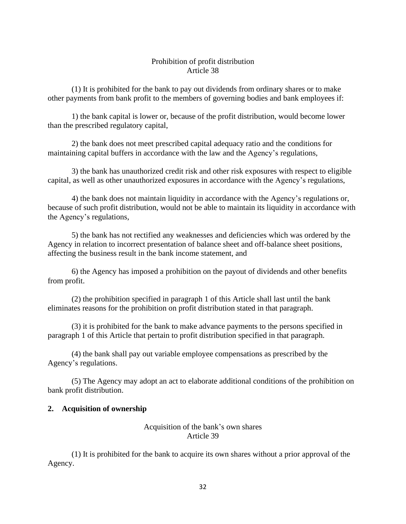# Prohibition of profit distribution Article 38

(1) It is prohibited for the bank to pay out dividends from ordinary shares or to make other payments from bank profit to the members of governing bodies and bank employees if:

1) the bank capital is lower or, because of the profit distribution, would become lower than the prescribed regulatory capital,

2) the bank does not meet prescribed capital adequacy ratio and the conditions for maintaining capital buffers in accordance with the law and the Agency's regulations,

3) the bank has unauthorized credit risk and other risk exposures with respect to eligible capital, as well as other unauthorized exposures in accordance with the Agency's regulations,

4) the bank does not maintain liquidity in accordance with the Agency's regulations or, because of such profit distribution, would not be able to maintain its liquidity in accordance with the Agency's regulations,

5) the bank has not rectified any weaknesses and deficiencies which was ordered by the Agency in relation to incorrect presentation of balance sheet and off-balance sheet positions, affecting the business result in the bank income statement, and

6) the Agency has imposed a prohibition on the payout of dividends and other benefits from profit.

(2) the prohibition specified in paragraph 1 of this Article shall last until the bank eliminates reasons for the prohibition on profit distribution stated in that paragraph.

(3) it is prohibited for the bank to make advance payments to the persons specified in paragraph 1 of this Article that pertain to profit distribution specified in that paragraph.

(4) the bank shall pay out variable employee compensations as prescribed by the Agency's regulations.

(5) The Agency may adopt an act to elaborate additional conditions of the prohibition on bank profit distribution.

# **2. Acquisition of ownership**

# Acquisition of the bank's own shares Article 39

(1) It is prohibited for the bank to acquire its own shares without a prior approval of the Agency.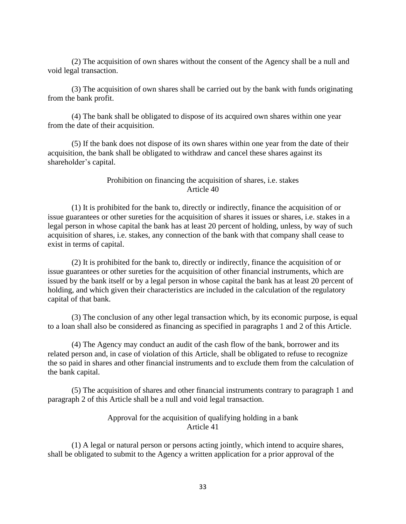(2) The acquisition of own shares without the consent of the Agency shall be a null and void legal transaction.

(3) The acquisition of own shares shall be carried out by the bank with funds originating from the bank profit.

(4) The bank shall be obligated to dispose of its acquired own shares within one year from the date of their acquisition.

(5) If the bank does not dispose of its own shares within one year from the date of their acquisition, the bank shall be obligated to withdraw and cancel these shares against its shareholder's capital.

#### Prohibition on financing the acquisition of shares, i.e. stakes Article 40

(1) It is prohibited for the bank to, directly or indirectly, finance the acquisition of or issue guarantees or other sureties for the acquisition of shares it issues or shares, i.e. stakes in a legal person in whose capital the bank has at least 20 percent of holding, unless, by way of such acquisition of shares, i.e. stakes, any connection of the bank with that company shall cease to exist in terms of capital.

(2) It is prohibited for the bank to, directly or indirectly, finance the acquisition of or issue guarantees or other sureties for the acquisition of other financial instruments, which are issued by the bank itself or by a legal person in whose capital the bank has at least 20 percent of holding, and which given their characteristics are included in the calculation of the regulatory capital of that bank.

(3) The conclusion of any other legal transaction which, by its economic purpose, is equal to a loan shall also be considered as financing as specified in paragraphs 1 and 2 of this Article.

(4) The Agency may conduct an audit of the cash flow of the bank, borrower and its related person and, in case of violation of this Article, shall be obligated to refuse to recognize the so paid in shares and other financial instruments and to exclude them from the calculation of the bank capital.

(5) The acquisition of shares and other financial instruments contrary to paragraph 1 and paragraph 2 of this Article shall be a null and void legal transaction.

### Approval for the acquisition of qualifying holding in a bank Article 41

(1) A legal or natural person or persons acting jointly, which intend to acquire shares, shall be obligated to submit to the Agency a written application for a prior approval of the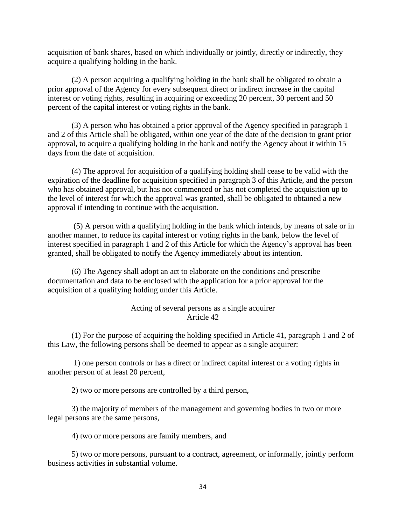acquisition of bank shares, based on which individually or jointly, directly or indirectly, they acquire a qualifying holding in the bank.

(2) A person acquiring a qualifying holding in the bank shall be obligated to obtain a prior approval of the Agency for every subsequent direct or indirect increase in the capital interest or voting rights, resulting in acquiring or exceeding 20 percent, 30 percent and 50 percent of the capital interest or voting rights in the bank.

(3) A person who has obtained a prior approval of the Agency specified in paragraph 1 and 2 of this Article shall be obligated, within one year of the date of the decision to grant prior approval, to acquire a qualifying holding in the bank and notify the Agency about it within 15 days from the date of acquisition.

(4) The approval for acquisition of a qualifying holding shall cease to be valid with the expiration of the deadline for acquisition specified in paragraph 3 of this Article, and the person who has obtained approval, but has not commenced or has not completed the acquisition up to the level of interest for which the approval was granted, shall be obligated to obtained a new approval if intending to continue with the acquisition.

(5) A person with a qualifying holding in the bank which intends, by means of sale or in another manner, to reduce its capital interest or voting rights in the bank, below the level of interest specified in paragraph 1 and 2 of this Article for which the Agency's approval has been granted, shall be obligated to notify the Agency immediately about its intention.

(6) The Agency shall adopt an act to elaborate on the conditions and prescribe documentation and data to be enclosed with the application for a prior approval for the acquisition of a qualifying holding under this Article.

### Acting of several persons as a single acquirer Article 42

(1) For the purpose of acquiring the holding specified in Article 41, paragraph 1 and 2 of this Law, the following persons shall be deemed to appear as a single acquirer:

1) one person controls or has a direct or indirect capital interest or a voting rights in another person of at least 20 percent,

2) two or more persons are controlled by a third person,

3) the majority of members of the management and governing bodies in two or more legal persons are the same persons,

4) two or more persons are family members, and

5) two or more persons, pursuant to a contract, agreement, or informally, jointly perform business activities in substantial volume.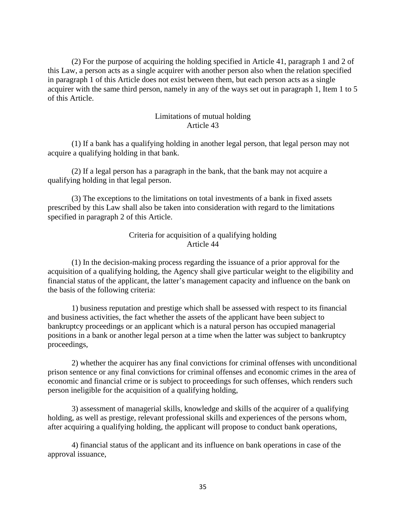(2) For the purpose of acquiring the holding specified in Article 41, paragraph 1 and 2 of this Law, a person acts as a single acquirer with another person also when the relation specified in paragraph 1 of this Article does not exist between them, but each person acts as a single acquirer with the same third person, namely in any of the ways set out in paragraph 1, Item 1 to 5 of this Article.

### Limitations of mutual holding Article 43

(1) If a bank has a qualifying holding in another legal person, that legal person may not acquire a qualifying holding in that bank.

(2) If a legal person has a paragraph in the bank, that the bank may not acquire a qualifying holding in that legal person.

(3) The exceptions to the limitations on total investments of a bank in fixed assets prescribed by this Law shall also be taken into consideration with regard to the limitations specified in paragraph 2 of this Article.

# Criteria for acquisition of a qualifying holding Article 44

(1) In the decision-making process regarding the issuance of a prior approval for the acquisition of a qualifying holding, the Agency shall give particular weight to the eligibility and financial status of the applicant, the latter's management capacity and influence on the bank on the basis of the following criteria:

1) business reputation and prestige which shall be assessed with respect to its financial and business activities, the fact whether the assets of the applicant have been subject to bankruptcy proceedings or an applicant which is a natural person has occupied managerial positions in a bank or another legal person at a time when the latter was subject to bankruptcy proceedings,

2) whether the acquirer has any final convictions for criminal offenses with unconditional prison sentence or any final convictions for criminal offenses and economic crimes in the area of economic and financial crime or is subject to proceedings for such offenses, which renders such person ineligible for the acquisition of a qualifying holding,

3) assessment of managerial skills, knowledge and skills of the acquirer of a qualifying holding, as well as prestige, relevant professional skills and experiences of the persons whom, after acquiring a qualifying holding, the applicant will propose to conduct bank operations,

4) financial status of the applicant and its influence on bank operations in case of the approval issuance,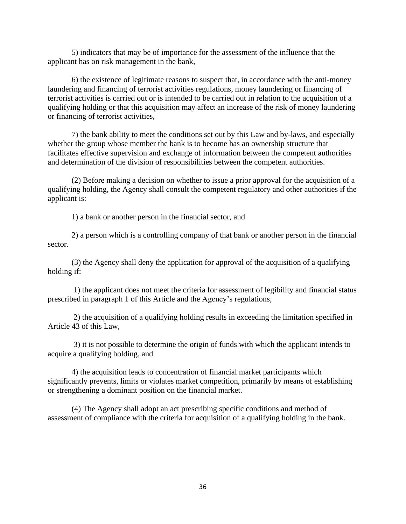5) indicators that may be of importance for the assessment of the influence that the applicant has on risk management in the bank,

6) the existence of legitimate reasons to suspect that, in accordance with the anti-money laundering and financing of terrorist activities regulations, money laundering or financing of terrorist activities is carried out or is intended to be carried out in relation to the acquisition of a qualifying holding or that this acquisition may affect an increase of the risk of money laundering or financing of terrorist activities,

7) the bank ability to meet the conditions set out by this Law and by-laws, and especially whether the group whose member the bank is to become has an ownership structure that facilitates effective supervision and exchange of information between the competent authorities and determination of the division of responsibilities between the competent authorities.

(2) Before making a decision on whether to issue a prior approval for the acquisition of a qualifying holding, the Agency shall consult the competent regulatory and other authorities if the applicant is:

1) a bank or another person in the financial sector, and

2) a person which is a controlling company of that bank or another person in the financial sector.

(3) the Agency shall deny the application for approval of the acquisition of a qualifying holding if:

1) the applicant does not meet the criteria for assessment of legibility and financial status prescribed in paragraph 1 of this Article and the Agency's regulations,

2) the acquisition of a qualifying holding results in exceeding the limitation specified in Article 43 of this Law,

3) it is not possible to determine the origin of funds with which the applicant intends to acquire a qualifying holding, and

4) the acquisition leads to concentration of financial market participants which significantly prevents, limits or violates market competition, primarily by means of establishing or strengthening a dominant position on the financial market.

(4) The Agency shall adopt an act prescribing specific conditions and method of assessment of compliance with the criteria for acquisition of a qualifying holding in the bank.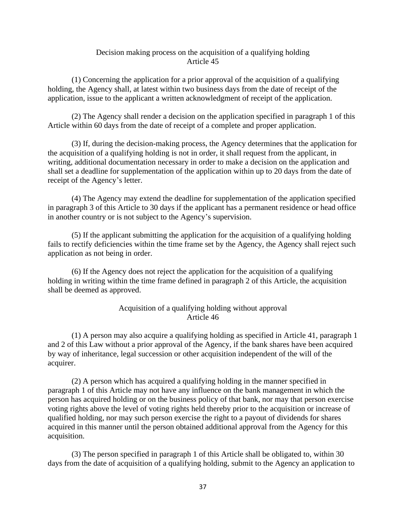### Decision making process on the acquisition of a qualifying holding Article 45

(1) Concerning the application for a prior approval of the acquisition of a qualifying holding, the Agency shall, at latest within two business days from the date of receipt of the application, issue to the applicant a written acknowledgment of receipt of the application.

(2) The Agency shall render a decision on the application specified in paragraph 1 of this Article within 60 days from the date of receipt of a complete and proper application.

(3) If, during the decision-making process, the Agency determines that the application for the acquisition of a qualifying holding is not in order, it shall request from the applicant, in writing, additional documentation necessary in order to make a decision on the application and shall set a deadline for supplementation of the application within up to 20 days from the date of receipt of the Agency's letter.

(4) The Agency may extend the deadline for supplementation of the application specified in paragraph 3 of this Article to 30 days if the applicant has a permanent residence or head office in another country or is not subject to the Agency's supervision.

(5) If the applicant submitting the application for the acquisition of a qualifying holding fails to rectify deficiencies within the time frame set by the Agency, the Agency shall reject such application as not being in order.

(6) If the Agency does not reject the application for the acquisition of a qualifying holding in writing within the time frame defined in paragraph 2 of this Article, the acquisition shall be deemed as approved.

### Acquisition of a qualifying holding without approval Article 46

(1) A person may also acquire a qualifying holding as specified in Article 41, paragraph 1 and 2 of this Law without a prior approval of the Agency, if the bank shares have been acquired by way of inheritance, legal succession or other acquisition independent of the will of the acquirer.

(2) A person which has acquired a qualifying holding in the manner specified in paragraph 1 of this Article may not have any influence on the bank management in which the person has acquired holding or on the business policy of that bank, nor may that person exercise voting rights above the level of voting rights held thereby prior to the acquisition or increase of qualified holding, nor may such person exercise the right to a payout of dividends for shares acquired in this manner until the person obtained additional approval from the Agency for this acquisition.

(3) The person specified in paragraph 1 of this Article shall be obligated to, within 30 days from the date of acquisition of a qualifying holding, submit to the Agency an application to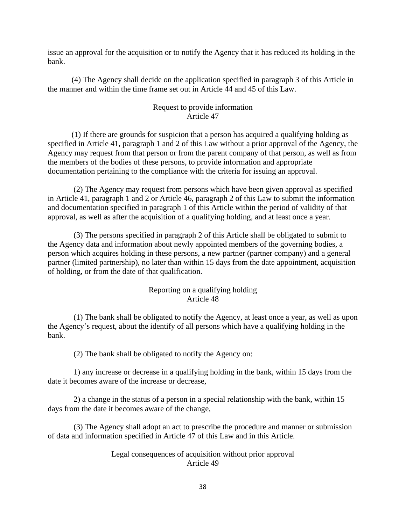issue an approval for the acquisition or to notify the Agency that it has reduced its holding in the bank.

(4) The Agency shall decide on the application specified in paragraph 3 of this Article in the manner and within the time frame set out in Article 44 and 45 of this Law.

## Request to provide information Article 47

(1) If there are grounds for suspicion that a person has acquired a qualifying holding as specified in Article 41, paragraph 1 and 2 of this Law without a prior approval of the Agency, the Agency may request from that person or from the parent company of that person, as well as from the members of the bodies of these persons, to provide information and appropriate documentation pertaining to the compliance with the criteria for issuing an approval.

(2) The Agency may request from persons which have been given approval as specified in Article 41, paragraph 1 and 2 or Article 46, paragraph 2 of this Law to submit the information and documentation specified in paragraph 1 of this Article within the period of validity of that approval, as well as after the acquisition of a qualifying holding, and at least once a year.

(3) The persons specified in paragraph 2 of this Article shall be obligated to submit to the Agency data and information about newly appointed members of the governing bodies, a person which acquires holding in these persons, a new partner (partner company) and a general partner (limited partnership), no later than within 15 days from the date appointment, acquisition of holding, or from the date of that qualification.

## Reporting on a qualifying holding Article 48

(1) The bank shall be obligated to notify the Agency, at least once a year, as well as upon the Agency's request, about the identify of all persons which have a qualifying holding in the bank.

(2) The bank shall be obligated to notify the Agency on:

1) any increase or decrease in a qualifying holding in the bank, within 15 days from the date it becomes aware of the increase or decrease,

2) a change in the status of a person in a special relationship with the bank, within 15 days from the date it becomes aware of the change,

(3) The Agency shall adopt an act to prescribe the procedure and manner or submission of data and information specified in Article 47 of this Law and in this Article.

#### Legal consequences of acquisition without prior approval Article 49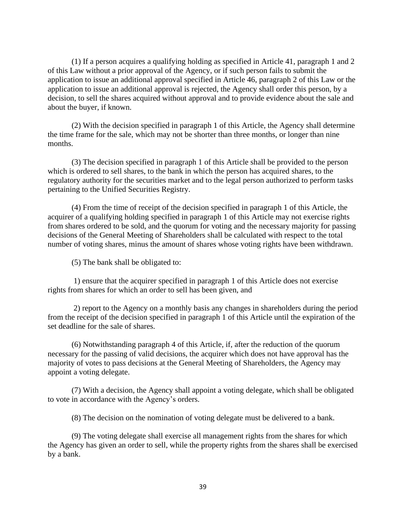(1) If a person acquires a qualifying holding as specified in Article 41, paragraph 1 and 2 of this Law without a prior approval of the Agency, or if such person fails to submit the application to issue an additional approval specified in Article 46, paragraph 2 of this Law or the application to issue an additional approval is rejected, the Agency shall order this person, by a decision, to sell the shares acquired without approval and to provide evidence about the sale and about the buyer, if known.

(2) With the decision specified in paragraph 1 of this Article, the Agency shall determine the time frame for the sale, which may not be shorter than three months, or longer than nine months.

(3) The decision specified in paragraph 1 of this Article shall be provided to the person which is ordered to sell shares, to the bank in which the person has acquired shares, to the regulatory authority for the securities market and to the legal person authorized to perform tasks pertaining to the Unified Securities Registry.

(4) From the time of receipt of the decision specified in paragraph 1 of this Article, the acquirer of a qualifying holding specified in paragraph 1 of this Article may not exercise rights from shares ordered to be sold, and the quorum for voting and the necessary majority for passing decisions of the General Meeting of Shareholders shall be calculated with respect to the total number of voting shares, minus the amount of shares whose voting rights have been withdrawn.

(5) The bank shall be obligated to:

1) ensure that the acquirer specified in paragraph 1 of this Article does not exercise rights from shares for which an order to sell has been given, and

2) report to the Agency on a monthly basis any changes in shareholders during the period from the receipt of the decision specified in paragraph 1 of this Article until the expiration of the set deadline for the sale of shares.

(6) Notwithstanding paragraph 4 of this Article, if, after the reduction of the quorum necessary for the passing of valid decisions, the acquirer which does not have approval has the majority of votes to pass decisions at the General Meeting of Shareholders, the Agency may appoint a voting delegate.

(7) With a decision, the Agency shall appoint a voting delegate, which shall be obligated to vote in accordance with the Agency's orders.

(8) The decision on the nomination of voting delegate must be delivered to a bank.

(9) The voting delegate shall exercise all management rights from the shares for which the Agency has given an order to sell, while the property rights from the shares shall be exercised by a bank.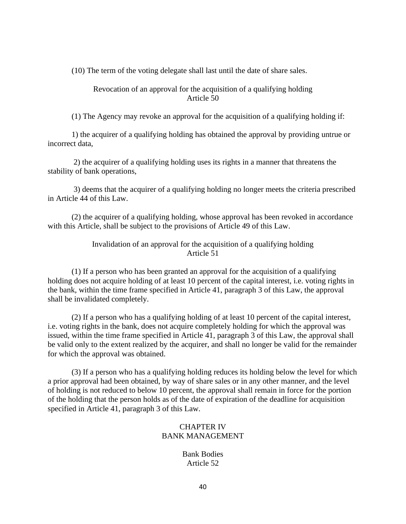(10) The term of the voting delegate shall last until the date of share sales.

Revocation of an approval for the acquisition of a qualifying holding Article 50

(1) The Agency may revoke an approval for the acquisition of a qualifying holding if:

1) the acquirer of a qualifying holding has obtained the approval by providing untrue or incorrect data,

2) the acquirer of a qualifying holding uses its rights in a manner that threatens the stability of bank operations,

3) deems that the acquirer of a qualifying holding no longer meets the criteria prescribed in Article 44 of this Law.

(2) the acquirer of a qualifying holding, whose approval has been revoked in accordance with this Article, shall be subject to the provisions of Article 49 of this Law.

> Invalidation of an approval for the acquisition of a qualifying holding Article 51

(1) If a person who has been granted an approval for the acquisition of a qualifying holding does not acquire holding of at least 10 percent of the capital interest, i.e. voting rights in the bank, within the time frame specified in Article 41, paragraph 3 of this Law, the approval shall be invalidated completely.

(2) If a person who has a qualifying holding of at least 10 percent of the capital interest, i.e. voting rights in the bank, does not acquire completely holding for which the approval was issued, within the time frame specified in Article 41, paragraph 3 of this Law, the approval shall be valid only to the extent realized by the acquirer, and shall no longer be valid for the remainder for which the approval was obtained.

(3) If a person who has a qualifying holding reduces its holding below the level for which a prior approval had been obtained, by way of share sales or in any other manner, and the level of holding is not reduced to below 10 percent, the approval shall remain in force for the portion of the holding that the person holds as of the date of expiration of the deadline for acquisition specified in Article 41, paragraph 3 of this Law.

## CHAPTER IV BANK MANAGEMENT

Bank Bodies Article 52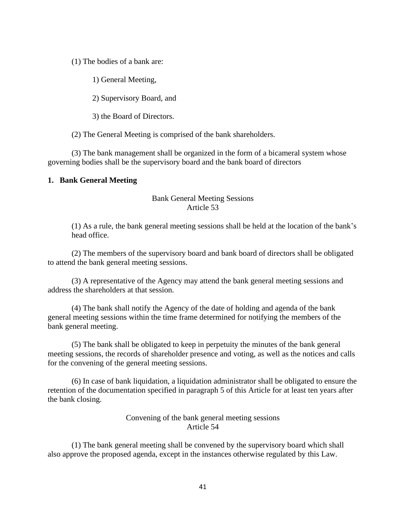(1) The bodies of a bank are:

1) General Meeting,

2) Supervisory Board, and

3) the Board of Directors.

(2) The General Meeting is comprised of the bank shareholders.

(3) The bank management shall be organized in the form of a bicameral system whose governing bodies shall be the supervisory board and the bank board of directors

#### **1. Bank General Meeting**

### Bank General Meeting Sessions Article 53

(1) As a rule, the bank general meeting sessions shall be held at the location of the bank's head office.

(2) The members of the supervisory board and bank board of directors shall be obligated to attend the bank general meeting sessions.

(3) A representative of the Agency may attend the bank general meeting sessions and address the shareholders at that session.

(4) The bank shall notify the Agency of the date of holding and agenda of the bank general meeting sessions within the time frame determined for notifying the members of the bank general meeting.

(5) The bank shall be obligated to keep in perpetuity the minutes of the bank general meeting sessions, the records of shareholder presence and voting, as well as the notices and calls for the convening of the general meeting sessions.

(6) In case of bank liquidation, a liquidation administrator shall be obligated to ensure the retention of the documentation specified in paragraph 5 of this Article for at least ten years after the bank closing.

> Convening of the bank general meeting sessions Article 54

(1) The bank general meeting shall be convened by the supervisory board which shall also approve the proposed agenda, except in the instances otherwise regulated by this Law.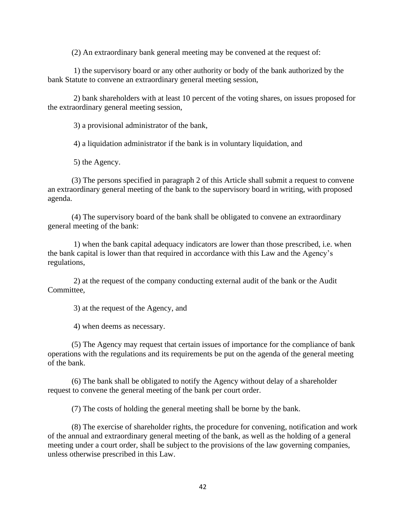(2) An extraordinary bank general meeting may be convened at the request of:

1) the supervisory board or any other authority or body of the bank authorized by the bank Statute to convene an extraordinary general meeting session,

2) bank shareholders with at least 10 percent of the voting shares, on issues proposed for the extraordinary general meeting session,

3) a provisional administrator of the bank,

4) a liquidation administrator if the bank is in voluntary liquidation, and

5) the Agency.

(3) The persons specified in paragraph 2 of this Article shall submit a request to convene an extraordinary general meeting of the bank to the supervisory board in writing, with proposed agenda.

(4) The supervisory board of the bank shall be obligated to convene an extraordinary general meeting of the bank:

1) when the bank capital adequacy indicators are lower than those prescribed, i.e. when the bank capital is lower than that required in accordance with this Law and the Agency's regulations,

2) at the request of the company conducting external audit of the bank or the Audit Committee,

3) at the request of the Agency, and

4) when deems as necessary.

(5) The Agency may request that certain issues of importance for the compliance of bank operations with the regulations and its requirements be put on the agenda of the general meeting of the bank.

(6) The bank shall be obligated to notify the Agency without delay of a shareholder request to convene the general meeting of the bank per court order.

(7) The costs of holding the general meeting shall be borne by the bank.

(8) The exercise of shareholder rights, the procedure for convening, notification and work of the annual and extraordinary general meeting of the bank, as well as the holding of a general meeting under a court order, shall be subject to the provisions of the law governing companies, unless otherwise prescribed in this Law.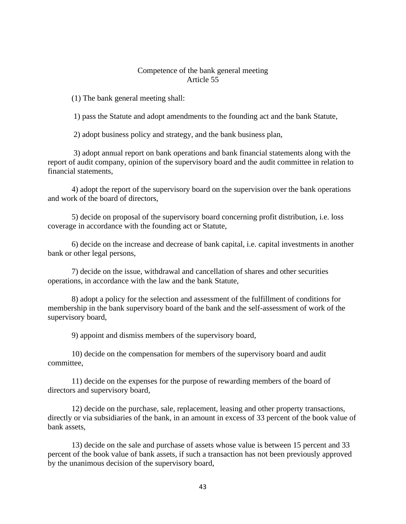#### Competence of the bank general meeting Article 55

(1) The bank general meeting shall:

1) pass the Statute and adopt amendments to the founding act and the bank Statute,

2) adopt business policy and strategy, and the bank business plan,

3) adopt annual report on bank operations and bank financial statements along with the report of audit company, opinion of the supervisory board and the audit committee in relation to financial statements,

4) adopt the report of the supervisory board on the supervision over the bank operations and work of the board of directors,

5) decide on proposal of the supervisory board concerning profit distribution, i.e. loss coverage in accordance with the founding act or Statute,

6) decide on the increase and decrease of bank capital, i.e. capital investments in another bank or other legal persons,

7) decide on the issue, withdrawal and cancellation of shares and other securities operations, in accordance with the law and the bank Statute,

8) adopt a policy for the selection and assessment of the fulfillment of conditions for membership in the bank supervisory board of the bank and the self-assessment of work of the supervisory board,

9) appoint and dismiss members of the supervisory board,

10) decide on the compensation for members of the supervisory board and audit committee,

11) decide on the expenses for the purpose of rewarding members of the board of directors and supervisory board,

12) decide on the purchase, sale, replacement, leasing and other property transactions, directly or via subsidiaries of the bank, in an amount in excess of 33 percent of the book value of bank assets,

13) decide on the sale and purchase of assets whose value is between 15 percent and 33 percent of the book value of bank assets, if such a transaction has not been previously approved by the unanimous decision of the supervisory board,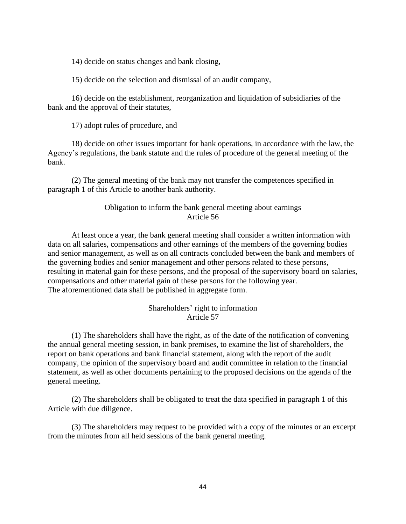14) decide on status changes and bank closing,

15) decide on the selection and dismissal of an audit company,

16) decide on the establishment, reorganization and liquidation of subsidiaries of the bank and the approval of their statutes,

17) adopt rules of procedure, and

18) decide on other issues important for bank operations, in accordance with the law, the Agency's regulations, the bank statute and the rules of procedure of the general meeting of the bank.

(2) The general meeting of the bank may not transfer the competences specified in paragraph 1 of this Article to another bank authority.

### Obligation to inform the bank general meeting about earnings Article 56

At least once a year, the bank general meeting shall consider a written information with data on all salaries, compensations and other earnings of the members of the governing bodies and senior management, as well as on all contracts concluded between the bank and members of the governing bodies and senior management and other persons related to these persons, resulting in material gain for these persons, and the proposal of the supervisory board on salaries, compensations and other material gain of these persons for the following year. The aforementioned data shall be published in aggregate form.

## Shareholders' right to information Article 57

(1) The shareholders shall have the right, as of the date of the notification of convening the annual general meeting session, in bank premises, to examine the list of shareholders, the report on bank operations and bank financial statement, along with the report of the audit company, the opinion of the supervisory board and audit committee in relation to the financial statement, as well as other documents pertaining to the proposed decisions on the agenda of the general meeting.

(2) The shareholders shall be obligated to treat the data specified in paragraph 1 of this Article with due diligence.

(3) The shareholders may request to be provided with a copy of the minutes or an excerpt from the minutes from all held sessions of the bank general meeting.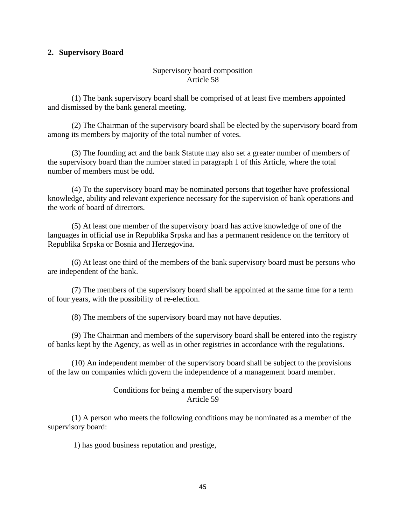### **2. Supervisory Board**

### Supervisory board composition Article 58

(1) The bank supervisory board shall be comprised of at least five members appointed and dismissed by the bank general meeting.

(2) The Chairman of the supervisory board shall be elected by the supervisory board from among its members by majority of the total number of votes.

(3) The founding act and the bank Statute may also set a greater number of members of the supervisory board than the number stated in paragraph 1 of this Article, where the total number of members must be odd.

(4) To the supervisory board may be nominated persons that together have professional knowledge, ability and relevant experience necessary for the supervision of bank operations and the work of board of directors.

(5) At least one member of the supervisory board has active knowledge of one of the languages in official use in Republika Srpska and has a permanent residence on the territory of Republika Srpska or Bosnia and Herzegovina.

(6) At least one third of the members of the bank supervisory board must be persons who are independent of the bank.

(7) The members of the supervisory board shall be appointed at the same time for a term of four years, with the possibility of re-election.

(8) The members of the supervisory board may not have deputies.

(9) The Chairman and members of the supervisory board shall be entered into the registry of banks kept by the Agency, as well as in other registries in accordance with the regulations.

(10) An independent member of the supervisory board shall be subject to the provisions of the law on companies which govern the independence of a management board member.

### Conditions for being a member of the supervisory board Article 59

(1) A person who meets the following conditions may be nominated as a member of the supervisory board:

1) has good business reputation and prestige,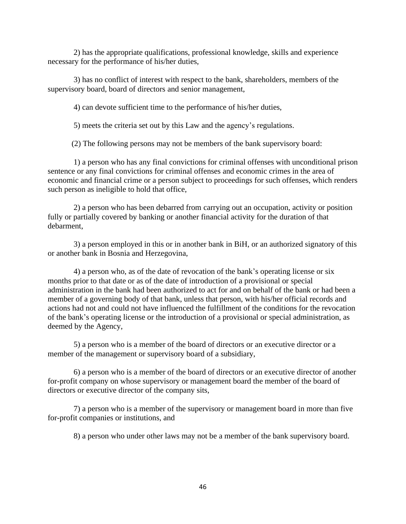2) has the appropriate qualifications, professional knowledge, skills and experience necessary for the performance of his/her duties,

3) has no conflict of interest with respect to the bank, shareholders, members of the supervisory board, board of directors and senior management,

4) can devote sufficient time to the performance of his/her duties,

5) meets the criteria set out by this Law and the agency's regulations.

(2) The following persons may not be members of the bank supervisory board:

1) a person who has any final convictions for criminal offenses with unconditional prison sentence or any final convictions for criminal offenses and economic crimes in the area of economic and financial crime or a person subject to proceedings for such offenses, which renders such person as ineligible to hold that office,

2) a person who has been debarred from carrying out an occupation, activity or position fully or partially covered by banking or another financial activity for the duration of that debarment,

3) a person employed in this or in another bank in BiH, or an authorized signatory of this or another bank in Bosnia and Herzegovina,

4) a person who, as of the date of revocation of the bank's operating license or six months prior to that date or as of the date of introduction of a provisional or special administration in the bank had been authorized to act for and on behalf of the bank or had been a member of a governing body of that bank, unless that person, with his/her official records and actions had not and could not have influenced the fulfillment of the conditions for the revocation of the bank's operating license or the introduction of a provisional or special administration, as deemed by the Agency,

5) a person who is a member of the board of directors or an executive director or a member of the management or supervisory board of a subsidiary,

6) a person who is a member of the board of directors or an executive director of another for-profit company on whose supervisory or management board the member of the board of directors or executive director of the company sits,

7) a person who is a member of the supervisory or management board in more than five for-profit companies or institutions, and

8) a person who under other laws may not be a member of the bank supervisory board.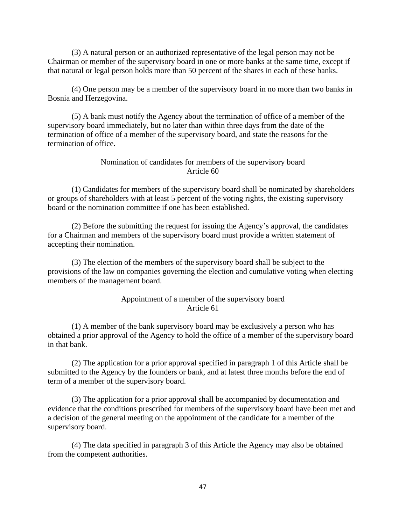(3) A natural person or an authorized representative of the legal person may not be Chairman or member of the supervisory board in one or more banks at the same time, except if that natural or legal person holds more than 50 percent of the shares in each of these banks.

(4) One person may be a member of the supervisory board in no more than two banks in Bosnia and Herzegovina.

(5) A bank must notify the Agency about the termination of office of a member of the supervisory board immediately, but no later than within three days from the date of the termination of office of a member of the supervisory board, and state the reasons for the termination of office.

### Nomination of candidates for members of the supervisory board Article 60

(1) Candidates for members of the supervisory board shall be nominated by shareholders or groups of shareholders with at least 5 percent of the voting rights, the existing supervisory board or the nomination committee if one has been established.

(2) Before the submitting the request for issuing the Agency's approval, the candidates for a Chairman and members of the supervisory board must provide a written statement of accepting their nomination.

(3) The election of the members of the supervisory board shall be subject to the provisions of the law on companies governing the election and cumulative voting when electing members of the management board.

#### Appointment of a member of the supervisory board Article 61

(1) A member of the bank supervisory board may be exclusively a person who has obtained a prior approval of the Agency to hold the office of a member of the supervisory board in that bank.

(2) The application for a prior approval specified in paragraph 1 of this Article shall be submitted to the Agency by the founders or bank, and at latest three months before the end of term of a member of the supervisory board.

(3) The application for a prior approval shall be accompanied by documentation and evidence that the conditions prescribed for members of the supervisory board have been met and a decision of the general meeting on the appointment of the candidate for a member of the supervisory board.

(4) The data specified in paragraph 3 of this Article the Agency may also be obtained from the competent authorities.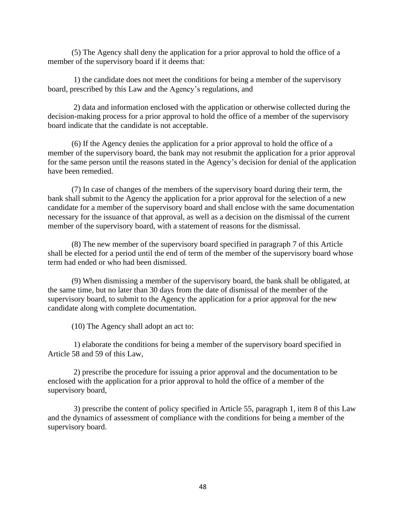(5) The Agency shall deny the application for a prior approval to hold the office of a member of the supervisory board if it deems that:

1) the candidate does not meet the conditions for being a member of the supervisory board, prescribed by this Law and the Agency's regulations, and

2) data and information enclosed with the application or otherwise collected during the decision-making process for a prior approval to hold the office of a member of the supervisory board indicate that the candidate is not acceptable.

(6) If the Agency denies the application for a prior approval to hold the office of a member of the supervisory board, the bank may not resubmit the application for a prior approval for the same person until the reasons stated in the Agency's decision for denial of the application have been remedied.

(7) In case of changes of the members of the supervisory board during their term, the bank shall submit to the Agency the application for a prior approval for the selection of a new candidate for a member of the supervisory board and shall enclose with the same documentation necessary for the issuance of that approval, as well as a decision on the dismissal of the current member of the supervisory board, with a statement of reasons for the dismissal.

(8) The new member of the supervisory board specified in paragraph 7 of this Article shall be elected for a period until the end of term of the member of the supervisory board whose term had ended or who had been dismissed.

(9) When dismissing a member of the supervisory board, the bank shall be obligated, at the same time, but no later than 30 days from the date of dismissal of the member of the supervisory board, to submit to the Agency the application for a prior approval for the new candidate along with complete documentation.

(10) The Agency shall adopt an act to:

1) elaborate the conditions for being a member of the supervisory board specified in Article 58 and 59 of this Law,

2) prescribe the procedure for issuing a prior approval and the documentation to be enclosed with the application for a prior approval to hold the office of a member of the supervisory board,

3) prescribe the content of policy specified in Article 55, paragraph 1, item 8 of this Law and the dynamics of assessment of compliance with the conditions for being a member of the supervisory board.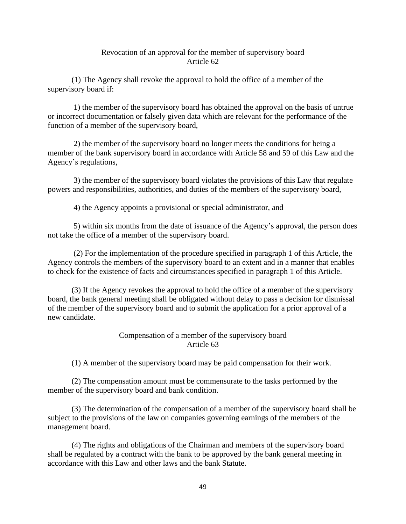#### Revocation of an approval for the member of supervisory board Article 62

(1) The Agency shall revoke the approval to hold the office of a member of the supervisory board if:

1) the member of the supervisory board has obtained the approval on the basis of untrue or incorrect documentation or falsely given data which are relevant for the performance of the function of a member of the supervisory board,

2) the member of the supervisory board no longer meets the conditions for being a member of the bank supervisory board in accordance with Article 58 and 59 of this Law and the Agency's regulations,

3) the member of the supervisory board violates the provisions of this Law that regulate powers and responsibilities, authorities, and duties of the members of the supervisory board,

4) the Agency appoints a provisional or special administrator, and

5) within six months from the date of issuance of the Agency's approval, the person does not take the office of a member of the supervisory board.

(2) For the implementation of the procedure specified in paragraph 1 of this Article, the Agency controls the members of the supervisory board to an extent and in a manner that enables to check for the existence of facts and circumstances specified in paragraph 1 of this Article.

(3) If the Agency revokes the approval to hold the office of a member of the supervisory board, the bank general meeting shall be obligated without delay to pass a decision for dismissal of the member of the supervisory board and to submit the application for a prior approval of a new candidate.

# Compensation of a member of the supervisory board Article 63

(1) A member of the supervisory board may be paid compensation for their work.

(2) The compensation amount must be commensurate to the tasks performed by the member of the supervisory board and bank condition.

(3) The determination of the compensation of a member of the supervisory board shall be subject to the provisions of the law on companies governing earnings of the members of the management board.

(4) The rights and obligations of the Chairman and members of the supervisory board shall be regulated by a contract with the bank to be approved by the bank general meeting in accordance with this Law and other laws and the bank Statute.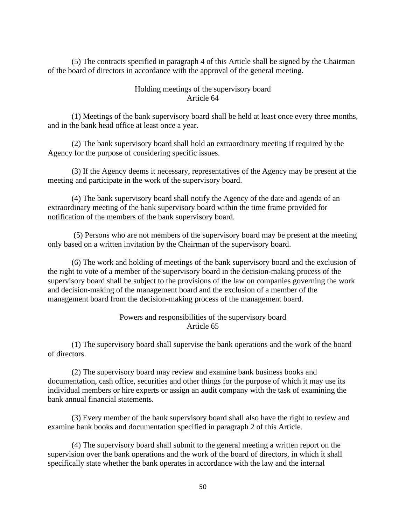(5) The contracts specified in paragraph 4 of this Article shall be signed by the Chairman of the board of directors in accordance with the approval of the general meeting.

### Holding meetings of the supervisory board Article 64

(1) Meetings of the bank supervisory board shall be held at least once every three months, and in the bank head office at least once a year.

(2) The bank supervisory board shall hold an extraordinary meeting if required by the Agency for the purpose of considering specific issues.

(3) If the Agency deems it necessary, representatives of the Agency may be present at the meeting and participate in the work of the supervisory board.

(4) The bank supervisory board shall notify the Agency of the date and agenda of an extraordinary meeting of the bank supervisory board within the time frame provided for notification of the members of the bank supervisory board.

(5) Persons who are not members of the supervisory board may be present at the meeting only based on a written invitation by the Chairman of the supervisory board.

(6) The work and holding of meetings of the bank supervisory board and the exclusion of the right to vote of a member of the supervisory board in the decision-making process of the supervisory board shall be subject to the provisions of the law on companies governing the work and decision-making of the management board and the exclusion of a member of the management board from the decision-making process of the management board.

## Powers and responsibilities of the supervisory board Article 65

(1) The supervisory board shall supervise the bank operations and the work of the board of directors.

(2) The supervisory board may review and examine bank business books and documentation, cash office, securities and other things for the purpose of which it may use its individual members or hire experts or assign an audit company with the task of examining the bank annual financial statements.

(3) Every member of the bank supervisory board shall also have the right to review and examine bank books and documentation specified in paragraph 2 of this Article.

(4) The supervisory board shall submit to the general meeting a written report on the supervision over the bank operations and the work of the board of directors, in which it shall specifically state whether the bank operates in accordance with the law and the internal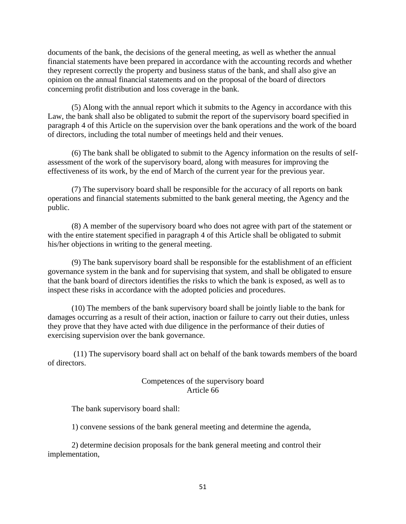documents of the bank, the decisions of the general meeting, as well as whether the annual financial statements have been prepared in accordance with the accounting records and whether they represent correctly the property and business status of the bank, and shall also give an opinion on the annual financial statements and on the proposal of the board of directors concerning profit distribution and loss coverage in the bank.

(5) Along with the annual report which it submits to the Agency in accordance with this Law, the bank shall also be obligated to submit the report of the supervisory board specified in paragraph 4 of this Article on the supervision over the bank operations and the work of the board of directors, including the total number of meetings held and their venues.

(6) The bank shall be obligated to submit to the Agency information on the results of selfassessment of the work of the supervisory board, along with measures for improving the effectiveness of its work, by the end of March of the current year for the previous year.

(7) The supervisory board shall be responsible for the accuracy of all reports on bank operations and financial statements submitted to the bank general meeting, the Agency and the public.

(8) A member of the supervisory board who does not agree with part of the statement or with the entire statement specified in paragraph 4 of this Article shall be obligated to submit his/her objections in writing to the general meeting.

(9) The bank supervisory board shall be responsible for the establishment of an efficient governance system in the bank and for supervising that system, and shall be obligated to ensure that the bank board of directors identifies the risks to which the bank is exposed, as well as to inspect these risks in accordance with the adopted policies and procedures.

(10) The members of the bank supervisory board shall be jointly liable to the bank for damages occurring as a result of their action, inaction or failure to carry out their duties, unless they prove that they have acted with due diligence in the performance of their duties of exercising supervision over the bank governance.

(11) The supervisory board shall act on behalf of the bank towards members of the board of directors.

### Competences of the supervisory board Article 66

The bank supervisory board shall:

1) convene sessions of the bank general meeting and determine the agenda,

2) determine decision proposals for the bank general meeting and control their implementation,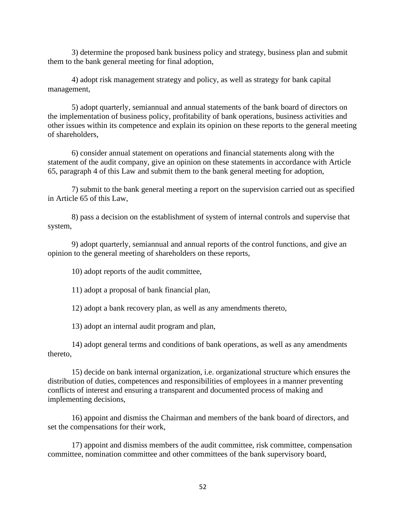3) determine the proposed bank business policy and strategy, business plan and submit them to the bank general meeting for final adoption,

4) adopt risk management strategy and policy, as well as strategy for bank capital management,

5) adopt quarterly, semiannual and annual statements of the bank board of directors on the implementation of business policy, profitability of bank operations, business activities and other issues within its competence and explain its opinion on these reports to the general meeting of shareholders,

6) consider annual statement on operations and financial statements along with the statement of the audit company, give an opinion on these statements in accordance with Article 65, paragraph 4 of this Law and submit them to the bank general meeting for adoption,

7) submit to the bank general meeting a report on the supervision carried out as specified in Article 65 of this Law,

8) pass a decision on the establishment of system of internal controls and supervise that system,

9) adopt quarterly, semiannual and annual reports of the control functions, and give an opinion to the general meeting of shareholders on these reports,

10) adopt reports of the audit committee,

11) adopt a proposal of bank financial plan,

12) adopt a bank recovery plan, as well as any amendments thereto,

13) adopt an internal audit program and plan,

14) adopt general terms and conditions of bank operations, as well as any amendments thereto,

15) decide on bank internal organization, i.e. organizational structure which ensures the distribution of duties, competences and responsibilities of employees in a manner preventing conflicts of interest and ensuring a transparent and documented process of making and implementing decisions,

16) appoint and dismiss the Chairman and members of the bank board of directors, and set the compensations for their work,

17) appoint and dismiss members of the audit committee, risk committee, compensation committee, nomination committee and other committees of the bank supervisory board,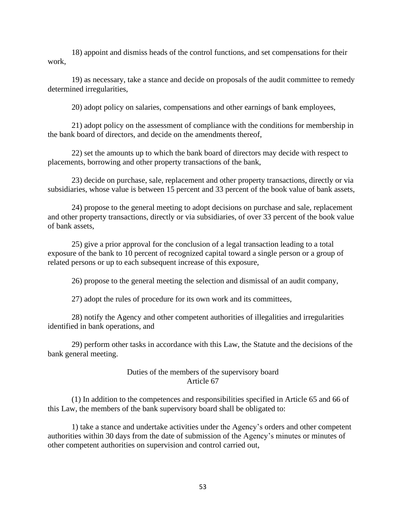18) appoint and dismiss heads of the control functions, and set compensations for their work,

19) as necessary, take a stance and decide on proposals of the audit committee to remedy determined irregularities,

20) adopt policy on salaries, compensations and other earnings of bank employees,

21) adopt policy on the assessment of compliance with the conditions for membership in the bank board of directors, and decide on the amendments thereof,

22) set the amounts up to which the bank board of directors may decide with respect to placements, borrowing and other property transactions of the bank,

23) decide on purchase, sale, replacement and other property transactions, directly or via subsidiaries, whose value is between 15 percent and 33 percent of the book value of bank assets,

24) propose to the general meeting to adopt decisions on purchase and sale, replacement and other property transactions, directly or via subsidiaries, of over 33 percent of the book value of bank assets,

25) give a prior approval for the conclusion of a legal transaction leading to a total exposure of the bank to 10 percent of recognized capital toward a single person or a group of related persons or up to each subsequent increase of this exposure,

26) propose to the general meeting the selection and dismissal of an audit company,

27) adopt the rules of procedure for its own work and its committees,

28) notify the Agency and other competent authorities of illegalities and irregularities identified in bank operations, and

29) perform other tasks in accordance with this Law, the Statute and the decisions of the bank general meeting.

#### Duties of the members of the supervisory board Article 67

(1) In addition to the competences and responsibilities specified in Article 65 and 66 of this Law, the members of the bank supervisory board shall be obligated to:

1) take a stance and undertake activities under the Agency's orders and other competent authorities within 30 days from the date of submission of the Agency's minutes or minutes of other competent authorities on supervision and control carried out,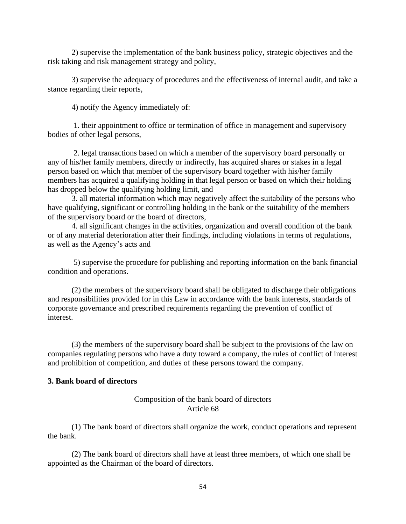2) supervise the implementation of the bank business policy, strategic objectives and the risk taking and risk management strategy and policy,

3) supervise the adequacy of procedures and the effectiveness of internal audit, and take a stance regarding their reports,

4) notify the Agency immediately of:

1. their appointment to office or termination of office in management and supervisory bodies of other legal persons,

2. legal transactions based on which a member of the supervisory board personally or any of his/her family members, directly or indirectly, has acquired shares or stakes in a legal person based on which that member of the supervisory board together with his/her family members has acquired a qualifying holding in that legal person or based on which their holding has dropped below the qualifying holding limit, and

3. all material information which may negatively affect the suitability of the persons who have qualifying, significant or controlling holding in the bank or the suitability of the members of the supervisory board or the board of directors,

4. all significant changes in the activities, organization and overall condition of the bank or of any material deterioration after their findings, including violations in terms of regulations, as well as the Agency's acts and

5) supervise the procedure for publishing and reporting information on the bank financial condition and operations.

(2) the members of the supervisory board shall be obligated to discharge their obligations and responsibilities provided for in this Law in accordance with the bank interests, standards of corporate governance and prescribed requirements regarding the prevention of conflict of interest.

(3) the members of the supervisory board shall be subject to the provisions of the law on companies regulating persons who have a duty toward a company, the rules of conflict of interest and prohibition of competition, and duties of these persons toward the company.

### **3. Bank board of directors**

# Composition of the bank board of directors Article 68

(1) The bank board of directors shall organize the work, conduct operations and represent the bank.

(2) The bank board of directors shall have at least three members, of which one shall be appointed as the Chairman of the board of directors.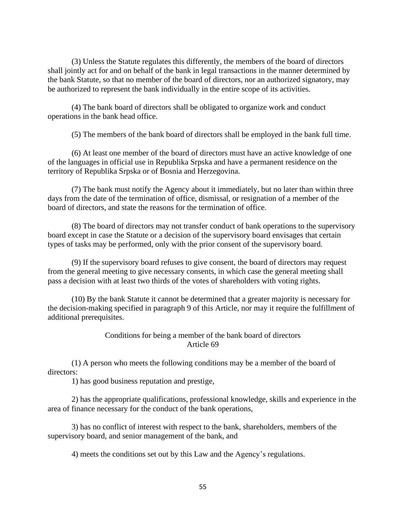(3) Unless the Statute regulates this differently, the members of the board of directors shall jointly act for and on behalf of the bank in legal transactions in the manner determined by the bank Statute, so that no member of the board of directors, nor an authorized signatory, may be authorized to represent the bank individually in the entire scope of its activities.

(4) The bank board of directors shall be obligated to organize work and conduct operations in the bank head office.

(5) The members of the bank board of directors shall be employed in the bank full time.

(6) At least one member of the board of directors must have an active knowledge of one of the languages in official use in Republika Srpska and have a permanent residence on the territory of Republika Srpska or of Bosnia and Herzegovina.

(7) The bank must notify the Agency about it immediately, but no later than within three days from the date of the termination of office, dismissal, or resignation of a member of the board of directors, and state the reasons for the termination of office.

(8) The board of directors may not transfer conduct of bank operations to the supervisory board except in case the Statute or a decision of the supervisory board envisages that certain types of tasks may be performed, only with the prior consent of the supervisory board.

(9) If the supervisory board refuses to give consent, the board of directors may request from the general meeting to give necessary consents, in which case the general meeting shall pass a decision with at least two thirds of the votes of shareholders with voting rights.

(10) By the bank Statute it cannot be determined that a greater majority is necessary for the decision-making specified in paragraph 9 of this Article, nor may it require the fulfillment of additional prerequisites.

# Conditions for being a member of the bank board of directors Article 69

(1) A person who meets the following conditions may be a member of the board of directors:

1) has good business reputation and prestige,

2) has the appropriate qualifications, professional knowledge, skills and experience in the area of finance necessary for the conduct of the bank operations,

3) has no conflict of interest with respect to the bank, shareholders, members of the supervisory board, and senior management of the bank, and

4) meets the conditions set out by this Law and the Agency's regulations.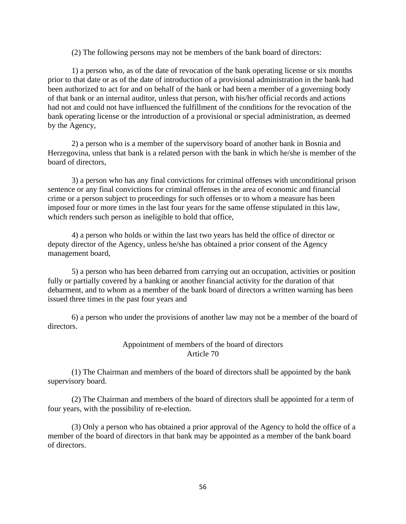(2) The following persons may not be members of the bank board of directors:

1) a person who, as of the date of revocation of the bank operating license or six months prior to that date or as of the date of introduction of a provisional administration in the bank had been authorized to act for and on behalf of the bank or had been a member of a governing body of that bank or an internal auditor, unless that person, with his/her official records and actions had not and could not have influenced the fulfillment of the conditions for the revocation of the bank operating license or the introduction of a provisional or special administration, as deemed by the Agency,

2) a person who is a member of the supervisory board of another bank in Bosnia and Herzegovina, unless that bank is a related person with the bank in which he/she is member of the board of directors,

3) a person who has any final convictions for criminal offenses with unconditional prison sentence or any final convictions for criminal offenses in the area of economic and financial crime or a person subject to proceedings for such offenses or to whom a measure has been imposed four or more times in the last four years for the same offense stipulated in this law, which renders such person as ineligible to hold that office,

4) a person who holds or within the last two years has held the office of director or deputy director of the Agency, unless he/she has obtained a prior consent of the Agency management board,

5) a person who has been debarred from carrying out an occupation, activities or position fully or partially covered by a banking or another financial activity for the duration of that debarment, and to whom as a member of the bank board of directors a written warning has been issued three times in the past four years and

6) a person who under the provisions of another law may not be a member of the board of directors.

### Appointment of members of the board of directors Article 70

(1) The Chairman and members of the board of directors shall be appointed by the bank supervisory board.

(2) The Chairman and members of the board of directors shall be appointed for a term of four years, with the possibility of re-election.

(3) Only a person who has obtained a prior approval of the Agency to hold the office of a member of the board of directors in that bank may be appointed as a member of the bank board of directors.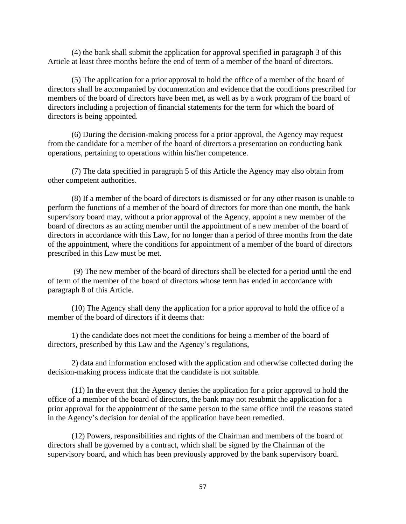(4) the bank shall submit the application for approval specified in paragraph 3 of this Article at least three months before the end of term of a member of the board of directors.

(5) The application for a prior approval to hold the office of a member of the board of directors shall be accompanied by documentation and evidence that the conditions prescribed for members of the board of directors have been met, as well as by a work program of the board of directors including a projection of financial statements for the term for which the board of directors is being appointed.

(6) During the decision-making process for a prior approval, the Agency may request from the candidate for a member of the board of directors a presentation on conducting bank operations, pertaining to operations within his/her competence.

(7) The data specified in paragraph 5 of this Article the Agency may also obtain from other competent authorities.

(8) If a member of the board of directors is dismissed or for any other reason is unable to perform the functions of a member of the board of directors for more than one month, the bank supervisory board may, without a prior approval of the Agency, appoint a new member of the board of directors as an acting member until the appointment of a new member of the board of directors in accordance with this Law, for no longer than a period of three months from the date of the appointment, where the conditions for appointment of a member of the board of directors prescribed in this Law must be met.

(9) The new member of the board of directors shall be elected for a period until the end of term of the member of the board of directors whose term has ended in accordance with paragraph 8 of this Article.

(10) The Agency shall deny the application for a prior approval to hold the office of a member of the board of directors if it deems that:

1) the candidate does not meet the conditions for being a member of the board of directors, prescribed by this Law and the Agency's regulations,

2) data and information enclosed with the application and otherwise collected during the decision-making process indicate that the candidate is not suitable.

(11) In the event that the Agency denies the application for a prior approval to hold the office of a member of the board of directors, the bank may not resubmit the application for a prior approval for the appointment of the same person to the same office until the reasons stated in the Agency's decision for denial of the application have been remedied.

(12) Powers, responsibilities and rights of the Chairman and members of the board of directors shall be governed by a contract, which shall be signed by the Chairman of the supervisory board, and which has been previously approved by the bank supervisory board.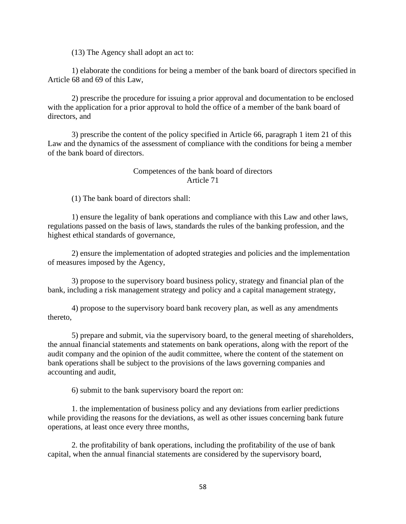(13) The Agency shall adopt an act to:

1) elaborate the conditions for being a member of the bank board of directors specified in Article 68 and 69 of this Law,

2) prescribe the procedure for issuing a prior approval and documentation to be enclosed with the application for a prior approval to hold the office of a member of the bank board of directors, and

3) prescribe the content of the policy specified in Article 66, paragraph 1 item 21 of this Law and the dynamics of the assessment of compliance with the conditions for being a member of the bank board of directors.

## Competences of the bank board of directors Article 71

(1) The bank board of directors shall:

1) ensure the legality of bank operations and compliance with this Law and other laws, regulations passed on the basis of laws, standards the rules of the banking profession, and the highest ethical standards of governance,

2) ensure the implementation of adopted strategies and policies and the implementation of measures imposed by the Agency,

3) propose to the supervisory board business policy, strategy and financial plan of the bank, including a risk management strategy and policy and a capital management strategy,

4) propose to the supervisory board bank recovery plan, as well as any amendments thereto,

5) prepare and submit, via the supervisory board, to the general meeting of shareholders, the annual financial statements and statements on bank operations, along with the report of the audit company and the opinion of the audit committee, where the content of the statement on bank operations shall be subject to the provisions of the laws governing companies and accounting and audit,

6) submit to the bank supervisory board the report on:

1. the implementation of business policy and any deviations from earlier predictions while providing the reasons for the deviations, as well as other issues concerning bank future operations, at least once every three months,

2. the profitability of bank operations, including the profitability of the use of bank capital, when the annual financial statements are considered by the supervisory board,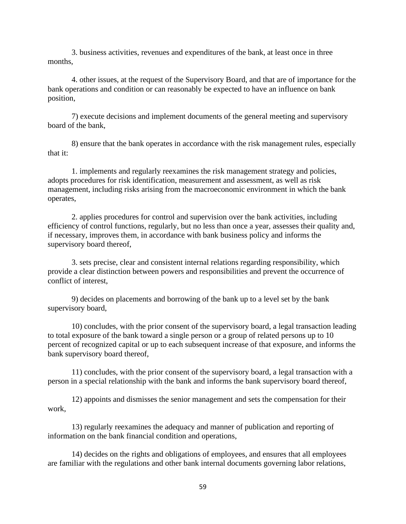3. business activities, revenues and expenditures of the bank, at least once in three months,

4. other issues, at the request of the Supervisory Board, and that are of importance for the bank operations and condition or can reasonably be expected to have an influence on bank position,

7) execute decisions and implement documents of the general meeting and supervisory board of the bank,

8) ensure that the bank operates in accordance with the risk management rules, especially that it:

1. implements and regularly reexamines the risk management strategy and policies, adopts procedures for risk identification, measurement and assessment, as well as risk management, including risks arising from the macroeconomic environment in which the bank operates,

2. applies procedures for control and supervision over the bank activities, including efficiency of control functions, regularly, but no less than once a year, assesses their quality and, if necessary, improves them, in accordance with bank business policy and informs the supervisory board thereof,

3. sets precise, clear and consistent internal relations regarding responsibility, which provide a clear distinction between powers and responsibilities and prevent the occurrence of conflict of interest,

9) decides on placements and borrowing of the bank up to a level set by the bank supervisory board,

10) concludes, with the prior consent of the supervisory board, a legal transaction leading to total exposure of the bank toward a single person or a group of related persons up to 10 percent of recognized capital or up to each subsequent increase of that exposure, and informs the bank supervisory board thereof,

11) concludes, with the prior consent of the supervisory board, a legal transaction with a person in a special relationship with the bank and informs the bank supervisory board thereof,

12) appoints and dismisses the senior management and sets the compensation for their work,

13) regularly reexamines the adequacy and manner of publication and reporting of information on the bank financial condition and operations,

14) decides on the rights and obligations of employees, and ensures that all employees are familiar with the regulations and other bank internal documents governing labor relations,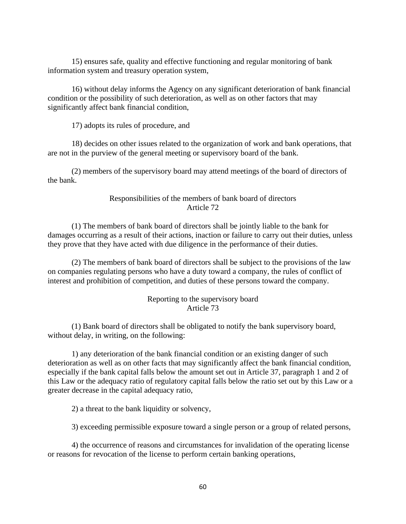15) ensures safe, quality and effective functioning and regular monitoring of bank information system and treasury operation system,

16) without delay informs the Agency on any significant deterioration of bank financial condition or the possibility of such deterioration, as well as on other factors that may significantly affect bank financial condition,

17) adopts its rules of procedure, and

18) decides on other issues related to the organization of work and bank operations, that are not in the purview of the general meeting or supervisory board of the bank.

(2) members of the supervisory board may attend meetings of the board of directors of the bank.

### Responsibilities of the members of bank board of directors Article 72

(1) The members of bank board of directors shall be jointly liable to the bank for damages occurring as a result of their actions, inaction or failure to carry out their duties, unless they prove that they have acted with due diligence in the performance of their duties.

(2) The members of bank board of directors shall be subject to the provisions of the law on companies regulating persons who have a duty toward a company, the rules of conflict of interest and prohibition of competition, and duties of these persons toward the company.

### Reporting to the supervisory board Article 73

(1) Bank board of directors shall be obligated to notify the bank supervisory board, without delay, in writing, on the following:

1) any deterioration of the bank financial condition or an existing danger of such deterioration as well as on other facts that may significantly affect the bank financial condition, especially if the bank capital falls below the amount set out in Article 37, paragraph 1 and 2 of this Law or the adequacy ratio of regulatory capital falls below the ratio set out by this Law or a greater decrease in the capital adequacy ratio,

2) a threat to the bank liquidity or solvency,

3) exceeding permissible exposure toward a single person or a group of related persons,

4) the occurrence of reasons and circumstances for invalidation of the operating license or reasons for revocation of the license to perform certain banking operations,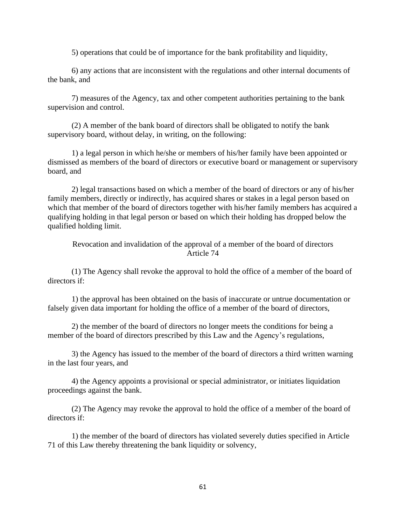5) operations that could be of importance for the bank profitability and liquidity,

6) any actions that are inconsistent with the regulations and other internal documents of the bank, and

7) measures of the Agency, tax and other competent authorities pertaining to the bank supervision and control.

(2) A member of the bank board of directors shall be obligated to notify the bank supervisory board, without delay, in writing, on the following:

1) a legal person in which he/she or members of his/her family have been appointed or dismissed as members of the board of directors or executive board or management or supervisory board, and

2) legal transactions based on which a member of the board of directors or any of his/her family members, directly or indirectly, has acquired shares or stakes in a legal person based on which that member of the board of directors together with his/her family members has acquired a qualifying holding in that legal person or based on which their holding has dropped below the qualified holding limit.

Revocation and invalidation of the approval of a member of the board of directors Article 74

(1) The Agency shall revoke the approval to hold the office of a member of the board of directors if:

1) the approval has been obtained on the basis of inaccurate or untrue documentation or falsely given data important for holding the office of a member of the board of directors,

2) the member of the board of directors no longer meets the conditions for being a member of the board of directors prescribed by this Law and the Agency's regulations,

3) the Agency has issued to the member of the board of directors a third written warning in the last four years, and

4) the Agency appoints a provisional or special administrator, or initiates liquidation proceedings against the bank.

(2) The Agency may revoke the approval to hold the office of a member of the board of directors if:

1) the member of the board of directors has violated severely duties specified in Article 71 of this Law thereby threatening the bank liquidity or solvency,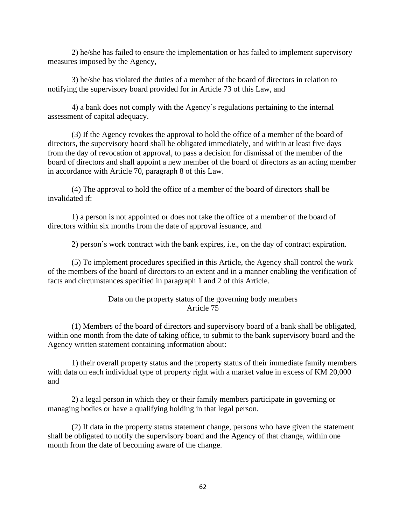2) he/she has failed to ensure the implementation or has failed to implement supervisory measures imposed by the Agency,

3) he/she has violated the duties of a member of the board of directors in relation to notifying the supervisory board provided for in Article 73 of this Law, and

4) a bank does not comply with the Agency's regulations pertaining to the internal assessment of capital adequacy.

(3) If the Agency revokes the approval to hold the office of a member of the board of directors, the supervisory board shall be obligated immediately, and within at least five days from the day of revocation of approval, to pass a decision for dismissal of the member of the board of directors and shall appoint a new member of the board of directors as an acting member in accordance with Article 70, paragraph 8 of this Law.

(4) The approval to hold the office of a member of the board of directors shall be invalidated if:

1) a person is not appointed or does not take the office of a member of the board of directors within six months from the date of approval issuance, and

2) person's work contract with the bank expires, i.e., on the day of contract expiration.

(5) To implement procedures specified in this Article, the Agency shall control the work of the members of the board of directors to an extent and in a manner enabling the verification of facts and circumstances specified in paragraph 1 and 2 of this Article.

> Data on the property status of the governing body members Article 75

(1) Members of the board of directors and supervisory board of a bank shall be obligated, within one month from the date of taking office, to submit to the bank supervisory board and the Agency written statement containing information about:

1) their overall property status and the property status of their immediate family members with data on each individual type of property right with a market value in excess of KM 20,000 and

2) a legal person in which they or their family members participate in governing or managing bodies or have a qualifying holding in that legal person.

(2) If data in the property status statement change, persons who have given the statement shall be obligated to notify the supervisory board and the Agency of that change, within one month from the date of becoming aware of the change.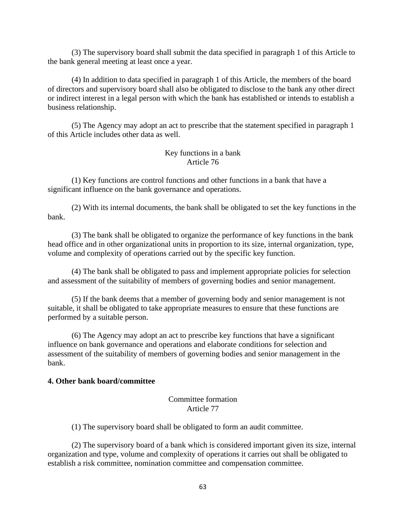(3) The supervisory board shall submit the data specified in paragraph 1 of this Article to the bank general meeting at least once a year.

(4) In addition to data specified in paragraph 1 of this Article, the members of the board of directors and supervisory board shall also be obligated to disclose to the bank any other direct or indirect interest in a legal person with which the bank has established or intends to establish a business relationship.

(5) The Agency may adopt an act to prescribe that the statement specified in paragraph 1 of this Article includes other data as well.

### Key functions in a bank Article 76

(1) Key functions are control functions and other functions in a bank that have a significant influence on the bank governance and operations.

(2) With its internal documents, the bank shall be obligated to set the key functions in the bank.

(3) The bank shall be obligated to organize the performance of key functions in the bank head office and in other organizational units in proportion to its size, internal organization, type, volume and complexity of operations carried out by the specific key function.

(4) The bank shall be obligated to pass and implement appropriate policies for selection and assessment of the suitability of members of governing bodies and senior management.

(5) If the bank deems that a member of governing body and senior management is not suitable, it shall be obligated to take appropriate measures to ensure that these functions are performed by a suitable person.

(6) The Agency may adopt an act to prescribe key functions that have a significant influence on bank governance and operations and elaborate conditions for selection and assessment of the suitability of members of governing bodies and senior management in the bank.

#### **4. Other bank board/committee**

## Committee formation Article 77

(1) The supervisory board shall be obligated to form an audit committee.

(2) The supervisory board of a bank which is considered important given its size, internal organization and type, volume and complexity of operations it carries out shall be obligated to establish a risk committee, nomination committee and compensation committee.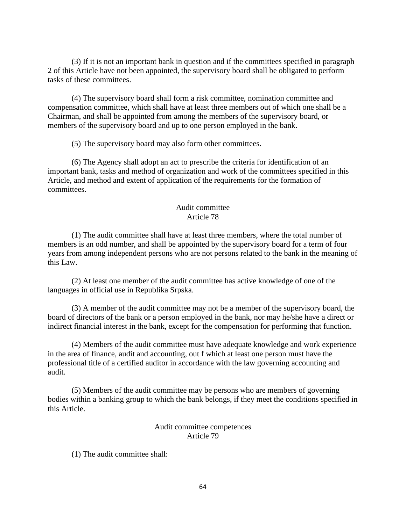(3) If it is not an important bank in question and if the committees specified in paragraph 2 of this Article have not been appointed, the supervisory board shall be obligated to perform tasks of these committees.

(4) The supervisory board shall form a risk committee, nomination committee and compensation committee, which shall have at least three members out of which one shall be a Chairman, and shall be appointed from among the members of the supervisory board, or members of the supervisory board and up to one person employed in the bank.

(5) The supervisory board may also form other committees.

(6) The Agency shall adopt an act to prescribe the criteria for identification of an important bank, tasks and method of organization and work of the committees specified in this Article, and method and extent of application of the requirements for the formation of committees.

#### Audit committee Article 78

(1) The audit committee shall have at least three members, where the total number of members is an odd number, and shall be appointed by the supervisory board for a term of four years from among independent persons who are not persons related to the bank in the meaning of this Law.

(2) At least one member of the audit committee has active knowledge of one of the languages in official use in Republika Srpska.

(3) A member of the audit committee may not be a member of the supervisory board, the board of directors of the bank or a person employed in the bank, nor may he/she have a direct or indirect financial interest in the bank, except for the compensation for performing that function.

(4) Members of the audit committee must have adequate knowledge and work experience in the area of finance, audit and accounting, out f which at least one person must have the professional title of a certified auditor in accordance with the law governing accounting and audit.

(5) Members of the audit committee may be persons who are members of governing bodies within a banking group to which the bank belongs, if they meet the conditions specified in this Article.

> Audit committee competences Article 79

(1) The audit committee shall: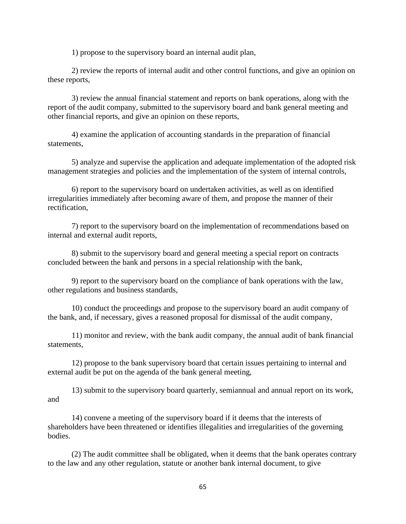1) propose to the supervisory board an internal audit plan,

2) review the reports of internal audit and other control functions, and give an opinion on these reports,

3) review the annual financial statement and reports on bank operations, along with the report of the audit company, submitted to the supervisory board and bank general meeting and other financial reports, and give an opinion on these reports,

4) examine the application of accounting standards in the preparation of financial statements,

5) analyze and supervise the application and adequate implementation of the adopted risk management strategies and policies and the implementation of the system of internal controls,

6) report to the supervisory board on undertaken activities, as well as on identified irregularities immediately after becoming aware of them, and propose the manner of their rectification,

7) report to the supervisory board on the implementation of recommendations based on internal and external audit reports,

8) submit to the supervisory board and general meeting a special report on contracts concluded between the bank and persons in a special relationship with the bank,

9) report to the supervisory board on the compliance of bank operations with the law, other regulations and business standards,

10) conduct the proceedings and propose to the supervisory board an audit company of the bank, and, if necessary, gives a reasoned proposal for dismissal of the audit company,

11) monitor and review, with the bank audit company, the annual audit of bank financial statements,

12) propose to the bank supervisory board that certain issues pertaining to internal and external audit be put on the agenda of the bank general meeting,

13) submit to the supervisory board quarterly, semiannual and annual report on its work, and

14) convene a meeting of the supervisory board if it deems that the interests of shareholders have been threatened or identifies illegalities and irregularities of the governing bodies.

(2) The audit committee shall be obligated, when it deems that the bank operates contrary to the law and any other regulation, statute or another bank internal document, to give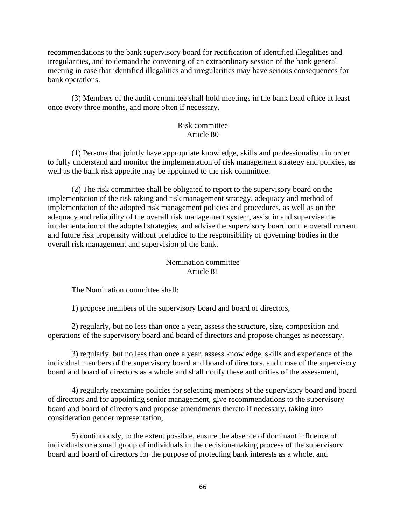recommendations to the bank supervisory board for rectification of identified illegalities and irregularities, and to demand the convening of an extraordinary session of the bank general meeting in case that identified illegalities and irregularities may have serious consequences for bank operations.

(3) Members of the audit committee shall hold meetings in the bank head office at least once every three months, and more often if necessary.

### Risk committee Article 80

(1) Persons that jointly have appropriate knowledge, skills and professionalism in order to fully understand and monitor the implementation of risk management strategy and policies, as well as the bank risk appetite may be appointed to the risk committee.

(2) The risk committee shall be obligated to report to the supervisory board on the implementation of the risk taking and risk management strategy, adequacy and method of implementation of the adopted risk management policies and procedures, as well as on the adequacy and reliability of the overall risk management system, assist in and supervise the implementation of the adopted strategies, and advise the supervisory board on the overall current and future risk propensity without prejudice to the responsibility of governing bodies in the overall risk management and supervision of the bank.

## Nomination committee Article 81

The Nomination committee shall:

1) propose members of the supervisory board and board of directors,

2) regularly, but no less than once a year, assess the structure, size, composition and operations of the supervisory board and board of directors and propose changes as necessary,

3) regularly, but no less than once a year, assess knowledge, skills and experience of the individual members of the supervisory board and board of directors, and those of the supervisory board and board of directors as a whole and shall notify these authorities of the assessment,

4) regularly reexamine policies for selecting members of the supervisory board and board of directors and for appointing senior management, give recommendations to the supervisory board and board of directors and propose amendments thereto if necessary, taking into consideration gender representation,

5) continuously, to the extent possible, ensure the absence of dominant influence of individuals or a small group of individuals in the decision-making process of the supervisory board and board of directors for the purpose of protecting bank interests as a whole, and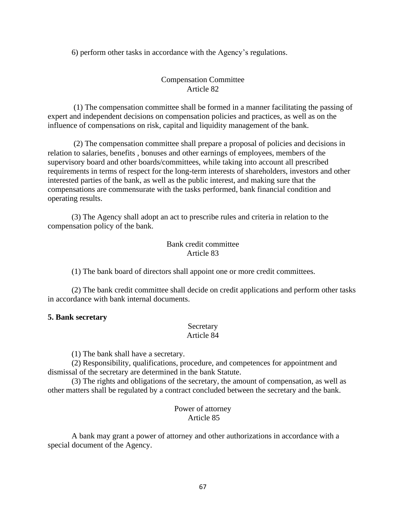6) perform other tasks in accordance with the Agency's regulations.

# Compensation Committee Article 82

(1) The compensation committee shall be formed in a manner facilitating the passing of expert and independent decisions on compensation policies and practices, as well as on the influence of compensations on risk, capital and liquidity management of the bank.

(2) The compensation committee shall prepare a proposal of policies and decisions in relation to salaries, benefits , bonuses and other earnings of employees, members of the supervisory board and other boards/committees, while taking into account all prescribed requirements in terms of respect for the long-term interests of shareholders, investors and other interested parties of the bank, as well as the public interest, and making sure that the compensations are commensurate with the tasks performed, bank financial condition and operating results.

(3) The Agency shall adopt an act to prescribe rules and criteria in relation to the compensation policy of the bank.

# Bank credit committee Article 83

(1) The bank board of directors shall appoint one or more credit committees.

(2) The bank credit committee shall decide on credit applications and perform other tasks in accordance with bank internal documents.

### **5. Bank secretary**

#### Secretary Article 84

(1) The bank shall have a secretary.

(2) Responsibility, qualifications, procedure, and competences for appointment and dismissal of the secretary are determined in the bank Statute.

(3) The rights and obligations of the secretary, the amount of compensation, as well as other matters shall be regulated by a contract concluded between the secretary and the bank.

### Power of attorney Article 85

A bank may grant a power of attorney and other authorizations in accordance with a special document of the Agency.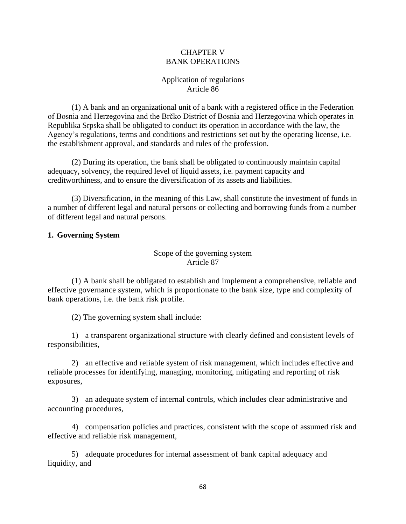## CHAPTER V BANK OPERATIONS

# Application of regulations Article 86

(1) A bank and an organizational unit of a bank with a registered office in the Federation of Bosnia and Herzegovina and the Brčko District of Bosnia and Herzegovina which operates in Republika Srpska shall be obligated to conduct its operation in accordance with the law, the Agency's regulations, terms and conditions and restrictions set out by the operating license, i.e. the establishment approval, and standards and rules of the profession.

(2) During its operation, the bank shall be obligated to continuously maintain capital adequacy, solvency, the required level of liquid assets, i.e. payment capacity and creditworthiness, and to ensure the diversification of its assets and liabilities.

(3) Diversification, in the meaning of this Law, shall constitute the investment of funds in a number of different legal and natural persons or collecting and borrowing funds from a number of different legal and natural persons.

## **1. Governing System**

## Scope of the governing system Article 87

(1) A bank shall be obligated to establish and implement a comprehensive, reliable and effective governance system, which is proportionate to the bank size, type and complexity of bank operations, i.e. the bank risk profile.

(2) The governing system shall include:

1) a transparent organizational structure with clearly defined and consistent levels of responsibilities,

2) an effective and reliable system of risk management, which includes effective and reliable processes for identifying, managing, monitoring, mitigating and reporting of risk exposures,

3) an adequate system of internal controls, which includes clear administrative and accounting procedures,

4) compensation policies and practices, consistent with the scope of assumed risk and effective and reliable risk management,

5) adequate procedures for internal assessment of bank capital adequacy and liquidity, and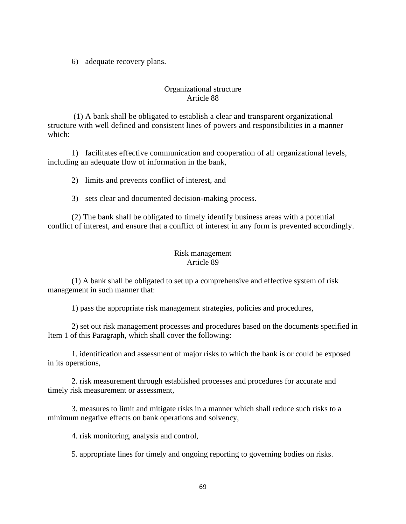6) adequate recovery plans.

# Organizational structure Article 88

(1) A bank shall be obligated to establish a clear and transparent organizational structure with well defined and consistent lines of powers and responsibilities in a manner which:

1) facilitates effective communication and cooperation of all organizational levels, including an adequate flow of information in the bank,

2) limits and prevents conflict of interest, and

3) sets clear and documented decision-making process.

(2) The bank shall be obligated to timely identify business areas with a potential conflict of interest, and ensure that a conflict of interest in any form is prevented accordingly.

## Risk management Article 89

(1) A bank shall be obligated to set up a comprehensive and effective system of risk management in such manner that:

1) pass the appropriate risk management strategies, policies and procedures,

2) set out risk management processes and procedures based on the documents specified in Item 1 of this Paragraph, which shall cover the following:

1. identification and assessment of major risks to which the bank is or could be exposed in its operations,

2. risk measurement through established processes and procedures for accurate and timely risk measurement or assessment,

3. measures to limit and mitigate risks in a manner which shall reduce such risks to a minimum negative effects on bank operations and solvency,

4. risk monitoring, analysis and control,

5. appropriate lines for timely and ongoing reporting to governing bodies on risks.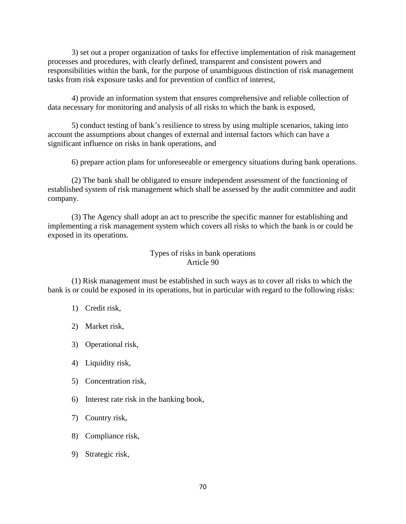3) set out a proper organization of tasks for effective implementation of risk management processes and procedures, with clearly defined, transparent and consistent powers and responsibilities within the bank, for the purpose of unambiguous distinction of risk management tasks from risk exposure tasks and for prevention of conflict of interest,

4) provide an information system that ensures comprehensive and reliable collection of data necessary for monitoring and analysis of all risks to which the bank is exposed,

5) conduct testing of bank's resilience to stress by using multiple scenarios, taking into account the assumptions about changes of external and internal factors which can have a significant influence on risks in bank operations, and

6) prepare action plans for unforeseeable or emergency situations during bank operations.

(2) The bank shall be obligated to ensure independent assessment of the functioning of established system of risk management which shall be assessed by the audit committee and audit company.

(3) The Agency shall adopt an act to prescribe the specific manner for establishing and implementing a risk management system which covers all risks to which the bank is or could be exposed in its operations.

> Types of risks in bank operations Article 90

(1) Risk management must be established in such ways as to cover all risks to which the bank is or could be exposed in its operations, but in particular with regard to the following risks:

#### 1) Credit risk,

- 2) Market risk,
- 3) Operational risk,
- 4) Liquidity risk,
- 5) Concentration risk,
- 6) Interest rate risk in the banking book,
- 7) Country risk,
- 8) Compliance risk,
- 9) Strategic risk,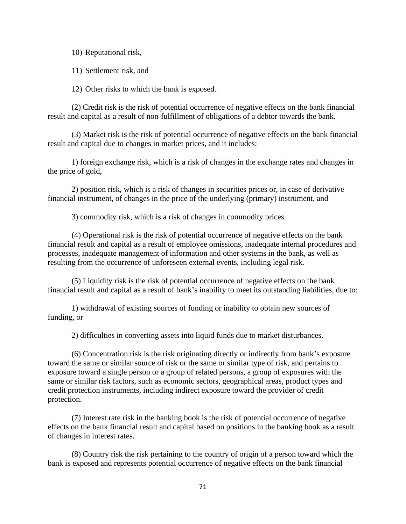10) Reputational risk,

11) Settlement risk, and

12) Other risks to which the bank is exposed.

(2) Credit risk is the risk of potential occurrence of negative effects on the bank financial result and capital as a result of non-fulfillment of obligations of a debtor towards the bank.

(3) Market risk is the risk of potential occurrence of negative effects on the bank financial result and capital due to changes in market prices, and it includes:

1) foreign exchange risk, which is a risk of changes in the exchange rates and changes in the price of gold,

2) position risk, which is a risk of changes in securities prices or, in case of derivative financial instrument, of changes in the price of the underlying (primary) instrument, and

3) commodity risk, which is a risk of changes in commodity prices.

(4) Operational risk is the risk of potential occurrence of negative effects on the bank financial result and capital as a result of employee omissions, inadequate internal procedures and processes, inadequate management of information and other systems in the bank, as well as resulting from the occurrence of unforeseen external events, including legal risk.

(5) Liquidity risk is the risk of potential occurrence of negative effects on the bank financial result and capital as a result of bank's inability to meet its outstanding liabilities, due to:

1) withdrawal of existing sources of funding or inability to obtain new sources of funding, or

2) difficulties in converting assets into liquid funds due to market disturbances.

(6) Concentration risk is the risk originating directly or indirectly from bank's exposure toward the same or similar source of risk or the same or similar type of risk, and pertains to exposure toward a single person or a group of related persons, a group of exposures with the same or similar risk factors, such as economic sectors, geographical areas, product types and credit protection instruments, including indirect exposure toward the provider of credit protection.

(7) Interest rate risk in the banking book is the risk of potential occurrence of negative effects on the bank financial result and capital based on positions in the banking book as a result of changes in interest rates.

(8) Country risk the risk pertaining to the country of origin of a person toward which the bank is exposed and represents potential occurrence of negative effects on the bank financial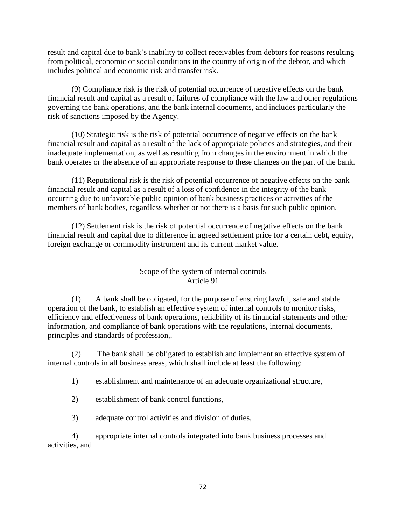result and capital due to bank's inability to collect receivables from debtors for reasons resulting from political, economic or social conditions in the country of origin of the debtor, and which includes political and economic risk and transfer risk.

(9) Compliance risk is the risk of potential occurrence of negative effects on the bank financial result and capital as a result of failures of compliance with the law and other regulations governing the bank operations, and the bank internal documents, and includes particularly the risk of sanctions imposed by the Agency.

(10) Strategic risk is the risk of potential occurrence of negative effects on the bank financial result and capital as a result of the lack of appropriate policies and strategies, and their inadequate implementation, as well as resulting from changes in the environment in which the bank operates or the absence of an appropriate response to these changes on the part of the bank.

(11) Reputational risk is the risk of potential occurrence of negative effects on the bank financial result and capital as a result of a loss of confidence in the integrity of the bank occurring due to unfavorable public opinion of bank business practices or activities of the members of bank bodies, regardless whether or not there is a basis for such public opinion.

(12) Settlement risk is the risk of potential occurrence of negative effects on the bank financial result and capital due to difference in agreed settlement price for a certain debt, equity, foreign exchange or commodity instrument and its current market value.

# Scope of the system of internal controls Article 91

(1) A bank shall be obligated, for the purpose of ensuring lawful, safe and stable operation of the bank, to establish an effective system of internal controls to monitor risks, efficiency and effectiveness of bank operations, reliability of its financial statements and other information, and compliance of bank operations with the regulations, internal documents, principles and standards of profession,.

(2) The bank shall be obligated to establish and implement an effective system of internal controls in all business areas, which shall include at least the following:

1) establishment and maintenance of an adequate organizational structure,

2) establishment of bank control functions,

3) adequate control activities and division of duties,

4) appropriate internal controls integrated into bank business processes and activities, and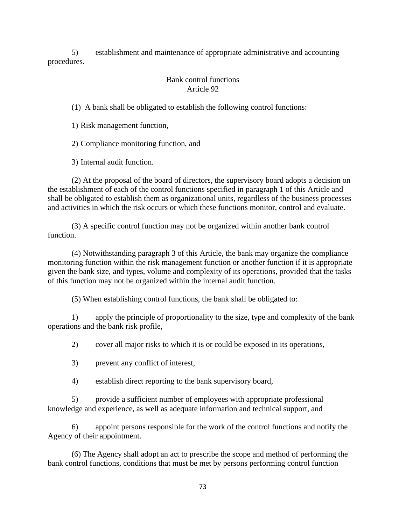5) establishment and maintenance of appropriate administrative and accounting procedures.

# Bank control functions Article 92

(1) A bank shall be obligated to establish the following control functions:

1) Risk management function,

2) Compliance monitoring function, and

3) Internal audit function.

(2) At the proposal of the board of directors, the supervisory board adopts a decision on the establishment of each of the control functions specified in paragraph 1 of this Article and shall be obligated to establish them as organizational units, regardless of the business processes and activities in which the risk occurs or which these functions monitor, control and evaluate.

(3) A specific control function may not be organized within another bank control function.

(4) Notwithstanding paragraph 3 of this Article, the bank may organize the compliance monitoring function within the risk management function or another function if it is appropriate given the bank size, and types, volume and complexity of its operations, provided that the tasks of this function may not be organized within the internal audit function.

(5) When establishing control functions, the bank shall be obligated to:

1) apply the principle of proportionality to the size, type and complexity of the bank operations and the bank risk profile,

2) cover all major risks to which it is or could be exposed in its operations,

3) prevent any conflict of interest,

4) establish direct reporting to the bank supervisory board,

5) provide a sufficient number of employees with appropriate professional knowledge and experience, as well as adequate information and technical support, and

6) appoint persons responsible for the work of the control functions and notify the Agency of their appointment.

(6) The Agency shall adopt an act to prescribe the scope and method of performing the bank control functions, conditions that must be met by persons performing control function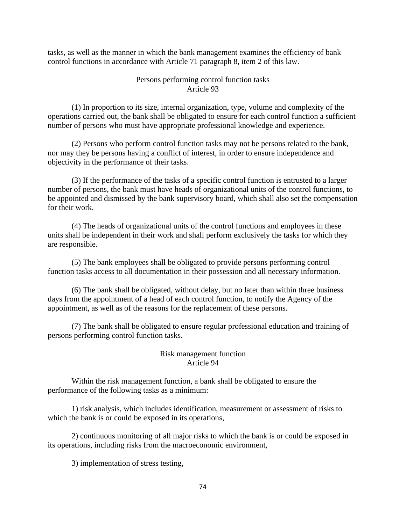tasks, as well as the manner in which the bank management examines the efficiency of bank control functions in accordance with Article 71 paragraph 8, item 2 of this law.

### Persons performing control function tasks Article 93

(1) In proportion to its size, internal organization, type, volume and complexity of the operations carried out, the bank shall be obligated to ensure for each control function a sufficient number of persons who must have appropriate professional knowledge and experience.

(2) Persons who perform control function tasks may not be persons related to the bank, nor may they be persons having a conflict of interest, in order to ensure independence and objectivity in the performance of their tasks.

(3) If the performance of the tasks of a specific control function is entrusted to a larger number of persons, the bank must have heads of organizational units of the control functions, to be appointed and dismissed by the bank supervisory board, which shall also set the compensation for their work.

(4) The heads of organizational units of the control functions and employees in these units shall be independent in their work and shall perform exclusively the tasks for which they are responsible.

(5) The bank employees shall be obligated to provide persons performing control function tasks access to all documentation in their possession and all necessary information.

(6) The bank shall be obligated, without delay, but no later than within three business days from the appointment of a head of each control function, to notify the Agency of the appointment, as well as of the reasons for the replacement of these persons.

(7) The bank shall be obligated to ensure regular professional education and training of persons performing control function tasks.

## Risk management function Article 94

Within the risk management function, a bank shall be obligated to ensure the performance of the following tasks as a minimum:

1) risk analysis, which includes identification, measurement or assessment of risks to which the bank is or could be exposed in its operations,

2) continuous monitoring of all major risks to which the bank is or could be exposed in its operations, including risks from the macroeconomic environment,

3) implementation of stress testing,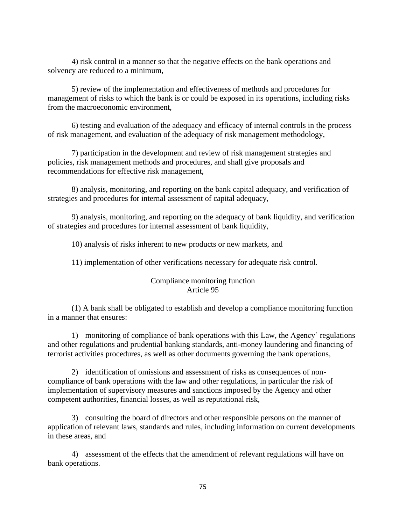4) risk control in a manner so that the negative effects on the bank operations and solvency are reduced to a minimum,

5) review of the implementation and effectiveness of methods and procedures for management of risks to which the bank is or could be exposed in its operations, including risks from the macroeconomic environment,

6) testing and evaluation of the adequacy and efficacy of internal controls in the process of risk management, and evaluation of the adequacy of risk management methodology,

7) participation in the development and review of risk management strategies and policies, risk management methods and procedures, and shall give proposals and recommendations for effective risk management,

8) analysis, monitoring, and reporting on the bank capital adequacy, and verification of strategies and procedures for internal assessment of capital adequacy,

9) analysis, monitoring, and reporting on the adequacy of bank liquidity, and verification of strategies and procedures for internal assessment of bank liquidity,

10) analysis of risks inherent to new products or new markets, and

11) implementation of other verifications necessary for adequate risk control.

### Compliance monitoring function Article 95

(1) A bank shall be obligated to establish and develop a compliance monitoring function in a manner that ensures:

1) monitoring of compliance of bank operations with this Law, the Agency' regulations and other regulations and prudential banking standards, anti-money laundering and financing of terrorist activities procedures, as well as other documents governing the bank operations,

2) identification of omissions and assessment of risks as consequences of noncompliance of bank operations with the law and other regulations, in particular the risk of implementation of supervisory measures and sanctions imposed by the Agency and other competent authorities, financial losses, as well as reputational risk,

3) consulting the board of directors and other responsible persons on the manner of application of relevant laws, standards and rules, including information on current developments in these areas, and

4) assessment of the effects that the amendment of relevant regulations will have on bank operations.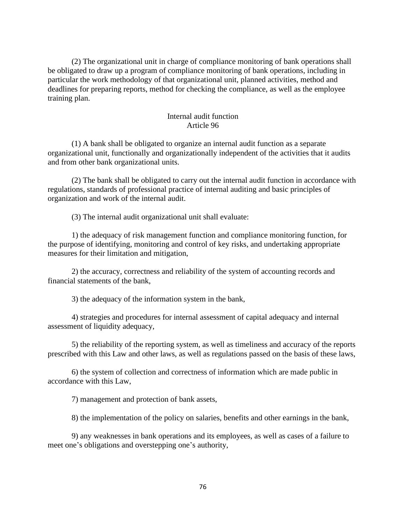(2) The organizational unit in charge of compliance monitoring of bank operations shall be obligated to draw up a program of compliance monitoring of bank operations, including in particular the work methodology of that organizational unit, planned activities, method and deadlines for preparing reports, method for checking the compliance, as well as the employee training plan.

### Internal audit function Article 96

(1) A bank shall be obligated to organize an internal audit function as a separate organizational unit, functionally and organizationally independent of the activities that it audits and from other bank organizational units.

(2) The bank shall be obligated to carry out the internal audit function in accordance with regulations, standards of professional practice of internal auditing and basic principles of organization and work of the internal audit.

(3) The internal audit organizational unit shall evaluate:

1) the adequacy of risk management function and compliance monitoring function, for the purpose of identifying, monitoring and control of key risks, and undertaking appropriate measures for their limitation and mitigation,

2) the accuracy, correctness and reliability of the system of accounting records and financial statements of the bank,

3) the adequacy of the information system in the bank,

4) strategies and procedures for internal assessment of capital adequacy and internal assessment of liquidity adequacy,

5) the reliability of the reporting system, as well as timeliness and accuracy of the reports prescribed with this Law and other laws, as well as regulations passed on the basis of these laws,

6) the system of collection and correctness of information which are made public in accordance with this Law,

7) management and protection of bank assets,

8) the implementation of the policy on salaries, benefits and other earnings in the bank,

9) any weaknesses in bank operations and its employees, as well as cases of a failure to meet one's obligations and overstepping one's authority,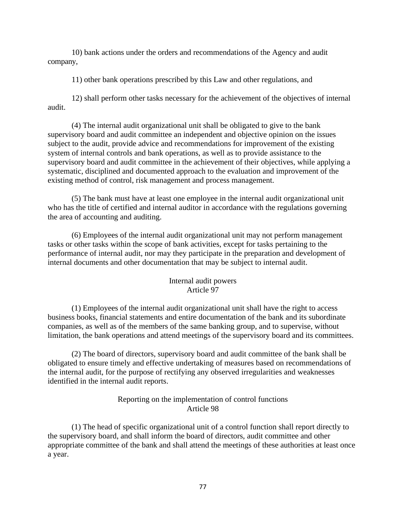10) bank actions under the orders and recommendations of the Agency and audit company,

11) other bank operations prescribed by this Law and other regulations, and

12) shall perform other tasks necessary for the achievement of the objectives of internal audit.

(4) The internal audit organizational unit shall be obligated to give to the bank supervisory board and audit committee an independent and objective opinion on the issues subject to the audit, provide advice and recommendations for improvement of the existing system of internal controls and bank operations, as well as to provide assistance to the supervisory board and audit committee in the achievement of their objectives, while applying a systematic, disciplined and documented approach to the evaluation and improvement of the existing method of control, risk management and process management.

(5) The bank must have at least one employee in the internal audit organizational unit who has the title of certified and internal auditor in accordance with the regulations governing the area of accounting and auditing.

(6) Employees of the internal audit organizational unit may not perform management tasks or other tasks within the scope of bank activities, except for tasks pertaining to the performance of internal audit, nor may they participate in the preparation and development of internal documents and other documentation that may be subject to internal audit.

# Internal audit powers Article 97

(1) Employees of the internal audit organizational unit shall have the right to access business books, financial statements and entire documentation of the bank and its subordinate companies, as well as of the members of the same banking group, and to supervise, without limitation, the bank operations and attend meetings of the supervisory board and its committees.

(2) The board of directors, supervisory board and audit committee of the bank shall be obligated to ensure timely and effective undertaking of measures based on recommendations of the internal audit, for the purpose of rectifying any observed irregularities and weaknesses identified in the internal audit reports.

# Reporting on the implementation of control functions Article 98

(1) The head of specific organizational unit of a control function shall report directly to the supervisory board, and shall inform the board of directors, audit committee and other appropriate committee of the bank and shall attend the meetings of these authorities at least once a year.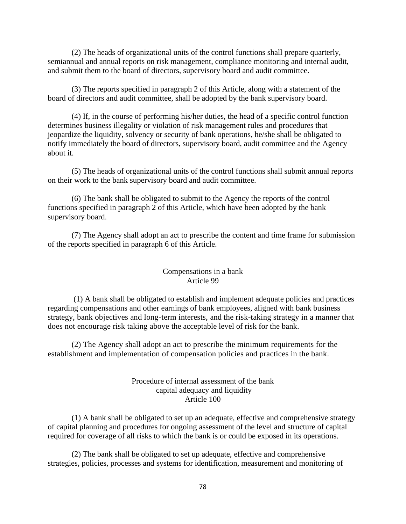(2) The heads of organizational units of the control functions shall prepare quarterly, semiannual and annual reports on risk management, compliance monitoring and internal audit, and submit them to the board of directors, supervisory board and audit committee.

(3) The reports specified in paragraph 2 of this Article, along with a statement of the board of directors and audit committee, shall be adopted by the bank supervisory board.

(4) If, in the course of performing his/her duties, the head of a specific control function determines business illegality or violation of risk management rules and procedures that jeopardize the liquidity, solvency or security of bank operations, he/she shall be obligated to notify immediately the board of directors, supervisory board, audit committee and the Agency about it.

(5) The heads of organizational units of the control functions shall submit annual reports on their work to the bank supervisory board and audit committee.

(6) The bank shall be obligated to submit to the Agency the reports of the control functions specified in paragraph 2 of this Article, which have been adopted by the bank supervisory board.

(7) The Agency shall adopt an act to prescribe the content and time frame for submission of the reports specified in paragraph 6 of this Article.

### Compensations in a bank Article 99

(1) A bank shall be obligated to establish and implement adequate policies and practices regarding compensations and other earnings of bank employees, aligned with bank business strategy, bank objectives and long-term interests, and the risk-taking strategy in a manner that does not encourage risk taking above the acceptable level of risk for the bank.

(2) The Agency shall adopt an act to prescribe the minimum requirements for the establishment and implementation of compensation policies and practices in the bank.

# Procedure of internal assessment of the bank capital adequacy and liquidity Article 100

(1) A bank shall be obligated to set up an adequate, effective and comprehensive strategy of capital planning and procedures for ongoing assessment of the level and structure of capital required for coverage of all risks to which the bank is or could be exposed in its operations.

(2) The bank shall be obligated to set up adequate, effective and comprehensive strategies, policies, processes and systems for identification, measurement and monitoring of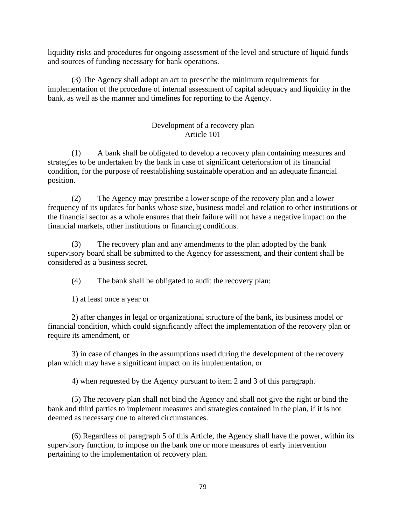liquidity risks and procedures for ongoing assessment of the level and structure of liquid funds and sources of funding necessary for bank operations.

(3) The Agency shall adopt an act to prescribe the minimum requirements for implementation of the procedure of internal assessment of capital adequacy and liquidity in the bank, as well as the manner and timelines for reporting to the Agency.

# Development of a recovery plan Article 101

(1) A bank shall be obligated to develop a recovery plan containing measures and strategies to be undertaken by the bank in case of significant deterioration of its financial condition, for the purpose of reestablishing sustainable operation and an adequate financial position.

(2) The Agency may prescribe a lower scope of the recovery plan and a lower frequency of its updates for banks whose size, business model and relation to other institutions or the financial sector as a whole ensures that their failure will not have a negative impact on the financial markets, other institutions or financing conditions.

(3) The recovery plan and any amendments to the plan adopted by the bank supervisory board shall be submitted to the Agency for assessment, and their content shall be considered as a business secret.

(4) The bank shall be obligated to audit the recovery plan:

1) at least once a year or

2) after changes in legal or organizational structure of the bank, its business model or financial condition, which could significantly affect the implementation of the recovery plan or require its amendment, or

3) in case of changes in the assumptions used during the development of the recovery plan which may have a significant impact on its implementation, or

4) when requested by the Agency pursuant to item 2 and 3 of this paragraph.

(5) The recovery plan shall not bind the Agency and shall not give the right or bind the bank and third parties to implement measures and strategies contained in the plan, if it is not deemed as necessary due to altered circumstances.

(6) Regardless of paragraph 5 of this Article, the Agency shall have the power, within its supervisory function, to impose on the bank one or more measures of early intervention pertaining to the implementation of recovery plan.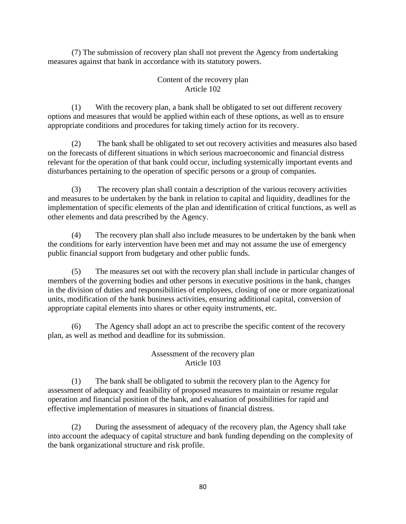(7) The submission of recovery plan shall not prevent the Agency from undertaking measures against that bank in accordance with its statutory powers.

# Content of the recovery plan Article 102

(1) With the recovery plan, a bank shall be obligated to set out different recovery options and measures that would be applied within each of these options, as well as to ensure appropriate conditions and procedures for taking timely action for its recovery.

(2) The bank shall be obligated to set out recovery activities and measures also based on the forecasts of different situations in which serious macroeconomic and financial distress relevant for the operation of that bank could occur, including systemically important events and disturbances pertaining to the operation of specific persons or a group of companies.

(3) The recovery plan shall contain a description of the various recovery activities and measures to be undertaken by the bank in relation to capital and liquidity, deadlines for the implementation of specific elements of the plan and identification of critical functions, as well as other elements and data prescribed by the Agency.

(4) The recovery plan shall also include measures to be undertaken by the bank when the conditions for early intervention have been met and may not assume the use of emergency public financial support from budgetary and other public funds.

(5) The measures set out with the recovery plan shall include in particular changes of members of the governing bodies and other persons in executive positions in the bank, changes in the division of duties and responsibilities of employees, closing of one or more organizational units, modification of the bank business activities, ensuring additional capital, conversion of appropriate capital elements into shares or other equity instruments, etc.

(6) The Agency shall adopt an act to prescribe the specific content of the recovery plan, as well as method and deadline for its submission.

# Assessment of the recovery plan Article 103

(1) The bank shall be obligated to submit the recovery plan to the Agency for assessment of adequacy and feasibility of proposed measures to maintain or resume regular operation and financial position of the bank, and evaluation of possibilities for rapid and effective implementation of measures in situations of financial distress.

(2) During the assessment of adequacy of the recovery plan, the Agency shall take into account the adequacy of capital structure and bank funding depending on the complexity of the bank organizational structure and risk profile.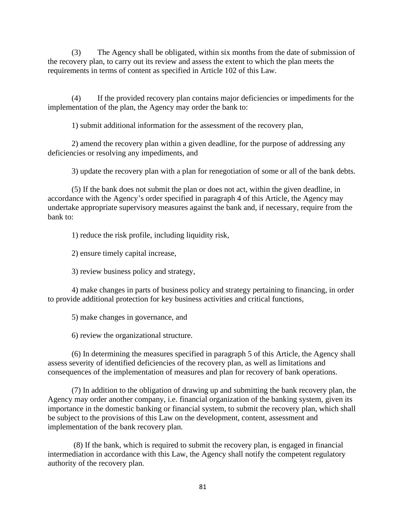(3) The Agency shall be obligated, within six months from the date of submission of the recovery plan, to carry out its review and assess the extent to which the plan meets the requirements in terms of content as specified in Article 102 of this Law.

(4) If the provided recovery plan contains major deficiencies or impediments for the implementation of the plan, the Agency may order the bank to:

1) submit additional information for the assessment of the recovery plan,

2) amend the recovery plan within a given deadline, for the purpose of addressing any deficiencies or resolving any impediments, and

3) update the recovery plan with a plan for renegotiation of some or all of the bank debts.

(5) If the bank does not submit the plan or does not act, within the given deadline, in accordance with the Agency's order specified in paragraph 4 of this Article, the Agency may undertake appropriate supervisory measures against the bank and, if necessary, require from the bank to:

1) reduce the risk profile, including liquidity risk,

2) ensure timely capital increase,

3) review business policy and strategy,

4) make changes in parts of business policy and strategy pertaining to financing, in order to provide additional protection for key business activities and critical functions,

5) make changes in governance, and

6) review the organizational structure.

(6) In determining the measures specified in paragraph 5 of this Article, the Agency shall assess severity of identified deficiencies of the recovery plan, as well as limitations and consequences of the implementation of measures and plan for recovery of bank operations.

(7) In addition to the obligation of drawing up and submitting the bank recovery plan, the Agency may order another company, i.e. financial organization of the banking system, given its importance in the domestic banking or financial system, to submit the recovery plan, which shall be subject to the provisions of this Law on the development, content, assessment and implementation of the bank recovery plan.

(8) If the bank, which is required to submit the recovery plan, is engaged in financial intermediation in accordance with this Law, the Agency shall notify the competent regulatory authority of the recovery plan.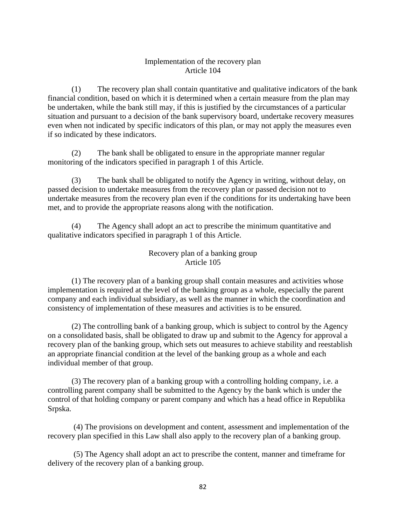# Implementation of the recovery plan Article 104

(1) The recovery plan shall contain quantitative and qualitative indicators of the bank financial condition, based on which it is determined when a certain measure from the plan may be undertaken, while the bank still may, if this is justified by the circumstances of a particular situation and pursuant to a decision of the bank supervisory board, undertake recovery measures even when not indicated by specific indicators of this plan, or may not apply the measures even if so indicated by these indicators.

(2) The bank shall be obligated to ensure in the appropriate manner regular monitoring of the indicators specified in paragraph 1 of this Article.

(3) The bank shall be obligated to notify the Agency in writing, without delay, on passed decision to undertake measures from the recovery plan or passed decision not to undertake measures from the recovery plan even if the conditions for its undertaking have been met, and to provide the appropriate reasons along with the notification.

(4) The Agency shall adopt an act to prescribe the minimum quantitative and qualitative indicators specified in paragraph 1 of this Article.

# Recovery plan of a banking group Article 105

(1) The recovery plan of a banking group shall contain measures and activities whose implementation is required at the level of the banking group as a whole, especially the parent company and each individual subsidiary, as well as the manner in which the coordination and consistency of implementation of these measures and activities is to be ensured.

(2) The controlling bank of a banking group, which is subject to control by the Agency on a consolidated basis, shall be obligated to draw up and submit to the Agency for approval a recovery plan of the banking group, which sets out measures to achieve stability and reestablish an appropriate financial condition at the level of the banking group as a whole and each individual member of that group.

(3) The recovery plan of a banking group with a controlling holding company, i.e. a controlling parent company shall be submitted to the Agency by the bank which is under the control of that holding company or parent company and which has a head office in Republika Srpska.

(4) The provisions on development and content, assessment and implementation of the recovery plan specified in this Law shall also apply to the recovery plan of a banking group.

(5) The Agency shall adopt an act to prescribe the content, manner and timeframe for delivery of the recovery plan of a banking group.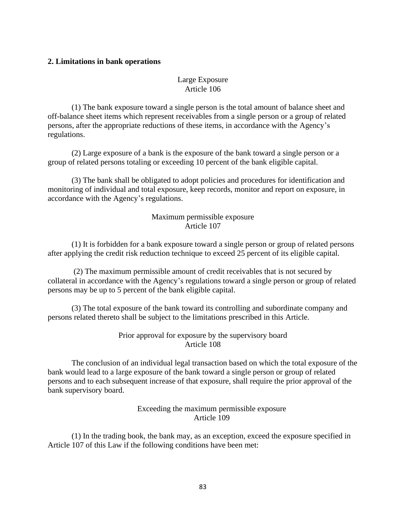### **2. Limitations in bank operations**

# Large Exposure Article 106

(1) The bank exposure toward a single person is the total amount of balance sheet and off-balance sheet items which represent receivables from a single person or a group of related persons, after the appropriate reductions of these items, in accordance with the Agency's regulations.

(2) Large exposure of a bank is the exposure of the bank toward a single person or a group of related persons totaling or exceeding 10 percent of the bank eligible capital.

(3) The bank shall be obligated to adopt policies and procedures for identification and monitoring of individual and total exposure, keep records, monitor and report on exposure, in accordance with the Agency's regulations.

#### Maximum permissible exposure Article 107

(1) It is forbidden for a bank exposure toward a single person or group of related persons after applying the credit risk reduction technique to exceed 25 percent of its eligible capital.

(2) The maximum permissible amount of credit receivables that is not secured by collateral in accordance with the Agency's regulations toward a single person or group of related persons may be up to 5 percent of the bank eligible capital.

(3) The total exposure of the bank toward its controlling and subordinate company and persons related thereto shall be subject to the limitations prescribed in this Article.

## Prior approval for exposure by the supervisory board Article 108

The conclusion of an individual legal transaction based on which the total exposure of the bank would lead to a large exposure of the bank toward a single person or group of related persons and to each subsequent increase of that exposure, shall require the prior approval of the bank supervisory board.

#### Exceeding the maximum permissible exposure Article 109

(1) In the trading book, the bank may, as an exception, exceed the exposure specified in Article 107 of this Law if the following conditions have been met: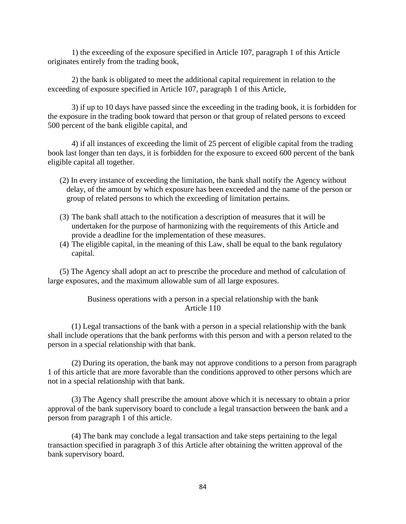1) the exceeding of the exposure specified in Article 107, paragraph 1 of this Article originates entirely from the trading book,

2) the bank is obligated to meet the additional capital requirement in relation to the exceeding of exposure specified in Article 107, paragraph 1 of this Article,

3) if up to 10 days have passed since the exceeding in the trading book, it is forbidden for the exposure in the trading book toward that person or that group of related persons to exceed 500 percent of the bank eligible capital, and

4) if all instances of exceeding the limit of 25 percent of eligible capital from the trading book last longer than ten days, it is forbidden for the exposure to exceed 600 percent of the bank eligible capital all together.

- (2) In every instance of exceeding the limitation, the bank shall notify the Agency without delay, of the amount by which exposure has been exceeded and the name of the person or group of related persons to which the exceeding of limitation pertains.
- (3) The bank shall attach to the notification a description of measures that it will be undertaken for the purpose of harmonizing with the requirements of this Article and provide a deadline for the implementation of these measures.
- (4) The eligible capital, in the meaning of this Law, shall be equal to the bank regulatory capital.

(5) The Agency shall adopt an act to prescribe the procedure and method of calculation of large exposures, and the maximum allowable sum of all large exposures.

> Business operations with a person in a special relationship with the bank Article 110

(1) Legal transactions of the bank with a person in a special relationship with the bank shall include operations that the bank performs with this person and with a person related to the person in a special relationship with that bank.

(2) During its operation, the bank may not approve conditions to a person from paragraph 1 of this article that are more favorable than the conditions approved to other persons which are not in a special relationship with that bank.

(3) The Agency shall prescribe the amount above which it is necessary to obtain a prior approval of the bank supervisory board to conclude a legal transaction between the bank and a person from paragraph 1 of this article.

(4) The bank may conclude a legal transaction and take steps pertaining to the legal transaction specified in paragraph 3 of this Article after obtaining the written approval of the bank supervisory board.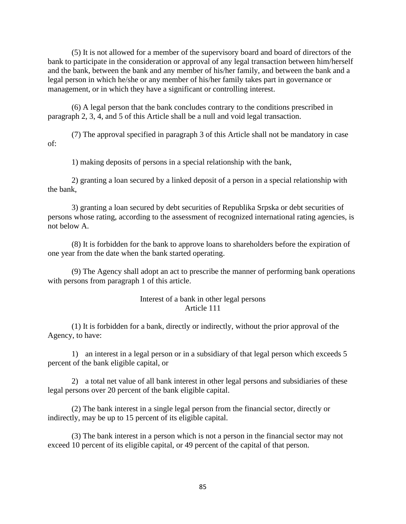(5) It is not allowed for a member of the supervisory board and board of directors of the bank to participate in the consideration or approval of any legal transaction between him/herself and the bank, between the bank and any member of his/her family, and between the bank and a legal person in which he/she or any member of his/her family takes part in governance or management, or in which they have a significant or controlling interest.

(6) A legal person that the bank concludes contrary to the conditions prescribed in paragraph 2, 3, 4, and 5 of this Article shall be a null and void legal transaction.

(7) The approval specified in paragraph 3 of this Article shall not be mandatory in case of:

1) making deposits of persons in a special relationship with the bank,

2) granting a loan secured by a linked deposit of a person in a special relationship with the bank,

3) granting a loan secured by debt securities of Republika Srpska or debt securities of persons whose rating, according to the assessment of recognized international rating agencies, is not below A.

(8) It is forbidden for the bank to approve loans to shareholders before the expiration of one year from the date when the bank started operating.

(9) The Agency shall adopt an act to prescribe the manner of performing bank operations with persons from paragraph 1 of this article.

#### Interest of a bank in other legal persons Article 111

(1) It is forbidden for a bank, directly or indirectly, without the prior approval of the Agency, to have:

1) an interest in a legal person or in a subsidiary of that legal person which exceeds 5 percent of the bank eligible capital, or

2) a total net value of all bank interest in other legal persons and subsidiaries of these legal persons over 20 percent of the bank eligible capital.

(2) The bank interest in a single legal person from the financial sector, directly or indirectly, may be up to 15 percent of its eligible capital.

(3) The bank interest in a person which is not a person in the financial sector may not exceed 10 percent of its eligible capital, or 49 percent of the capital of that person.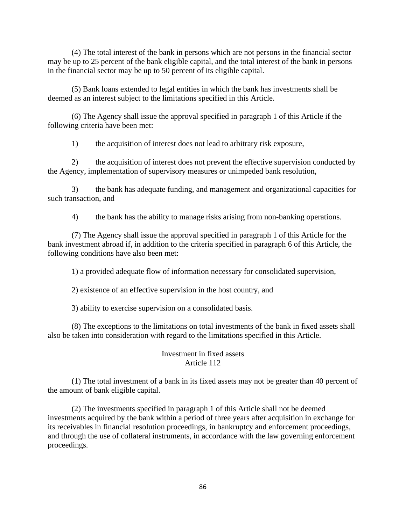(4) The total interest of the bank in persons which are not persons in the financial sector may be up to 25 percent of the bank eligible capital, and the total interest of the bank in persons in the financial sector may be up to 50 percent of its eligible capital.

(5) Bank loans extended to legal entities in which the bank has investments shall be deemed as an interest subject to the limitations specified in this Article.

(6) The Agency shall issue the approval specified in paragraph 1 of this Article if the following criteria have been met:

1) the acquisition of interest does not lead to arbitrary risk exposure,

2) the acquisition of interest does not prevent the effective supervision conducted by the Agency, implementation of supervisory measures or unimpeded bank resolution,

3) the bank has adequate funding, and management and organizational capacities for such transaction, and

4) the bank has the ability to manage risks arising from non-banking operations.

(7) The Agency shall issue the approval specified in paragraph 1 of this Article for the bank investment abroad if, in addition to the criteria specified in paragraph 6 of this Article, the following conditions have also been met:

1) a provided adequate flow of information necessary for consolidated supervision,

2) existence of an effective supervision in the host country, and

3) ability to exercise supervision on a consolidated basis.

(8) The exceptions to the limitations on total investments of the bank in fixed assets shall also be taken into consideration with regard to the limitations specified in this Article.

# Investment in fixed assets Article 112

(1) The total investment of a bank in its fixed assets may not be greater than 40 percent of the amount of bank eligible capital.

(2) The investments specified in paragraph 1 of this Article shall not be deemed investments acquired by the bank within a period of three years after acquisition in exchange for its receivables in financial resolution proceedings, in bankruptcy and enforcement proceedings, and through the use of collateral instruments, in accordance with the law governing enforcement proceedings.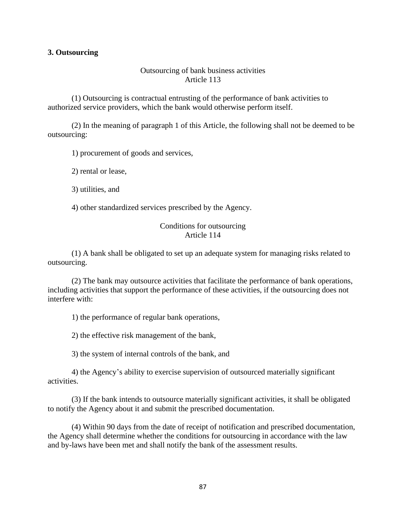#### **3. Outsourcing**

#### Outsourcing of bank business activities Article 113

(1) Outsourcing is contractual entrusting of the performance of bank activities to authorized service providers, which the bank would otherwise perform itself.

(2) In the meaning of paragraph 1 of this Article, the following shall not be deemed to be outsourcing:

1) procurement of goods and services,

2) rental or lease,

3) utilities, and

4) other standardized services prescribed by the Agency.

### Conditions for outsourcing Article 114

(1) A bank shall be obligated to set up an adequate system for managing risks related to outsourcing.

(2) The bank may outsource activities that facilitate the performance of bank operations, including activities that support the performance of these activities, if the outsourcing does not interfere with:

1) the performance of regular bank operations,

2) the effective risk management of the bank,

3) the system of internal controls of the bank, and

4) the Agency's ability to exercise supervision of outsourced materially significant activities.

(3) If the bank intends to outsource materially significant activities, it shall be obligated to notify the Agency about it and submit the prescribed documentation.

(4) Within 90 days from the date of receipt of notification and prescribed documentation, the Agency shall determine whether the conditions for outsourcing in accordance with the law and by-laws have been met and shall notify the bank of the assessment results.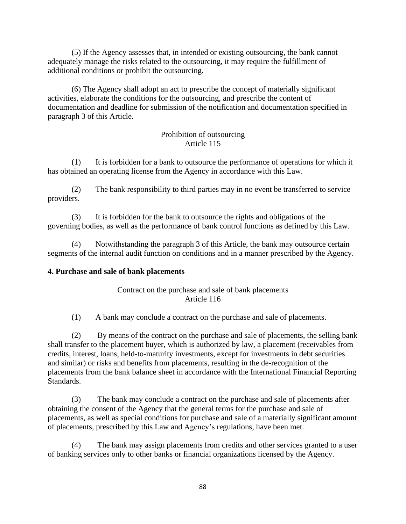(5) If the Agency assesses that, in intended or existing outsourcing, the bank cannot adequately manage the risks related to the outsourcing, it may require the fulfillment of additional conditions or prohibit the outsourcing.

(6) The Agency shall adopt an act to prescribe the concept of materially significant activities, elaborate the conditions for the outsourcing, and prescribe the content of documentation and deadline for submission of the notification and documentation specified in paragraph 3 of this Article.

# Prohibition of outsourcing Article 115

(1) It is forbidden for a bank to outsource the performance of operations for which it has obtained an operating license from the Agency in accordance with this Law.

(2) The bank responsibility to third parties may in no event be transferred to service providers.

(3) It is forbidden for the bank to outsource the rights and obligations of the governing bodies, as well as the performance of bank control functions as defined by this Law.

(4) Notwithstanding the paragraph 3 of this Article, the bank may outsource certain segments of the internal audit function on conditions and in a manner prescribed by the Agency.

# **4. Purchase and sale of bank placements**

# Contract on the purchase and sale of bank placements Article 116

(1) A bank may conclude a contract on the purchase and sale of placements.

(2) By means of the contract on the purchase and sale of placements, the selling bank shall transfer to the placement buyer, which is authorized by law, a placement (receivables from credits, interest, loans, held-to-maturity investments, except for investments in debt securities and similar) or risks and benefits from placements, resulting in the de-recognition of the placements from the bank balance sheet in accordance with the International Financial Reporting Standards.

(3) The bank may conclude a contract on the purchase and sale of placements after obtaining the consent of the Agency that the general terms for the purchase and sale of placements, as well as special conditions for purchase and sale of a materially significant amount of placements, prescribed by this Law and Agency's regulations, have been met.

(4) The bank may assign placements from credits and other services granted to a user of banking services only to other banks or financial organizations licensed by the Agency.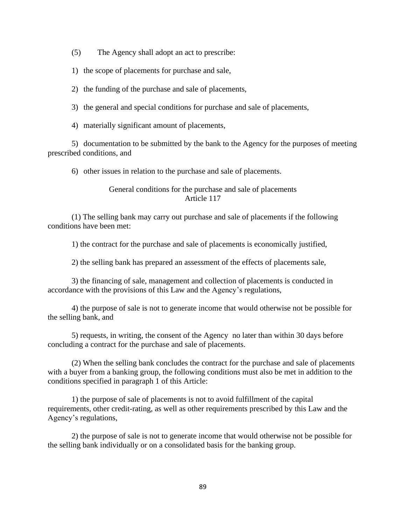(5) The Agency shall adopt an act to prescribe:

1) the scope of placements for purchase and sale,

2) the funding of the purchase and sale of placements,

3) the general and special conditions for purchase and sale of placements,

4) materially significant amount of placements,

5) documentation to be submitted by the bank to the Agency for the purposes of meeting prescribed conditions, and

6) other issues in relation to the purchase and sale of placements.

### General conditions for the purchase and sale of placements Article 117

(1) The selling bank may carry out purchase and sale of placements if the following conditions have been met:

1) the contract for the purchase and sale of placements is economically justified,

2) the selling bank has prepared an assessment of the effects of placements sale,

3) the financing of sale, management and collection of placements is conducted in accordance with the provisions of this Law and the Agency's regulations,

4) the purpose of sale is not to generate income that would otherwise not be possible for the selling bank, and

5) requests, in writing, the consent of the Agency no later than within 30 days before concluding a contract for the purchase and sale of placements.

(2) When the selling bank concludes the contract for the purchase and sale of placements with a buyer from a banking group, the following conditions must also be met in addition to the conditions specified in paragraph 1 of this Article:

1) the purpose of sale of placements is not to avoid fulfillment of the capital requirements, other credit-rating, as well as other requirements prescribed by this Law and the Agency's regulations,

2) the purpose of sale is not to generate income that would otherwise not be possible for the selling bank individually or on a consolidated basis for the banking group.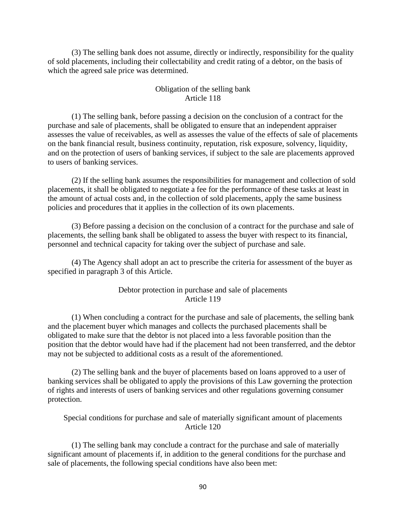(3) The selling bank does not assume, directly or indirectly, responsibility for the quality of sold placements, including their collectability and credit rating of a debtor, on the basis of which the agreed sale price was determined.

#### Obligation of the selling bank Article 118

(1) The selling bank, before passing a decision on the conclusion of a contract for the purchase and sale of placements, shall be obligated to ensure that an independent appraiser assesses the value of receivables, as well as assesses the value of the effects of sale of placements on the bank financial result, business continuity, reputation, risk exposure, solvency, liquidity, and on the protection of users of banking services, if subject to the sale are placements approved to users of banking services.

(2) If the selling bank assumes the responsibilities for management and collection of sold placements, it shall be obligated to negotiate a fee for the performance of these tasks at least in the amount of actual costs and, in the collection of sold placements, apply the same business policies and procedures that it applies in the collection of its own placements.

(3) Before passing a decision on the conclusion of a contract for the purchase and sale of placements, the selling bank shall be obligated to assess the buyer with respect to its financial, personnel and technical capacity for taking over the subject of purchase and sale.

(4) The Agency shall adopt an act to prescribe the criteria for assessment of the buyer as specified in paragraph 3 of this Article.

#### Debtor protection in purchase and sale of placements Article 119

(1) When concluding a contract for the purchase and sale of placements, the selling bank and the placement buyer which manages and collects the purchased placements shall be obligated to make sure that the debtor is not placed into a less favorable position than the position that the debtor would have had if the placement had not been transferred, and the debtor may not be subjected to additional costs as a result of the aforementioned.

(2) The selling bank and the buyer of placements based on loans approved to a user of banking services shall be obligated to apply the provisions of this Law governing the protection of rights and interests of users of banking services and other regulations governing consumer protection.

Special conditions for purchase and sale of materially significant amount of placements Article 120

(1) The selling bank may conclude a contract for the purchase and sale of materially significant amount of placements if, in addition to the general conditions for the purchase and sale of placements, the following special conditions have also been met: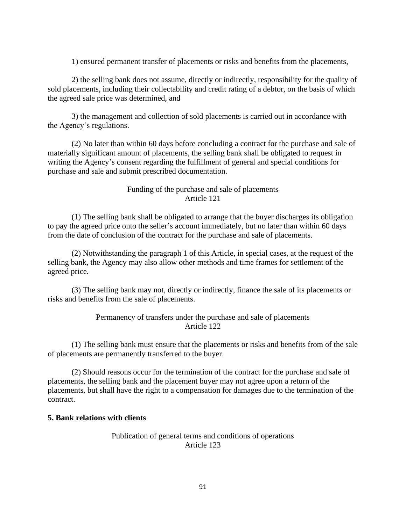1) ensured permanent transfer of placements or risks and benefits from the placements,

2) the selling bank does not assume, directly or indirectly, responsibility for the quality of sold placements, including their collectability and credit rating of a debtor, on the basis of which the agreed sale price was determined, and

3) the management and collection of sold placements is carried out in accordance with the Agency's regulations.

(2) No later than within 60 days before concluding a contract for the purchase and sale of materially significant amount of placements, the selling bank shall be obligated to request in writing the Agency's consent regarding the fulfillment of general and special conditions for purchase and sale and submit prescribed documentation.

### Funding of the purchase and sale of placements Article 121

(1) The selling bank shall be obligated to arrange that the buyer discharges its obligation to pay the agreed price onto the seller's account immediately, but no later than within 60 days from the date of conclusion of the contract for the purchase and sale of placements.

(2) Notwithstanding the paragraph 1 of this Article, in special cases, at the request of the selling bank, the Agency may also allow other methods and time frames for settlement of the agreed price.

(3) The selling bank may not, directly or indirectly, finance the sale of its placements or risks and benefits from the sale of placements.

### Permanency of transfers under the purchase and sale of placements Article 122

(1) The selling bank must ensure that the placements or risks and benefits from of the sale of placements are permanently transferred to the buyer.

(2) Should reasons occur for the termination of the contract for the purchase and sale of placements, the selling bank and the placement buyer may not agree upon a return of the placements, but shall have the right to a compensation for damages due to the termination of the contract.

### **5. Bank relations with clients**

#### Publication of general terms and conditions of operations Article 123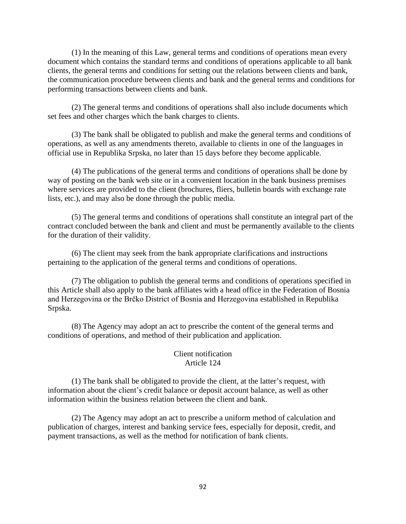(1) In the meaning of this Law, general terms and conditions of operations mean every document which contains the standard terms and conditions of operations applicable to all bank clients, the general terms and conditions for setting out the relations between clients and bank, the communication procedure between clients and bank and the general terms and conditions for performing transactions between clients and bank.

(2) The general terms and conditions of operations shall also include documents which set fees and other charges which the bank charges to clients.

(3) The bank shall be obligated to publish and make the general terms and conditions of operations, as well as any amendments thereto, available to clients in one of the languages in official use in Republika Srpska, no later than 15 days before they become applicable.

(4) The publications of the general terms and conditions of operations shall be done by way of posting on the bank web site or in a convenient location in the bank business premises where services are provided to the client (brochures, fliers, bulletin boards with exchange rate lists, etc.), and may also be done through the public media.

(5) The general terms and conditions of operations shall constitute an integral part of the contract concluded between the bank and client and must be permanently available to the clients for the duration of their validity.

(6) The client may seek from the bank appropriate clarifications and instructions pertaining to the application of the general terms and conditions of operations.

(7) The obligation to publish the general terms and conditions of operations specified in this Article shall also apply to the bank affiliates with a head office in the Federation of Bosnia and Herzegovina or the Brčko District of Bosnia and Herzegovina established in Republika Srpska.

(8) The Agency may adopt an act to prescribe the content of the general terms and conditions of operations, and method of their publication and application.

# Client notification Article 124

(1) The bank shall be obligated to provide the client, at the latter's request, with information about the client's credit balance or deposit account balance, as well as other information within the business relation between the client and bank.

(2) The Agency may adopt an act to prescribe a uniform method of calculation and publication of charges, interest and banking service fees, especially for deposit, credit, and payment transactions, as well as the method for notification of bank clients.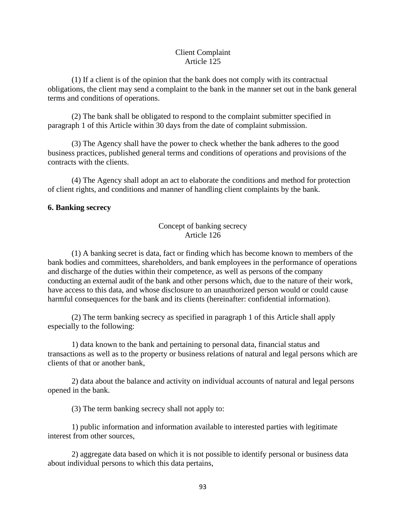### Client Complaint Article 125

(1) If a client is of the opinion that the bank does not comply with its contractual obligations, the client may send a complaint to the bank in the manner set out in the bank general terms and conditions of operations.

(2) The bank shall be obligated to respond to the complaint submitter specified in paragraph 1 of this Article within 30 days from the date of complaint submission.

(3) The Agency shall have the power to check whether the bank adheres to the good business practices, published general terms and conditions of operations and provisions of the contracts with the clients.

(4) The Agency shall adopt an act to elaborate the conditions and method for protection of client rights, and conditions and manner of handling client complaints by the bank.

## **6. Banking secrecy**

# Concept of banking secrecy Article 126

(1) A banking secret is data, fact or finding which has become known to members of the bank bodies and committees, shareholders, and bank employees in the performance of operations and discharge of the duties within their competence, as well as persons of the company conducting an external audit of the bank and other persons which, due to the nature of their work, have access to this data, and whose disclosure to an unauthorized person would or could cause harmful consequences for the bank and its clients (hereinafter: confidential information).

(2) The term banking secrecy as specified in paragraph 1 of this Article shall apply especially to the following:

1) data known to the bank and pertaining to personal data, financial status and transactions as well as to the property or business relations of natural and legal persons which are clients of that or another bank,

2) data about the balance and activity on individual accounts of natural and legal persons opened in the bank.

(3) The term banking secrecy shall not apply to:

1) public information and information available to interested parties with legitimate interest from other sources,

2) aggregate data based on which it is not possible to identify personal or business data about individual persons to which this data pertains,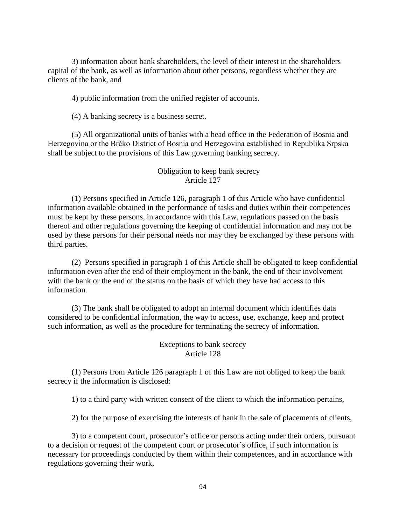3) information about bank shareholders, the level of their interest in the shareholders capital of the bank, as well as information about other persons, regardless whether they are clients of the bank, and

4) public information from the unified register of accounts.

(4) A banking secrecy is a business secret.

(5) All organizational units of banks with a head office in the Federation of Bosnia and Herzegovina or the Brčko District of Bosnia and Herzegovina established in Republika Srpska shall be subject to the provisions of this Law governing banking secrecy.

### Obligation to keep bank secrecy Article 127

(1) Persons specified in Article 126, paragraph 1 of this Article who have confidential information available obtained in the performance of tasks and duties within their competences must be kept by these persons, in accordance with this Law, regulations passed on the basis thereof and other regulations governing the keeping of confidential information and may not be used by these persons for their personal needs nor may they be exchanged by these persons with third parties.

(2) Persons specified in paragraph 1 of this Article shall be obligated to keep confidential information even after the end of their employment in the bank, the end of their involvement with the bank or the end of the status on the basis of which they have had access to this information.

(3) The bank shall be obligated to adopt an internal document which identifies data considered to be confidential information, the way to access, use, exchange, keep and protect such information, as well as the procedure for terminating the secrecy of information.

> Exceptions to bank secrecy Article 128

(1) Persons from Article 126 paragraph 1 of this Law are not obliged to keep the bank secrecy if the information is disclosed:

1) to a third party with written consent of the client to which the information pertains,

2) for the purpose of exercising the interests of bank in the sale of placements of clients,

3) to a competent court, prosecutor's office or persons acting under their orders, pursuant to a decision or request of the competent court or prosecutor's office, if such information is necessary for proceedings conducted by them within their competences, and in accordance with regulations governing their work,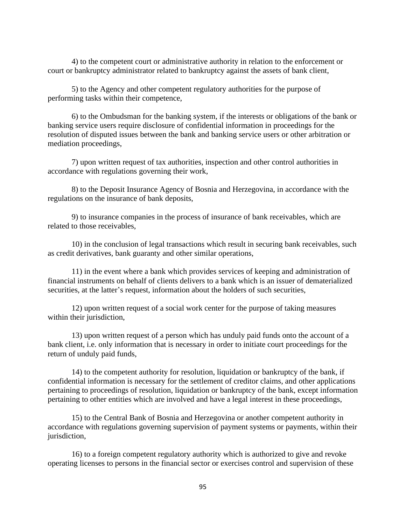4) to the competent court or administrative authority in relation to the enforcement or court or bankruptcy administrator related to bankruptcy against the assets of bank client,

5) to the Agency and other competent regulatory authorities for the purpose of performing tasks within their competence,

6) to the Ombudsman for the banking system, if the interests or obligations of the bank or banking service users require disclosure of confidential information in proceedings for the resolution of disputed issues between the bank and banking service users or other arbitration or mediation proceedings,

7) upon written request of tax authorities, inspection and other control authorities in accordance with regulations governing their work,

8) to the Deposit Insurance Agency of Bosnia and Herzegovina, in accordance with the regulations on the insurance of bank deposits,

9) to insurance companies in the process of insurance of bank receivables, which are related to those receivables,

10) in the conclusion of legal transactions which result in securing bank receivables, such as credit derivatives, bank guaranty and other similar operations,

11) in the event where a bank which provides services of keeping and administration of financial instruments on behalf of clients delivers to a bank which is an issuer of dematerialized securities, at the latter's request, information about the holders of such securities,

12) upon written request of a social work center for the purpose of taking measures within their jurisdiction,

13) upon written request of a person which has unduly paid funds onto the account of a bank client, i.e. only information that is necessary in order to initiate court proceedings for the return of unduly paid funds,

14) to the competent authority for resolution, liquidation or bankruptcy of the bank, if confidential information is necessary for the settlement of creditor claims, and other applications pertaining to proceedings of resolution, liquidation or bankruptcy of the bank, except information pertaining to other entities which are involved and have a legal interest in these proceedings,

15) to the Central Bank of Bosnia and Herzegovina or another competent authority in accordance with regulations governing supervision of payment systems or payments, within their jurisdiction,

16) to a foreign competent regulatory authority which is authorized to give and revoke operating licenses to persons in the financial sector or exercises control and supervision of these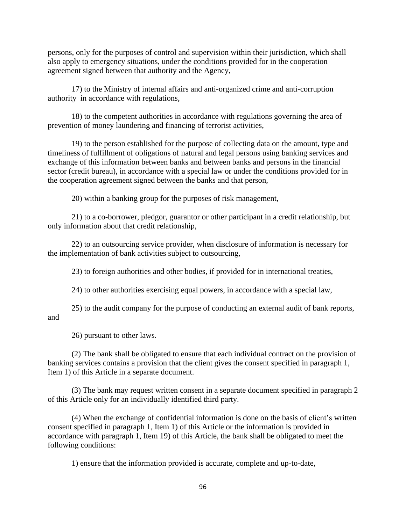persons, only for the purposes of control and supervision within their jurisdiction, which shall also apply to emergency situations, under the conditions provided for in the cooperation agreement signed between that authority and the Agency,

17) to the Ministry of internal affairs and anti-organized crime and anti-corruption authority in accordance with regulations,

18) to the competent authorities in accordance with regulations governing the area of prevention of money laundering and financing of terrorist activities,

19) to the person established for the purpose of collecting data on the amount, type and timeliness of fulfillment of obligations of natural and legal persons using banking services and exchange of this information between banks and between banks and persons in the financial sector (credit bureau), in accordance with a special law or under the conditions provided for in the cooperation agreement signed between the banks and that person,

20) within a banking group for the purposes of risk management,

21) to a co-borrower, pledgor, guarantor or other participant in a credit relationship, but only information about that credit relationship,

22) to an outsourcing service provider, when disclosure of information is necessary for the implementation of bank activities subject to outsourcing,

23) to foreign authorities and other bodies, if provided for in international treaties,

24) to other authorities exercising equal powers, in accordance with a special law,

25) to the audit company for the purpose of conducting an external audit of bank reports, and

26) pursuant to other laws.

(2) The bank shall be obligated to ensure that each individual contract on the provision of banking services contains a provision that the client gives the consent specified in paragraph 1, Item 1) of this Article in a separate document.

(3) The bank may request written consent in a separate document specified in paragraph 2 of this Article only for an individually identified third party.

(4) When the exchange of confidential information is done on the basis of client's written consent specified in paragraph 1, Item 1) of this Article or the information is provided in accordance with paragraph 1, Item 19) of this Article, the bank shall be obligated to meet the following conditions:

1) ensure that the information provided is accurate, complete and up-to-date,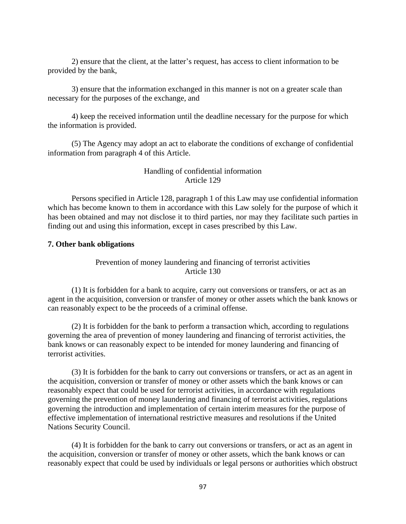2) ensure that the client, at the latter's request, has access to client information to be provided by the bank,

3) ensure that the information exchanged in this manner is not on a greater scale than necessary for the purposes of the exchange, and

4) keep the received information until the deadline necessary for the purpose for which the information is provided.

(5) The Agency may adopt an act to elaborate the conditions of exchange of confidential information from paragraph 4 of this Article.

### Handling of confidential information Article 129

Persons specified in Article 128, paragraph 1 of this Law may use confidential information which has become known to them in accordance with this Law solely for the purpose of which it has been obtained and may not disclose it to third parties, nor may they facilitate such parties in finding out and using this information, except in cases prescribed by this Law.

# **7. Other bank obligations**

Prevention of money laundering and financing of terrorist activities Article 130

(1) It is forbidden for a bank to acquire, carry out conversions or transfers, or act as an agent in the acquisition, conversion or transfer of money or other assets which the bank knows or can reasonably expect to be the proceeds of a criminal offense.

(2) It is forbidden for the bank to perform a transaction which, according to regulations governing the area of prevention of money laundering and financing of terrorist activities, the bank knows or can reasonably expect to be intended for money laundering and financing of terrorist activities.

(3) It is forbidden for the bank to carry out conversions or transfers, or act as an agent in the acquisition, conversion or transfer of money or other assets which the bank knows or can reasonably expect that could be used for terrorist activities, in accordance with regulations governing the prevention of money laundering and financing of terrorist activities, regulations governing the introduction and implementation of certain interim measures for the purpose of effective implementation of international restrictive measures and resolutions if the United Nations Security Council.

(4) It is forbidden for the bank to carry out conversions or transfers, or act as an agent in the acquisition, conversion or transfer of money or other assets, which the bank knows or can reasonably expect that could be used by individuals or legal persons or authorities which obstruct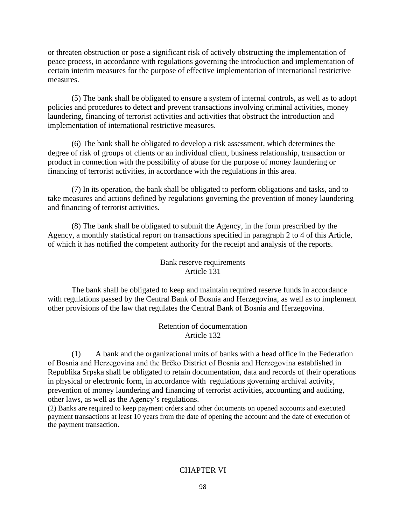or threaten obstruction or pose a significant risk of actively obstructing the implementation of peace process, in accordance with regulations governing the introduction and implementation of certain interim measures for the purpose of effective implementation of international restrictive measures.

(5) The bank shall be obligated to ensure a system of internal controls, as well as to adopt policies and procedures to detect and prevent transactions involving criminal activities, money laundering, financing of terrorist activities and activities that obstruct the introduction and implementation of international restrictive measures.

(6) The bank shall be obligated to develop a risk assessment, which determines the degree of risk of groups of clients or an individual client, business relationship, transaction or product in connection with the possibility of abuse for the purpose of money laundering or financing of terrorist activities, in accordance with the regulations in this area.

(7) In its operation, the bank shall be obligated to perform obligations and tasks, and to take measures and actions defined by regulations governing the prevention of money laundering and financing of terrorist activities.

(8) The bank shall be obligated to submit the Agency, in the form prescribed by the Agency, a monthly statistical report on transactions specified in paragraph 2 to 4 of this Article, of which it has notified the competent authority for the receipt and analysis of the reports.

> Bank reserve requirements Article 131

The bank shall be obligated to keep and maintain required reserve funds in accordance with regulations passed by the Central Bank of Bosnia and Herzegovina, as well as to implement other provisions of the law that regulates the Central Bank of Bosnia and Herzegovina.

> Retention of documentation Article 132

(1) A bank and the organizational units of banks with a head office in the Federation of Bosnia and Herzegovina and the Brčko District of Bosnia and Herzegovina established in Republika Srpska shall be obligated to retain documentation, data and records of their operations in physical or electronic form, in accordance with regulations governing archival activity, prevention of money laundering and financing of terrorist activities, accounting and auditing, other laws, as well as the Agency's regulations.

(2) Banks are required to keep payment orders and other documents on opened accounts and executed payment transactions at least 10 years from the date of opening the account and the date of execution of the payment transaction.

### CHAPTER VI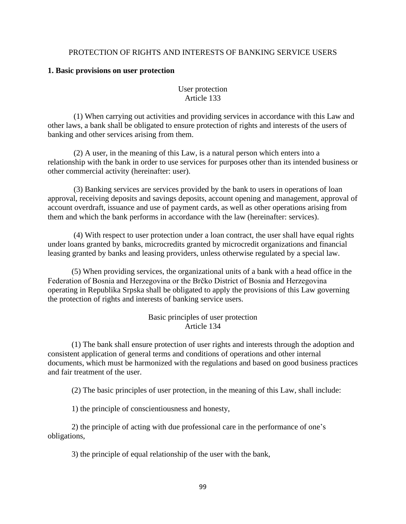### PROTECTION OF RIGHTS AND INTERESTS OF BANKING SERVICE USERS

#### **1. Basic provisions on user protection**

User protection Article 133

(1) When carrying out activities and providing services in accordance with this Law and other laws, a bank shall be obligated to ensure protection of rights and interests of the users of banking and other services arising from them.

(2) A user, in the meaning of this Law, is a natural person which enters into a relationship with the bank in order to use services for purposes other than its intended business or other commercial activity (hereinafter: user).

(3) Banking services are services provided by the bank to users in operations of loan approval, receiving deposits and savings deposits, account opening and management, approval of account overdraft, issuance and use of payment cards, as well as other operations arising from them and which the bank performs in accordance with the law (hereinafter: services).

(4) With respect to user protection under a loan contract, the user shall have equal rights under loans granted by banks, microcredits granted by microcredit organizations and financial leasing granted by banks and leasing providers, unless otherwise regulated by a special law.

(5) When providing services, the organizational units of a bank with a head office in the Federation of Bosnia and Herzegovina or the Brčko District of Bosnia and Herzegovina operating in Republika Srpska shall be obligated to apply the provisions of this Law governing the protection of rights and interests of banking service users.

> Basic principles of user protection Article 134

(1) The bank shall ensure protection of user rights and interests through the adoption and consistent application of general terms and conditions of operations and other internal documents, which must be harmonized with the regulations and based on good business practices and fair treatment of the user.

(2) The basic principles of user protection, in the meaning of this Law, shall include:

1) the principle of conscientiousness and honesty,

2) the principle of acting with due professional care in the performance of one's obligations,

3) the principle of equal relationship of the user with the bank,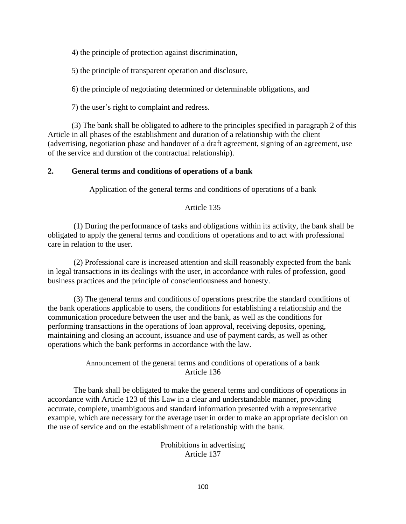4) the principle of protection against discrimination,

5) the principle of transparent operation and disclosure,

6) the principle of negotiating determined or determinable obligations, and

7) the user's right to complaint and redress.

(3) The bank shall be obligated to adhere to the principles specified in paragraph 2 of this Article in all phases of the establishment and duration of a relationship with the client (advertising, negotiation phase and handover of a draft agreement, signing of an agreement, use of the service and duration of the contractual relationship).

## **2. General terms and conditions of operations of a bank**

Application of the general terms and conditions of operations of a bank

## Article 135

(1) During the performance of tasks and obligations within its activity, the bank shall be obligated to apply the general terms and conditions of operations and to act with professional care in relation to the user.

(2) Professional care is increased attention and skill reasonably expected from the bank in legal transactions in its dealings with the user, in accordance with rules of profession, good business practices and the principle of conscientiousness and honesty.

(3) The general terms and conditions of operations prescribe the standard conditions of the bank operations applicable to users, the conditions for establishing a relationship and the communication procedure between the user and the bank, as well as the conditions for performing transactions in the operations of loan approval, receiving deposits, opening, maintaining and closing an account, issuance and use of payment cards, as well as other operations which the bank performs in accordance with the law.

> Announcement of the general terms and conditions of operations of a bank Article 136

The bank shall be obligated to make the general terms and conditions of operations in accordance with Article 123 of this Law in a clear and understandable manner, providing accurate, complete, unambiguous and standard information presented with a representative example, which are necessary for the average user in order to make an appropriate decision on the use of service and on the establishment of a relationship with the bank.

> Prohibitions in advertising Article 137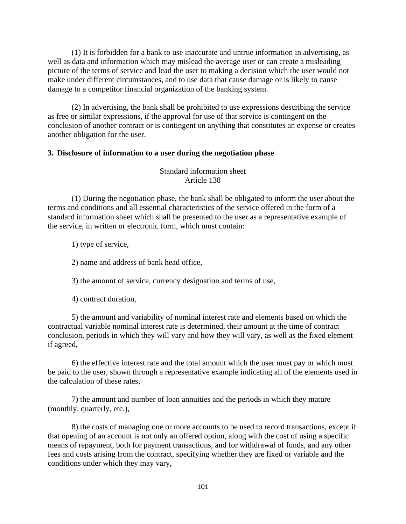(1) It is forbidden for a bank to use inaccurate and untrue information in advertising, as well as data and information which may mislead the average user or can create a misleading picture of the terms of service and lead the user to making a decision which the user would not make under different circumstances, and to use data that cause damage or is likely to cause damage to a competitor financial organization of the banking system.

(2) In advertising, the bank shall be prohibited to use expressions describing the service as free or similar expressions, if the approval for use of that service is contingent on the conclusion of another contract or is contingent on anything that constitutes an expense or creates another obligation for the user.

#### **3. Disclosure of information to a user during the negotiation phase**

Standard information sheet Article 138

(1) During the negotiation phase, the bank shall be obligated to inform the user about the terms and conditions and all essential characteristics of the service offered in the form of a standard information sheet which shall be presented to the user as a representative example of the service, in written or electronic form, which must contain:

1) type of service,

2) name and address of bank head office,

3) the amount of service, currency designation and terms of use,

4) contract duration,

5) the amount and variability of nominal interest rate and elements based on which the contractual variable nominal interest rate is determined, their amount at the time of contract conclusion, periods in which they will vary and how they will vary, as well as the fixed element if agreed,

6) the effective interest rate and the total amount which the user must pay or which must be paid to the user, shown through a representative example indicating all of the elements used in the calculation of these rates,

7) the amount and number of loan annuities and the periods in which they mature (monthly, quarterly, etc.),

8) the costs of managing one or more accounts to be used to record transactions, except if that opening of an account is not only an offered option, along with the cost of using a specific means of repayment, both for payment transactions, and for withdrawal of funds, and any other fees and costs arising from the contract, specifying whether they are fixed or variable and the conditions under which they may vary,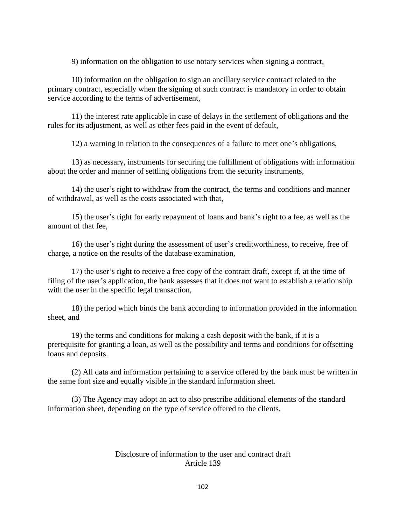9) information on the obligation to use notary services when signing a contract,

10) information on the obligation to sign an ancillary service contract related to the primary contract, especially when the signing of such contract is mandatory in order to obtain service according to the terms of advertisement,

11) the interest rate applicable in case of delays in the settlement of obligations and the rules for its adjustment, as well as other fees paid in the event of default,

12) a warning in relation to the consequences of a failure to meet one's obligations,

13) as necessary, instruments for securing the fulfillment of obligations with information about the order and manner of settling obligations from the security instruments,

14) the user's right to withdraw from the contract, the terms and conditions and manner of withdrawal, as well as the costs associated with that,

15) the user's right for early repayment of loans and bank's right to a fee, as well as the amount of that fee,

16) the user's right during the assessment of user's creditworthiness, to receive, free of charge, a notice on the results of the database examination,

17) the user's right to receive a free copy of the contract draft, except if, at the time of filing of the user's application, the bank assesses that it does not want to establish a relationship with the user in the specific legal transaction,

18) the period which binds the bank according to information provided in the information sheet, and

19) the terms and conditions for making a cash deposit with the bank, if it is a prerequisite for granting a loan, as well as the possibility and terms and conditions for offsetting loans and deposits.

(2) All data and information pertaining to a service offered by the bank must be written in the same font size and equally visible in the standard information sheet.

(3) The Agency may adopt an act to also prescribe additional elements of the standard information sheet, depending on the type of service offered to the clients.

### Disclosure of information to the user and contract draft Article 139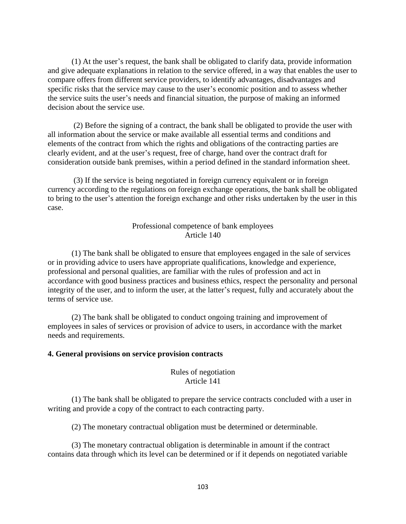(1) At the user's request, the bank shall be obligated to clarify data, provide information and give adequate explanations in relation to the service offered, in a way that enables the user to compare offers from different service providers, to identify advantages, disadvantages and specific risks that the service may cause to the user's economic position and to assess whether the service suits the user's needs and financial situation, the purpose of making an informed decision about the service use.

(2) Before the signing of a contract, the bank shall be obligated to provide the user with all information about the service or make available all essential terms and conditions and elements of the contract from which the rights and obligations of the contracting parties are clearly evident, and at the user's request, free of charge, hand over the contract draft for consideration outside bank premises, within a period defined in the standard information sheet.

(3) If the service is being negotiated in foreign currency equivalent or in foreign currency according to the regulations on foreign exchange operations, the bank shall be obligated to bring to the user's attention the foreign exchange and other risks undertaken by the user in this case.

### Professional competence of bank employees Article 140

(1) The bank shall be obligated to ensure that employees engaged in the sale of services or in providing advice to users have appropriate qualifications, knowledge and experience, professional and personal qualities, are familiar with the rules of profession and act in accordance with good business practices and business ethics, respect the personality and personal integrity of the user, and to inform the user, at the latter's request, fully and accurately about the terms of service use.

(2) The bank shall be obligated to conduct ongoing training and improvement of employees in sales of services or provision of advice to users, in accordance with the market needs and requirements.

#### **4. General provisions on service provision contracts**

#### Rules of negotiation Article 141

(1) The bank shall be obligated to prepare the service contracts concluded with a user in writing and provide a copy of the contract to each contracting party.

(2) The monetary contractual obligation must be determined or determinable.

(3) The monetary contractual obligation is determinable in amount if the contract contains data through which its level can be determined or if it depends on negotiated variable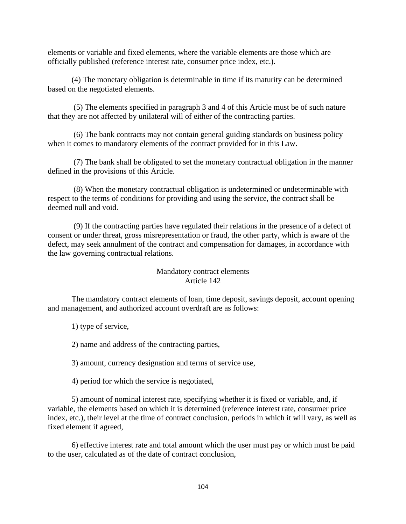elements or variable and fixed elements, where the variable elements are those which are officially published (reference interest rate, consumer price index, etc.).

(4) The monetary obligation is determinable in time if its maturity can be determined based on the negotiated elements.

(5) The elements specified in paragraph 3 and 4 of this Article must be of such nature that they are not affected by unilateral will of either of the contracting parties.

(6) The bank contracts may not contain general guiding standards on business policy when it comes to mandatory elements of the contract provided for in this Law.

(7) The bank shall be obligated to set the monetary contractual obligation in the manner defined in the provisions of this Article.

(8) When the monetary contractual obligation is undetermined or undeterminable with respect to the terms of conditions for providing and using the service, the contract shall be deemed null and void.

(9) If the contracting parties have regulated their relations in the presence of a defect of consent or under threat, gross misrepresentation or fraud, the other party, which is aware of the defect, may seek annulment of the contract and compensation for damages, in accordance with the law governing contractual relations.

#### Mandatory contract elements Article 142

The mandatory contract elements of loan, time deposit, savings deposit, account opening and management, and authorized account overdraft are as follows:

1) type of service,

2) name and address of the contracting parties,

3) amount, currency designation and terms of service use,

4) period for which the service is negotiated,

5) amount of nominal interest rate, specifying whether it is fixed or variable, and, if variable, the elements based on which it is determined (reference interest rate, consumer price index, etc.), their level at the time of contract conclusion, periods in which it will vary, as well as fixed element if agreed,

6) effective interest rate and total amount which the user must pay or which must be paid to the user, calculated as of the date of contract conclusion,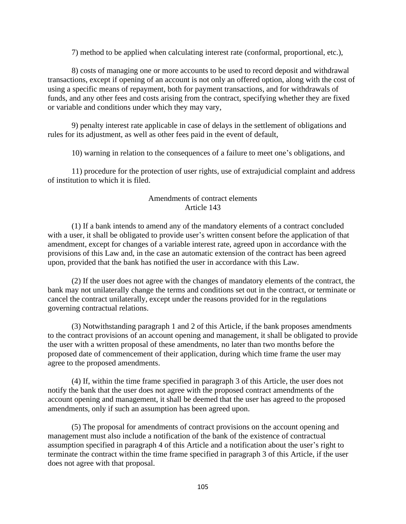7) method to be applied when calculating interest rate (conformal, proportional, etc.),

8) costs of managing one or more accounts to be used to record deposit and withdrawal transactions, except if opening of an account is not only an offered option, along with the cost of using a specific means of repayment, both for payment transactions, and for withdrawals of funds, and any other fees and costs arising from the contract, specifying whether they are fixed or variable and conditions under which they may vary,

9) penalty interest rate applicable in case of delays in the settlement of obligations and rules for its adjustment, as well as other fees paid in the event of default,

10) warning in relation to the consequences of a failure to meet one's obligations, and

11) procedure for the protection of user rights, use of extrajudicial complaint and address of institution to which it is filed.

## Amendments of contract elements Article 143

(1) If a bank intends to amend any of the mandatory elements of a contract concluded with a user, it shall be obligated to provide user's written consent before the application of that amendment, except for changes of a variable interest rate, agreed upon in accordance with the provisions of this Law and, in the case an automatic extension of the contract has been agreed upon, provided that the bank has notified the user in accordance with this Law.

(2) If the user does not agree with the changes of mandatory elements of the contract, the bank may not unilaterally change the terms and conditions set out in the contract, or terminate or cancel the contract unilaterally, except under the reasons provided for in the regulations governing contractual relations.

(3) Notwithstanding paragraph 1 and 2 of this Article, if the bank proposes amendments to the contract provisions of an account opening and management, it shall be obligated to provide the user with a written proposal of these amendments, no later than two months before the proposed date of commencement of their application, during which time frame the user may agree to the proposed amendments.

(4) If, within the time frame specified in paragraph 3 of this Article, the user does not notify the bank that the user does not agree with the proposed contract amendments of the account opening and management, it shall be deemed that the user has agreed to the proposed amendments, only if such an assumption has been agreed upon.

(5) The proposal for amendments of contract provisions on the account opening and management must also include a notification of the bank of the existence of contractual assumption specified in paragraph 4 of this Article and a notification about the user's right to terminate the contract within the time frame specified in paragraph 3 of this Article, if the user does not agree with that proposal.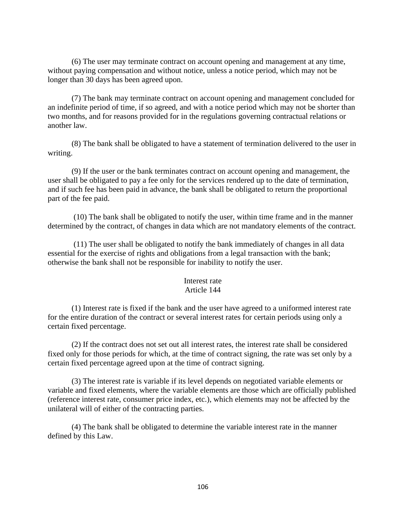(6) The user may terminate contract on account opening and management at any time, without paying compensation and without notice, unless a notice period, which may not be longer than 30 days has been agreed upon.

(7) The bank may terminate contract on account opening and management concluded for an indefinite period of time, if so agreed, and with a notice period which may not be shorter than two months, and for reasons provided for in the regulations governing contractual relations or another law.

(8) The bank shall be obligated to have a statement of termination delivered to the user in writing.

(9) If the user or the bank terminates contract on account opening and management, the user shall be obligated to pay a fee only for the services rendered up to the date of termination, and if such fee has been paid in advance, the bank shall be obligated to return the proportional part of the fee paid.

(10) The bank shall be obligated to notify the user, within time frame and in the manner determined by the contract, of changes in data which are not mandatory elements of the contract.

(11) The user shall be obligated to notify the bank immediately of changes in all data essential for the exercise of rights and obligations from a legal transaction with the bank; otherwise the bank shall not be responsible for inability to notify the user.

#### Interest rate Article 144

(1) Interest rate is fixed if the bank and the user have agreed to a uniformed interest rate for the entire duration of the contract or several interest rates for certain periods using only a certain fixed percentage.

(2) If the contract does not set out all interest rates, the interest rate shall be considered fixed only for those periods for which, at the time of contract signing, the rate was set only by a certain fixed percentage agreed upon at the time of contract signing.

(3) The interest rate is variable if its level depends on negotiated variable elements or variable and fixed elements, where the variable elements are those which are officially published (reference interest rate, consumer price index, etc.), which elements may not be affected by the unilateral will of either of the contracting parties.

(4) The bank shall be obligated to determine the variable interest rate in the manner defined by this Law.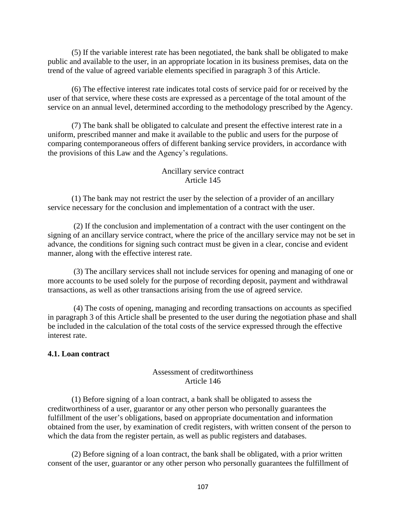(5) If the variable interest rate has been negotiated, the bank shall be obligated to make public and available to the user, in an appropriate location in its business premises, data on the trend of the value of agreed variable elements specified in paragraph 3 of this Article.

(6) The effective interest rate indicates total costs of service paid for or received by the user of that service, where these costs are expressed as a percentage of the total amount of the service on an annual level, determined according to the methodology prescribed by the Agency.

(7) The bank shall be obligated to calculate and present the effective interest rate in a uniform, prescribed manner and make it available to the public and users for the purpose of comparing contemporaneous offers of different banking service providers, in accordance with the provisions of this Law and the Agency's regulations.

### Ancillary service contract Article 145

(1) The bank may not restrict the user by the selection of a provider of an ancillary service necessary for the conclusion and implementation of a contract with the user.

(2) If the conclusion and implementation of a contract with the user contingent on the signing of an ancillary service contract, where the price of the ancillary service may not be set in advance, the conditions for signing such contract must be given in a clear, concise and evident manner, along with the effective interest rate.

(3) The ancillary services shall not include services for opening and managing of one or more accounts to be used solely for the purpose of recording deposit, payment and withdrawal transactions, as well as other transactions arising from the use of agreed service.

(4) The costs of opening, managing and recording transactions on accounts as specified in paragraph 3 of this Article shall be presented to the user during the negotiation phase and shall be included in the calculation of the total costs of the service expressed through the effective interest rate.

## **4.1. Loan contract**

#### Assessment of creditworthiness Article 146

(1) Before signing of a loan contract, a bank shall be obligated to assess the creditworthiness of a user, guarantor or any other person who personally guarantees the fulfillment of the user's obligations, based on appropriate documentation and information obtained from the user, by examination of credit registers, with written consent of the person to which the data from the register pertain, as well as public registers and databases.

(2) Before signing of a loan contract, the bank shall be obligated, with a prior written consent of the user, guarantor or any other person who personally guarantees the fulfillment of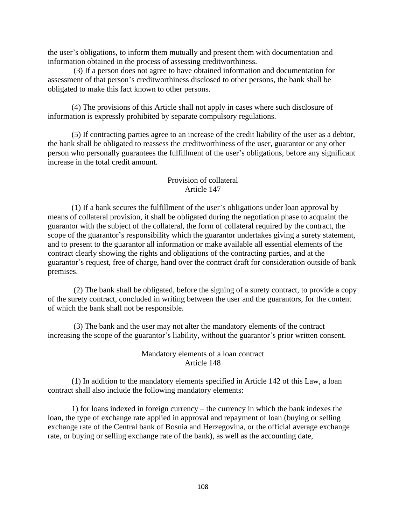the user's obligations, to inform them mutually and present them with documentation and information obtained in the process of assessing creditworthiness.

(3) If a person does not agree to have obtained information and documentation for assessment of that person's creditworthiness disclosed to other persons, the bank shall be obligated to make this fact known to other persons.

(4) The provisions of this Article shall not apply in cases where such disclosure of information is expressly prohibited by separate compulsory regulations.

(5) If contracting parties agree to an increase of the credit liability of the user as a debtor, the bank shall be obligated to reassess the creditworthiness of the user, guarantor or any other person who personally guarantees the fulfillment of the user's obligations, before any significant increase in the total credit amount.

### Provision of collateral Article 147

(1) If a bank secures the fulfillment of the user's obligations under loan approval by means of collateral provision, it shall be obligated during the negotiation phase to acquaint the guarantor with the subject of the collateral, the form of collateral required by the contract, the scope of the guarantor's responsibility which the guarantor undertakes giving a surety statement, and to present to the guarantor all information or make available all essential elements of the contract clearly showing the rights and obligations of the contracting parties, and at the guarantor's request, free of charge, hand over the contract draft for consideration outside of bank premises.

(2) The bank shall be obligated, before the signing of a surety contract, to provide a copy of the surety contract, concluded in writing between the user and the guarantors, for the content of which the bank shall not be responsible.

(3) The bank and the user may not alter the mandatory elements of the contract increasing the scope of the guarantor's liability, without the guarantor's prior written consent.

### Mandatory elements of a loan contract Article 148

(1) In addition to the mandatory elements specified in Article 142 of this Law, a loan contract shall also include the following mandatory elements:

1) for loans indexed in foreign currency – the currency in which the bank indexes the loan, the type of exchange rate applied in approval and repayment of loan (buying or selling exchange rate of the Central bank of Bosnia and Herzegovina, or the official average exchange rate, or buying or selling exchange rate of the bank), as well as the accounting date,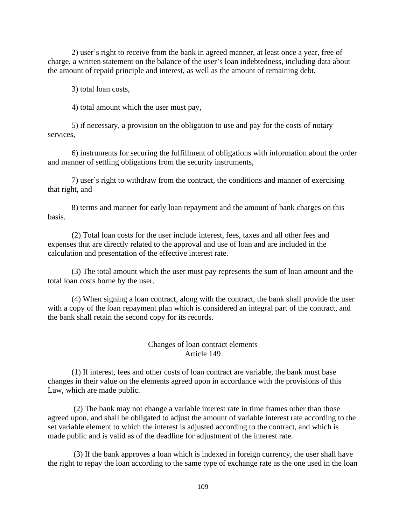2) user's right to receive from the bank in agreed manner, at least once a year, free of charge, a written statement on the balance of the user's loan indebtedness, including data about the amount of repaid principle and interest, as well as the amount of remaining debt,

3) total loan costs,

4) total amount which the user must pay,

5) if necessary, a provision on the obligation to use and pay for the costs of notary services,

6) instruments for securing the fulfillment of obligations with information about the order and manner of settling obligations from the security instruments,

7) user's right to withdraw from the contract, the conditions and manner of exercising that right, and

8) terms and manner for early loan repayment and the amount of bank charges on this basis.

(2) Total loan costs for the user include interest, fees, taxes and all other fees and expenses that are directly related to the approval and use of loan and are included in the calculation and presentation of the effective interest rate.

(3) The total amount which the user must pay represents the sum of loan amount and the total loan costs borne by the user.

(4) When signing a loan contract, along with the contract, the bank shall provide the user with a copy of the loan repayment plan which is considered an integral part of the contract, and the bank shall retain the second copy for its records.

#### Changes of loan contract elements Article 149

(1) If interest, fees and other costs of loan contract are variable, the bank must base changes in their value on the elements agreed upon in accordance with the provisions of this Law, which are made public.

(2) The bank may not change a variable interest rate in time frames other than those agreed upon, and shall be obligated to adjust the amount of variable interest rate according to the set variable element to which the interest is adjusted according to the contract, and which is made public and is valid as of the deadline for adjustment of the interest rate.

(3) If the bank approves a loan which is indexed in foreign currency, the user shall have the right to repay the loan according to the same type of exchange rate as the one used in the loan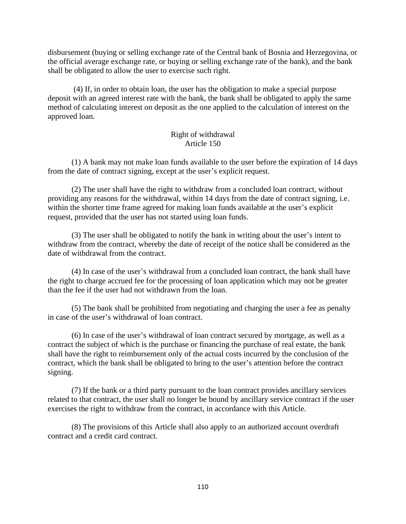disbursement (buying or selling exchange rate of the Central bank of Bosnia and Herzegovina, or the official average exchange rate, or buying or selling exchange rate of the bank), and the bank shall be obligated to allow the user to exercise such right.

(4) If, in order to obtain loan, the user has the obligation to make a special purpose deposit with an agreed interest rate with the bank, the bank shall be obligated to apply the same method of calculating interest on deposit as the one applied to the calculation of interest on the approved loan.

### Right of withdrawal Article 150

(1) A bank may not make loan funds available to the user before the expiration of 14 days from the date of contract signing, except at the user's explicit request.

(2) The user shall have the right to withdraw from a concluded loan contract, without providing any reasons for the withdrawal, within 14 days from the date of contract signing, i.e. within the shorter time frame agreed for making loan funds available at the user's explicit request, provided that the user has not started using loan funds.

(3) The user shall be obligated to notify the bank in writing about the user's intent to withdraw from the contract, whereby the date of receipt of the notice shall be considered as the date of withdrawal from the contract.

(4) In case of the user's withdrawal from a concluded loan contract, the bank shall have the right to charge accrued fee for the processing of loan application which may not be greater than the fee if the user had not withdrawn from the loan.

(5) The bank shall be prohibited from negotiating and charging the user a fee as penalty in case of the user's withdrawal of loan contract.

(6) In case of the user's withdrawal of loan contract secured by mortgage, as well as a contract the subject of which is the purchase or financing the purchase of real estate, the bank shall have the right to reimbursement only of the actual costs incurred by the conclusion of the contract, which the bank shall be obligated to bring to the user's attention before the contract signing.

(7) If the bank or a third party pursuant to the loan contract provides ancillary services related to that contract, the user shall no longer be bound by ancillary service contract if the user exercises the right to withdraw from the contract, in accordance with this Article.

(8) The provisions of this Article shall also apply to an authorized account overdraft contract and a credit card contract.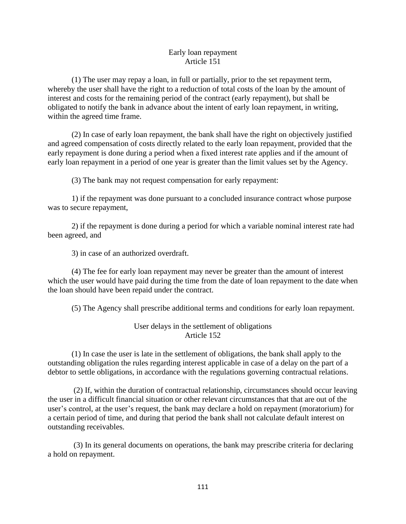#### Early loan repayment Article 151

(1) The user may repay a loan, in full or partially, prior to the set repayment term, whereby the user shall have the right to a reduction of total costs of the loan by the amount of interest and costs for the remaining period of the contract (early repayment), but shall be obligated to notify the bank in advance about the intent of early loan repayment, in writing, within the agreed time frame.

(2) In case of early loan repayment, the bank shall have the right on objectively justified and agreed compensation of costs directly related to the early loan repayment, provided that the early repayment is done during a period when a fixed interest rate applies and if the amount of early loan repayment in a period of one year is greater than the limit values set by the Agency.

(3) The bank may not request compensation for early repayment:

1) if the repayment was done pursuant to a concluded insurance contract whose purpose was to secure repayment,

2) if the repayment is done during a period for which a variable nominal interest rate had been agreed, and

3) in case of an authorized overdraft.

(4) The fee for early loan repayment may never be greater than the amount of interest which the user would have paid during the time from the date of loan repayment to the date when the loan should have been repaid under the contract.

(5) The Agency shall prescribe additional terms and conditions for early loan repayment.

User delays in the settlement of obligations Article 152

(1) In case the user is late in the settlement of obligations, the bank shall apply to the outstanding obligation the rules regarding interest applicable in case of a delay on the part of a debtor to settle obligations, in accordance with the regulations governing contractual relations.

(2) If, within the duration of contractual relationship, circumstances should occur leaving the user in a difficult financial situation or other relevant circumstances that that are out of the user's control, at the user's request, the bank may declare a hold on repayment (moratorium) for a certain period of time, and during that period the bank shall not calculate default interest on outstanding receivables.

(3) In its general documents on operations, the bank may prescribe criteria for declaring a hold on repayment.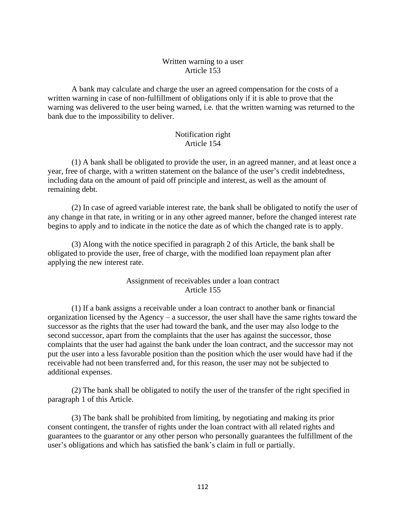## Written warning to a user Article 153

A bank may calculate and charge the user an agreed compensation for the costs of a written warning in case of non-fulfillment of obligations only if it is able to prove that the warning was delivered to the user being warned, i.e. that the written warning was returned to the bank due to the impossibility to deliver.

#### Notification right Article 154

(1) A bank shall be obligated to provide the user, in an agreed manner, and at least once a year, free of charge, with a written statement on the balance of the user's credit indebtedness, including data on the amount of paid off principle and interest, as well as the amount of remaining debt.

(2) In case of agreed variable interest rate, the bank shall be obligated to notify the user of any change in that rate, in writing or in any other agreed manner, before the changed interest rate begins to apply and to indicate in the notice the date as of which the changed rate is to apply.

(3) Along with the notice specified in paragraph 2 of this Article, the bank shall be obligated to provide the user, free of charge, with the modified loan repayment plan after applying the new interest rate.

## Assignment of receivables under a loan contract Article 155

(1) If a bank assigns a receivable under a loan contract to another bank or financial organization licensed by the Agency – a successor, the user shall have the same rights toward the successor as the rights that the user had toward the bank, and the user may also lodge to the second successor, apart from the complaints that the user has against the successor, those complaints that the user had against the bank under the loan contract, and the successor may not put the user into a less favorable position than the position which the user would have had if the receivable had not been transferred and, for this reason, the user may not be subjected to additional expenses.

(2) The bank shall be obligated to notify the user of the transfer of the right specified in paragraph 1 of this Article.

(3) The bank shall be prohibited from limiting, by negotiating and making its prior consent contingent, the transfer of rights under the loan contract with all related rights and guarantees to the guarantor or any other person who personally guarantees the fulfillment of the user's obligations and which has satisfied the bank's claim in full or partially.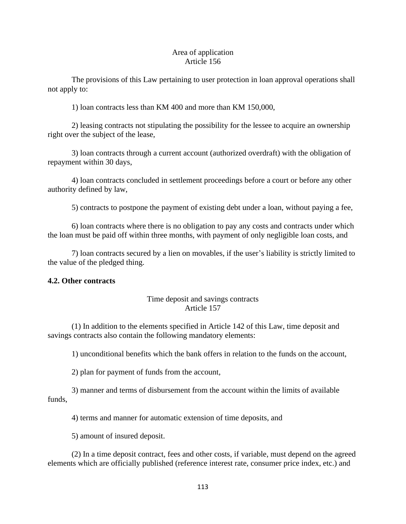#### Area of application Article 156

The provisions of this Law pertaining to user protection in loan approval operations shall not apply to:

1) loan contracts less than KM 400 and more than KM 150,000,

2) leasing contracts not stipulating the possibility for the lessee to acquire an ownership right over the subject of the lease,

3) loan contracts through a current account (authorized overdraft) with the obligation of repayment within 30 days,

4) loan contracts concluded in settlement proceedings before a court or before any other authority defined by law,

5) contracts to postpone the payment of existing debt under a loan, without paying a fee,

6) loan contracts where there is no obligation to pay any costs and contracts under which the loan must be paid off within three months, with payment of only negligible loan costs, and

7) loan contracts secured by a lien on movables, if the user's liability is strictly limited to the value of the pledged thing.

## **4.2. Other contracts**

## Time deposit and savings contracts Article 157

(1) In addition to the elements specified in Article 142 of this Law, time deposit and savings contracts also contain the following mandatory elements:

1) unconditional benefits which the bank offers in relation to the funds on the account,

2) plan for payment of funds from the account*,*

3) manner and terms of disbursement from the account within the limits of available funds,

4) terms and manner for automatic extension of time deposits, and

5) amount of insured deposit.

(2) In a time deposit contract, fees and other costs, if variable, must depend on the agreed elements which are officially published (reference interest rate, consumer price index, etc.) and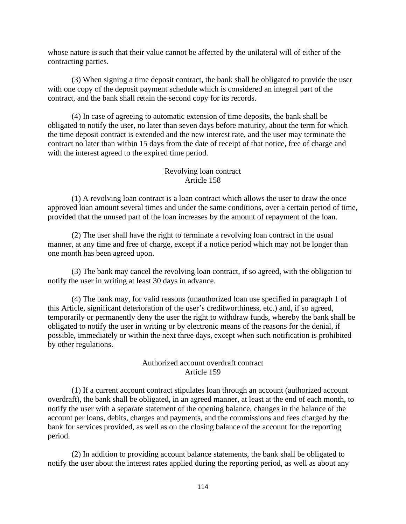whose nature is such that their value cannot be affected by the unilateral will of either of the contracting parties.

(3) When signing a time deposit contract, the bank shall be obligated to provide the user with one copy of the deposit payment schedule which is considered an integral part of the contract, and the bank shall retain the second copy for its records.

(4) In case of agreeing to automatic extension of time deposits, the bank shall be obligated to notify the user, no later than seven days before maturity, about the term for which the time deposit contract is extended and the new interest rate, and the user may terminate the contract no later than within 15 days from the date of receipt of that notice, free of charge and with the interest agreed to the expired time period.

#### Revolving loan contract Article 158

(1) A revolving loan contract is a loan contract which allows the user to draw the once approved loan amount several times and under the same conditions, over a certain period of time, provided that the unused part of the loan increases by the amount of repayment of the loan.

(2) The user shall have the right to terminate a revolving loan contract in the usual manner, at any time and free of charge, except if a notice period which may not be longer than one month has been agreed upon.

(3) The bank may cancel the revolving loan contract, if so agreed, with the obligation to notify the user in writing at least 30 days in advance.

(4) The bank may, for valid reasons (unauthorized loan use specified in paragraph 1 of this Article, significant deterioration of the user's creditworthiness, etc.) and, if so agreed, temporarily or permanently deny the user the right to withdraw funds, whereby the bank shall be obligated to notify the user in writing or by electronic means of the reasons for the denial, if possible, immediately or within the next three days, except when such notification is prohibited by other regulations.

#### Authorized account overdraft contract Article 159

(1) If a current account contract stipulates loan through an account (authorized account overdraft), the bank shall be obligated, in an agreed manner, at least at the end of each month, to notify the user with a separate statement of the opening balance, changes in the balance of the account per loans, debits, charges and payments, and the commissions and fees charged by the bank for services provided, as well as on the closing balance of the account for the reporting period.

(2) In addition to providing account balance statements, the bank shall be obligated to notify the user about the interest rates applied during the reporting period, as well as about any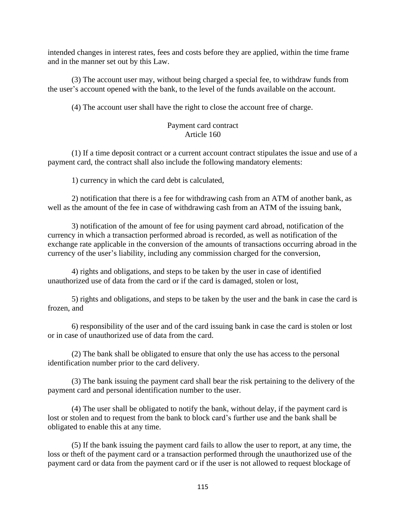intended changes in interest rates, fees and costs before they are applied, within the time frame and in the manner set out by this Law.

(3) The account user may, without being charged a special fee, to withdraw funds from the user's account opened with the bank, to the level of the funds available on the account.

(4) The account user shall have the right to close the account free of charge.

## Payment card contract Article 160

(1) If a time deposit contract or a current account contract stipulates the issue and use of a payment card, the contract shall also include the following mandatory elements:

1) currency in which the card debt is calculated,

2) notification that there is a fee for withdrawing cash from an ATM of another bank, as well as the amount of the fee in case of withdrawing cash from an ATM of the issuing bank,

3) notification of the amount of fee for using payment card abroad, notification of the currency in which a transaction performed abroad is recorded, as well as notification of the exchange rate applicable in the conversion of the amounts of transactions occurring abroad in the currency of the user's liability, including any commission charged for the conversion,

4) rights and obligations, and steps to be taken by the user in case of identified unauthorized use of data from the card or if the card is damaged, stolen or lost,

5) rights and obligations, and steps to be taken by the user and the bank in case the card is frozen, and

6) responsibility of the user and of the card issuing bank in case the card is stolen or lost or in case of unauthorized use of data from the card.

(2) The bank shall be obligated to ensure that only the use has access to the personal identification number prior to the card delivery.

(3) The bank issuing the payment card shall bear the risk pertaining to the delivery of the payment card and personal identification number to the user.

(4) The user shall be obligated to notify the bank, without delay, if the payment card is lost or stolen and to request from the bank to block card's further use and the bank shall be obligated to enable this at any time.

(5) If the bank issuing the payment card fails to allow the user to report, at any time, the loss or theft of the payment card or a transaction performed through the unauthorized use of the payment card or data from the payment card or if the user is not allowed to request blockage of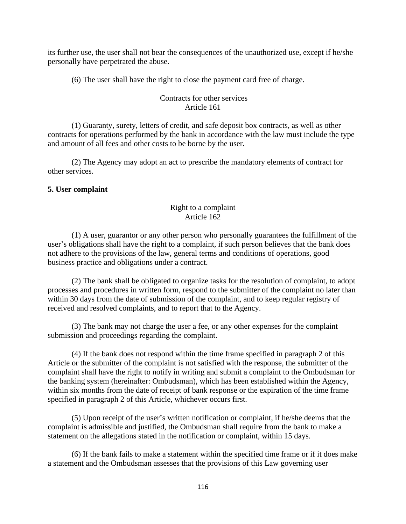its further use, the user shall not bear the consequences of the unauthorized use, except if he/she personally have perpetrated the abuse.

(6) The user shall have the right to close the payment card free of charge.

## Contracts for other services Article 161

(1) Guaranty, surety, letters of credit, and safe deposit box contracts, as well as other contracts for operations performed by the bank in accordance with the law must include the type and amount of all fees and other costs to be borne by the user.

(2) The Agency may adopt an act to prescribe the mandatory elements of contract for other services.

## **5. User complaint**

### Right to a complaint Article 162

(1) A user, guarantor or any other person who personally guarantees the fulfillment of the user's obligations shall have the right to a complaint, if such person believes that the bank does not adhere to the provisions of the law, general terms and conditions of operations, good business practice and obligations under a contract.

(2) The bank shall be obligated to organize tasks for the resolution of complaint, to adopt processes and procedures in written form, respond to the submitter of the complaint no later than within 30 days from the date of submission of the complaint, and to keep regular registry of received and resolved complaints, and to report that to the Agency.

(3) The bank may not charge the user a fee, or any other expenses for the complaint submission and proceedings regarding the complaint.

(4) If the bank does not respond within the time frame specified in paragraph 2 of this Article or the submitter of the complaint is not satisfied with the response, the submitter of the complaint shall have the right to notify in writing and submit a complaint to the Ombudsman for the banking system (hereinafter: Ombudsman), which has been established within the Agency, within six months from the date of receipt of bank response or the expiration of the time frame specified in paragraph 2 of this Article, whichever occurs first.

(5) Upon receipt of the user's written notification or complaint, if he/she deems that the complaint is admissible and justified, the Ombudsman shall require from the bank to make a statement on the allegations stated in the notification or complaint, within 15 days.

(6) If the bank fails to make a statement within the specified time frame or if it does make a statement and the Ombudsman assesses that the provisions of this Law governing user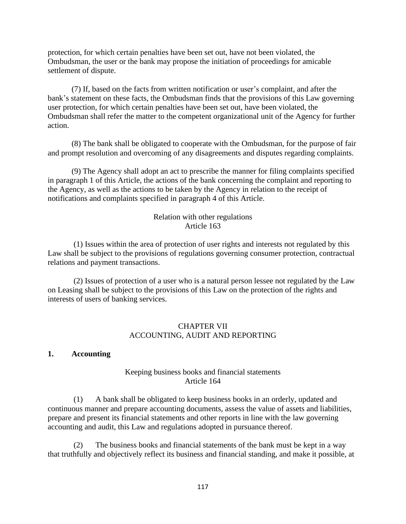protection, for which certain penalties have been set out, have not been violated, the Ombudsman, the user or the bank may propose the initiation of proceedings for amicable settlement of dispute.

(7) If, based on the facts from written notification or user's complaint, and after the bank's statement on these facts, the Ombudsman finds that the provisions of this Law governing user protection, for which certain penalties have been set out, have been violated, the Ombudsman shall refer the matter to the competent organizational unit of the Agency for further action.

(8) The bank shall be obligated to cooperate with the Ombudsman, for the purpose of fair and prompt resolution and overcoming of any disagreements and disputes regarding complaints.

(9) The Agency shall adopt an act to prescribe the manner for filing complaints specified in paragraph 1 of this Article, the actions of the bank concerning the complaint and reporting to the Agency, as well as the actions to be taken by the Agency in relation to the receipt of notifications and complaints specified in paragraph 4 of this Article.

## Relation with other regulations Article 163

(1) Issues within the area of protection of user rights and interests not regulated by this Law shall be subject to the provisions of regulations governing consumer protection, contractual relations and payment transactions.

(2) Issues of protection of a user who is a natural person lessee not regulated by the Law on Leasing shall be subject to the provisions of this Law on the protection of the rights and interests of users of banking services.

## CHAPTER VII ACCOUNTING, AUDIT AND REPORTING

#### **1. Accounting**

## Keeping business books and financial statements Article 164

(1) A bank shall be obligated to keep business books in an orderly, updated and continuous manner and prepare accounting documents, assess the value of assets and liabilities, prepare and present its financial statements and other reports in line with the law governing accounting and audit, this Law and regulations adopted in pursuance thereof.

(2) The business books and financial statements of the bank must be kept in a way that truthfully and objectively reflect its business and financial standing, and make it possible, at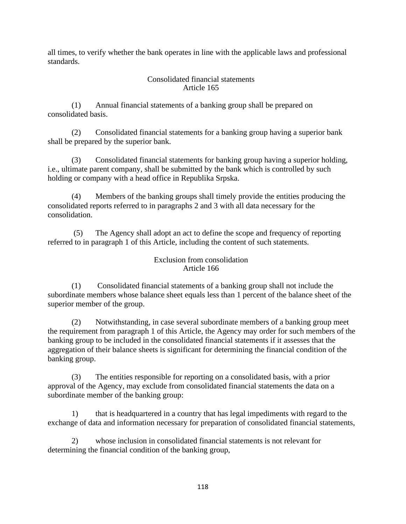all times, to verify whether the bank operates in line with the applicable laws and professional standards.

### Consolidated financial statements Article 165

(1) Annual financial statements of a banking group shall be prepared on consolidated basis.

(2) Consolidated financial statements for a banking group having a superior bank shall be prepared by the superior bank.

(3) Consolidated financial statements for banking group having a superior holding, i.e., ultimate parent company, shall be submitted by the bank which is controlled by such holding or company with a head office in Republika Srpska.

(4) Members of the banking groups shall timely provide the entities producing the consolidated reports referred to in paragraphs 2 and 3 with all data necessary for the consolidation.

(5) The Agency shall adopt an act to define the scope and frequency of reporting referred to in paragraph 1 of this Article, including the content of such statements.

#### Exclusion from consolidation Article 166

(1) Consolidated financial statements of a banking group shall not include the subordinate members whose balance sheet equals less than 1 percent of the balance sheet of the superior member of the group.

(2) Notwithstanding, in case several subordinate members of a banking group meet the requirement from paragraph 1 of this Article, the Agency may order for such members of the banking group to be included in the consolidated financial statements if it assesses that the aggregation of their balance sheets is significant for determining the financial condition of the banking group.

(3) The entities responsible for reporting on a consolidated basis, with a prior approval of the Agency, may exclude from consolidated financial statements the data on a subordinate member of the banking group:

1) that is headquartered in a country that has legal impediments with regard to the exchange of data and information necessary for preparation of consolidated financial statements,

2) whose inclusion in consolidated financial statements is not relevant for determining the financial condition of the banking group,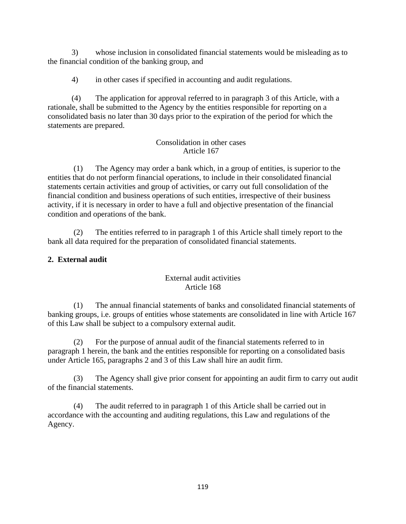3) whose inclusion in consolidated financial statements would be misleading as to the financial condition of the banking group, and

4) in other cases if specified in accounting and audit regulations.

(4) The application for approval referred to in paragraph 3 of this Article, with a rationale, shall be submitted to the Agency by the entities responsible for reporting on a consolidated basis no later than 30 days prior to the expiration of the period for which the statements are prepared.

## Consolidation in other cases Article 167

(1) The Agency may order a bank which, in a group of entities, is superior to the entities that do not perform financial operations, to include in their consolidated financial statements certain activities and group of activities, or carry out full consolidation of the financial condition and business operations of such entities, irrespective of their business activity, if it is necessary in order to have a full and objective presentation of the financial condition and operations of the bank.

(2) The entities referred to in paragraph 1 of this Article shall timely report to the bank all data required for the preparation of consolidated financial statements.

# **2. External audit**

# External audit activities Article 168

(1) The annual financial statements of banks and consolidated financial statements of banking groups, i.e. groups of entities whose statements are consolidated in line with Article 167 of this Law shall be subject to a compulsory external audit.

(2) For the purpose of annual audit of the financial statements referred to in paragraph 1 herein, the bank and the entities responsible for reporting on a consolidated basis under Article 165, paragraphs 2 and 3 of this Law shall hire an audit firm.

(3) The Agency shall give prior consent for appointing an audit firm to carry out audit of the financial statements.

(4) The audit referred to in paragraph 1 of this Article shall be carried out in accordance with the accounting and auditing regulations, this Law and regulations of the Agency.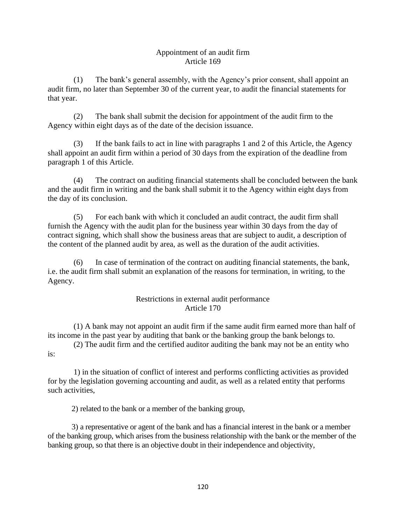### Appointment of an audit firm Article 169

(1) The bank's general assembly, with the Agency's prior consent, shall appoint an audit firm, no later than September 30 of the current year, to audit the financial statements for that year.

(2) The bank shall submit the decision for appointment of the audit firm to the Agency within eight days as of the date of the decision issuance.

(3) If the bank fails to act in line with paragraphs 1 and 2 of this Article, the Agency shall appoint an audit firm within a period of 30 days from the expiration of the deadline from paragraph 1 of this Article.

(4) The contract on auditing financial statements shall be concluded between the bank and the audit firm in writing and the bank shall submit it to the Agency within eight days from the day of its conclusion.

(5) For each bank with which it concluded an audit contract, the audit firm shall furnish the Agency with the audit plan for the business year within 30 days from the day of contract signing, which shall show the business areas that are subject to audit, a description of the content of the planned audit by area, as well as the duration of the audit activities.

(6) In case of termination of the contract on auditing financial statements, the bank, i.e. the audit firm shall submit an explanation of the reasons for termination, in writing, to the Agency.

## Restrictions in external audit performance Article 170

(1) A bank may not appoint an audit firm if the same audit firm earned more than half of its income in the past year by auditing that bank or the banking group the bank belongs to.

(2) The audit firm and the certified auditor auditing the bank may not be an entity who is:

1) in the situation of conflict of interest and performs conflicting activities as provided for by the legislation governing accounting and audit, as well as a related entity that performs such activities,

2) related to the bank or a member of the banking group,

3) a representative or agent of the bank and has a financial interest in the bank or a member of the banking group, which arises from the business relationship with the bank or the member of the banking group, so that there is an objective doubt in their independence and objectivity,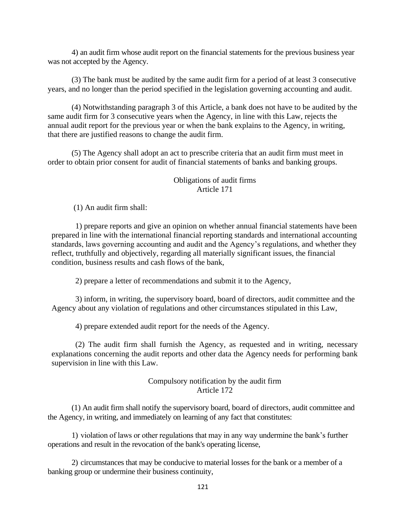4) an audit firm whose audit report on the financial statements for the previous business year was not accepted by the Agency.

(3) The bank must be audited by the same audit firm for a period of at least 3 consecutive years, and no longer than the period specified in the legislation governing accounting and audit.

(4) Notwithstanding paragraph 3 of this Article, a bank does not have to be audited by the same audit firm for 3 consecutive years when the Agency, in line with this Law, rejects the annual audit report for the previous year or when the bank explains to the Agency, in writing, that there are justified reasons to change the audit firm.

(5) The Agency shall adopt an act to prescribe criteria that an audit firm must meet in order to obtain prior consent for audit of financial statements of banks and banking groups.

#### Obligations of audit firms Article 171

(1) An audit firm shall:

1) prepare reports and give an opinion on whether annual financial statements have been prepared in line with the international financial reporting standards and international accounting standards, laws governing accounting and audit and the Agency's regulations, and whether they reflect, truthfully and objectively, regarding all materially significant issues, the financial condition, business results and cash flows of the bank,

2) prepare a letter of recommendations and submit it to the Agency,

3) inform, in writing, the supervisory board, board of directors, audit committee and the Agency about any violation of regulations and other circumstances stipulated in this Law,

4) prepare extended audit report for the needs of the Agency.

(2) The audit firm shall furnish the Agency, as requested and in writing, necessary explanations concerning the audit reports and other data the Agency needs for performing bank supervision in line with this Law.

## Compulsory notification by the audit firm Article 172

(1) An audit firm shall notify the supervisory board, board of directors, audit committee and the Agency, in writing, and immediately on learning of any fact that constitutes:

1) violation of laws or other regulations that may in any way undermine the bank's further operations and result in the revocation of the bank's operating license,

2) circumstances that may be conducive to material losses for the bank or a member of a banking group or undermine their business continuity,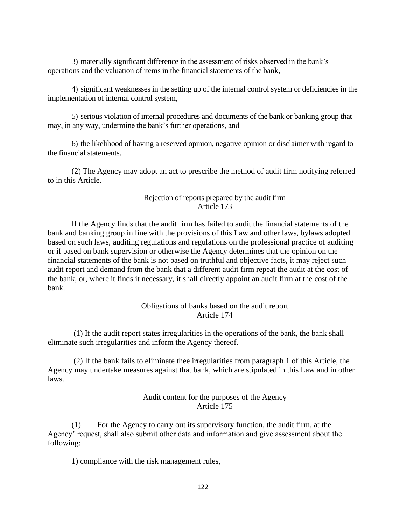3) materially significant difference in the assessment of risks observed in the bank's operations and the valuation of items in the financial statements of the bank,

4) significant weaknesses in the setting up of the internal control system or deficiencies in the implementation of internal control system,

5) serious violation of internal procedures and documents of the bank or banking group that may, in any way, undermine the bank's further operations, and

6) the likelihood of having a reserved opinion, negative opinion or disclaimer with regard to the financial statements.

(2) The Agency may adopt an act to prescribe the method of audit firm notifying referred to in this Article.

#### Rejection of reports prepared by the audit firm Article 173

If the Agency finds that the audit firm has failed to audit the financial statements of the bank and banking group in line with the provisions of this Law and other laws, bylaws adopted based on such laws, auditing regulations and regulations on the professional practice of auditing or if based on bank supervision or otherwise the Agency determines that the opinion on the financial statements of the bank is not based on truthful and objective facts, it may reject such audit report and demand from the bank that a different audit firm repeat the audit at the cost of the bank, or, where it finds it necessary, it shall directly appoint an audit firm at the cost of the bank.

#### Obligations of banks based on the audit report Article 174

(1) If the audit report states irregularities in the operations of the bank, the bank shall eliminate such irregularities and inform the Agency thereof.

(2) If the bank fails to eliminate thee irregularities from paragraph 1 of this Article, the Agency may undertake measures against that bank, which are stipulated in this Law and in other laws.

## Audit content for the purposes of the Agency Article 175

(1) For the Agency to carry out its supervisory function, the audit firm, at the Agency' request, shall also submit other data and information and give assessment about the following:

1) compliance with the risk management rules,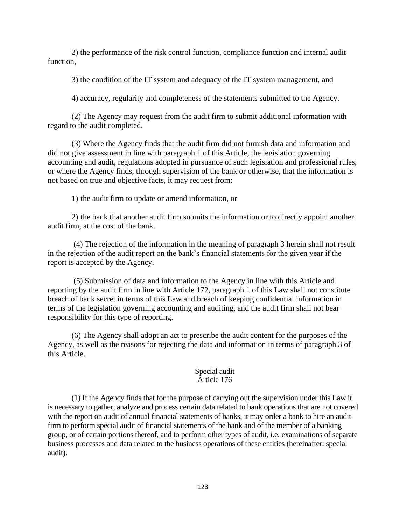2) the performance of the risk control function, compliance function and internal audit function.

3) the condition of the IT system and adequacy of the IT system management, and

4) accuracy, regularity and completeness of the statements submitted to the Agency.

(2) The Agency may request from the audit firm to submit additional information with regard to the audit completed.

(3) Where the Agency finds that the audit firm did not furnish data and information and did not give assessment in line with paragraph 1 of this Article, the legislation governing accounting and audit, regulations adopted in pursuance of such legislation and professional rules, or where the Agency finds, through supervision of the bank or otherwise, that the information is not based on true and objective facts, it may request from:

1) the audit firm to update or amend information, or

2) the bank that another audit firm submits the information or to directly appoint another audit firm, at the cost of the bank.

(4) The rejection of the information in the meaning of paragraph 3 herein shall not result in the rejection of the audit report on the bank's financial statements for the given year if the report is accepted by the Agency.

(5) Submission of data and information to the Agency in line with this Article and reporting by the audit firm in line with Article 172, paragraph 1 of this Law shall not constitute breach of bank secret in terms of this Law and breach of keeping confidential information in terms of the legislation governing accounting and auditing, and the audit firm shall not bear responsibility for this type of reporting.

(6) The Agency shall adopt an act to prescribe the audit content for the purposes of the Agency, as well as the reasons for rejecting the data and information in terms of paragraph 3 of this Article.

#### Special audit Article 176

(1) If the Agency finds that for the purpose of carrying out the supervision under this Law it is necessary to gather, analyze and process certain data related to bank operations that are not covered with the report on audit of annual financial statements of banks, it may order a bank to hire an audit firm to perform special audit of financial statements of the bank and of the member of a banking group, or of certain portions thereof, and to perform other types of audit, i.e. examinations of separate business processes and data related to the business operations of these entities (hereinafter: special audit).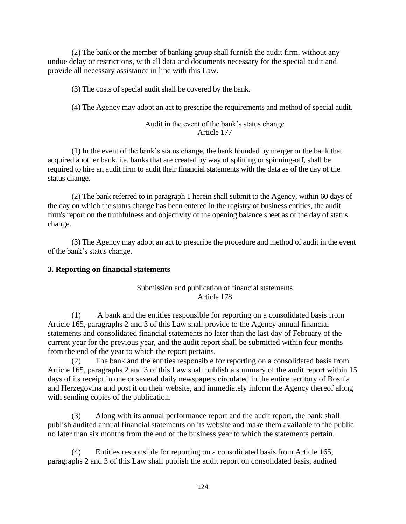(2) The bank or the member of banking group shall furnish the audit firm, without any undue delay or restrictions, with all data and documents necessary for the special audit and provide all necessary assistance in line with this Law.

(3) The costs of special audit shall be covered by the bank.

(4) The Agency may adopt an act to prescribe the requirements and method of special audit.

### Audit in the event of the bank's status change Article 177

(1) In the event of the bank's status change, the bank founded by merger or the bank that acquired another bank, i.e. banks that are created by way of splitting or spinning-off, shall be required to hire an audit firm to audit their financial statements with the data as of the day of the status change.

(2) The bank referred to in paragraph 1 herein shall submit to the Agency, within 60 days of the day on which the status change has been entered in the registry of business entities, the audit firm's report on the truthfulness and objectivity of the opening balance sheet as of the day of status change.

(3) The Agency may adopt an act to prescribe the procedure and method of audit in the event of the bank's status change.

#### **3. Reporting on financial statements**

## Submission and publication of financial statements Article 178

(1) A bank and the entities responsible for reporting on a consolidated basis from Article 165, paragraphs 2 and 3 of this Law shall provide to the Agency annual financial statements and consolidated financial statements no later than the last day of February of the current year for the previous year, and the audit report shall be submitted within four months from the end of the year to which the report pertains.

(2) The bank and the entities responsible for reporting on a consolidated basis from Article 165, paragraphs 2 and 3 of this Law shall publish a summary of the audit report within 15 days of its receipt in one or several daily newspapers circulated in the entire territory of Bosnia and Herzegovina and post it on their website, and immediately inform the Agency thereof along with sending copies of the publication.

(3) Along with its annual performance report and the audit report, the bank shall publish audited annual financial statements on its website and make them available to the public no later than six months from the end of the business year to which the statements pertain.

(4) Entities responsible for reporting on a consolidated basis from Article 165, paragraphs 2 and 3 of this Law shall publish the audit report on consolidated basis, audited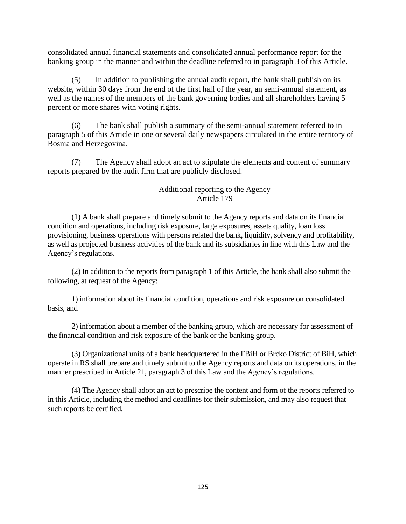consolidated annual financial statements and consolidated annual performance report for the banking group in the manner and within the deadline referred to in paragraph 3 of this Article.

(5) In addition to publishing the annual audit report, the bank shall publish on its website, within 30 days from the end of the first half of the year, an semi-annual statement, as well as the names of the members of the bank governing bodies and all shareholders having 5 percent or more shares with voting rights.

(6) The bank shall publish a summary of the semi-annual statement referred to in paragraph 5 of this Article in one or several daily newspapers circulated in the entire territory of Bosnia and Herzegovina.

(7) The Agency shall adopt an act to stipulate the elements and content of summary reports prepared by the audit firm that are publicly disclosed.

## Additional reporting to the Agency Article 179

(1) A bank shall prepare and timely submit to the Agency reports and data on its financial condition and operations, including risk exposure, large exposures, assets quality, loan loss provisioning, business operations with persons related the bank, liquidity, solvency and profitability, as well as projected business activities of the bank and its subsidiaries in line with this Law and the Agency's regulations.

(2) In addition to the reports from paragraph 1 of this Article, the bank shall also submit the following, at request of the Agency:

1) information about its financial condition, operations and risk exposure on consolidated basis, and

2) information about a member of the banking group, which are necessary for assessment of the financial condition and risk exposure of the bank or the banking group.

(3) Organizational units of a bank headquartered in the FBiH or Brcko District of BiH, which operate in RS shall prepare and timely submit to the Agency reports and data on its operations, in the manner prescribed in Article 21, paragraph 3 of this Law and the Agency's regulations.

(4) The Agency shall adopt an act to prescribe the content and form of the reports referred to in this Article, including the method and deadlines for their submission, and may also request that such reports be certified.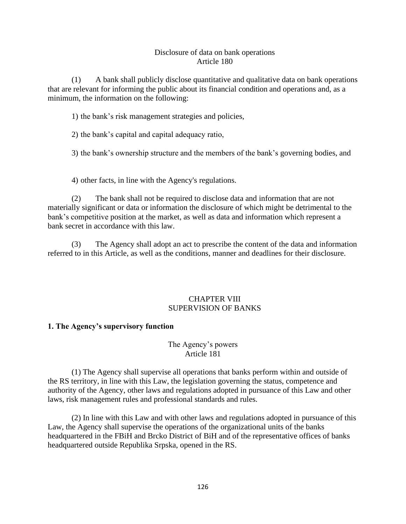### Disclosure of data on bank operations Article 180

(1) A bank shall publicly disclose quantitative and qualitative data on bank operations that are relevant for informing the public about its financial condition and operations and, as a minimum, the information on the following:

1) the bank's risk management strategies and policies,

2) the bank's capital and capital adequacy ratio,

3) the bank's ownership structure and the members of the bank's governing bodies, and

4) other facts, in line with the Agency's regulations.

(2) The bank shall not be required to disclose data and information that are not materially significant or data or information the disclosure of which might be detrimental to the bank's competitive position at the market, as well as data and information which represent a bank secret in accordance with this law.

(3) The Agency shall adopt an act to prescribe the content of the data and information referred to in this Article, as well as the conditions, manner and deadlines for their disclosure.

## CHAPTER VIII SUPERVISION OF BANKS

## **1. The Agency's supervisory function**

## The Agency's powers Article 181

(1) The Agency shall supervise all operations that banks perform within and outside of the RS territory, in line with this Law, the legislation governing the status, competence and authority of the Agency, other laws and regulations adopted in pursuance of this Law and other laws, risk management rules and professional standards and rules.

(2) In line with this Law and with other laws and regulations adopted in pursuance of this Law, the Agency shall supervise the operations of the organizational units of the banks headquartered in the FBiH and Brcko District of BiH and of the representative offices of banks headquartered outside Republika Srpska, opened in the RS.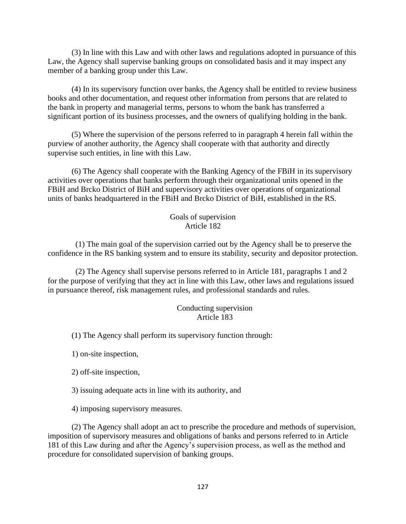(3) In line with this Law and with other laws and regulations adopted in pursuance of this Law, the Agency shall supervise banking groups on consolidated basis and it may inspect any member of a banking group under this Law.

(4) In its supervisory function over banks, the Agency shall be entitled to review business books and other documentation, and request other information from persons that are related to the bank in property and managerial terms, persons to whom the bank has transferred a significant portion of its business processes, and the owners of qualifying holding in the bank.

(5) Where the supervision of the persons referred to in paragraph 4 herein fall within the purview of another authority, the Agency shall cooperate with that authority and directly supervise such entities, in line with this Law.

(6) The Agency shall cooperate with the Banking Agency of the FBiH in its supervisory activities over operations that banks perform through their organizational units opened in the FBiH and Brcko District of BiH and supervisory activities over operations of organizational units of banks headquartered in the FBiH and Brcko District of BiH, established in the RS.

#### Goals of supervision Article 182

(1) The main goal of the supervision carried out by the Agency shall be to preserve the confidence in the RS banking system and to ensure its stability, security and depositor protection.

(2) The Agency shall supervise persons referred to in Article 181, paragraphs 1 and 2 for the purpose of verifying that they act in line with this Law, other laws and regulations issued in pursuance thereof, risk management rules, and professional standards and rules.

## Conducting supervision Article 183

(1) The Agency shall perform its supervisory function through:

1) on-site inspection,

2) off-site inspection,

3) issuing adequate acts in line with its authority, and

4) imposing supervisory measures.

(2) The Agency shall adopt an act to prescribe the procedure and methods of supervision, imposition of supervisory measures and obligations of banks and persons referred to in Article 181 of this Law during and after the Agency's supervision process, as well as the method and procedure for consolidated supervision of banking groups.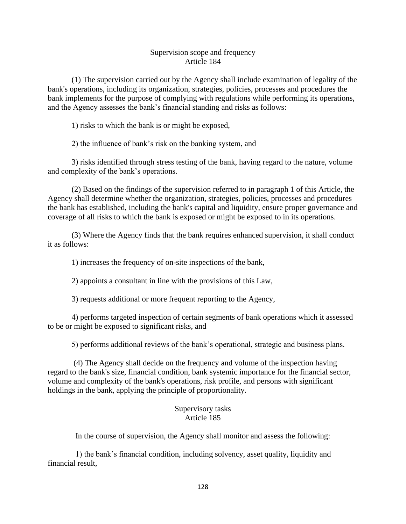#### Supervision scope and frequency Article 184

(1) The supervision carried out by the Agency shall include examination of legality of the bank's operations, including its organization, strategies, policies, processes and procedures the bank implements for the purpose of complying with regulations while performing its operations, and the Agency assesses the bank's financial standing and risks as follows:

1) risks to which the bank is or might be exposed,

2) the influence of bank's risk on the banking system, and

3) risks identified through stress testing of the bank, having regard to the nature, volume and complexity of the bank's operations.

(2) Based on the findings of the supervision referred to in paragraph 1 of this Article, the Agency shall determine whether the organization, strategies, policies, processes and procedures the bank has established, including the bank's capital and liquidity, ensure proper governance and coverage of all risks to which the bank is exposed or might be exposed to in its operations.

(3) Where the Agency finds that the bank requires enhanced supervision, it shall conduct it as follows:

1) increases the frequency of on-site inspections of the bank,

2) appoints a consultant in line with the provisions of this Law,

3) requests additional or more frequent reporting to the Agency,

4) performs targeted inspection of certain segments of bank operations which it assessed to be or might be exposed to significant risks, and

5) performs additional reviews of the bank's operational, strategic and business plans.

(4) The Agency shall decide on the frequency and volume of the inspection having regard to the bank's size, financial condition, bank systemic importance for the financial sector, volume and complexity of the bank's operations, risk profile, and persons with significant holdings in the bank, applying the principle of proportionality.

#### Supervisory tasks Article 185

In the course of supervision, the Agency shall monitor and assess the following:

1) the bank's financial condition, including solvency, asset quality, liquidity and financial result,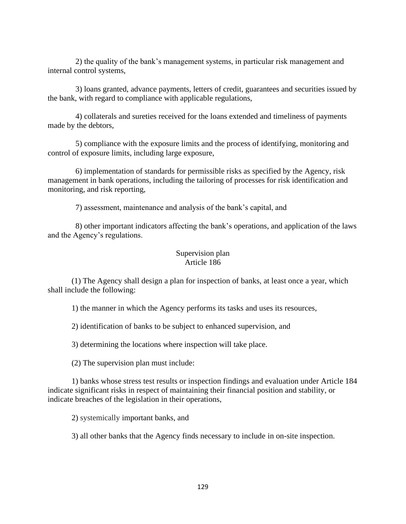2) the quality of the bank's management systems, in particular risk management and internal control systems,

3) loans granted, advance payments, letters of credit, guarantees and securities issued by the bank, with regard to compliance with applicable regulations,

4) collaterals and sureties received for the loans extended and timeliness of payments made by the debtors,

5) compliance with the exposure limits and the process of identifying, monitoring and control of exposure limits, including large exposure,

6) implementation of standards for permissible risks as specified by the Agency, risk management in bank operations, including the tailoring of processes for risk identification and monitoring, and risk reporting,

7) assessment, maintenance and analysis of the bank's capital, and

8) other important indicators affecting the bank's operations, and application of the laws and the Agency's regulations.

## Supervision plan Article 186

(1) The Agency shall design a plan for inspection of banks, at least once a year, which shall include the following:

1) the manner in which the Agency performs its tasks and uses its resources,

2) identification of banks to be subject to enhanced supervision, and

3) determining the locations where inspection will take place.

(2) The supervision plan must include:

1) banks whose stress test results or inspection findings and evaluation under Article 184 indicate significant risks in respect of maintaining their financial position and stability, or indicate breaches of the legislation in their operations,

2) systemically important banks, and

3) all other banks that the Agency finds necessary to include in on-site inspection.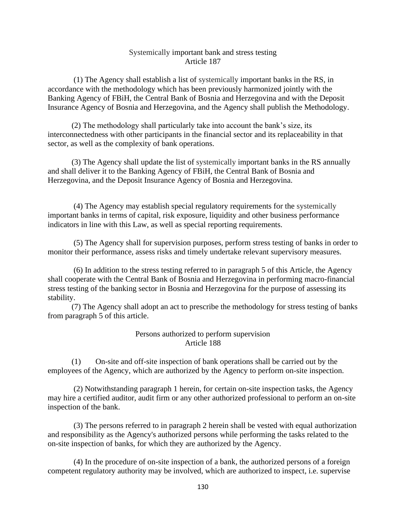#### Systemically important bank and stress testing Article 187

(1) The Agency shall establish a list of systemically important banks in the RS, in accordance with the methodology which has been previously harmonized jointly with the Banking Agency of FBiH, the Central Bank of Bosnia and Herzegovina and with the Deposit Insurance Agency of Bosnia and Herzegovina, and the Agency shall publish the Methodology.

(2) The methodology shall particularly take into account the bank's size, its interconnectedness with other participants in the financial sector and its replaceability in that sector, as well as the complexity of bank operations.

(3) The Agency shall update the list of systemically important banks in the RS annually and shall deliver it to the Banking Agency of FBiH, the Central Bank of Bosnia and Herzegovina, and the Deposit Insurance Agency of Bosnia and Herzegovina.

(4) The Agency may establish special regulatory requirements for the systemically important banks in terms of capital, risk exposure, liquidity and other business performance indicators in line with this Law, as well as special reporting requirements.

(5) The Agency shall for supervision purposes, perform stress testing of banks in order to monitor their performance, assess risks and timely undertake relevant supervisory measures.

(6) In addition to the stress testing referred to in paragraph 5 of this Article, the Agency shall cooperate with the Central Bank of Bosnia and Herzegovina in performing macro-financial stress testing of the banking sector in Bosnia and Herzegovina for the purpose of assessing its stability.

(7) The Agency shall adopt an act to prescribe the methodology for stress testing of banks from paragraph 5 of this article.

## Persons authorized to perform supervision Article 188

(1) On-site and off-site inspection of bank operations shall be carried out by the employees of the Agency, which are authorized by the Agency to perform on-site inspection.

(2) Notwithstanding paragraph 1 herein, for certain on-site inspection tasks, the Agency may hire a certified auditor, audit firm or any other authorized professional to perform an on-site inspection of the bank.

(3) The persons referred to in paragraph 2 herein shall be vested with equal authorization and responsibility as the Agency's authorized persons while performing the tasks related to the on-site inspection of banks, for which they are authorized by the Agency.

(4) In the procedure of on-site inspection of a bank, the authorized persons of a foreign competent regulatory authority may be involved, which are authorized to inspect, i.e. supervise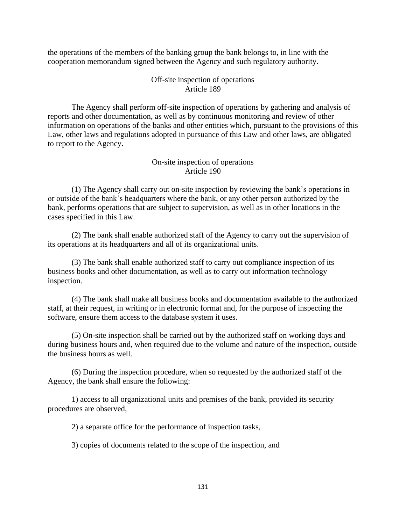the operations of the members of the banking group the bank belongs to, in line with the cooperation memorandum signed between the Agency and such regulatory authority.

#### Off-site inspection of operations Article 189

The Agency shall perform off-site inspection of operations by gathering and analysis of reports and other documentation, as well as by continuous monitoring and review of other information on operations of the banks and other entities which, pursuant to the provisions of this Law, other laws and regulations adopted in pursuance of this Law and other laws, are obligated to report to the Agency.

#### On-site inspection of operations Article 190

(1) The Agency shall carry out on-site inspection by reviewing the bank's operations in or outside of the bank's headquarters where the bank, or any other person authorized by the bank, performs operations that are subject to supervision, as well as in other locations in the cases specified in this Law.

(2) The bank shall enable authorized staff of the Agency to carry out the supervision of its operations at its headquarters and all of its organizational units.

(3) The bank shall enable authorized staff to carry out compliance inspection of its business books and other documentation, as well as to carry out information technology inspection.

(4) The bank shall make all business books and documentation available to the authorized staff, at their request, in writing or in electronic format and, for the purpose of inspecting the software, ensure them access to the database system it uses.

(5) On-site inspection shall be carried out by the authorized staff on working days and during business hours and, when required due to the volume and nature of the inspection, outside the business hours as well.

(6) During the inspection procedure, when so requested by the authorized staff of the Agency, the bank shall ensure the following:

1) access to all organizational units and premises of the bank, provided its security procedures are observed,

2) a separate office for the performance of inspection tasks,

3) copies of documents related to the scope of the inspection, and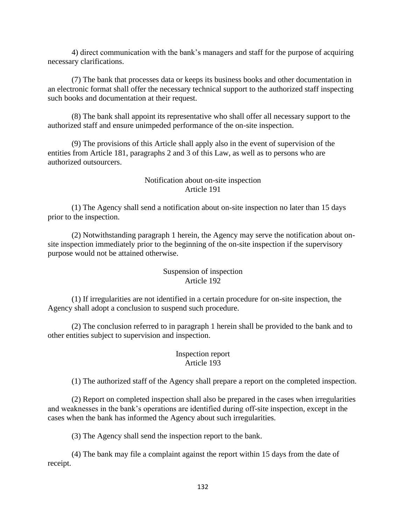4) direct communication with the bank's managers and staff for the purpose of acquiring necessary clarifications.

(7) The bank that processes data or keeps its business books and other documentation in an electronic format shall offer the necessary technical support to the authorized staff inspecting such books and documentation at their request.

(8) The bank shall appoint its representative who shall offer all necessary support to the authorized staff and ensure unimpeded performance of the on-site inspection.

(9) The provisions of this Article shall apply also in the event of supervision of the entities from Article 181, paragraphs 2 and 3 of this Law, as well as to persons who are authorized outsourcers.

## Notification about on-site inspection Article 191

(1) The Agency shall send a notification about on-site inspection no later than 15 days prior to the inspection.

(2) Notwithstanding paragraph 1 herein, the Agency may serve the notification about onsite inspection immediately prior to the beginning of the on-site inspection if the supervisory purpose would not be attained otherwise.

## Suspension of inspection Article 192

(1) If irregularities are not identified in a certain procedure for on-site inspection, the Agency shall adopt a conclusion to suspend such procedure.

(2) The conclusion referred to in paragraph 1 herein shall be provided to the bank and to other entities subject to supervision and inspection.

# Inspection report Article 193

(1) The authorized staff of the Agency shall prepare a report on the completed inspection.

(2) Report on completed inspection shall also be prepared in the cases when irregularities and weaknesses in the bank's operations are identified during off-site inspection, except in the cases when the bank has informed the Agency about such irregularities.

(3) The Agency shall send the inspection report to the bank.

(4) The bank may file a complaint against the report within 15 days from the date of receipt.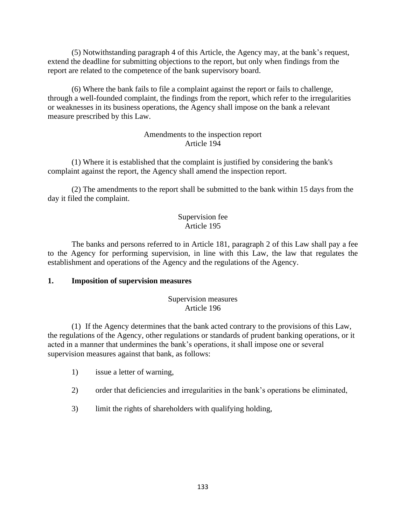(5) Notwithstanding paragraph 4 of this Article, the Agency may, at the bank's request, extend the deadline for submitting objections to the report, but only when findings from the report are related to the competence of the bank supervisory board.

(6) Where the bank fails to file a complaint against the report or fails to challenge, through a well-founded complaint, the findings from the report, which refer to the irregularities or weaknesses in its business operations, the Agency shall impose on the bank a relevant measure prescribed by this Law.

## Amendments to the inspection report Article 194

(1) Where it is established that the complaint is justified by considering the bank's complaint against the report, the Agency shall amend the inspection report.

(2) The amendments to the report shall be submitted to the bank within 15 days from the day it filed the complaint.

## Supervision fee Article 195

The banks and persons referred to in Article 181, paragraph 2 of this Law shall pay a fee to the Agency for performing supervision, in line with this Law, the law that regulates the establishment and operations of the Agency and the regulations of the Agency.

## **1. Imposition of supervision measures**

## Supervision measures Article 196

(1) If the Agency determines that the bank acted contrary to the provisions of this Law, the regulations of the Agency, other regulations or standards of prudent banking operations, or it acted in a manner that undermines the bank's operations, it shall impose one or several supervision measures against that bank, as follows:

- 1) issue a letter of warning,
- 2) order that deficiencies and irregularities in the bank's operations be eliminated,
- 3) limit the rights of shareholders with qualifying holding,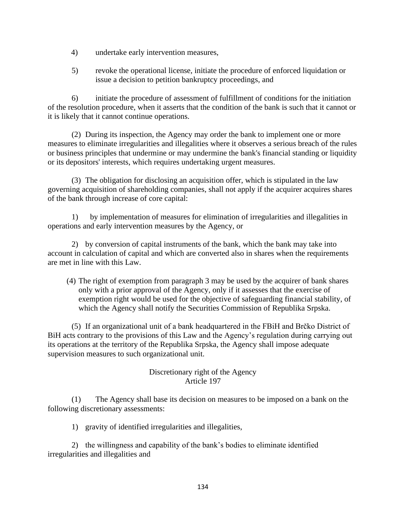- 4) undertake early intervention measures,
- 5) revoke the operational license, initiate the procedure of enforced liquidation or issue a decision to petition bankruptcy proceedings, and

6) initiate the procedure of assessment of fulfillment of conditions for the initiation of the resolution procedure, when it asserts that the condition of the bank is such that it cannot or it is likely that it cannot continue operations.

(2) During its inspection, the Agency may order the bank to implement one or more measures to eliminate irregularities and illegalities where it observes a serious breach of the rules or business principles that undermine or may undermine the bank's financial standing or liquidity or its depositors' interests, which requires undertaking urgent measures.

(3) The obligation for disclosing an acquisition offer, which is stipulated in the law governing acquisition of shareholding companies, shall not apply if the acquirer acquires shares of the bank through increase of core capital:

1) by implementation of measures for elimination of irregularities and illegalities in operations and early intervention measures by the Agency, or

2) by conversion of capital instruments of the bank, which the bank may take into account in calculation of capital and which are converted also in shares when the requirements are met in line with this Law.

(4) The right of exemption from paragraph 3 may be used by the acquirer of bank shares only with a prior approval of the Agency, only if it assesses that the exercise of exemption right would be used for the objective of safeguarding financial stability, of which the Agency shall notify the Securities Commission of Republika Srpska.

(5) If an organizational unit of a bank headquartered in the FBiH and Brčko District of BiH acts contrary to the provisions of this Law and the Agency's regulation during carrying out its operations at the territory of the Republika Srpska, the Agency shall impose adequate supervision measures to such organizational unit.

## Discretionary right of the Agency Article 197

(1) The Agency shall base its decision on measures to be imposed on a bank on the following discretionary assessments:

1) gravity of identified irregularities and illegalities,

2) the willingness and capability of the bank's bodies to eliminate identified irregularities and illegalities and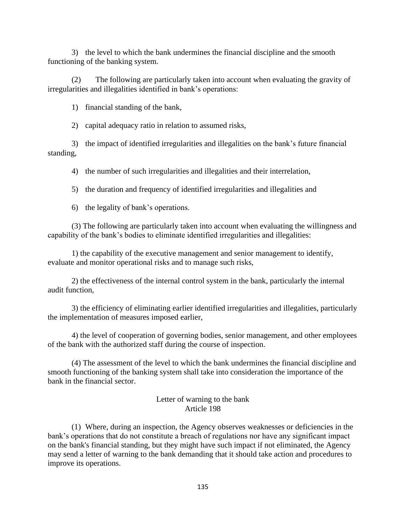3) the level to which the bank undermines the financial discipline and the smooth functioning of the banking system.

(2) The following are particularly taken into account when evaluating the gravity of irregularities and illegalities identified in bank's operations:

1) financial standing of the bank,

2) capital adequacy ratio in relation to assumed risks,

3) the impact of identified irregularities and illegalities on the bank's future financial standing,

4) the number of such irregularities and illegalities and their interrelation,

5) the duration and frequency of identified irregularities and illegalities and

6) the legality of bank's operations.

(3) The following are particularly taken into account when evaluating the willingness and capability of the bank's bodies to eliminate identified irregularities and illegalities:

1) the capability of the executive management and senior management to identify, evaluate and monitor operational risks and to manage such risks,

2) the effectiveness of the internal control system in the bank, particularly the internal audit function,

3) the efficiency of eliminating earlier identified irregularities and illegalities, particularly the implementation of measures imposed earlier,

4) the level of cooperation of governing bodies, senior management, and other employees of the bank with the authorized staff during the course of inspection.

(4) The assessment of the level to which the bank undermines the financial discipline and smooth functioning of the banking system shall take into consideration the importance of the bank in the financial sector.

## Letter of warning to the bank Article 198

(1) Where, during an inspection, the Agency observes weaknesses or deficiencies in the bank's operations that do not constitute a breach of regulations nor have any significant impact on the bank's financial standing, but they might have such impact if not eliminated, the Agency may send a letter of warning to the bank demanding that it should take action and procedures to improve its operations.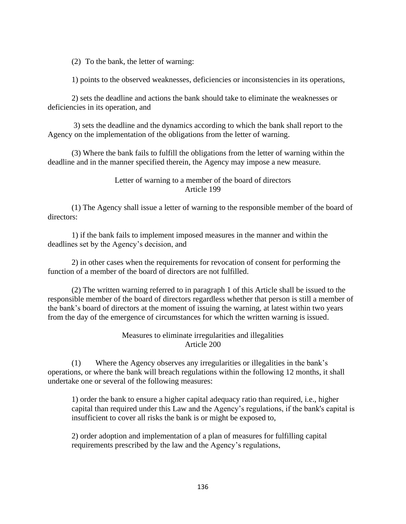(2) To the bank, the letter of warning:

1) points to the observed weaknesses, deficiencies or inconsistencies in its operations,

2) sets the deadline and actions the bank should take to eliminate the weaknesses or deficiencies in its operation, and

3) sets the deadline and the dynamics according to which the bank shall report to the Agency on the implementation of the obligations from the letter of warning.

(3) Where the bank fails to fulfill the obligations from the letter of warning within the deadline and in the manner specified therein, the Agency may impose a new measure.

### Letter of warning to a member of the board of directors Article 199

(1) The Agency shall issue a letter of warning to the responsible member of the board of directors:

1) if the bank fails to implement imposed measures in the manner and within the deadlines set by the Agency's decision, and

2) in other cases when the requirements for revocation of consent for performing the function of a member of the board of directors are not fulfilled.

(2) The written warning referred to in paragraph 1 of this Article shall be issued to the responsible member of the board of directors regardless whether that person is still a member of the bank's board of directors at the moment of issuing the warning, at latest within two years from the day of the emergence of circumstances for which the written warning is issued.

## Measures to eliminate irregularities and illegalities Article 200

(1) Where the Agency observes any irregularities or illegalities in the bank's operations, or where the bank will breach regulations within the following 12 months, it shall undertake one or several of the following measures:

1) order the bank to ensure a higher capital adequacy ratio than required, i.e., higher capital than required under this Law and the Agency's regulations, if the bank's capital is insufficient to cover all risks the bank is or might be exposed to,

2) order adoption and implementation of a plan of measures for fulfilling capital requirements prescribed by the law and the Agency's regulations,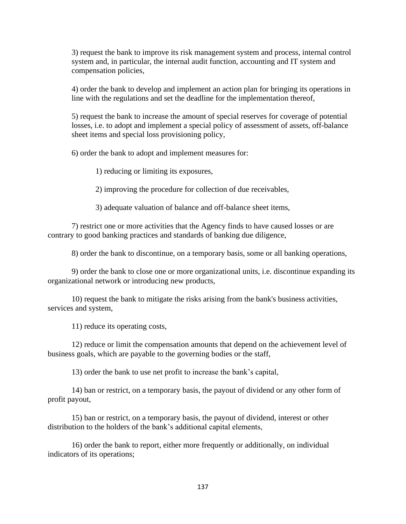3) request the bank to improve its risk management system and process, internal control system and, in particular, the internal audit function, accounting and IT system and compensation policies,

4) order the bank to develop and implement an action plan for bringing its operations in line with the regulations and set the deadline for the implementation thereof,

5) request the bank to increase the amount of special reserves for coverage of potential losses, i.e. to adopt and implement a special policy of assessment of assets, off-balance sheet items and special loss provisioning policy,

6) order the bank to adopt and implement measures for:

1) reducing or limiting its exposures,

2) improving the procedure for collection of due receivables,

3) adequate valuation of balance and off-balance sheet items,

7) restrict one or more activities that the Agency finds to have caused losses or are contrary to good banking practices and standards of banking due diligence,

8) order the bank to discontinue, on a temporary basis, some or all banking operations,

9) order the bank to close one or more organizational units, i.e. discontinue expanding its organizational network or introducing new products,

10) request the bank to mitigate the risks arising from the bank's business activities, services and system,

11) reduce its operating costs,

12) reduce or limit the compensation amounts that depend on the achievement level of business goals, which are payable to the governing bodies or the staff,

13) order the bank to use net profit to increase the bank's capital,

14) ban or restrict, on a temporary basis, the payout of dividend or any other form of profit payout,

15) ban or restrict, on a temporary basis, the payout of dividend, interest or other distribution to the holders of the bank's additional capital elements,

16) order the bank to report, either more frequently or additionally, on individual indicators of its operations;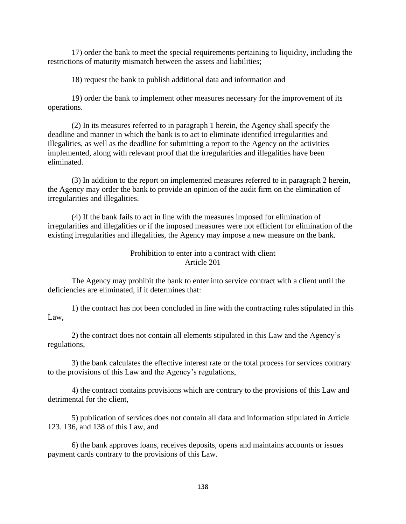17) order the bank to meet the special requirements pertaining to liquidity, including the restrictions of maturity mismatch between the assets and liabilities;

18) request the bank to publish additional data and information and

19) order the bank to implement other measures necessary for the improvement of its operations.

(2) In its measures referred to in paragraph 1 herein, the Agency shall specify the deadline and manner in which the bank is to act to eliminate identified irregularities and illegalities, as well as the deadline for submitting a report to the Agency on the activities implemented, along with relevant proof that the irregularities and illegalities have been eliminated.

(3) In addition to the report on implemented measures referred to in paragraph 2 herein, the Agency may order the bank to provide an opinion of the audit firm on the elimination of irregularities and illegalities.

(4) If the bank fails to act in line with the measures imposed for elimination of irregularities and illegalities or if the imposed measures were not efficient for elimination of the existing irregularities and illegalities, the Agency may impose a new measure on the bank.

#### Prohibition to enter into a contract with client Article 201

The Agency may prohibit the bank to enter into service contract with a client until the deficiencies are eliminated, if it determines that:

1) the contract has not been concluded in line with the contracting rules stipulated in this Law,

2) the contract does not contain all elements stipulated in this Law and the Agency's regulations,

3) the bank calculates the effective interest rate or the total process for services contrary to the provisions of this Law and the Agency's regulations,

4) the contract contains provisions which are contrary to the provisions of this Law and detrimental for the client,

5) publication of services does not contain all data and information stipulated in Article 123. 136, and 138 of this Law, and

6) the bank approves loans, receives deposits, opens and maintains accounts or issues payment cards contrary to the provisions of this Law.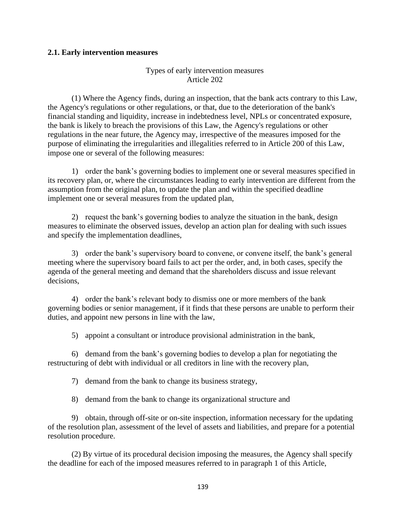#### **2.1. Early intervention measures**

### Types of early intervention measures Article 202

(1) Where the Agency finds, during an inspection, that the bank acts contrary to this Law, the Agency's regulations or other regulations, or that, due to the deterioration of the bank's financial standing and liquidity, increase in indebtedness level, NPLs or concentrated exposure, the bank is likely to breach the provisions of this Law, the Agency's regulations or other regulations in the near future, the Agency may, irrespective of the measures imposed for the purpose of eliminating the irregularities and illegalities referred to in Article 200 of this Law, impose one or several of the following measures:

1) order the bank's governing bodies to implement one or several measures specified in its recovery plan, or, where the circumstances leading to early intervention are different from the assumption from the original plan, to update the plan and within the specified deadline implement one or several measures from the updated plan,

2) request the bank's governing bodies to analyze the situation in the bank, design measures to eliminate the observed issues, develop an action plan for dealing with such issues and specify the implementation deadlines,

3) order the bank's supervisory board to convene, or convene itself, the bank's general meeting where the supervisory board fails to act per the order, and, in both cases, specify the agenda of the general meeting and demand that the shareholders discuss and issue relevant decisions,

4) order the bank's relevant body to dismiss one or more members of the bank governing bodies or senior management, if it finds that these persons are unable to perform their duties, and appoint new persons in line with the law,

5) appoint a consultant or introduce provisional administration in the bank,

6) demand from the bank's governing bodies to develop a plan for negotiating the restructuring of debt with individual or all creditors in line with the recovery plan,

7) demand from the bank to change its business strategy,

8) demand from the bank to change its organizational structure and

9) obtain, through off-site or on-site inspection, information necessary for the updating of the resolution plan, assessment of the level of assets and liabilities, and prepare for a potential resolution procedure.

(2) By virtue of its procedural decision imposing the measures, the Agency shall specify the deadline for each of the imposed measures referred to in paragraph 1 of this Article,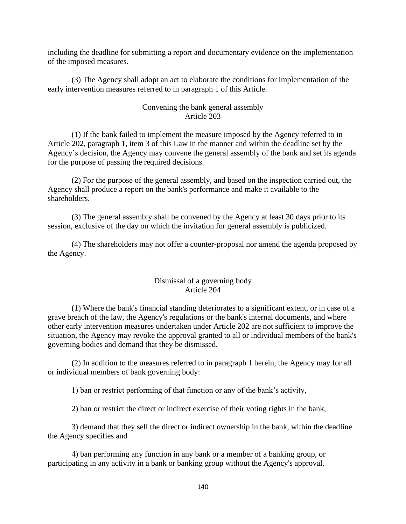including the deadline for submitting a report and documentary evidence on the implementation of the imposed measures.

(3) The Agency shall adopt an act to elaborate the conditions for implementation of the early intervention measures referred to in paragraph 1 of this Article.

## Convening the bank general assembly Article 203

(1) If the bank failed to implement the measure imposed by the Agency referred to in Article 202, paragraph 1, item 3 of this Law in the manner and within the deadline set by the Agency's decision, the Agency may convene the general assembly of the bank and set its agenda for the purpose of passing the required decisions.

(2) For the purpose of the general assembly, and based on the inspection carried out, the Agency shall produce a report on the bank's performance and make it available to the shareholders.

(3) The general assembly shall be convened by the Agency at least 30 days prior to its session, exclusive of the day on which the invitation for general assembly is publicized.

(4) The shareholders may not offer a counter-proposal nor amend the agenda proposed by the Agency.

## Dismissal of a governing body Article 204

(1) Where the bank's financial standing deteriorates to a significant extent, or in case of a grave breach of the law, the Agency's regulations or the bank's internal documents, and where other early intervention measures undertaken under Article 202 are not sufficient to improve the situation, the Agency may revoke the approval granted to all or individual members of the bank's governing bodies and demand that they be dismissed.

(2) In addition to the measures referred to in paragraph 1 herein, the Agency may for all or individual members of bank governing body:

1) ban or restrict performing of that function or any of the bank's activity,

2) ban or restrict the direct or indirect exercise of their voting rights in the bank,

3) demand that they sell the direct or indirect ownership in the bank, within the deadline the Agency specifies and

4) ban performing any function in any bank or a member of a banking group, or participating in any activity in a bank or banking group without the Agency's approval.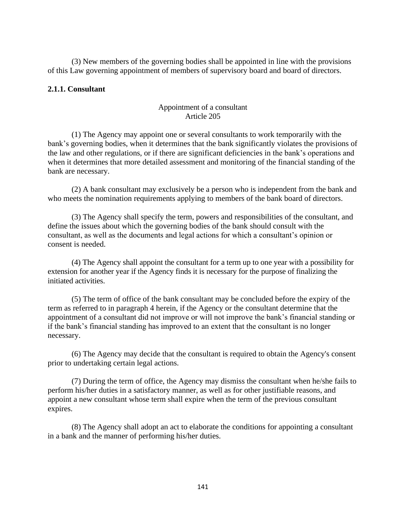(3) New members of the governing bodies shall be appointed in line with the provisions of this Law governing appointment of members of supervisory board and board of directors.

### **2.1.1. Consultant**

## Appointment of a consultant Article 205

(1) The Agency may appoint one or several consultants to work temporarily with the bank's governing bodies, when it determines that the bank significantly violates the provisions of the law and other regulations, or if there are significant deficiencies in the bank's operations and when it determines that more detailed assessment and monitoring of the financial standing of the bank are necessary.

(2) A bank consultant may exclusively be a person who is independent from the bank and who meets the nomination requirements applying to members of the bank board of directors.

(3) The Agency shall specify the term, powers and responsibilities of the consultant, and define the issues about which the governing bodies of the bank should consult with the consultant, as well as the documents and legal actions for which a consultant's opinion or consent is needed.

(4) The Agency shall appoint the consultant for a term up to one year with a possibility for extension for another year if the Agency finds it is necessary for the purpose of finalizing the initiated activities.

(5) The term of office of the bank consultant may be concluded before the expiry of the term as referred to in paragraph 4 herein, if the Agency or the consultant determine that the appointment of a consultant did not improve or will not improve the bank's financial standing or if the bank's financial standing has improved to an extent that the consultant is no longer necessary.

(6) The Agency may decide that the consultant is required to obtain the Agency's consent prior to undertaking certain legal actions.

(7) During the term of office, the Agency may dismiss the consultant when he/she fails to perform his/her duties in a satisfactory manner, as well as for other justifiable reasons, and appoint a new consultant whose term shall expire when the term of the previous consultant expires.

(8) The Agency shall adopt an act to elaborate the conditions for appointing a consultant in a bank and the manner of performing his/her duties.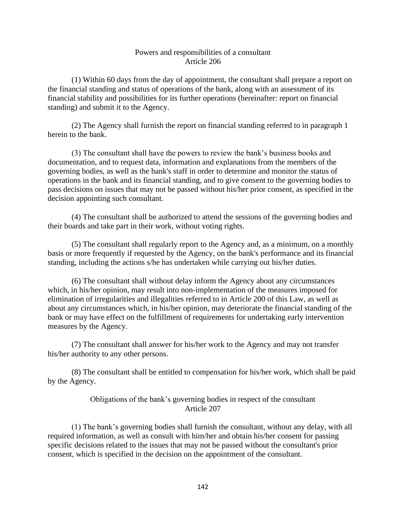#### Powers and responsibilities of a consultant Article 206

(1) Within 60 days from the day of appointment, the consultant shall prepare a report on the financial standing and status of operations of the bank, along with an assessment of its financial stability and possibilities for its further operations (hereinafter: report on financial standing) and submit it to the Agency.

(2) The Agency shall furnish the report on financial standing referred to in paragraph 1 herein to the bank.

(3) The consultant shall have the powers to review the bank's business books and documentation, and to request data, information and explanations from the members of the governing bodies, as well as the bank's staff in order to determine and monitor the status of operations in the bank and its financial standing, and to give consent to the governing bodies to pass decisions on issues that may not be passed without his/her prior consent, as specified in the decision appointing such consultant.

(4) The consultant shall be authorized to attend the sessions of the governing bodies and their boards and take part in their work, without voting rights.

(5) The consultant shall regularly report to the Agency and, as a minimum, on a monthly basis or more frequently if requested by the Agency, on the bank's performance and its financial standing, including the actions s/he has undertaken while carrying out his/her duties.

(6) The consultant shall without delay inform the Agency about any circumstances which, in his/her opinion, may result into non-implementation of the measures imposed for elimination of irregularities and illegalities referred to in Article 200 of this Law, as well as about any circumstances which, in his/her opinion, may deteriorate the financial standing of the bank or may have effect on the fulfillment of requirements for undertaking early intervention measures by the Agency.

(7) The consultant shall answer for his/her work to the Agency and may not transfer his/her authority to any other persons.

(8) The consultant shall be entitled to compensation for his/her work, which shall be paid by the Agency.

# Obligations of the bank's governing bodies in respect of the consultant Article 207

(1) The bank's governing bodies shall furnish the consultant, without any delay, with all required information, as well as consult with him/her and obtain his/her consent for passing specific decisions related to the issues that may not be passed without the consultant's prior consent, which is specified in the decision on the appointment of the consultant.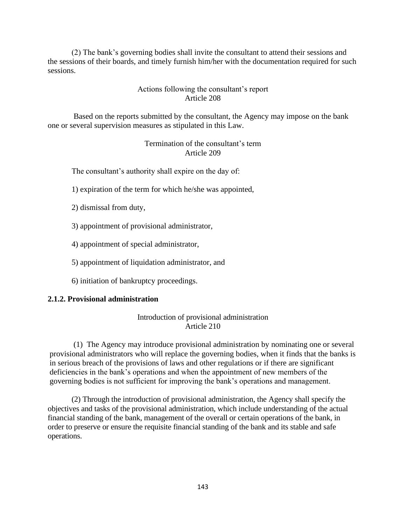(2) The bank's governing bodies shall invite the consultant to attend their sessions and the sessions of their boards, and timely furnish him/her with the documentation required for such sessions.

### Actions following the consultant's report Article 208

Based on the reports submitted by the consultant, the Agency may impose on the bank one or several supervision measures as stipulated in this Law.

> Termination of the consultant's term Article 209

The consultant's authority shall expire on the day of:

- 1) expiration of the term for which he/she was appointed,
- 2) dismissal from duty,
- 3) appointment of provisional administrator,
- 4) appointment of special administrator,
- 5) appointment of liquidation administrator, and
- 6) initiation of bankruptcy proceedings.

#### **2.1.2. Provisional administration**

## Introduction of provisional administration Article 210

(1) The Agency may introduce provisional administration by nominating one or several provisional administrators who will replace the governing bodies, when it finds that the banks is in serious breach of the provisions of laws and other regulations or if there are significant deficiencies in the bank's operations and when the appointment of new members of the governing bodies is not sufficient for improving the bank's operations and management.

(2) Through the introduction of provisional administration, the Agency shall specify the objectives and tasks of the provisional administration, which include understanding of the actual financial standing of the bank, management of the overall or certain operations of the bank, in order to preserve or ensure the requisite financial standing of the bank and its stable and safe operations.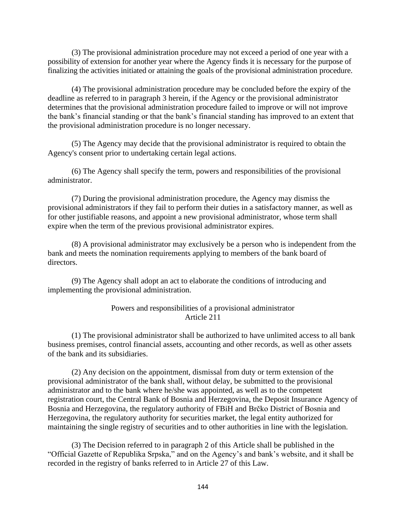(3) The provisional administration procedure may not exceed a period of one year with a possibility of extension for another year where the Agency finds it is necessary for the purpose of finalizing the activities initiated or attaining the goals of the provisional administration procedure.

(4) The provisional administration procedure may be concluded before the expiry of the deadline as referred to in paragraph 3 herein, if the Agency or the provisional administrator determines that the provisional administration procedure failed to improve or will not improve the bank's financial standing or that the bank's financial standing has improved to an extent that the provisional administration procedure is no longer necessary.

(5) The Agency may decide that the provisional administrator is required to obtain the Agency's consent prior to undertaking certain legal actions.

(6) The Agency shall specify the term, powers and responsibilities of the provisional administrator.

(7) During the provisional administration procedure, the Agency may dismiss the provisional administrators if they fail to perform their duties in a satisfactory manner, as well as for other justifiable reasons, and appoint a new provisional administrator, whose term shall expire when the term of the previous provisional administrator expires.

(8) A provisional administrator may exclusively be a person who is independent from the bank and meets the nomination requirements applying to members of the bank board of directors.

(9) The Agency shall adopt an act to elaborate the conditions of introducing and implementing the provisional administration.

#### Powers and responsibilities of a provisional administrator Article 211

(1) The provisional administrator shall be authorized to have unlimited access to all bank business premises, control financial assets, accounting and other records, as well as other assets of the bank and its subsidiaries.

(2) Any decision on the appointment, dismissal from duty or term extension of the provisional administrator of the bank shall, without delay, be submitted to the provisional administrator and to the bank where he/she was appointed, as well as to the competent registration court, the Central Bank of Bosnia and Herzegovina, the Deposit Insurance Agency of Bosnia and Herzegovina, the regulatory authority of FBiH and Brčko District of Bosnia and Herzegovina, the regulatory authority for securities market, the legal entity authorized for maintaining the single registry of securities and to other authorities in line with the legislation.

(3) The Decision referred to in paragraph 2 of this Article shall be published in the "Official Gazette of Republika Srpska," and on the Agency's and bank's website, and it shall be recorded in the registry of banks referred to in Article 27 of this Law.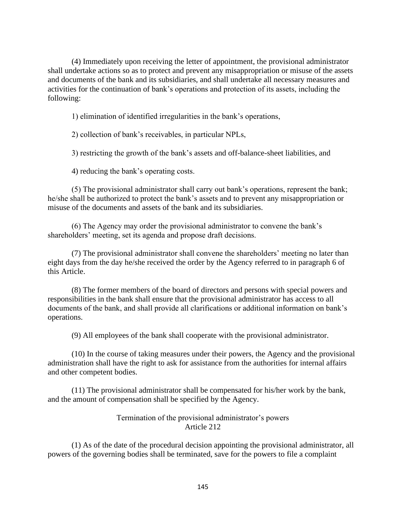(4) Immediately upon receiving the letter of appointment, the provisional administrator shall undertake actions so as to protect and prevent any misappropriation or misuse of the assets and documents of the bank and its subsidiaries, and shall undertake all necessary measures and activities for the continuation of bank's operations and protection of its assets, including the following:

1) elimination of identified irregularities in the bank's operations,

2) collection of bank's receivables, in particular NPLs,

3) restricting the growth of the bank's assets and off-balance-sheet liabilities, and

4) reducing the bank's operating costs.

(5) The provisional administrator shall carry out bank's operations, represent the bank; he/she shall be authorized to protect the bank's assets and to prevent any misappropriation or misuse of the documents and assets of the bank and its subsidiaries.

(6) The Agency may order the provisional administrator to convene the bank's shareholders' meeting, set its agenda and propose draft decisions.

(7) The provisional administrator shall convene the shareholders' meeting no later than eight days from the day he/she received the order by the Agency referred to in paragraph 6 of this Article.

(8) The former members of the board of directors and persons with special powers and responsibilities in the bank shall ensure that the provisional administrator has access to all documents of the bank, and shall provide all clarifications or additional information on bank's operations.

(9) All employees of the bank shall cooperate with the provisional administrator.

(10) In the course of taking measures under their powers, the Agency and the provisional administration shall have the right to ask for assistance from the authorities for internal affairs and other competent bodies.

(11) The provisional administrator shall be compensated for his/her work by the bank, and the amount of compensation shall be specified by the Agency.

#### Termination of the provisional administrator's powers Article 212

(1) As of the date of the procedural decision appointing the provisional administrator, all powers of the governing bodies shall be terminated, save for the powers to file a complaint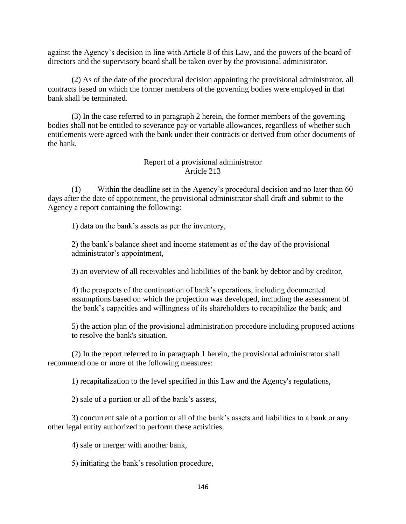against the Agency's decision in line with Article 8 of this Law, and the powers of the board of directors and the supervisory board shall be taken over by the provisional administrator.

(2) As of the date of the procedural decision appointing the provisional administrator, all contracts based on which the former members of the governing bodies were employed in that bank shall be terminated.

(3) In the case referred to in paragraph 2 herein, the former members of the governing bodies shall not be entitled to severance pay or variable allowances, regardless of whether such entitlements were agreed with the bank under their contracts or derived from other documents of the bank.

# Report of a provisional administrator Article 213

(1) Within the deadline set in the Agency's procedural decision and no later than 60 days after the date of appointment, the provisional administrator shall draft and submit to the Agency a report containing the following:

1) data on the bank's assets as per the inventory,

2) the bank's balance sheet and income statement as of the day of the provisional administrator's appointment,

3) an overview of all receivables and liabilities of the bank by debtor and by creditor,

4) the prospects of the continuation of bank's operations, including documented assumptions based on which the projection was developed, including the assessment of the bank's capacities and willingness of its shareholders to recapitalize the bank; and

5) the action plan of the provisional administration procedure including proposed actions to resolve the bank's situation.

(2) In the report referred to in paragraph 1 herein, the provisional administrator shall recommend one or more of the following measures:

1) recapitalization to the level specified in this Law and the Agency's regulations,

2) sale of a portion or all of the bank's assets,

3) concurrent sale of a portion or all of the bank's assets and liabilities to a bank or any other legal entity authorized to perform these activities,

4) sale or merger with another bank,

5) initiating the bank's resolution procedure,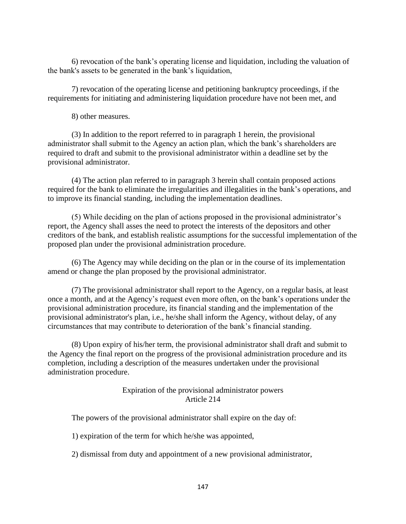6) revocation of the bank's operating license and liquidation, including the valuation of the bank's assets to be generated in the bank's liquidation,

7) revocation of the operating license and petitioning bankruptcy proceedings, if the requirements for initiating and administering liquidation procedure have not been met, and

8) other measures.

(3) In addition to the report referred to in paragraph 1 herein, the provisional administrator shall submit to the Agency an action plan, which the bank's shareholders are required to draft and submit to the provisional administrator within a deadline set by the provisional administrator.

(4) The action plan referred to in paragraph 3 herein shall contain proposed actions required for the bank to eliminate the irregularities and illegalities in the bank's operations, and to improve its financial standing, including the implementation deadlines.

(5) While deciding on the plan of actions proposed in the provisional administrator's report, the Agency shall asses the need to protect the interests of the depositors and other creditors of the bank, and establish realistic assumptions for the successful implementation of the proposed plan under the provisional administration procedure.

(6) The Agency may while deciding on the plan or in the course of its implementation amend or change the plan proposed by the provisional administrator.

(7) The provisional administrator shall report to the Agency, on a regular basis, at least once a month, and at the Agency's request even more often, on the bank's operations under the provisional administration procedure, its financial standing and the implementation of the provisional administrator's plan, i.e., he/she shall inform the Agency, without delay, of any circumstances that may contribute to deterioration of the bank's financial standing.

(8) Upon expiry of his/her term, the provisional administrator shall draft and submit to the Agency the final report on the progress of the provisional administration procedure and its completion, including a description of the measures undertaken under the provisional administration procedure.

> Expiration of the provisional administrator powers Article 214

The powers of the provisional administrator shall expire on the day of:

1) expiration of the term for which he/she was appointed,

2) dismissal from duty and appointment of a new provisional administrator,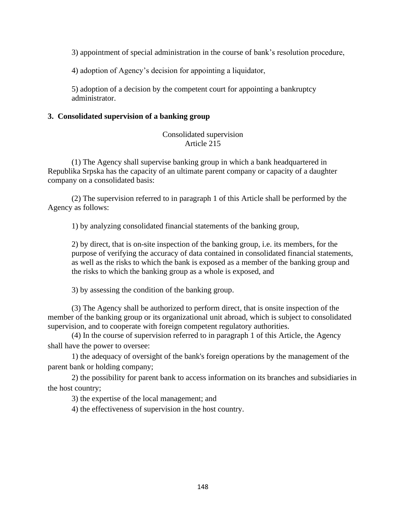3) appointment of special administration in the course of bank's resolution procedure,

4) adoption of Agency's decision for appointing a liquidator,

5) adoption of a decision by the competent court for appointing a bankruptcy administrator.

## **3. Consolidated supervision of a banking group**

## Consolidated supervision Article 215

(1) The Agency shall supervise banking group in which a bank headquartered in Republika Srpska has the capacity of an ultimate parent company or capacity of a daughter company on a consolidated basis:

(2) The supervision referred to in paragraph 1 of this Article shall be performed by the Agency as follows:

1) by analyzing consolidated financial statements of the banking group,

2) by direct, that is on-site inspection of the banking group, i.e. its members, for the purpose of verifying the accuracy of data contained in consolidated financial statements, as well as the risks to which the bank is exposed as a member of the banking group and the risks to which the banking group as a whole is exposed, and

3) by assessing the condition of the banking group.

(3) The Agency shall be authorized to perform direct, that is onsite inspection of the member of the banking group or its organizational unit abroad, which is subject to consolidated supervision, and to cooperate with foreign competent regulatory authorities.

(4) In the course of supervision referred to in paragraph 1 of this Article, the Agency shall have the power to oversee:

1) the adequacy of oversight of the bank's foreign operations by the management of the parent bank or holding company;

2) the possibility for parent bank to access information on its branches and subsidiaries in the host country;

3) the expertise of the local management; and

4) the effectiveness of supervision in the host country.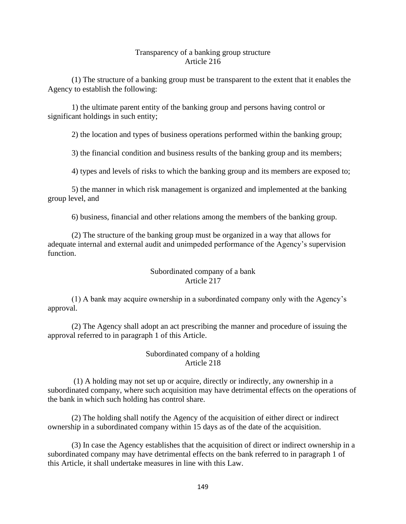#### Transparency of a banking group structure Article 216

(1) The structure of a banking group must be transparent to the extent that it enables the Agency to establish the following:

1) the ultimate parent entity of the banking group and persons having control or significant holdings in such entity;

2) the location and types of business operations performed within the banking group;

3) the financial condition and business results of the banking group and its members;

4) types and levels of risks to which the banking group and its members are exposed to;

5) the manner in which risk management is organized and implemented at the banking group level, and

6) business, financial and other relations among the members of the banking group.

(2) The structure of the banking group must be organized in a way that allows for adequate internal and external audit and unimpeded performance of the Agency's supervision function.

## Subordinated company of a bank Article 217

(1) A bank may acquire ownership in a subordinated company only with the Agency's approval.

(2) The Agency shall adopt an act prescribing the manner and procedure of issuing the approval referred to in paragraph 1 of this Article.

## Subordinated company of a holding Article 218

(1) A holding may not set up or acquire, directly or indirectly, any ownership in a subordinated company, where such acquisition may have detrimental effects on the operations of the bank in which such holding has control share.

(2) The holding shall notify the Agency of the acquisition of either direct or indirect ownership in a subordinated company within 15 days as of the date of the acquisition.

(3) In case the Agency establishes that the acquisition of direct or indirect ownership in a subordinated company may have detrimental effects on the bank referred to in paragraph 1 of this Article, it shall undertake measures in line with this Law.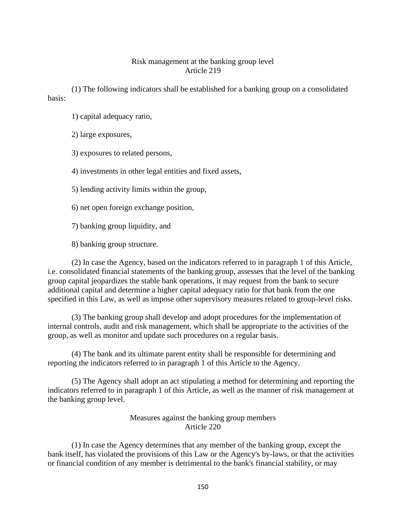### Risk management at the banking group level Article 219

(1) The following indicators shall be established for a banking group on a consolidated basis:

- 1) capital adequacy ratio,
- 2) large exposures,
- 3) exposures to related persons,
- 4) investments in other legal entities and fixed assets,
- 5) lending activity limits within the group,
- 6) net open foreign exchange position,
- 7) banking group liquidity, and
- 8) banking group structure.

(2) In case the Agency, based on the indicators referred to in paragraph 1 of this Article, i.e. consolidated financial statements of the banking group, assesses that the level of the banking group capital jeopardizes the stable bank operations, it may request from the bank to secure additional capital and determine a higher capital adequacy ratio for that bank from the one specified in this Law, as well as impose other supervisory measures related to group-level risks.

(3) The banking group shall develop and adopt procedures for the implementation of internal controls, audit and risk management, which shall be appropriate to the activities of the group, as well as monitor and update such procedures on a regular basis.

(4) The bank and its ultimate parent entity shall be responsible for determining and reporting the indicators referred to in paragraph 1 of this Article to the Agency.

(5) The Agency shall adopt an act stipulating a method for determining and reporting the indicators referred to in paragraph 1 of this Article, as well as the manner of risk management at the banking group level.

### Measures against the banking group members Article 220

(1) In case the Agency determines that any member of the banking group, except the bank itself, has violated the provisions of this Law or the Agency's by-laws, or that the activities or financial condition of any member is detrimental to the bank's financial stability, or may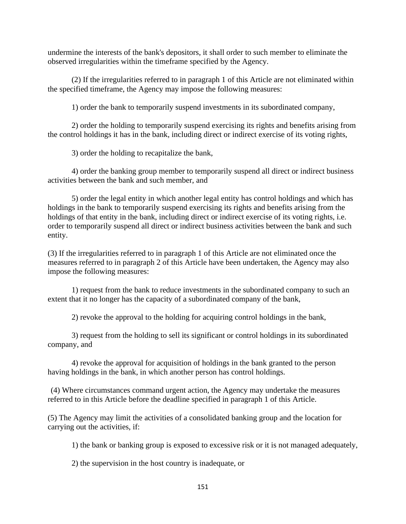undermine the interests of the bank's depositors, it shall order to such member to eliminate the observed irregularities within the timeframe specified by the Agency.

(2) If the irregularities referred to in paragraph 1 of this Article are not eliminated within the specified timeframe, the Agency may impose the following measures:

1) order the bank to temporarily suspend investments in its subordinated company,

2) order the holding to temporarily suspend exercising its rights and benefits arising from the control holdings it has in the bank, including direct or indirect exercise of its voting rights,

3) order the holding to recapitalize the bank,

4) order the banking group member to temporarily suspend all direct or indirect business activities between the bank and such member, and

5) order the legal entity in which another legal entity has control holdings and which has holdings in the bank to temporarily suspend exercising its rights and benefits arising from the holdings of that entity in the bank, including direct or indirect exercise of its voting rights, i.e. order to temporarily suspend all direct or indirect business activities between the bank and such entity.

(3) If the irregularities referred to in paragraph 1 of this Article are not eliminated once the measures referred to in paragraph 2 of this Article have been undertaken, the Agency may also impose the following measures:

1) request from the bank to reduce investments in the subordinated company to such an extent that it no longer has the capacity of a subordinated company of the bank,

2) revoke the approval to the holding for acquiring control holdings in the bank,

3) request from the holding to sell its significant or control holdings in its subordinated company, and

4) revoke the approval for acquisition of holdings in the bank granted to the person having holdings in the bank, in which another person has control holdings.

(4) Where circumstances command urgent action, the Agency may undertake the measures referred to in this Article before the deadline specified in paragraph 1 of this Article.

(5) The Agency may limit the activities of a consolidated banking group and the location for carrying out the activities, if:

1) the bank or banking group is exposed to excessive risk or it is not managed adequately,

2) the supervision in the host country is inadequate, or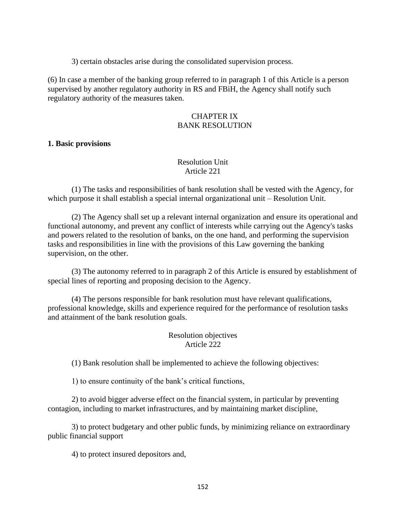3) certain obstacles arise during the consolidated supervision process.

(6) In case a member of the banking group referred to in paragraph 1 of this Article is a person supervised by another regulatory authority in RS and FBiH, the Agency shall notify such regulatory authority of the measures taken.

## CHAPTER IX BANK RESOLUTION

#### **1. Basic provisions**

## Resolution Unit Article 221

(1) The tasks and responsibilities of bank resolution shall be vested with the Agency, for which purpose it shall establish a special internal organizational unit – Resolution Unit.

(2) The Agency shall set up a relevant internal organization and ensure its operational and functional autonomy, and prevent any conflict of interests while carrying out the Agency's tasks and powers related to the resolution of banks, on the one hand, and performing the supervision tasks and responsibilities in line with the provisions of this Law governing the banking supervision, on the other.

(3) The autonomy referred to in paragraph 2 of this Article is ensured by establishment of special lines of reporting and proposing decision to the Agency.

(4) The persons responsible for bank resolution must have relevant qualifications, professional knowledge, skills and experience required for the performance of resolution tasks and attainment of the bank resolution goals.

# Resolution objectives Article 222

(1) Bank resolution shall be implemented to achieve the following objectives:

1) to ensure continuity of the bank's critical functions,

2) to avoid bigger adverse effect on the financial system, in particular by preventing contagion, including to market infrastructures, and by maintaining market discipline,

3) to protect budgetary and other public funds, by minimizing reliance on extraordinary public financial support

4) to protect insured depositors and,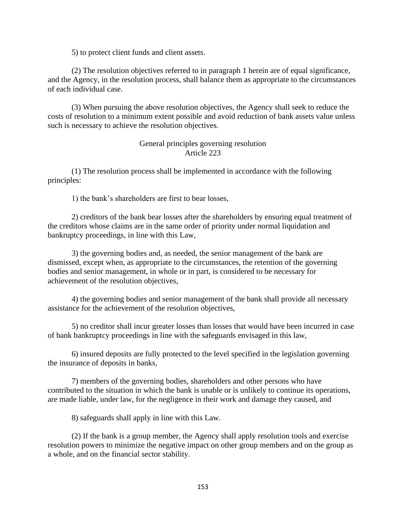5) to protect client funds and client assets.

(2) The resolution objectives referred to in paragraph 1 herein are of equal significance, and the Agency, in the resolution process, shall balance them as appropriate to the circumstances of each individual case.

(3) When pursuing the above resolution objectives, the Agency shall seek to reduce the costs of resolution to a minimum extent possible and avoid reduction of bank assets value unless such is necessary to achieve the resolution objectives.

## General principles governing resolution Article 223

(1) The resolution process shall be implemented in accordance with the following principles:

1) the bank's shareholders are first to bear losses,

2) creditors of the bank bear losses after the shareholders by ensuring equal treatment of the creditors whose claims are in the same order of priority under normal liquidation and bankruptcy proceedings, in line with this Law,

3) the governing bodies and, as needed, the senior management of the bank are dismissed, except when, as appropriate to the circumstances, the retention of the governing bodies and senior management, in whole or in part, is considered to be necessary for achievement of the resolution objectives,

4) the governing bodies and senior management of the bank shall provide all necessary assistance for the achievement of the resolution objectives,

5) no creditor shall incur greater losses than losses that would have been incurred in case of bank bankruptcy proceedings in line with the safeguards envisaged in this law,

6) insured deposits are fully protected to the level specified in the legislation governing the insurance of deposits in banks,

7) members of the governing bodies, shareholders and other persons who have contributed to the situation in which the bank is unable or is unlikely to continue its operations, are made liable, under law, for the negligence in their work and damage they caused, and

8) safeguards shall apply in line with this Law.

(2) If the bank is a group member, the Agency shall apply resolution tools and exercise resolution powers to minimize the negative impact on other group members and on the group as a whole, and on the financial sector stability.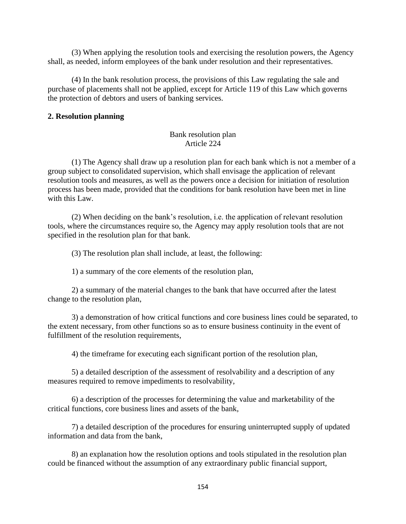(3) When applying the resolution tools and exercising the resolution powers, the Agency shall, as needed, inform employees of the bank under resolution and their representatives.

(4) In the bank resolution process, the provisions of this Law regulating the sale and purchase of placements shall not be applied, except for Article 119 of this Law which governs the protection of debtors and users of banking services.

#### **2. Resolution planning**

## Bank resolution plan Article 224

(1) The Agency shall draw up a resolution plan for each bank which is not a member of a group subject to consolidated supervision, which shall envisage the application of relevant resolution tools and measures, as well as the powers once a decision for initiation of resolution process has been made, provided that the conditions for bank resolution have been met in line with this Law.

(2) When deciding on the bank's resolution, i.e. the application of relevant resolution tools, where the circumstances require so, the Agency may apply resolution tools that are not specified in the resolution plan for that bank.

(3) The resolution plan shall include, at least, the following:

1) a summary of the core elements of the resolution plan,

2) a summary of the material changes to the bank that have occurred after the latest change to the resolution plan,

3) a demonstration of how critical functions and core business lines could be separated, to the extent necessary, from other functions so as to ensure business continuity in the event of fulfillment of the resolution requirements,

4) the timeframe for executing each significant portion of the resolution plan,

5) a detailed description of the assessment of resolvability and a description of any measures required to remove impediments to resolvability,

6) a description of the processes for determining the value and marketability of the critical functions, core business lines and assets of the bank,

7) a detailed description of the procedures for ensuring uninterrupted supply of updated information and data from the bank,

8) an explanation how the resolution options and tools stipulated in the resolution plan could be financed without the assumption of any extraordinary public financial support,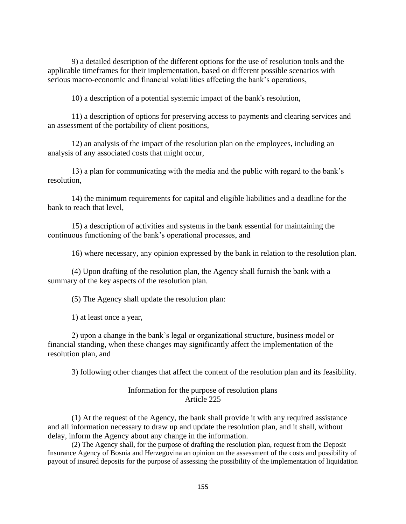9) a detailed description of the different options for the use of resolution tools and the applicable timeframes for their implementation, based on different possible scenarios with serious macro-economic and financial volatilities affecting the bank's operations,

10) a description of a potential systemic impact of the bank's resolution,

11) a description of options for preserving access to payments and clearing services and an assessment of the portability of client positions,

12) an analysis of the impact of the resolution plan on the employees, including an analysis of any associated costs that might occur,

13) a plan for communicating with the media and the public with regard to the bank's resolution,

14) the minimum requirements for capital and eligible liabilities and a deadline for the bank to reach that level,

15) a description of activities and systems in the bank essential for maintaining the continuous functioning of the bank's operational processes, and

16) where necessary, any opinion expressed by the bank in relation to the resolution plan.

(4) Upon drafting of the resolution plan, the Agency shall furnish the bank with a summary of the key aspects of the resolution plan.

(5) The Agency shall update the resolution plan:

1) at least once a year,

2) upon a change in the bank's legal or organizational structure, business model or financial standing, when these changes may significantly affect the implementation of the resolution plan, and

3) following other changes that affect the content of the resolution plan and its feasibility.

### Information for the purpose of resolution plans Article 225

(1) At the request of the Agency, the bank shall provide it with any required assistance and all information necessary to draw up and update the resolution plan, and it shall, without delay, inform the Agency about any change in the information.

(2) The Agency shall, for the purpose of drafting the resolution plan, request from the Deposit Insurance Agency of Bosnia and Herzegovina an opinion on the assessment of the costs and possibility of payout of insured deposits for the purpose of assessing the possibility of the implementation of liquidation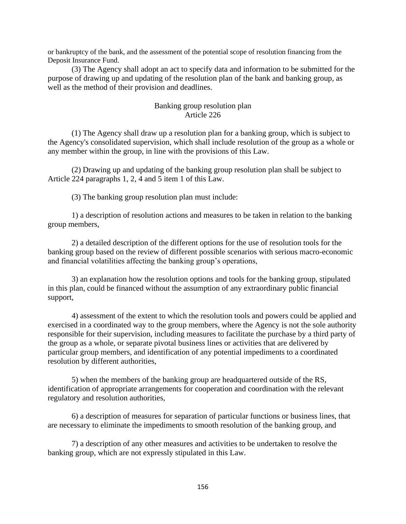or bankruptcy of the bank, and the assessment of the potential scope of resolution financing from the Deposit Insurance Fund.

(3) The Agency shall adopt an act to specify data and information to be submitted for the purpose of drawing up and updating of the resolution plan of the bank and banking group, as well as the method of their provision and deadlines.

## Banking group resolution plan Article 226

(1) The Agency shall draw up a resolution plan for a banking group, which is subject to the Agency's consolidated supervision, which shall include resolution of the group as a whole or any member within the group, in line with the provisions of this Law.

(2) Drawing up and updating of the banking group resolution plan shall be subject to Article 224 paragraphs 1, 2, 4 and 5 item 1 of this Law.

(3) The banking group resolution plan must include:

1) a description of resolution actions and measures to be taken in relation to the banking group members,

2) a detailed description of the different options for the use of resolution tools for the banking group based on the review of different possible scenarios with serious macro-economic and financial volatilities affecting the banking group's operations,

3) an explanation how the resolution options and tools for the banking group, stipulated in this plan, could be financed without the assumption of any extraordinary public financial support,

4) assessment of the extent to which the resolution tools and powers could be applied and exercised in a coordinated way to the group members, where the Agency is not the sole authority responsible for their supervision, including measures to facilitate the purchase by a third party of the group as a whole, or separate pivotal business lines or activities that are delivered by particular group members, and identification of any potential impediments to a coordinated resolution by different authorities,

5) when the members of the banking group are headquartered outside of the RS, identification of appropriate arrangements for cooperation and coordination with the relevant regulatory and resolution authorities,

6) a description of measures for separation of particular functions or business lines, that are necessary to eliminate the impediments to smooth resolution of the banking group, and

7) a description of any other measures and activities to be undertaken to resolve the banking group, which are not expressly stipulated in this Law.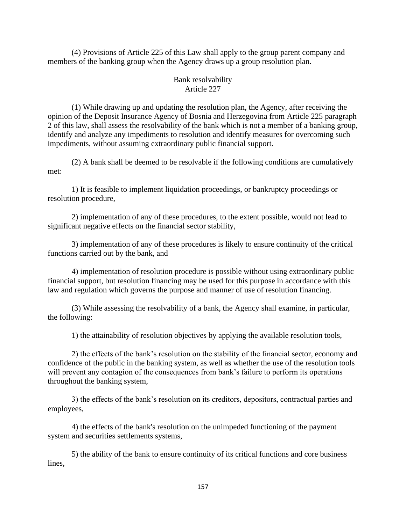(4) Provisions of Article 225 of this Law shall apply to the group parent company and members of the banking group when the Agency draws up a group resolution plan.

## Bank resolvability Article 227

(1) While drawing up and updating the resolution plan, the Agency, after receiving the opinion of the Deposit Insurance Agency of Bosnia and Herzegovina from Article 225 paragraph 2 of this law, shall assess the resolvability of the bank which is not a member of a banking group, identify and analyze any impediments to resolution and identify measures for overcoming such impediments, without assuming extraordinary public financial support.

(2) A bank shall be deemed to be resolvable if the following conditions are cumulatively met:

1) It is feasible to implement liquidation proceedings, or bankruptcy proceedings or resolution procedure,

2) implementation of any of these procedures, to the extent possible, would not lead to significant negative effects on the financial sector stability,

3) implementation of any of these procedures is likely to ensure continuity of the critical functions carried out by the bank, and

4) implementation of resolution procedure is possible without using extraordinary public financial support, but resolution financing may be used for this purpose in accordance with this law and regulation which governs the purpose and manner of use of resolution financing.

(3) While assessing the resolvability of a bank, the Agency shall examine, in particular, the following:

1) the attainability of resolution objectives by applying the available resolution tools,

2) the effects of the bank's resolution on the stability of the financial sector, economy and confidence of the public in the banking system, as well as whether the use of the resolution tools will prevent any contagion of the consequences from bank's failure to perform its operations throughout the banking system,

3) the effects of the bank's resolution on its creditors, depositors, contractual parties and employees,

4) the effects of the bank's resolution on the unimpeded functioning of the payment system and securities settlements systems,

5) the ability of the bank to ensure continuity of its critical functions and core business lines,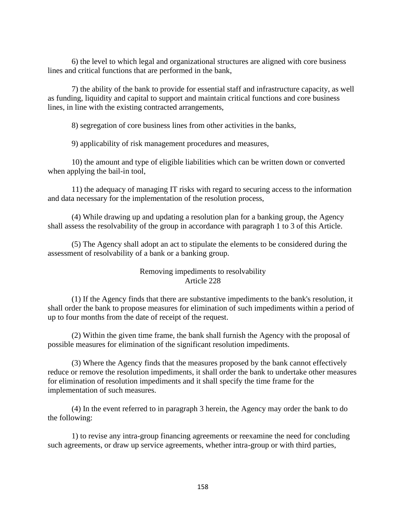6) the level to which legal and organizational structures are aligned with core business lines and critical functions that are performed in the bank,

7) the ability of the bank to provide for essential staff and infrastructure capacity, as well as funding, liquidity and capital to support and maintain critical functions and core business lines, in line with the existing contracted arrangements,

8) segregation of core business lines from other activities in the banks,

9) applicability of risk management procedures and measures,

10) the amount and type of eligible liabilities which can be written down or converted when applying the bail-in tool,

11) the adequacy of managing IT risks with regard to securing access to the information and data necessary for the implementation of the resolution process,

(4) While drawing up and updating a resolution plan for a banking group, the Agency shall assess the resolvability of the group in accordance with paragraph 1 to 3 of this Article.

(5) The Agency shall adopt an act to stipulate the elements to be considered during the assessment of resolvability of a bank or a banking group.

# Removing impediments to resolvability Article 228

(1) If the Agency finds that there are substantive impediments to the bank's resolution, it shall order the bank to propose measures for elimination of such impediments within a period of up to four months from the date of receipt of the request.

(2) Within the given time frame, the bank shall furnish the Agency with the proposal of possible measures for elimination of the significant resolution impediments.

(3) Where the Agency finds that the measures proposed by the bank cannot effectively reduce or remove the resolution impediments, it shall order the bank to undertake other measures for elimination of resolution impediments and it shall specify the time frame for the implementation of such measures.

(4) In the event referred to in paragraph 3 herein, the Agency may order the bank to do the following:

1) to revise any intra-group financing agreements or reexamine the need for concluding such agreements, or draw up service agreements, whether intra-group or with third parties,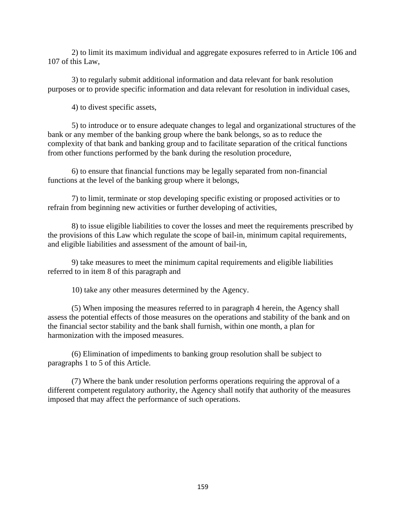2) to limit its maximum individual and aggregate exposures referred to in Article 106 and 107 of this Law,

3) to regularly submit additional information and data relevant for bank resolution purposes or to provide specific information and data relevant for resolution in individual cases,

4) to divest specific assets,

5) to introduce or to ensure adequate changes to legal and organizational structures of the bank or any member of the banking group where the bank belongs, so as to reduce the complexity of that bank and banking group and to facilitate separation of the critical functions from other functions performed by the bank during the resolution procedure,

6) to ensure that financial functions may be legally separated from non-financial functions at the level of the banking group where it belongs,

7) to limit, terminate or stop developing specific existing or proposed activities or to refrain from beginning new activities or further developing of activities,

8) to issue eligible liabilities to cover the losses and meet the requirements prescribed by the provisions of this Law which regulate the scope of bail-in, minimum capital requirements, and eligible liabilities and assessment of the amount of bail-in,

9) take measures to meet the minimum capital requirements and eligible liabilities referred to in item 8 of this paragraph and

10) take any other measures determined by the Agency.

(5) When imposing the measures referred to in paragraph 4 herein, the Agency shall assess the potential effects of those measures on the operations and stability of the bank and on the financial sector stability and the bank shall furnish, within one month, a plan for harmonization with the imposed measures.

(6) Elimination of impediments to banking group resolution shall be subject to paragraphs 1 to 5 of this Article.

(7) Where the bank under resolution performs operations requiring the approval of a different competent regulatory authority, the Agency shall notify that authority of the measures imposed that may affect the performance of such operations.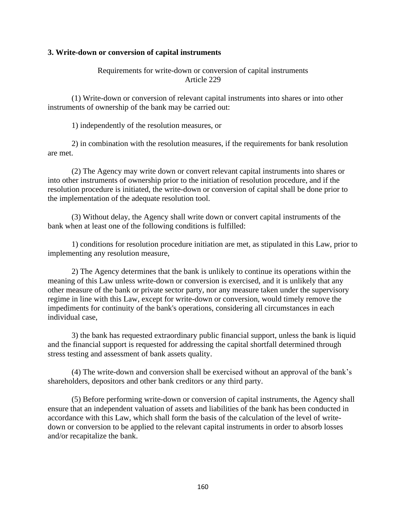## **3. Write-down or conversion of capital instruments**

## Requirements for write-down or conversion of capital instruments Article 229

(1) Write-down or conversion of relevant capital instruments into shares or into other instruments of ownership of the bank may be carried out:

1) independently of the resolution measures, or

2) in combination with the resolution measures, if the requirements for bank resolution are met.

(2) The Agency may write down or convert relevant capital instruments into shares or into other instruments of ownership prior to the initiation of resolution procedure, and if the resolution procedure is initiated, the write-down or conversion of capital shall be done prior to the implementation of the adequate resolution tool.

(3) Without delay, the Agency shall write down or convert capital instruments of the bank when at least one of the following conditions is fulfilled:

1) conditions for resolution procedure initiation are met, as stipulated in this Law, prior to implementing any resolution measure,

2) The Agency determines that the bank is unlikely to continue its operations within the meaning of this Law unless write-down or conversion is exercised, and it is unlikely that any other measure of the bank or private sector party, nor any measure taken under the supervisory regime in line with this Law, except for write-down or conversion, would timely remove the impediments for continuity of the bank's operations, considering all circumstances in each individual case,

3) the bank has requested extraordinary public financial support, unless the bank is liquid and the financial support is requested for addressing the capital shortfall determined through stress testing and assessment of bank assets quality.

(4) The write-down and conversion shall be exercised without an approval of the bank's shareholders, depositors and other bank creditors or any third party.

(5) Before performing write-down or conversion of capital instruments, the Agency shall ensure that an independent valuation of assets and liabilities of the bank has been conducted in accordance with this Law, which shall form the basis of the calculation of the level of writedown or conversion to be applied to the relevant capital instruments in order to absorb losses and/or recapitalize the bank.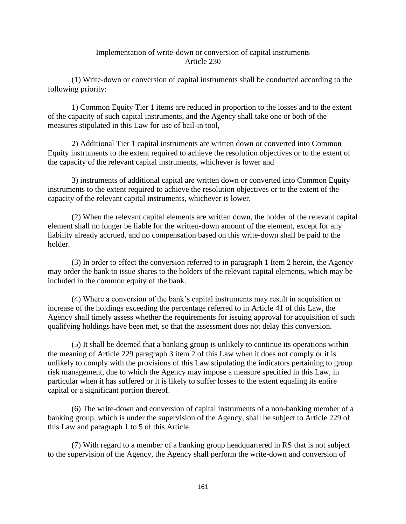### Implementation of write-down or conversion of capital instruments Article 230

(1) Write-down or conversion of capital instruments shall be conducted according to the following priority:

1) Common Equity Tier 1 items are reduced in proportion to the losses and to the extent of the capacity of such capital instruments, and the Agency shall take one or both of the measures stipulated in this Law for use of bail-in tool,

2) Additional Tier 1 capital instruments are written down or converted into Common Equity instruments to the extent required to achieve the resolution objectives or to the extent of the capacity of the relevant capital instruments, whichever is lower and

3) instruments of additional capital are written down or converted into Common Equity instruments to the extent required to achieve the resolution objectives or to the extent of the capacity of the relevant capital instruments, whichever is lower.

(2) When the relevant capital elements are written down, the holder of the relevant capital element shall no longer be liable for the written-down amount of the element, except for any liability already accrued, and no compensation based on this write-down shall be paid to the holder.

(3) In order to effect the conversion referred to in paragraph 1 Item 2 herein, the Agency may order the bank to issue shares to the holders of the relevant capital elements, which may be included in the common equity of the bank.

(4) Where a conversion of the bank's capital instruments may result in acquisition or increase of the holdings exceeding the percentage referred to in Article 41 of this Law, the Agency shall timely assess whether the requirements for issuing approval for acquisition of such qualifying holdings have been met, so that the assessment does not delay this conversion.

(5) It shall be deemed that a banking group is unlikely to continue its operations within the meaning of Article 229 paragraph 3 item 2 of this Law when it does not comply or it is unlikely to comply with the provisions of this Law stipulating the indicators pertaining to group risk management, due to which the Agency may impose a measure specified in this Law, in particular when it has suffered or it is likely to suffer losses to the extent equaling its entire capital or a significant portion thereof.

(6) The write-down and conversion of capital instruments of a non-banking member of a banking group, which is under the supervision of the Agency, shall be subject to Article 229 of this Law and paragraph 1 to 5 of this Article.

(7) With regard to a member of a banking group headquartered in RS that is not subject to the supervision of the Agency, the Agency shall perform the write-down and conversion of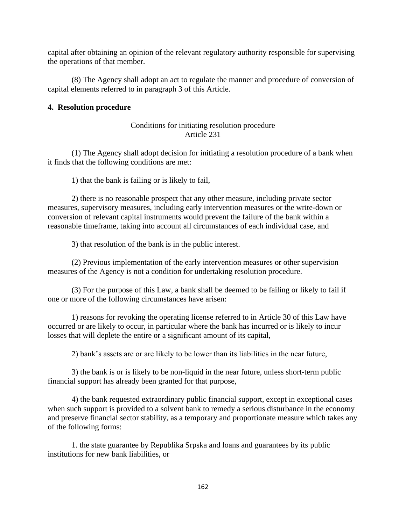capital after obtaining an opinion of the relevant regulatory authority responsible for supervising the operations of that member.

(8) The Agency shall adopt an act to regulate the manner and procedure of conversion of capital elements referred to in paragraph 3 of this Article.

## **4. Resolution procedure**

# Conditions for initiating resolution procedure Article 231

(1) The Agency shall adopt decision for initiating a resolution procedure of a bank when it finds that the following conditions are met:

1) that the bank is failing or is likely to fail,

2) there is no reasonable prospect that any other measure, including private sector measures, supervisory measures, including early intervention measures or the write-down or conversion of relevant capital instruments would prevent the failure of the bank within a reasonable timeframe, taking into account all circumstances of each individual case, and

3) that resolution of the bank is in the public interest.

(2) Previous implementation of the early intervention measures or other supervision measures of the Agency is not a condition for undertaking resolution procedure.

(3) For the purpose of this Law, a bank shall be deemed to be failing or likely to fail if one or more of the following circumstances have arisen:

1) reasons for revoking the operating license referred to in Article 30 of this Law have occurred or are likely to occur, in particular where the bank has incurred or is likely to incur losses that will deplete the entire or a significant amount of its capital,

2) bank's assets are or are likely to be lower than its liabilities in the near future,

3) the bank is or is likely to be non-liquid in the near future, unless short-term public financial support has already been granted for that purpose,

4) the bank requested extraordinary public financial support, except in exceptional cases when such support is provided to a solvent bank to remedy a serious disturbance in the economy and preserve financial sector stability, as a temporary and proportionate measure which takes any of the following forms:

1. the state guarantee by Republika Srpska and loans and guarantees by its public institutions for new bank liabilities, or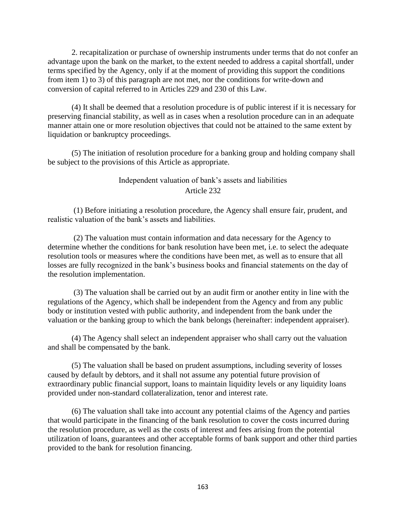2. recapitalization or purchase of ownership instruments under terms that do not confer an advantage upon the bank on the market, to the extent needed to address a capital shortfall, under terms specified by the Agency, only if at the moment of providing this support the conditions from item 1) to 3) of this paragraph are not met, nor the conditions for write-down and conversion of capital referred to in Articles 229 and 230 of this Law.

(4) It shall be deemed that a resolution procedure is of public interest if it is necessary for preserving financial stability, as well as in cases when a resolution procedure can in an adequate manner attain one or more resolution objectives that could not be attained to the same extent by liquidation or bankruptcy proceedings.

(5) The initiation of resolution procedure for a banking group and holding company shall be subject to the provisions of this Article as appropriate.

# Independent valuation of bank's assets and liabilities Article 232

(1) Before initiating a resolution procedure, the Agency shall ensure fair, prudent, and realistic valuation of the bank's assets and liabilities.

(2) The valuation must contain information and data necessary for the Agency to determine whether the conditions for bank resolution have been met, i.e. to select the adequate resolution tools or measures where the conditions have been met, as well as to ensure that all losses are fully recognized in the bank's business books and financial statements on the day of the resolution implementation.

(3) The valuation shall be carried out by an audit firm or another entity in line with the regulations of the Agency, which shall be independent from the Agency and from any public body or institution vested with public authority, and independent from the bank under the valuation or the banking group to which the bank belongs (hereinafter: independent appraiser).

(4) The Agency shall select an independent appraiser who shall carry out the valuation and shall be compensated by the bank.

(5) The valuation shall be based on prudent assumptions, including severity of losses caused by default by debtors, and it shall not assume any potential future provision of extraordinary public financial support, loans to maintain liquidity levels or any liquidity loans provided under non-standard collateralization, tenor and interest rate.

(6) The valuation shall take into account any potential claims of the Agency and parties that would participate in the financing of the bank resolution to cover the costs incurred during the resolution procedure, as well as the costs of interest and fees arising from the potential utilization of loans, guarantees and other acceptable forms of bank support and other third parties provided to the bank for resolution financing.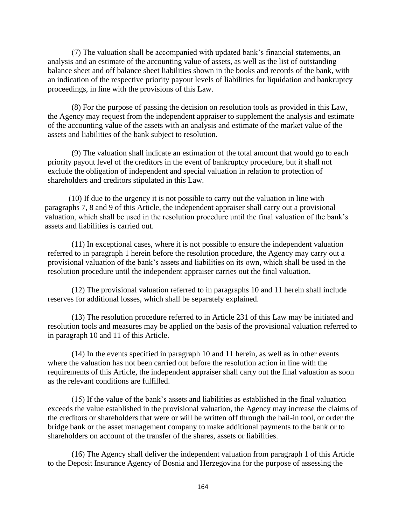(7) The valuation shall be accompanied with updated bank's financial statements, an analysis and an estimate of the accounting value of assets, as well as the list of outstanding balance sheet and off balance sheet liabilities shown in the books and records of the bank, with an indication of the respective priority payout levels of liabilities for liquidation and bankruptcy proceedings, in line with the provisions of this Law.

(8) For the purpose of passing the decision on resolution tools as provided in this Law, the Agency may request from the independent appraiser to supplement the analysis and estimate of the accounting value of the assets with an analysis and estimate of the market value of the assets and liabilities of the bank subject to resolution.

(9) The valuation shall indicate an estimation of the total amount that would go to each priority payout level of the creditors in the event of bankruptcy procedure, but it shall not exclude the obligation of independent and special valuation in relation to protection of shareholders and creditors stipulated in this Law.

(10) If due to the urgency it is not possible to carry out the valuation in line with paragraphs 7, 8 and 9 of this Article, the independent appraiser shall carry out a provisional valuation, which shall be used in the resolution procedure until the final valuation of the bank's assets and liabilities is carried out.

(11) In exceptional cases, where it is not possible to ensure the independent valuation referred to in paragraph 1 herein before the resolution procedure, the Agency may carry out a provisional valuation of the bank's assets and liabilities on its own, which shall be used in the resolution procedure until the independent appraiser carries out the final valuation.

(12) The provisional valuation referred to in paragraphs 10 and 11 herein shall include reserves for additional losses, which shall be separately explained.

(13) The resolution procedure referred to in Article 231 of this Law may be initiated and resolution tools and measures may be applied on the basis of the provisional valuation referred to in paragraph 10 and 11 of this Article.

(14) In the events specified in paragraph 10 and 11 herein, as well as in other events where the valuation has not been carried out before the resolution action in line with the requirements of this Article, the independent appraiser shall carry out the final valuation as soon as the relevant conditions are fulfilled.

(15) If the value of the bank's assets and liabilities as established in the final valuation exceeds the value established in the provisional valuation, the Agency may increase the claims of the creditors or shareholders that were or will be written off through the bail-in tool, or order the bridge bank or the asset management company to make additional payments to the bank or to shareholders on account of the transfer of the shares, assets or liabilities.

(16) The Agency shall deliver the independent valuation from paragraph 1 of this Article to the Deposit Insurance Agency of Bosnia and Herzegovina for the purpose of assessing the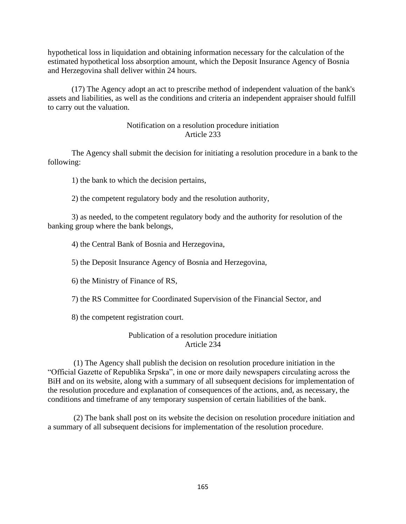hypothetical loss in liquidation and obtaining information necessary for the calculation of the estimated hypothetical loss absorption amount, which the Deposit Insurance Agency of Bosnia and Herzegovina shall deliver within 24 hours.

(17) The Agency adopt an act to prescribe method of independent valuation of the bank's assets and liabilities, as well as the conditions and criteria an independent appraiser should fulfill to carry out the valuation.

## Notification on a resolution procedure initiation Article 233

The Agency shall submit the decision for initiating a resolution procedure in a bank to the following:

1) the bank to which the decision pertains,

2) the competent regulatory body and the resolution authority,

3) as needed, to the competent regulatory body and the authority for resolution of the banking group where the bank belongs,

4) the Central Bank of Bosnia and Herzegovina,

5) the Deposit Insurance Agency of Bosnia and Herzegovina,

6) the Ministry of Finance of RS,

7) the RS Committee for Coordinated Supervision of the Financial Sector, and

8) the competent registration court.

# Publication of a resolution procedure initiation Article 234

(1) The Agency shall publish the decision on resolution procedure initiation in the "Official Gazette of Republika Srpska", in one or more daily newspapers circulating across the BiH and on its website, along with a summary of all subsequent decisions for implementation of the resolution procedure and explanation of consequences of the actions, and, as necessary, the conditions and timeframe of any temporary suspension of certain liabilities of the bank.

(2) The bank shall post on its website the decision on resolution procedure initiation and a summary of all subsequent decisions for implementation of the resolution procedure.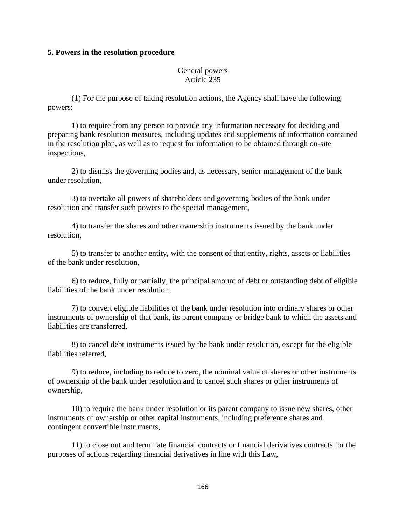#### **5. Powers in the resolution procedure**

### General powers Article 235

(1) For the purpose of taking resolution actions, the Agency shall have the following powers:

1) to require from any person to provide any information necessary for deciding and preparing bank resolution measures, including updates and supplements of information contained in the resolution plan, as well as to request for information to be obtained through on-site inspections,

2) to dismiss the governing bodies and, as necessary, senior management of the bank under resolution,

3) to overtake all powers of shareholders and governing bodies of the bank under resolution and transfer such powers to the special management,

4) to transfer the shares and other ownership instruments issued by the bank under resolution,

5) to transfer to another entity, with the consent of that entity, rights, assets or liabilities of the bank under resolution,

6) to reduce, fully or partially, the principal amount of debt or outstanding debt of eligible liabilities of the bank under resolution,

7) to convert eligible liabilities of the bank under resolution into ordinary shares or other instruments of ownership of that bank, its parent company or bridge bank to which the assets and liabilities are transferred,

8) to cancel debt instruments issued by the bank under resolution, except for the eligible liabilities referred,

9) to reduce, including to reduce to zero, the nominal value of shares or other instruments of ownership of the bank under resolution and to cancel such shares or other instruments of ownership,

10) to require the bank under resolution or its parent company to issue new shares, other instruments of ownership or other capital instruments, including preference shares and contingent convertible instruments,

11) to close out and terminate financial contracts or financial derivatives contracts for the purposes of actions regarding financial derivatives in line with this Law,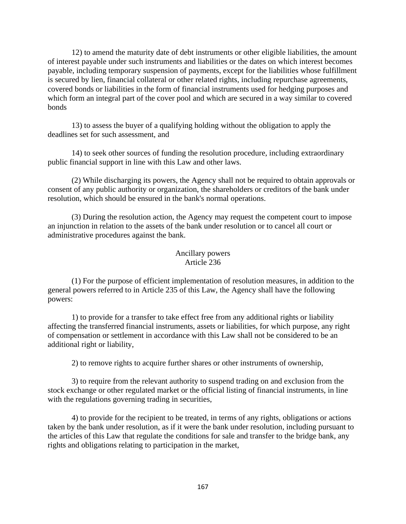12) to amend the maturity date of debt instruments or other eligible liabilities, the amount of interest payable under such instruments and liabilities or the dates on which interest becomes payable, including temporary suspension of payments, except for the liabilities whose fulfillment is secured by lien, financial collateral or other related rights, including repurchase agreements, covered bonds or liabilities in the form of financial instruments used for hedging purposes and which form an integral part of the cover pool and which are secured in a way similar to covered bonds

13) to assess the buyer of a qualifying holding without the obligation to apply the deadlines set for such assessment, and

14) to seek other sources of funding the resolution procedure, including extraordinary public financial support in line with this Law and other laws.

(2) While discharging its powers, the Agency shall not be required to obtain approvals or consent of any public authority or organization, the shareholders or creditors of the bank under resolution, which should be ensured in the bank's normal operations.

(3) During the resolution action, the Agency may request the competent court to impose an injunction in relation to the assets of the bank under resolution or to cancel all court or administrative procedures against the bank.

## Ancillary powers Article 236

(1) For the purpose of efficient implementation of resolution measures, in addition to the general powers referred to in Article 235 of this Law, the Agency shall have the following powers:

1) to provide for a transfer to take effect free from any additional rights or liability affecting the transferred financial instruments, assets or liabilities, for which purpose, any right of compensation or settlement in accordance with this Law shall not be considered to be an additional right or liability,

2) to remove rights to acquire further shares or other instruments of ownership,

3) to require from the relevant authority to suspend trading on and exclusion from the stock exchange or other regulated market or the official listing of financial instruments, in line with the regulations governing trading in securities,

4) to provide for the recipient to be treated, in terms of any rights, obligations or actions taken by the bank under resolution, as if it were the bank under resolution, including pursuant to the articles of this Law that regulate the conditions for sale and transfer to the bridge bank, any rights and obligations relating to participation in the market,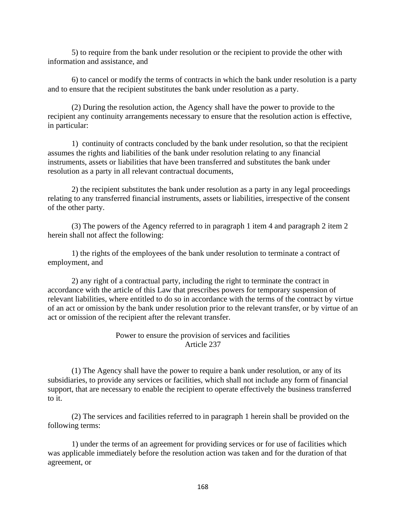5) to require from the bank under resolution or the recipient to provide the other with information and assistance, and

6) to cancel or modify the terms of contracts in which the bank under resolution is a party and to ensure that the recipient substitutes the bank under resolution as a party.

(2) During the resolution action, the Agency shall have the power to provide to the recipient any continuity arrangements necessary to ensure that the resolution action is effective, in particular:

1) continuity of contracts concluded by the bank under resolution, so that the recipient assumes the rights and liabilities of the bank under resolution relating to any financial instruments, assets or liabilities that have been transferred and substitutes the bank under resolution as a party in all relevant contractual documents,

2) the recipient substitutes the bank under resolution as a party in any legal proceedings relating to any transferred financial instruments, assets or liabilities, irrespective of the consent of the other party.

(3) The powers of the Agency referred to in paragraph 1 item 4 and paragraph 2 item 2 herein shall not affect the following:

1) the rights of the employees of the bank under resolution to terminate a contract of employment, and

2) any right of a contractual party, including the right to terminate the contract in accordance with the article of this Law that prescribes powers for temporary suspension of relevant liabilities, where entitled to do so in accordance with the terms of the contract by virtue of an act or omission by the bank under resolution prior to the relevant transfer, or by virtue of an act or omission of the recipient after the relevant transfer.

# Power to ensure the provision of services and facilities Article 237

(1) The Agency shall have the power to require a bank under resolution, or any of its subsidiaries, to provide any services or facilities, which shall not include any form of financial support, that are necessary to enable the recipient to operate effectively the business transferred to it.

(2) The services and facilities referred to in paragraph 1 herein shall be provided on the following terms:

1) under the terms of an agreement for providing services or for use of facilities which was applicable immediately before the resolution action was taken and for the duration of that agreement, or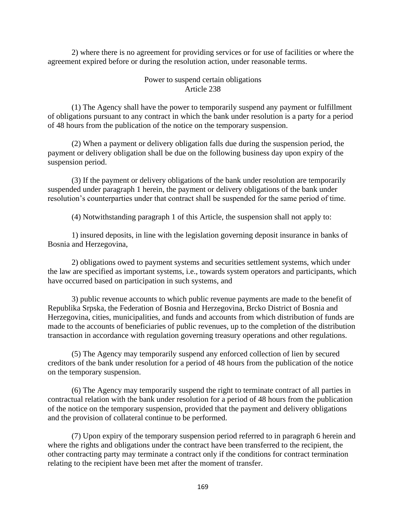2) where there is no agreement for providing services or for use of facilities or where the agreement expired before or during the resolution action, under reasonable terms.

### Power to suspend certain obligations Article 238

(1) The Agency shall have the power to temporarily suspend any payment or fulfillment of obligations pursuant to any contract in which the bank under resolution is a party for a period of 48 hours from the publication of the notice on the temporary suspension.

(2) When a payment or delivery obligation falls due during the suspension period, the payment or delivery obligation shall be due on the following business day upon expiry of the suspension period.

(3) If the payment or delivery obligations of the bank under resolution are temporarily suspended under paragraph 1 herein, the payment or delivery obligations of the bank under resolution's counterparties under that contract shall be suspended for the same period of time.

(4) Notwithstanding paragraph 1 of this Article, the suspension shall not apply to:

1) insured deposits, in line with the legislation governing deposit insurance in banks of Bosnia and Herzegovina,

2) obligations owed to payment systems and securities settlement systems, which under the law are specified as important systems, i.e., towards system operators and participants, which have occurred based on participation in such systems, and

3) public revenue accounts to which public revenue payments are made to the benefit of Republika Srpska, the Federation of Bosnia and Herzegovina, Brcko District of Bosnia and Herzegovina, cities, municipalities, and funds and accounts from which distribution of funds are made to the accounts of beneficiaries of public revenues, up to the completion of the distribution transaction in accordance with regulation governing treasury operations and other regulations.

(5) The Agency may temporarily suspend any enforced collection of lien by secured creditors of the bank under resolution for a period of 48 hours from the publication of the notice on the temporary suspension.

(6) The Agency may temporarily suspend the right to terminate contract of all parties in contractual relation with the bank under resolution for a period of 48 hours from the publication of the notice on the temporary suspension, provided that the payment and delivery obligations and the provision of collateral continue to be performed.

(7) Upon expiry of the temporary suspension period referred to in paragraph 6 herein and where the rights and obligations under the contract have been transferred to the recipient, the other contracting party may terminate a contract only if the conditions for contract termination relating to the recipient have been met after the moment of transfer.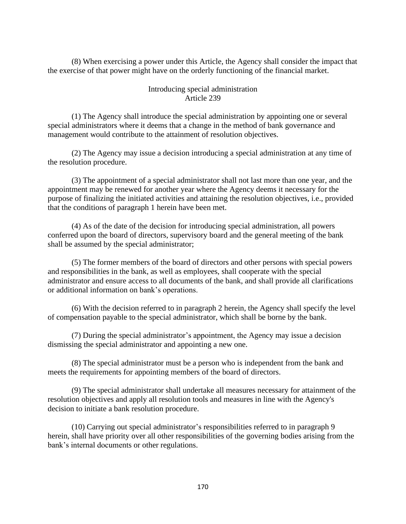(8) When exercising a power under this Article, the Agency shall consider the impact that the exercise of that power might have on the orderly functioning of the financial market.

## Introducing special administration Article 239

(1) The Agency shall introduce the special administration by appointing one or several special administrators where it deems that a change in the method of bank governance and management would contribute to the attainment of resolution objectives.

(2) The Agency may issue a decision introducing a special administration at any time of the resolution procedure.

(3) The appointment of a special administrator shall not last more than one year, and the appointment may be renewed for another year where the Agency deems it necessary for the purpose of finalizing the initiated activities and attaining the resolution objectives, i.e., provided that the conditions of paragraph 1 herein have been met.

(4) As of the date of the decision for introducing special administration, all powers conferred upon the board of directors, supervisory board and the general meeting of the bank shall be assumed by the special administrator;

(5) The former members of the board of directors and other persons with special powers and responsibilities in the bank, as well as employees, shall cooperate with the special administrator and ensure access to all documents of the bank, and shall provide all clarifications or additional information on bank's operations.

(6) With the decision referred to in paragraph 2 herein, the Agency shall specify the level of compensation payable to the special administrator, which shall be borne by the bank.

(7) During the special administrator's appointment, the Agency may issue a decision dismissing the special administrator and appointing a new one.

(8) The special administrator must be a person who is independent from the bank and meets the requirements for appointing members of the board of directors.

(9) The special administrator shall undertake all measures necessary for attainment of the resolution objectives and apply all resolution tools and measures in line with the Agency's decision to initiate a bank resolution procedure.

(10) Carrying out special administrator's responsibilities referred to in paragraph 9 herein, shall have priority over all other responsibilities of the governing bodies arising from the bank's internal documents or other regulations.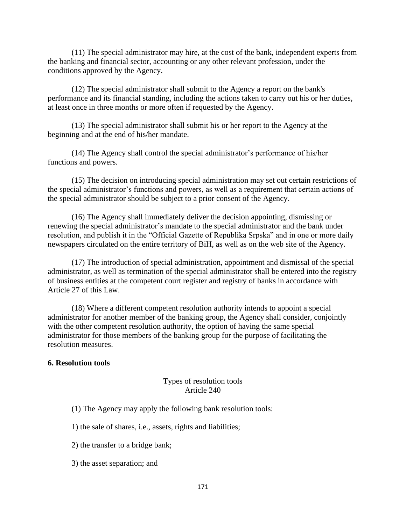(11) The special administrator may hire, at the cost of the bank, independent experts from the banking and financial sector, accounting or any other relevant profession, under the conditions approved by the Agency.

(12) The special administrator shall submit to the Agency a report on the bank's performance and its financial standing, including the actions taken to carry out his or her duties, at least once in three months or more often if requested by the Agency.

(13) The special administrator shall submit his or her report to the Agency at the beginning and at the end of his/her mandate.

(14) The Agency shall control the special administrator's performance of his/her functions and powers.

(15) The decision on introducing special administration may set out certain restrictions of the special administrator's functions and powers, as well as a requirement that certain actions of the special administrator should be subject to a prior consent of the Agency.

(16) The Agency shall immediately deliver the decision appointing, dismissing or renewing the special administrator's mandate to the special administrator and the bank under resolution, and publish it in the "Official Gazette of Republika Srpska" and in one or more daily newspapers circulated on the entire territory of BiH, as well as on the web site of the Agency.

(17) The introduction of special administration, appointment and dismissal of the special administrator, as well as termination of the special administrator shall be entered into the registry of business entities at the competent court register and registry of banks in accordance with Article 27 of this Law.

(18) Where a different competent resolution authority intends to appoint a special administrator for another member of the banking group, the Agency shall consider, conjointly with the other competent resolution authority, the option of having the same special administrator for those members of the banking group for the purpose of facilitating the resolution measures.

### **6. Resolution tools**

### Types of resolution tools Article 240

- (1) The Agency may apply the following bank resolution tools:
- 1) the sale of shares, i.e., assets, rights and liabilities;
- 2) the transfer to a bridge bank;
- 3) the asset separation; and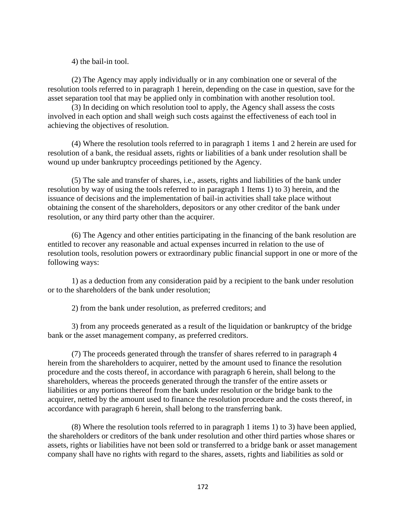4) the bail-in tool.

(2) The Agency may apply individually or in any combination one or several of the resolution tools referred to in paragraph 1 herein, depending on the case in question, save for the asset separation tool that may be applied only in combination with another resolution tool.

(3) In deciding on which resolution tool to apply, the Agency shall assess the costs involved in each option and shall weigh such costs against the effectiveness of each tool in achieving the objectives of resolution.

(4) Where the resolution tools referred to in paragraph 1 items 1 and 2 herein are used for resolution of a bank, the residual assets, rights or liabilities of a bank under resolution shall be wound up under bankruptcy proceedings petitioned by the Agency.

(5) The sale and transfer of shares, i.e., assets, rights and liabilities of the bank under resolution by way of using the tools referred to in paragraph 1 Items 1) to 3) herein, and the issuance of decisions and the implementation of bail-in activities shall take place without obtaining the consent of the shareholders, depositors or any other creditor of the bank under resolution, or any third party other than the acquirer.

(6) The Agency and other entities participating in the financing of the bank resolution are entitled to recover any reasonable and actual expenses incurred in relation to the use of resolution tools, resolution powers or extraordinary public financial support in one or more of the following ways:

1) as a deduction from any consideration paid by a recipient to the bank under resolution or to the shareholders of the bank under resolution;

2) from the bank under resolution, as preferred creditors; and

3) from any proceeds generated as a result of the liquidation or bankruptcy of the bridge bank or the asset management company, as preferred creditors.

(7) The proceeds generated through the transfer of shares referred to in paragraph 4 herein from the shareholders to acquirer, netted by the amount used to finance the resolution procedure and the costs thereof, in accordance with paragraph 6 herein, shall belong to the shareholders, whereas the proceeds generated through the transfer of the entire assets or liabilities or any portions thereof from the bank under resolution or the bridge bank to the acquirer, netted by the amount used to finance the resolution procedure and the costs thereof, in accordance with paragraph 6 herein, shall belong to the transferring bank.

(8) Where the resolution tools referred to in paragraph 1 items 1) to 3) have been applied, the shareholders or creditors of the bank under resolution and other third parties whose shares or assets, rights or liabilities have not been sold or transferred to a bridge bank or asset management company shall have no rights with regard to the shares, assets, rights and liabilities as sold or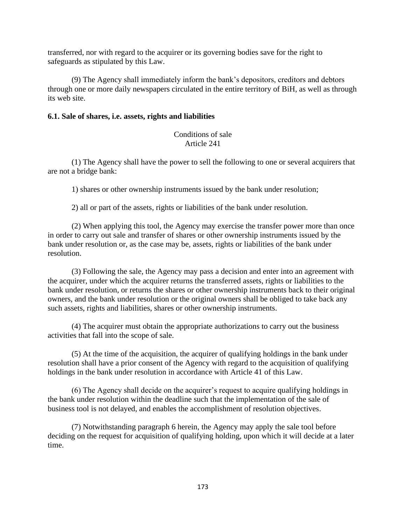transferred, nor with regard to the acquirer or its governing bodies save for the right to safeguards as stipulated by this Law.

(9) The Agency shall immediately inform the bank's depositors, creditors and debtors through one or more daily newspapers circulated in the entire territory of BiH, as well as through its web site.

### **6.1. Sale of shares, i.e. assets, rights and liabilities**

## Conditions of sale Article 241

(1) The Agency shall have the power to sell the following to one or several acquirers that are not a bridge bank:

1) shares or other ownership instruments issued by the bank under resolution;

2) all or part of the assets, rights or liabilities of the bank under resolution.

(2) When applying this tool, the Agency may exercise the transfer power more than once in order to carry out sale and transfer of shares or other ownership instruments issued by the bank under resolution or, as the case may be, assets, rights or liabilities of the bank under resolution.

(3) Following the sale, the Agency may pass a decision and enter into an agreement with the acquirer, under which the acquirer returns the transferred assets, rights or liabilities to the bank under resolution, or returns the shares or other ownership instruments back to their original owners, and the bank under resolution or the original owners shall be obliged to take back any such assets, rights and liabilities, shares or other ownership instruments.

(4) The acquirer must obtain the appropriate authorizations to carry out the business activities that fall into the scope of sale.

(5) At the time of the acquisition, the acquirer of qualifying holdings in the bank under resolution shall have a prior consent of the Agency with regard to the acquisition of qualifying holdings in the bank under resolution in accordance with Article 41 of this Law.

(6) The Agency shall decide on the acquirer's request to acquire qualifying holdings in the bank under resolution within the deadline such that the implementation of the sale of business tool is not delayed, and enables the accomplishment of resolution objectives.

(7) Notwithstanding paragraph 6 herein, the Agency may apply the sale tool before deciding on the request for acquisition of qualifying holding, upon which it will decide at a later time.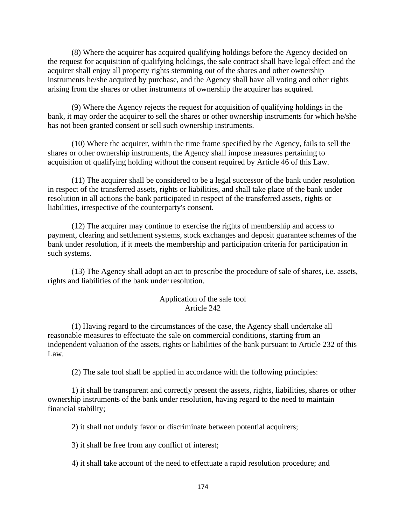(8) Where the acquirer has acquired qualifying holdings before the Agency decided on the request for acquisition of qualifying holdings, the sale contract shall have legal effect and the acquirer shall enjoy all property rights stemming out of the shares and other ownership instruments he/she acquired by purchase, and the Agency shall have all voting and other rights arising from the shares or other instruments of ownership the acquirer has acquired.

(9) Where the Agency rejects the request for acquisition of qualifying holdings in the bank, it may order the acquirer to sell the shares or other ownership instruments for which he/she has not been granted consent or sell such ownership instruments.

(10) Where the acquirer, within the time frame specified by the Agency, fails to sell the shares or other ownership instruments, the Agency shall impose measures pertaining to acquisition of qualifying holding without the consent required by Article 46 of this Law.

(11) The acquirer shall be considered to be a legal successor of the bank under resolution in respect of the transferred assets, rights or liabilities, and shall take place of the bank under resolution in all actions the bank participated in respect of the transferred assets, rights or liabilities, irrespective of the counterparty's consent.

(12) The acquirer may continue to exercise the rights of membership and access to payment, clearing and settlement systems, stock exchanges and deposit guarantee schemes of the bank under resolution, if it meets the membership and participation criteria for participation in such systems.

(13) The Agency shall adopt an act to prescribe the procedure of sale of shares, i.e. assets, rights and liabilities of the bank under resolution.

#### Application of the sale tool Article 242

(1) Having regard to the circumstances of the case, the Agency shall undertake all reasonable measures to effectuate the sale on commercial conditions, starting from an independent valuation of the assets, rights or liabilities of the bank pursuant to Article 232 of this Law.

(2) The sale tool shall be applied in accordance with the following principles:

1) it shall be transparent and correctly present the assets, rights, liabilities, shares or other ownership instruments of the bank under resolution, having regard to the need to maintain financial stability;

2) it shall not unduly favor or discriminate between potential acquirers;

3) it shall be free from any conflict of interest;

4) it shall take account of the need to effectuate a rapid resolution procedure; and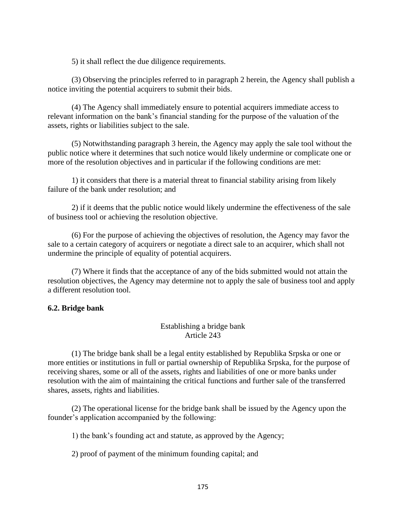5) it shall reflect the due diligence requirements.

(3) Observing the principles referred to in paragraph 2 herein, the Agency shall publish a notice inviting the potential acquirers to submit their bids.

(4) The Agency shall immediately ensure to potential acquirers immediate access to relevant information on the bank's financial standing for the purpose of the valuation of the assets, rights or liabilities subject to the sale.

(5) Notwithstanding paragraph 3 herein, the Agency may apply the sale tool without the public notice where it determines that such notice would likely undermine or complicate one or more of the resolution objectives and in particular if the following conditions are met:

1) it considers that there is a material threat to financial stability arising from likely failure of the bank under resolution; and

2) if it deems that the public notice would likely undermine the effectiveness of the sale of business tool or achieving the resolution objective.

(6) For the purpose of achieving the objectives of resolution, the Agency may favor the sale to a certain category of acquirers or negotiate a direct sale to an acquirer, which shall not undermine the principle of equality of potential acquirers.

(7) Where it finds that the acceptance of any of the bids submitted would not attain the resolution objectives, the Agency may determine not to apply the sale of business tool and apply a different resolution tool.

### **6.2. Bridge bank**

#### Establishing a bridge bank Article 243

(1) The bridge bank shall be a legal entity established by Republika Srpska or one or more entities or institutions in full or partial ownership of Republika Srpska, for the purpose of receiving shares, some or all of the assets, rights and liabilities of one or more banks under resolution with the aim of maintaining the critical functions and further sale of the transferred shares, assets, rights and liabilities.

(2) The operational license for the bridge bank shall be issued by the Agency upon the founder's application accompanied by the following:

1) the bank's founding act and statute, as approved by the Agency;

2) proof of payment of the minimum founding capital; and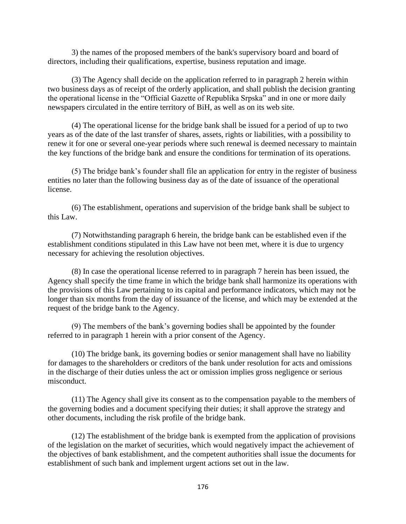3) the names of the proposed members of the bank's supervisory board and board of directors, including their qualifications, expertise, business reputation and image.

(3) The Agency shall decide on the application referred to in paragraph 2 herein within two business days as of receipt of the orderly application, and shall publish the decision granting the operational license in the "Official Gazette of Republika Srpska" and in one or more daily newspapers circulated in the entire territory of BiH, as well as on its web site.

(4) The operational license for the bridge bank shall be issued for a period of up to two years as of the date of the last transfer of shares, assets, rights or liabilities, with a possibility to renew it for one or several one-year periods where such renewal is deemed necessary to maintain the key functions of the bridge bank and ensure the conditions for termination of its operations.

(5) The bridge bank's founder shall file an application for entry in the register of business entities no later than the following business day as of the date of issuance of the operational license.

(6) The establishment, operations and supervision of the bridge bank shall be subject to this Law.

(7) Notwithstanding paragraph 6 herein, the bridge bank can be established even if the establishment conditions stipulated in this Law have not been met, where it is due to urgency necessary for achieving the resolution objectives.

(8) In case the operational license referred to in paragraph 7 herein has been issued, the Agency shall specify the time frame in which the bridge bank shall harmonize its operations with the provisions of this Law pertaining to its capital and performance indicators, which may not be longer than six months from the day of issuance of the license, and which may be extended at the request of the bridge bank to the Agency.

(9) The members of the bank's governing bodies shall be appointed by the founder referred to in paragraph 1 herein with a prior consent of the Agency.

(10) The bridge bank, its governing bodies or senior management shall have no liability for damages to the shareholders or creditors of the bank under resolution for acts and omissions in the discharge of their duties unless the act or omission implies gross negligence or serious misconduct.

(11) The Agency shall give its consent as to the compensation payable to the members of the governing bodies and a document specifying their duties; it shall approve the strategy and other documents, including the risk profile of the bridge bank.

(12) The establishment of the bridge bank is exempted from the application of provisions of the legislation on the market of securities, which would negatively impact the achievement of the objectives of bank establishment, and the competent authorities shall issue the documents for establishment of such bank and implement urgent actions set out in the law.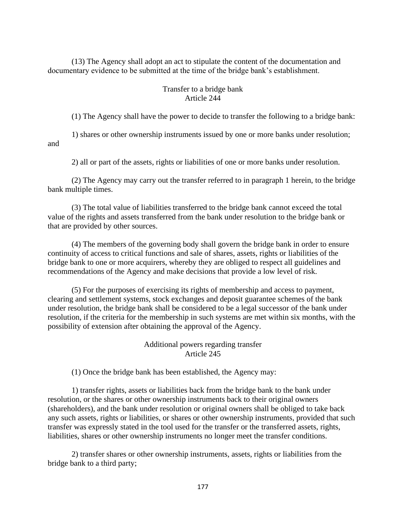(13) The Agency shall adopt an act to stipulate the content of the documentation and documentary evidence to be submitted at the time of the bridge bank's establishment.

## Transfer to a bridge bank Article 244

(1) The Agency shall have the power to decide to transfer the following to a bridge bank:

1) shares or other ownership instruments issued by one or more banks under resolution; and

2) all or part of the assets, rights or liabilities of one or more banks under resolution.

(2) The Agency may carry out the transfer referred to in paragraph 1 herein, to the bridge bank multiple times.

(3) The total value of liabilities transferred to the bridge bank cannot exceed the total value of the rights and assets transferred from the bank under resolution to the bridge bank or that are provided by other sources.

(4) The members of the governing body shall govern the bridge bank in order to ensure continuity of access to critical functions and sale of shares, assets, rights or liabilities of the bridge bank to one or more acquirers, whereby they are obliged to respect all guidelines and recommendations of the Agency and make decisions that provide a low level of risk.

(5) For the purposes of exercising its rights of membership and access to payment, clearing and settlement systems, stock exchanges and deposit guarantee schemes of the bank under resolution, the bridge bank shall be considered to be a legal successor of the bank under resolution, if the criteria for the membership in such systems are met within six months, with the possibility of extension after obtaining the approval of the Agency.

## Additional powers regarding transfer Article 245

(1) Once the bridge bank has been established, the Agency may:

1) transfer rights, assets or liabilities back from the bridge bank to the bank under resolution, or the shares or other ownership instruments back to their original owners (shareholders), and the bank under resolution or original owners shall be obliged to take back any such assets, rights or liabilities, or shares or other ownership instruments, provided that such transfer was expressly stated in the tool used for the transfer or the transferred assets, rights, liabilities, shares or other ownership instruments no longer meet the transfer conditions.

2) transfer shares or other ownership instruments, assets, rights or liabilities from the bridge bank to a third party;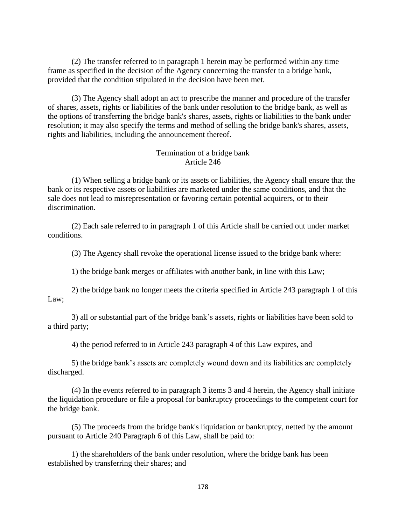(2) The transfer referred to in paragraph 1 herein may be performed within any time frame as specified in the decision of the Agency concerning the transfer to a bridge bank, provided that the condition stipulated in the decision have been met.

(3) The Agency shall adopt an act to prescribe the manner and procedure of the transfer of shares, assets, rights or liabilities of the bank under resolution to the bridge bank, as well as the options of transferring the bridge bank's shares, assets, rights or liabilities to the bank under resolution; it may also specify the terms and method of selling the bridge bank's shares, assets, rights and liabilities, including the announcement thereof.

### Termination of a bridge bank Article 246

(1) When selling a bridge bank or its assets or liabilities, the Agency shall ensure that the bank or its respective assets or liabilities are marketed under the same conditions, and that the sale does not lead to misrepresentation or favoring certain potential acquirers, or to their discrimination.

(2) Each sale referred to in paragraph 1 of this Article shall be carried out under market conditions.

(3) The Agency shall revoke the operational license issued to the bridge bank where:

1) the bridge bank merges or affiliates with another bank, in line with this Law;

2) the bridge bank no longer meets the criteria specified in Article 243 paragraph 1 of this Law;

3) all or substantial part of the bridge bank's assets, rights or liabilities have been sold to a third party;

4) the period referred to in Article 243 paragraph 4 of this Law expires, and

5) the bridge bank's assets are completely wound down and its liabilities are completely discharged.

(4) In the events referred to in paragraph 3 items 3 and 4 herein, the Agency shall initiate the liquidation procedure or file a proposal for bankruptcy proceedings to the competent court for the bridge bank.

(5) The proceeds from the bridge bank's liquidation or bankruptcy, netted by the amount pursuant to Article 240 Paragraph 6 of this Law, shall be paid to:

1) the shareholders of the bank under resolution, where the bridge bank has been established by transferring their shares; and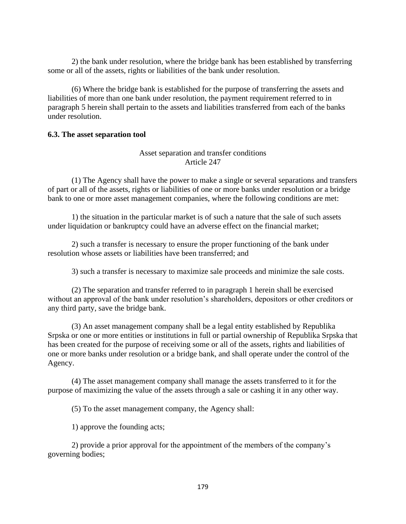2) the bank under resolution, where the bridge bank has been established by transferring some or all of the assets, rights or liabilities of the bank under resolution.

(6) Where the bridge bank is established for the purpose of transferring the assets and liabilities of more than one bank under resolution, the payment requirement referred to in paragraph 5 herein shall pertain to the assets and liabilities transferred from each of the banks under resolution.

### **6.3. The asset separation tool**

## Asset separation and transfer conditions Article 247

(1) The Agency shall have the power to make a single or several separations and transfers of part or all of the assets, rights or liabilities of one or more banks under resolution or a bridge bank to one or more asset management companies, where the following conditions are met:

1) the situation in the particular market is of such a nature that the sale of such assets under liquidation or bankruptcy could have an adverse effect on the financial market;

2) such a transfer is necessary to ensure the proper functioning of the bank under resolution whose assets or liabilities have been transferred; and

3) such a transfer is necessary to maximize sale proceeds and minimize the sale costs.

(2) The separation and transfer referred to in paragraph 1 herein shall be exercised without an approval of the bank under resolution's shareholders, depositors or other creditors or any third party, save the bridge bank.

(3) An asset management company shall be a legal entity established by Republika Srpska or one or more entities or institutions in full or partial ownership of Republika Srpska that has been created for the purpose of receiving some or all of the assets, rights and liabilities of one or more banks under resolution or a bridge bank, and shall operate under the control of the Agency.

(4) The asset management company shall manage the assets transferred to it for the purpose of maximizing the value of the assets through a sale or cashing it in any other way.

(5) To the asset management company, the Agency shall:

1) approve the founding acts;

2) provide a prior approval for the appointment of the members of the company's governing bodies;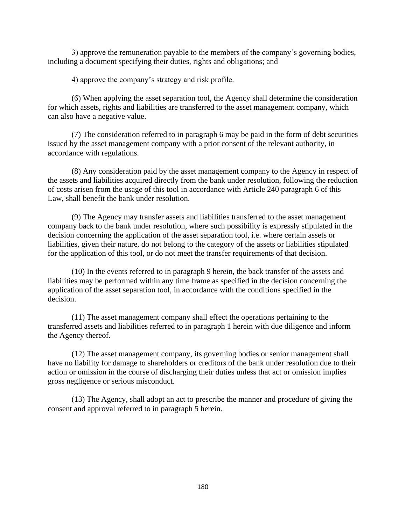3) approve the remuneration payable to the members of the company's governing bodies, including a document specifying their duties, rights and obligations; and

4) approve the company's strategy and risk profile.

(6) When applying the asset separation tool, the Agency shall determine the consideration for which assets, rights and liabilities are transferred to the asset management company, which can also have a negative value.

(7) The consideration referred to in paragraph 6 may be paid in the form of debt securities issued by the asset management company with a prior consent of the relevant authority, in accordance with regulations.

(8) Any consideration paid by the asset management company to the Agency in respect of the assets and liabilities acquired directly from the bank under resolution, following the reduction of costs arisen from the usage of this tool in accordance with Article 240 paragraph 6 of this Law, shall benefit the bank under resolution.

(9) The Agency may transfer assets and liabilities transferred to the asset management company back to the bank under resolution, where such possibility is expressly stipulated in the decision concerning the application of the asset separation tool, i.e. where certain assets or liabilities, given their nature, do not belong to the category of the assets or liabilities stipulated for the application of this tool, or do not meet the transfer requirements of that decision.

(10) In the events referred to in paragraph 9 herein, the back transfer of the assets and liabilities may be performed within any time frame as specified in the decision concerning the application of the asset separation tool, in accordance with the conditions specified in the decision.

(11) The asset management company shall effect the operations pertaining to the transferred assets and liabilities referred to in paragraph 1 herein with due diligence and inform the Agency thereof.

(12) The asset management company, its governing bodies or senior management shall have no liability for damage to shareholders or creditors of the bank under resolution due to their action or omission in the course of discharging their duties unless that act or omission implies gross negligence or serious misconduct.

(13) The Agency, shall adopt an act to prescribe the manner and procedure of giving the consent and approval referred to in paragraph 5 herein.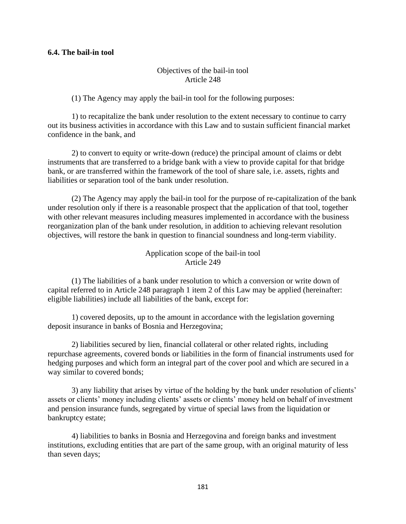#### **6.4. The bail-in tool**

## Objectives of the bail-in tool Article 248

(1) The Agency may apply the bail-in tool for the following purposes:

1) to recapitalize the bank under resolution to the extent necessary to continue to carry out its business activities in accordance with this Law and to sustain sufficient financial market confidence in the bank, and

2) to convert to equity or write-down (reduce) the principal amount of claims or debt instruments that are transferred to a bridge bank with a view to provide capital for that bridge bank, or are transferred within the framework of the tool of share sale, i.e. assets, rights and liabilities or separation tool of the bank under resolution.

(2) The Agency may apply the bail-in tool for the purpose of re-capitalization of the bank under resolution only if there is a reasonable prospect that the application of that tool, together with other relevant measures including measures implemented in accordance with the business reorganization plan of the bank under resolution, in addition to achieving relevant resolution objectives, will restore the bank in question to financial soundness and long-term viability.

> Application scope of the bail-in tool Article 249

(1) The liabilities of a bank under resolution to which a conversion or write down of capital referred to in Article 248 paragraph 1 item 2 of this Law may be applied (hereinafter: eligible liabilities) include all liabilities of the bank, except for:

1) covered deposits, up to the amount in accordance with the legislation governing deposit insurance in banks of Bosnia and Herzegovina;

2) liabilities secured by lien, financial collateral or other related rights, including repurchase agreements, covered bonds or liabilities in the form of financial instruments used for hedging purposes and which form an integral part of the cover pool and which are secured in a way similar to covered bonds;

3) any liability that arises by virtue of the holding by the bank under resolution of clients' assets or clients' money including clients' assets or clients' money held on behalf of investment and pension insurance funds, segregated by virtue of special laws from the liquidation or bankruptcy estate;

4) liabilities to banks in Bosnia and Herzegovina and foreign banks and investment institutions, excluding entities that are part of the same group, with an original maturity of less than seven days;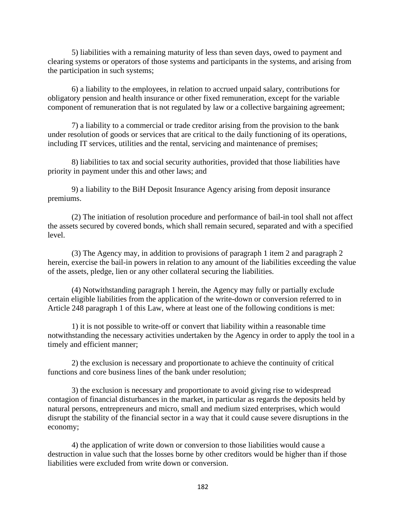5) liabilities with a remaining maturity of less than seven days, owed to payment and clearing systems or operators of those systems and participants in the systems, and arising from the participation in such systems;

6) a liability to the employees, in relation to accrued unpaid salary, contributions for obligatory pension and health insurance or other fixed remuneration, except for the variable component of remuneration that is not regulated by law or a collective bargaining agreement;

7) a liability to a commercial or trade creditor arising from the provision to the bank under resolution of goods or services that are critical to the daily functioning of its operations, including IT services, utilities and the rental, servicing and maintenance of premises;

8) liabilities to tax and social security authorities, provided that those liabilities have priority in payment under this and other laws; and

9) a liability to the BiH Deposit Insurance Agency arising from deposit insurance premiums.

(2) The initiation of resolution procedure and performance of bail-in tool shall not affect the assets secured by covered bonds, which shall remain secured, separated and with a specified level.

(3) The Agency may, in addition to provisions of paragraph 1 item 2 and paragraph 2 herein, exercise the bail-in powers in relation to any amount of the liabilities exceeding the value of the assets, pledge, lien or any other collateral securing the liabilities.

(4) Notwithstanding paragraph 1 herein, the Agency may fully or partially exclude certain eligible liabilities from the application of the write-down or conversion referred to in Article 248 paragraph 1 of this Law, where at least one of the following conditions is met:

1) it is not possible to write-off or convert that liability within a reasonable time notwithstanding the necessary activities undertaken by the Agency in order to apply the tool in a timely and efficient manner;

2) the exclusion is necessary and proportionate to achieve the continuity of critical functions and core business lines of the bank under resolution;

3) the exclusion is necessary and proportionate to avoid giving rise to widespread contagion of financial disturbances in the market, in particular as regards the deposits held by natural persons, entrepreneurs and micro, small and medium sized enterprises, which would disrupt the stability of the financial sector in a way that it could cause severe disruptions in the economy;

4) the application of write down or conversion to those liabilities would cause a destruction in value such that the losses borne by other creditors would be higher than if those liabilities were excluded from write down or conversion.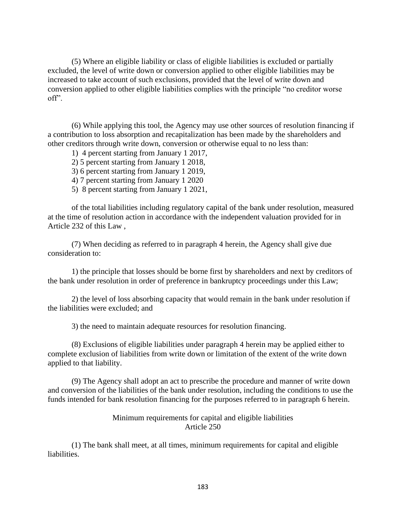(5) Where an eligible liability or class of eligible liabilities is excluded or partially excluded, the level of write down or conversion applied to other eligible liabilities may be increased to take account of such exclusions, provided that the level of write down and conversion applied to other eligible liabilities complies with the principle "no creditor worse off".

(6) While applying this tool, the Agency may use other sources of resolution financing if a contribution to loss absorption and recapitalization has been made by the shareholders and other creditors through write down, conversion or otherwise equal to no less than:

- 1) 4 percent starting from January 1 2017,
- 2) 5 percent starting from January 1 2018,
- 3) 6 percent starting from January 1 2019,
- 4) 7 percent starting from January 1 2020
- 5) 8 percent starting from January 1 2021,

of the total liabilities including regulatory capital of the bank under resolution, measured at the time of resolution action in accordance with the independent valuation provided for in Article 232 of this Law ,

(7) When deciding as referred to in paragraph 4 herein, the Agency shall give due consideration to:

1) the principle that losses should be borne first by shareholders and next by creditors of the bank under resolution in order of preference in bankruptcy proceedings under this Law;

2) the level of loss absorbing capacity that would remain in the bank under resolution if the liabilities were excluded; and

3) the need to maintain adequate resources for resolution financing.

(8) Exclusions of eligible liabilities under paragraph 4 herein may be applied either to complete exclusion of liabilities from write down or limitation of the extent of the write down applied to that liability.

(9) The Agency shall adopt an act to prescribe the procedure and manner of write down and conversion of the liabilities of the bank under resolution, including the conditions to use the funds intended for bank resolution financing for the purposes referred to in paragraph 6 herein.

#### Minimum requirements for capital and eligible liabilities Article 250

(1) The bank shall meet, at all times, minimum requirements for capital and eligible liabilities.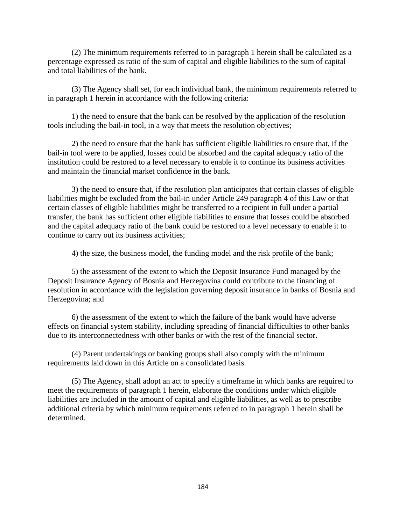(2) The minimum requirements referred to in paragraph 1 herein shall be calculated as a percentage expressed as ratio of the sum of capital and eligible liabilities to the sum of capital and total liabilities of the bank.

(3) The Agency shall set, for each individual bank, the minimum requirements referred to in paragraph 1 herein in accordance with the following criteria:

1) the need to ensure that the bank can be resolved by the application of the resolution tools including the bail-in tool, in a way that meets the resolution objectives;

2) the need to ensure that the bank has sufficient eligible liabilities to ensure that, if the bail-in tool were to be applied, losses could be absorbed and the capital adequacy ratio of the institution could be restored to a level necessary to enable it to continue its business activities and maintain the financial market confidence in the bank.

3) the need to ensure that, if the resolution plan anticipates that certain classes of eligible liabilities might be excluded from the bail-in under Article 249 paragraph 4 of this Law or that certain classes of eligible liabilities might be transferred to a recipient in full under a partial transfer, the bank has sufficient other eligible liabilities to ensure that losses could be absorbed and the capital adequacy ratio of the bank could be restored to a level necessary to enable it to continue to carry out its business activities;

4) the size, the business model, the funding model and the risk profile of the bank;

5) the assessment of the extent to which the Deposit Insurance Fund managed by the Deposit Insurance Agency of Bosnia and Herzegovina could contribute to the financing of resolution in accordance with the legislation governing deposit insurance in banks of Bosnia and Herzegovina; and

6) the assessment of the extent to which the failure of the bank would have adverse effects on financial system stability, including spreading of financial difficulties to other banks due to its interconnectedness with other banks or with the rest of the financial sector.

(4) Parent undertakings or banking groups shall also comply with the minimum requirements laid down in this Article on a consolidated basis.

(5) The Agency, shall adopt an act to specify a timeframe in which banks are required to meet the requirements of paragraph 1 herein, elaborate the conditions under which eligible liabilities are included in the amount of capital and eligible liabilities, as well as to prescribe additional criteria by which minimum requirements referred to in paragraph 1 herein shall be determined.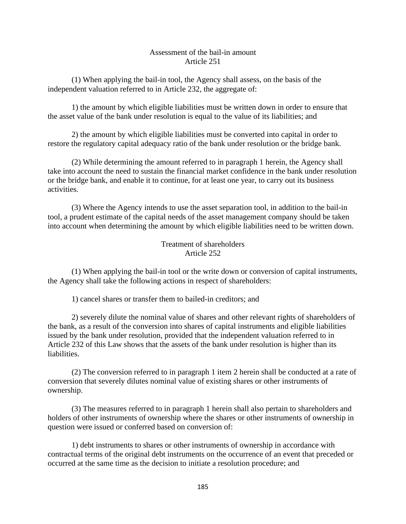#### Assessment of the bail-in amount Article 251

(1) When applying the bail-in tool, the Agency shall assess, on the basis of the independent valuation referred to in Article 232, the aggregate of:

1) the amount by which eligible liabilities must be written down in order to ensure that the asset value of the bank under resolution is equal to the value of its liabilities; and

2) the amount by which eligible liabilities must be converted into capital in order to restore the regulatory capital adequacy ratio of the bank under resolution or the bridge bank.

(2) While determining the amount referred to in paragraph 1 herein, the Agency shall take into account the need to sustain the financial market confidence in the bank under resolution or the bridge bank, and enable it to continue, for at least one year, to carry out its business activities.

(3) Where the Agency intends to use the asset separation tool, in addition to the bail-in tool, a prudent estimate of the capital needs of the asset management company should be taken into account when determining the amount by which eligible liabilities need to be written down.

# Treatment of shareholders Article 252

(1) When applying the bail-in tool or the write down or conversion of capital instruments, the Agency shall take the following actions in respect of shareholders:

1) cancel shares or transfer them to bailed-in creditors; and

2) severely dilute the nominal value of shares and other relevant rights of shareholders of the bank, as a result of the conversion into shares of capital instruments and eligible liabilities issued by the bank under resolution, provided that the independent valuation referred to in Article 232 of this Law shows that the assets of the bank under resolution is higher than its liabilities.

(2) The conversion referred to in paragraph 1 item 2 herein shall be conducted at a rate of conversion that severely dilutes nominal value of existing shares or other instruments of ownership.

(3) The measures referred to in paragraph 1 herein shall also pertain to shareholders and holders of other instruments of ownership where the shares or other instruments of ownership in question were issued or conferred based on conversion of:

1) debt instruments to shares or other instruments of ownership in accordance with contractual terms of the original debt instruments on the occurrence of an event that preceded or occurred at the same time as the decision to initiate a resolution procedure; and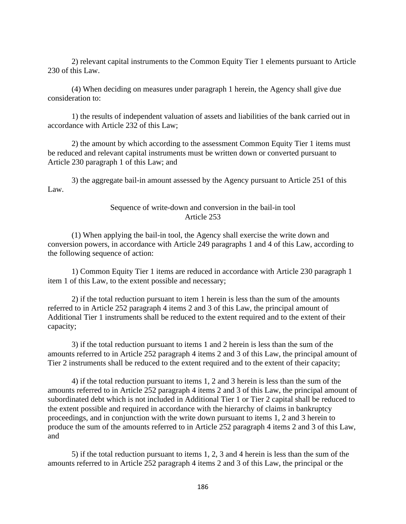2) relevant capital instruments to the Common Equity Tier 1 elements pursuant to Article 230 of this Law.

(4) When deciding on measures under paragraph 1 herein, the Agency shall give due consideration to:

1) the results of independent valuation of assets and liabilities of the bank carried out in accordance with Article 232 of this Law;

2) the amount by which according to the assessment Common Equity Tier 1 items must be reduced and relevant capital instruments must be written down or converted pursuant to Article 230 paragraph 1 of this Law; and

3) the aggregate bail-in amount assessed by the Agency pursuant to Article 251 of this Law.

#### Sequence of write-down and conversion in the bail-in tool Article 253

(1) When applying the bail-in tool, the Agency shall exercise the write down and conversion powers, in accordance with Article 249 paragraphs 1 and 4 of this Law, according to the following sequence of action:

1) Common Equity Tier 1 items are reduced in accordance with Article 230 paragraph 1 item 1 of this Law, to the extent possible and necessary;

2) if the total reduction pursuant to item 1 herein is less than the sum of the amounts referred to in Article 252 paragraph 4 items 2 and 3 of this Law, the principal amount of Additional Tier 1 instruments shall be reduced to the extent required and to the extent of their capacity;

3) if the total reduction pursuant to items 1 and 2 herein is less than the sum of the amounts referred to in Article 252 paragraph 4 items 2 and 3 of this Law, the principal amount of Tier 2 instruments shall be reduced to the extent required and to the extent of their capacity;

4) if the total reduction pursuant to items 1, 2 and 3 herein is less than the sum of the amounts referred to in Article 252 paragraph 4 items 2 and 3 of this Law, the principal amount of subordinated debt which is not included in Additional Tier 1 or Tier 2 capital shall be reduced to the extent possible and required in accordance with the hierarchy of claims in bankruptcy proceedings, and in conjunction with the write down pursuant to items 1, 2 and 3 herein to produce the sum of the amounts referred to in Article 252 paragraph 4 items 2 and 3 of this Law, and

5) if the total reduction pursuant to items 1, 2, 3 and 4 herein is less than the sum of the amounts referred to in Article 252 paragraph 4 items 2 and 3 of this Law, the principal or the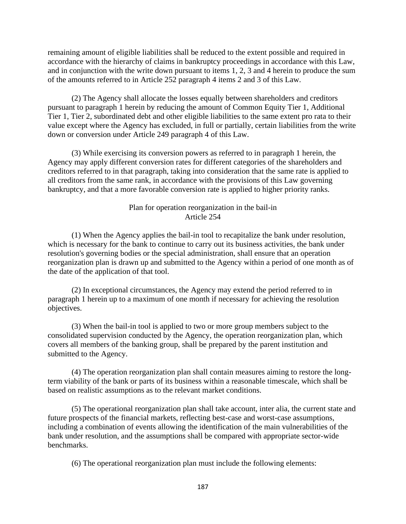remaining amount of eligible liabilities shall be reduced to the extent possible and required in accordance with the hierarchy of claims in bankruptcy proceedings in accordance with this Law, and in conjunction with the write down pursuant to items 1, 2, 3 and 4 herein to produce the sum of the amounts referred to in Article 252 paragraph 4 items 2 and 3 of this Law.

(2) The Agency shall allocate the losses equally between shareholders and creditors pursuant to paragraph 1 herein by reducing the amount of Common Equity Tier 1, Additional Tier 1, Tier 2, subordinated debt and other eligible liabilities to the same extent pro rata to their value except where the Agency has excluded, in full or partially, certain liabilities from the write down or conversion under Article 249 paragraph 4 of this Law.

(3) While exercising its conversion powers as referred to in paragraph 1 herein, the Agency may apply different conversion rates for different categories of the shareholders and creditors referred to in that paragraph, taking into consideration that the same rate is applied to all creditors from the same rank, in accordance with the provisions of this Law governing bankruptcy, and that a more favorable conversion rate is applied to higher priority ranks.

#### Plan for operation reorganization in the bail-in Article 254

(1) When the Agency applies the bail-in tool to recapitalize the bank under resolution, which is necessary for the bank to continue to carry out its business activities, the bank under resolution's governing bodies or the special administration, shall ensure that an operation reorganization plan is drawn up and submitted to the Agency within a period of one month as of the date of the application of that tool.

(2) In exceptional circumstances, the Agency may extend the period referred to in paragraph 1 herein up to a maximum of one month if necessary for achieving the resolution objectives.

(3) When the bail-in tool is applied to two or more group members subject to the consolidated supervision conducted by the Agency, the operation reorganization plan, which covers all members of the banking group, shall be prepared by the parent institution and submitted to the Agency.

(4) The operation reorganization plan shall contain measures aiming to restore the longterm viability of the bank or parts of its business within a reasonable timescale, which shall be based on realistic assumptions as to the relevant market conditions.

(5) The operational reorganization plan shall take account, inter alia, the current state and future prospects of the financial markets, reflecting best-case and worst-case assumptions, including a combination of events allowing the identification of the main vulnerabilities of the bank under resolution, and the assumptions shall be compared with appropriate sector-wide benchmarks.

(6) The operational reorganization plan must include the following elements: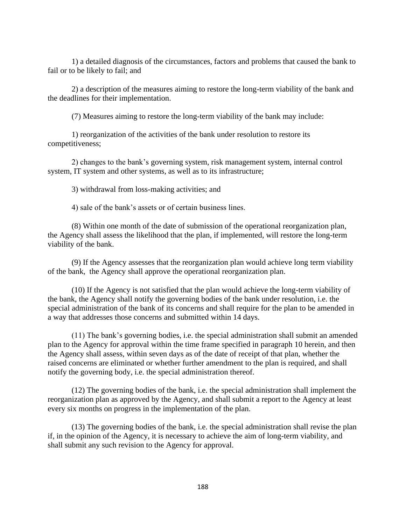1) a detailed diagnosis of the circumstances, factors and problems that caused the bank to fail or to be likely to fail; and

2) a description of the measures aiming to restore the long-term viability of the bank and the deadlines for their implementation.

(7) Measures aiming to restore the long-term viability of the bank may include:

1) reorganization of the activities of the bank under resolution to restore its competitiveness;

2) changes to the bank's governing system, risk management system, internal control system, IT system and other systems, as well as to its infrastructure;

3) withdrawal from loss-making activities; and

4) sale of the bank's assets or of certain business lines.

(8) Within one month of the date of submission of the operational reorganization plan, the Agency shall assess the likelihood that the plan, if implemented, will restore the long-term viability of the bank.

(9) If the Agency assesses that the reorganization plan would achieve long term viability of the bank, the Agency shall approve the operational reorganization plan.

(10) If the Agency is not satisfied that the plan would achieve the long-term viability of the bank, the Agency shall notify the governing bodies of the bank under resolution, i.e. the special administration of the bank of its concerns and shall require for the plan to be amended in a way that addresses those concerns and submitted within 14 days.

(11) The bank's governing bodies, i.e. the special administration shall submit an amended plan to the Agency for approval within the time frame specified in paragraph 10 herein, and then the Agency shall assess, within seven days as of the date of receipt of that plan, whether the raised concerns are eliminated or whether further amendment to the plan is required, and shall notify the governing body, i.e. the special administration thereof.

(12) The governing bodies of the bank, i.e. the special administration shall implement the reorganization plan as approved by the Agency, and shall submit a report to the Agency at least every six months on progress in the implementation of the plan.

(13) The governing bodies of the bank, i.e. the special administration shall revise the plan if, in the opinion of the Agency, it is necessary to achieve the aim of long-term viability, and shall submit any such revision to the Agency for approval.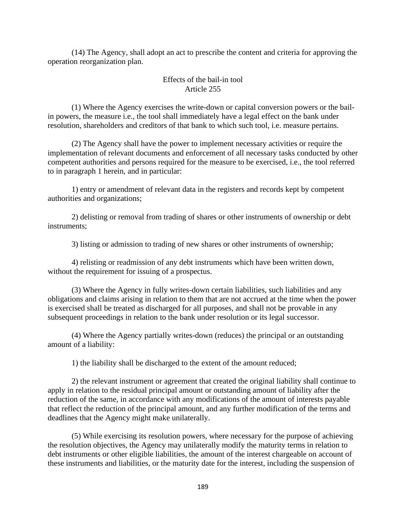(14) The Agency, shall adopt an act to prescribe the content and criteria for approving the operation reorganization plan.

# Effects of the bail-in tool Article 255

(1) Where the Agency exercises the write-down or capital conversion powers or the bailin powers, the measure i.e., the tool shall immediately have a legal effect on the bank under resolution, shareholders and creditors of that bank to which such tool, i.e. measure pertains.

(2) The Agency shall have the power to implement necessary activities or require the implementation of relevant documents and enforcement of all necessary tasks conducted by other competent authorities and persons required for the measure to be exercised, i.e., the tool referred to in paragraph 1 herein, and in particular:

1) entry or amendment of relevant data in the registers and records kept by competent authorities and organizations;

2) delisting or removal from trading of shares or other instruments of ownership or debt instruments;

3) listing or admission to trading of new shares or other instruments of ownership;

4) relisting or readmission of any debt instruments which have been written down, without the requirement for issuing of a prospectus.

(3) Where the Agency in fully writes-down certain liabilities, such liabilities and any obligations and claims arising in relation to them that are not accrued at the time when the power is exercised shall be treated as discharged for all purposes, and shall not be provable in any subsequent proceedings in relation to the bank under resolution or its legal successor.

(4) Where the Agency partially writes-down (reduces) the principal or an outstanding amount of a liability:

1) the liability shall be discharged to the extent of the amount reduced;

2) the relevant instrument or agreement that created the original liability shall continue to apply in relation to the residual principal amount or outstanding amount of liability after the reduction of the same, in accordance with any modifications of the amount of interests payable that reflect the reduction of the principal amount, and any further modification of the terms and deadlines that the Agency might make unilaterally.

(5) While exercising its resolution powers, where necessary for the purpose of achieving the resolution objectives, the Agency may unilaterally modify the maturity terms in relation to debt instruments or other eligible liabilities, the amount of the interest chargeable on account of these instruments and liabilities, or the maturity date for the interest, including the suspension of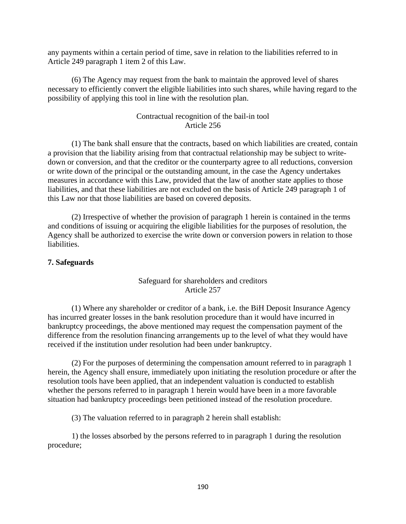any payments within a certain period of time, save in relation to the liabilities referred to in Article 249 paragraph 1 item 2 of this Law.

(6) The Agency may request from the bank to maintain the approved level of shares necessary to efficiently convert the eligible liabilities into such shares, while having regard to the possibility of applying this tool in line with the resolution plan.

## Contractual recognition of the bail-in tool Article 256

(1) The bank shall ensure that the contracts, based on which liabilities are created, contain a provision that the liability arising from that contractual relationship may be subject to writedown or conversion, and that the creditor or the counterparty agree to all reductions, conversion or write down of the principal or the outstanding amount, in the case the Agency undertakes measures in accordance with this Law, provided that the law of another state applies to those liabilities, and that these liabilities are not excluded on the basis of Article 249 paragraph 1 of this Law nor that those liabilities are based on covered deposits.

(2) Irrespective of whether the provision of paragraph 1 herein is contained in the terms and conditions of issuing or acquiring the eligible liabilities for the purposes of resolution, the Agency shall be authorized to exercise the write down or conversion powers in relation to those liabilities.

#### **7. Safeguards**

## Safeguard for shareholders and creditors Article 257

(1) Where any shareholder or creditor of a bank, i.e. the BiH Deposit Insurance Agency has incurred greater losses in the bank resolution procedure than it would have incurred in bankruptcy proceedings, the above mentioned may request the compensation payment of the difference from the resolution financing arrangements up to the level of what they would have received if the institution under resolution had been under bankruptcy.

(2) For the purposes of determining the compensation amount referred to in paragraph 1 herein, the Agency shall ensure, immediately upon initiating the resolution procedure or after the resolution tools have been applied, that an independent valuation is conducted to establish whether the persons referred to in paragraph 1 herein would have been in a more favorable situation had bankruptcy proceedings been petitioned instead of the resolution procedure.

(3) The valuation referred to in paragraph 2 herein shall establish:

1) the losses absorbed by the persons referred to in paragraph 1 during the resolution procedure;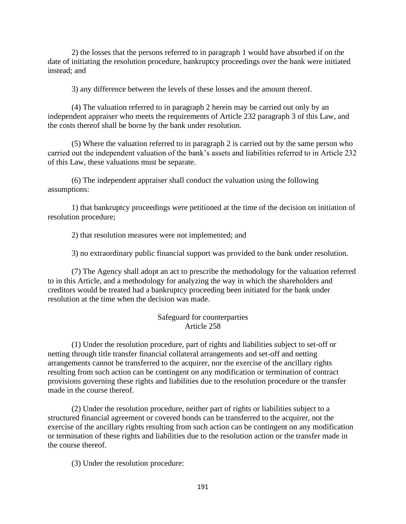2) the losses that the persons referred to in paragraph 1 would have absorbed if on the date of initiating the resolution procedure, bankruptcy proceedings over the bank were initiated instead; and

3) any difference between the levels of these losses and the amount thereof.

(4) The valuation referred to in paragraph 2 herein may be carried out only by an independent appraiser who meets the requirements of Article 232 paragraph 3 of this Law, and the costs thereof shall be borne by the bank under resolution.

(5) Where the valuation referred to in paragraph 2 is carried out by the same person who carried out the independent valuation of the bank's assets and liabilities referred to in Article 232 of this Law, these valuations must be separate.

(6) The independent appraiser shall conduct the valuation using the following assumptions:

1) that bankruptcy proceedings were petitioned at the time of the decision on initiation of resolution procedure;

2) that resolution measures were not implemented; and

3) no extraordinary public financial support was provided to the bank under resolution.

(7) The Agency shall adopt an act to prescribe the methodology for the valuation referred to in this Article, and a methodology for analyzing the way in which the shareholders and creditors would be treated had a bankruptcy proceeding been initiated for the bank under resolution at the time when the decision was made.

## Safeguard for counterparties Article 258

(1) Under the resolution procedure, part of rights and liabilities subject to set-off or netting through title transfer financial collateral arrangements and set-off and netting arrangements cannot be transferred to the acquirer, nor the exercise of the ancillary rights resulting from such action can be contingent on any modification or termination of contract provisions governing these rights and liabilities due to the resolution procedure or the transfer made in the course thereof.

(2) Under the resolution procedure, neither part of rights or liabilities subject to a structured financial agreement or covered bonds can be transferred to the acquirer, not the exercise of the ancillary rights resulting from such action can be contingent on any modification or termination of these rights and liabilities due to the resolution action or the transfer made in the course thereof.

(3) Under the resolution procedure: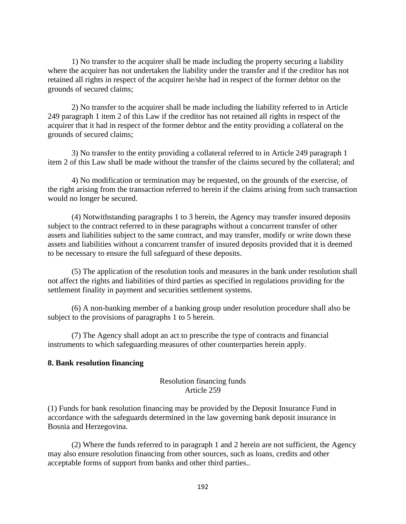1) No transfer to the acquirer shall be made including the property securing a liability where the acquirer has not undertaken the liability under the transfer and if the creditor has not retained all rights in respect of the acquirer he/she had in respect of the former debtor on the grounds of secured claims;

2) No transfer to the acquirer shall be made including the liability referred to in Article 249 paragraph 1 item 2 of this Law if the creditor has not retained all rights in respect of the acquirer that it had in respect of the former debtor and the entity providing a collateral on the grounds of secured claims;

3) No transfer to the entity providing a collateral referred to in Article 249 paragraph 1 item 2 of this Law shall be made without the transfer of the claims secured by the collateral; and

4) No modification or termination may be requested, on the grounds of the exercise, of the right arising from the transaction referred to herein if the claims arising from such transaction would no longer be secured.

(4) Notwithstanding paragraphs 1 to 3 herein, the Agency may transfer insured deposits subject to the contract referred to in these paragraphs without a concurrent transfer of other assets and liabilities subject to the same contract, and may transfer, modify or write down these assets and liabilities without a concurrent transfer of insured deposits provided that it is deemed to be necessary to ensure the full safeguard of these deposits.

(5) The application of the resolution tools and measures in the bank under resolution shall not affect the rights and liabilities of third parties as specified in regulations providing for the settlement finality in payment and securities settlement systems.

(6) A non-banking member of a banking group under resolution procedure shall also be subject to the provisions of paragraphs 1 to 5 herein.

(7) The Agency shall adopt an act to prescribe the type of contracts and financial instruments to which safeguarding measures of other counterparties herein apply.

#### **8. Bank resolution financing**

## Resolution financing funds Article 259

(1) Funds for bank resolution financing may be provided by the Deposit Insurance Fund in accordance with the safeguards determined in the law governing bank deposit insurance in Bosnia and Herzegovina.

(2) Where the funds referred to in paragraph 1 and 2 herein are not sufficient, the Agency may also ensure resolution financing from other sources, such as loans, credits and other acceptable forms of support from banks and other third parties..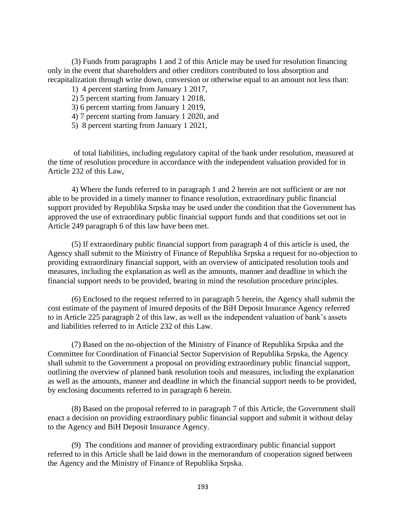(3) Funds from paragraphs 1 and 2 of this Article may be used for resolution financing only in the event that shareholders and other creditors contributed to loss absorption and recapitalization through write down, conversion or otherwise equal to an amount not less than:

- 1) 4 percent starting from January 1 2017,
- 2) 5 percent starting from January 1 2018,
- 3) 6 percent starting from January 1 2019,
- 4) 7 percent starting from January 1 2020, and
- 5) 8 percent starting from January 1 2021,

of total liabilities, including regulatory capital of the bank under resolution, measured at the time of resolution procedure in accordance with the independent valuation provided for in Article 232 of this Law,

4) Where the funds referred to in paragraph 1 and 2 herein are not sufficient or are not able to be provided in a timely manner to finance resolution, extraordinary public financial support provided by Republika Srpska may be used under the condition that the Government has approved the use of extraordinary public financial support funds and that conditions set out in Article 249 paragraph 6 of this law have been met.

(5) If extraordinary public financial support from paragraph 4 of this article is used, the Agency shall submit to the Ministry of Finance of Republika Srpska a request for no-objection to providing extraordinary financial support, with an overview of anticipated resolution tools and measures, including the explanation as well as the amounts, manner and deadline in which the financial support needs to be provided, bearing in mind the resolution procedure principles.

(6) Enclosed to the request referred to in paragraph 5 herein, the Agency shall submit the cost estimate of the payment of insured deposits of the BiH Deposit Insurance Agency referred to in Article 225 paragraph 2 of this law, as well as the independent valuation of bank's assets and liabilities referred to in Article 232 of this Law.

(7) Based on the no-objection of the Ministry of Finance of Republika Srpska and the Committee for Coordination of Financial Sector Supervision of Republika Srpska, the Agency shall submit to the Government a proposal on providing extraordinary public financial support, outlining the overview of planned bank resolution tools and measures, including the explanation as well as the amounts, manner and deadline in which the financial support needs to be provided, by enclosing documents referred to in paragraph 6 herein.

(8) Based on the proposal referred to in paragraph 7 of this Article, the Government shall enact a decision on providing extraordinary public financial support and submit it without delay to the Agency and BiH Deposit Insurance Agency.

(9) The conditions and manner of providing extraordinary public financial support referred to in this Article shall be laid down in the memorandum of cooperation signed between the Agency and the Ministry of Finance of Republika Srpska.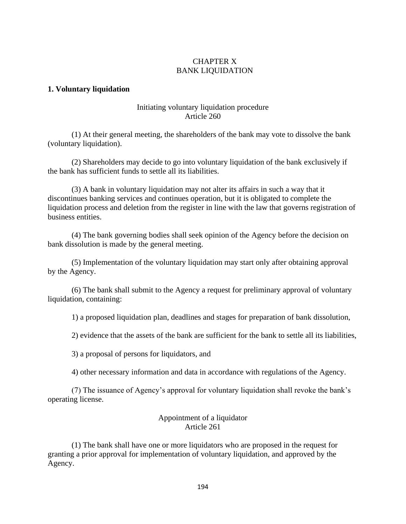## CHAPTER X BANK LIQUIDATION

## **1. Voluntary liquidation**

## Initiating voluntary liquidation procedure Article 260

(1) At their general meeting, the shareholders of the bank may vote to dissolve the bank (voluntary liquidation).

(2) Shareholders may decide to go into voluntary liquidation of the bank exclusively if the bank has sufficient funds to settle all its liabilities.

(3) A bank in voluntary liquidation may not alter its affairs in such a way that it discontinues banking services and continues operation, but it is obligated to complete the liquidation process and deletion from the register in line with the law that governs registration of business entities.

(4) The bank governing bodies shall seek opinion of the Agency before the decision on bank dissolution is made by the general meeting.

(5) Implementation of the voluntary liquidation may start only after obtaining approval by the Agency.

(6) The bank shall submit to the Agency a request for preliminary approval of voluntary liquidation, containing:

1) a proposed liquidation plan, deadlines and stages for preparation of bank dissolution,

2) evidence that the assets of the bank are sufficient for the bank to settle all its liabilities,

3) a proposal of persons for liquidators, and

4) other necessary information and data in accordance with regulations of the Agency.

(7) The issuance of Agency's approval for voluntary liquidation shall revoke the bank's operating license.

## Appointment of a liquidator Article 261

(1) The bank shall have one or more liquidators who are proposed in the request for granting a prior approval for implementation of voluntary liquidation, and approved by the Agency.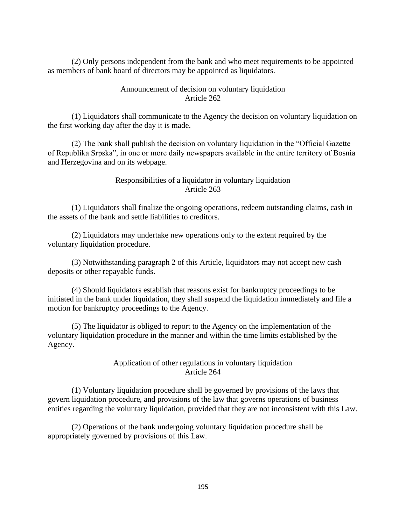(2) Only persons independent from the bank and who meet requirements to be appointed as members of bank board of directors may be appointed as liquidators.

## Announcement of decision on voluntary liquidation Article 262

(1) Liquidators shall communicate to the Agency the decision on voluntary liquidation on the first working day after the day it is made.

(2) The bank shall publish the decision on voluntary liquidation in the "Official Gazette of Republika Srpska", in one or more daily newspapers available in the entire territory of Bosnia and Herzegovina and on its webpage.

# Responsibilities of a liquidator in voluntary liquidation Article 263

(1) Liquidators shall finalize the ongoing operations, redeem outstanding claims, cash in the assets of the bank and settle liabilities to creditors.

(2) Liquidators may undertake new operations only to the extent required by the voluntary liquidation procedure.

(3) Notwithstanding paragraph 2 of this Article, liquidators may not accept new cash deposits or other repayable funds.

(4) Should liquidators establish that reasons exist for bankruptcy proceedings to be initiated in the bank under liquidation, they shall suspend the liquidation immediately and file a motion for bankruptcy proceedings to the Agency.

(5) The liquidator is obliged to report to the Agency on the implementation of the voluntary liquidation procedure in the manner and within the time limits established by the Agency.

## Application of other regulations in voluntary liquidation Article 264

(1) Voluntary liquidation procedure shall be governed by provisions of the laws that govern liquidation procedure, and provisions of the law that governs operations of business entities regarding the voluntary liquidation, provided that they are not inconsistent with this Law.

(2) Operations of the bank undergoing voluntary liquidation procedure shall be appropriately governed by provisions of this Law.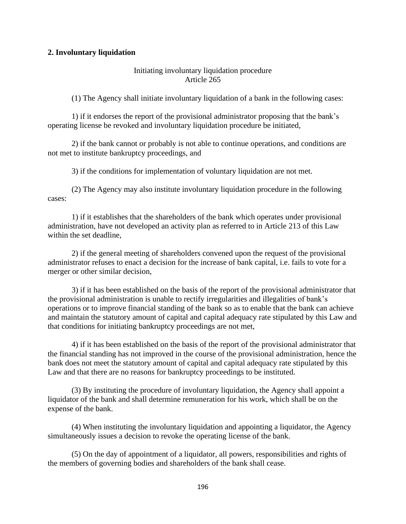## **2. Involuntary liquidation**

## Initiating involuntary liquidation procedure Article 265

(1) The Agency shall initiate involuntary liquidation of a bank in the following cases:

1) if it endorses the report of the provisional administrator proposing that the bank's operating license be revoked and involuntary liquidation procedure be initiated,

2) if the bank cannot or probably is not able to continue operations, and conditions are not met to institute bankruptcy proceedings, and

3) if the conditions for implementation of voluntary liquidation are not met.

(2) The Agency may also institute involuntary liquidation procedure in the following cases:

1) if it establishes that the shareholders of the bank which operates under provisional administration, have not developed an activity plan as referred to in Article 213 of this Law within the set deadline,

2) if the general meeting of shareholders convened upon the request of the provisional administrator refuses to enact a decision for the increase of bank capital, i.e. fails to vote for a merger or other similar decision,

3) if it has been established on the basis of the report of the provisional administrator that the provisional administration is unable to rectify irregularities and illegalities of bank's operations or to improve financial standing of the bank so as to enable that the bank can achieve and maintain the statutory amount of capital and capital adequacy rate stipulated by this Law and that conditions for initiating bankruptcy proceedings are not met,

4) if it has been established on the basis of the report of the provisional administrator that the financial standing has not improved in the course of the provisional administration, hence the bank does not meet the statutory amount of capital and capital adequacy rate stipulated by this Law and that there are no reasons for bankruptcy proceedings to be instituted.

(3) By instituting the procedure of involuntary liquidation, the Agency shall appoint a liquidator of the bank and shall determine remuneration for his work, which shall be on the expense of the bank.

(4) When instituting the involuntary liquidation and appointing a liquidator, the Agency simultaneously issues a decision to revoke the operating license of the bank.

(5) On the day of appointment of a liquidator, all powers, responsibilities and rights of the members of governing bodies and shareholders of the bank shall cease.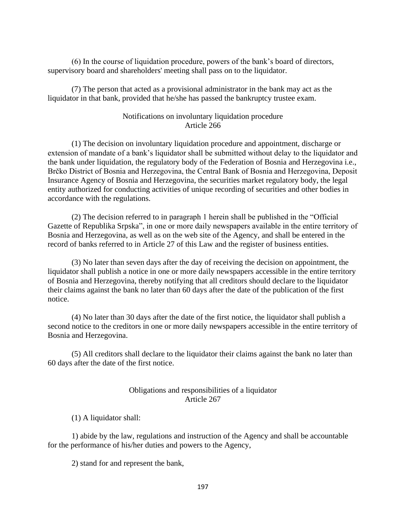(6) In the course of liquidation procedure, powers of the bank's board of directors, supervisory board and shareholders' meeting shall pass on to the liquidator.

(7) The person that acted as a provisional administrator in the bank may act as the liquidator in that bank, provided that he/she has passed the bankruptcy trustee exam.

## Notifications on involuntary liquidation procedure Article 266

(1) The decision on involuntary liquidation procedure and appointment, discharge or extension of mandate of a bank's liquidator shall be submitted without delay to the liquidator and the bank under liquidation, the regulatory body of the Federation of Bosnia and Herzegovina i.e., Brčko District of Bosnia and Herzegovina, the Central Bank of Bosnia and Herzegovina, Deposit Insurance Agency of Bosnia and Herzegovina, the securities market regulatory body, the legal entity authorized for conducting activities of unique recording of securities and other bodies in accordance with the regulations.

(2) The decision referred to in paragraph 1 herein shall be published in the "Official Gazette of Republika Srpska", in one or more daily newspapers available in the entire territory of Bosnia and Herzegovina, as well as on the web site of the Agency, and shall be entered in the record of banks referred to in Article 27 of this Law and the register of business entities.

(3) No later than seven days after the day of receiving the decision on appointment, the liquidator shall publish a notice in one or more daily newspapers accessible in the entire territory of Bosnia and Herzegovina, thereby notifying that all creditors should declare to the liquidator their claims against the bank no later than 60 days after the date of the publication of the first notice.

(4) No later than 30 days after the date of the first notice, the liquidator shall publish a second notice to the creditors in one or more daily newspapers accessible in the entire territory of Bosnia and Herzegovina.

(5) All creditors shall declare to the liquidator their claims against the bank no later than 60 days after the date of the first notice.

## Obligations and responsibilities of a liquidator Article 267

(1) A liquidator shall:

1) abide by the law, regulations and instruction of the Agency and shall be accountable for the performance of his/her duties and powers to the Agency,

2) stand for and represent the bank,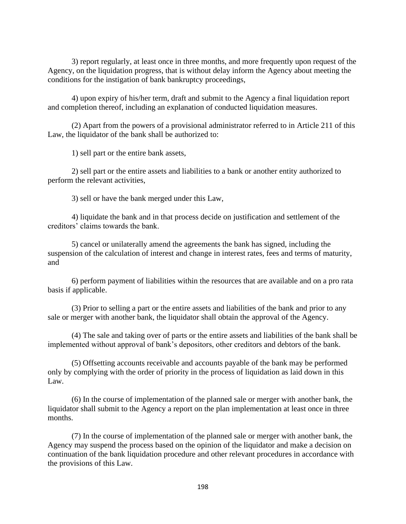3) report regularly, at least once in three months, and more frequently upon request of the Agency, on the liquidation progress, that is without delay inform the Agency about meeting the conditions for the instigation of bank bankruptcy proceedings,

4) upon expiry of his/her term, draft and submit to the Agency a final liquidation report and completion thereof, including an explanation of conducted liquidation measures.

(2) Apart from the powers of a provisional administrator referred to in Article 211 of this Law, the liquidator of the bank shall be authorized to:

1) sell part or the entire bank assets,

2) sell part or the entire assets and liabilities to a bank or another entity authorized to perform the relevant activities,

3) sell or have the bank merged under this Law,

4) liquidate the bank and in that process decide on justification and settlement of the creditors' claims towards the bank.

5) cancel or unilaterally amend the agreements the bank has signed, including the suspension of the calculation of interest and change in interest rates, fees and terms of maturity, and

6) perform payment of liabilities within the resources that are available and on a pro rata basis if applicable.

(3) Prior to selling a part or the entire assets and liabilities of the bank and prior to any sale or merger with another bank, the liquidator shall obtain the approval of the Agency.

(4) The sale and taking over of parts or the entire assets and liabilities of the bank shall be implemented without approval of bank's depositors, other creditors and debtors of the bank.

(5) Offsetting accounts receivable and accounts payable of the bank may be performed only by complying with the order of priority in the process of liquidation as laid down in this Law.

(6) In the course of implementation of the planned sale or merger with another bank, the liquidator shall submit to the Agency a report on the plan implementation at least once in three months.

(7) In the course of implementation of the planned sale or merger with another bank, the Agency may suspend the process based on the opinion of the liquidator and make a decision on continuation of the bank liquidation procedure and other relevant procedures in accordance with the provisions of this Law.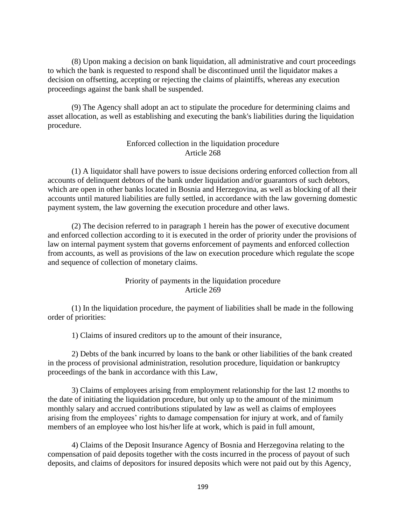(8) Upon making a decision on bank liquidation, all administrative and court proceedings to which the bank is requested to respond shall be discontinued until the liquidator makes a decision on offsetting, accepting or rejecting the claims of plaintiffs, whereas any execution proceedings against the bank shall be suspended.

(9) The Agency shall adopt an act to stipulate the procedure for determining claims and asset allocation, as well as establishing and executing the bank's liabilities during the liquidation procedure.

## Enforced collection in the liquidation procedure Article 268

(1) A liquidator shall have powers to issue decisions ordering enforced collection from all accounts of delinquent debtors of the bank under liquidation and/or guarantors of such debtors, which are open in other banks located in Bosnia and Herzegovina, as well as blocking of all their accounts until matured liabilities are fully settled, in accordance with the law governing domestic payment system, the law governing the execution procedure and other laws.

(2) The decision referred to in paragraph 1 herein has the power of executive document and enforced collection according to it is executed in the order of priority under the provisions of law on internal payment system that governs enforcement of payments and enforced collection from accounts, as well as provisions of the law on execution procedure which regulate the scope and sequence of collection of monetary claims.

## Priority of payments in the liquidation procedure Article 269

(1) In the liquidation procedure, the payment of liabilities shall be made in the following order of priorities:

1) Claims of insured creditors up to the amount of their insurance,

2) Debts of the bank incurred by loans to the bank or other liabilities of the bank created in the process of provisional administration, resolution procedure, liquidation or bankruptcy proceedings of the bank in accordance with this Law,

3) Claims of employees arising from employment relationship for the last 12 months to the date of initiating the liquidation procedure, but only up to the amount of the minimum monthly salary and accrued contributions stipulated by law as well as claims of employees arising from the employees' rights to damage compensation for injury at work, and of family members of an employee who lost his/her life at work, which is paid in full amount,

4) Claims of the Deposit Insurance Agency of Bosnia and Herzegovina relating to the compensation of paid deposits together with the costs incurred in the process of payout of such deposits, and claims of depositors for insured deposits which were not paid out by this Agency,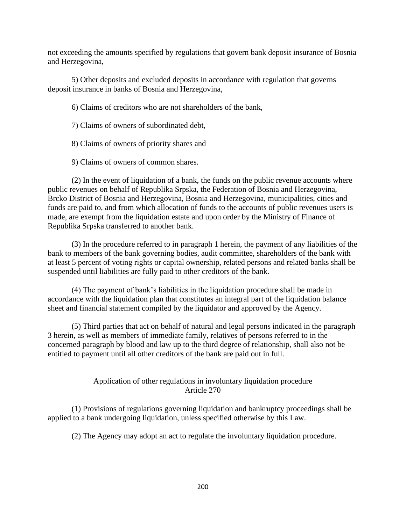not exceeding the amounts specified by regulations that govern bank deposit insurance of Bosnia and Herzegovina,

5) Other deposits and excluded deposits in accordance with regulation that governs deposit insurance in banks of Bosnia and Herzegovina,

6) Claims of creditors who are not shareholders of the bank,

7) Claims of owners of subordinated debt,

8) Claims of owners of priority shares and

9) Claims of owners of common shares.

(2) In the event of liquidation of a bank, the funds on the public revenue accounts where public revenues on behalf of Republika Srpska, the Federation of Bosnia and Herzegovina, Brcko District of Bosnia and Herzegovina, Bosnia and Herzegovina, municipalities, cities and funds are paid to, and from which allocation of funds to the accounts of public revenues users is made, are exempt from the liquidation estate and upon order by the Ministry of Finance of Republika Srpska transferred to another bank.

(3) In the procedure referred to in paragraph 1 herein, the payment of any liabilities of the bank to members of the bank governing bodies, audit committee, shareholders of the bank with at least 5 percent of voting rights or capital ownership, related persons and related banks shall be suspended until liabilities are fully paid to other creditors of the bank.

(4) The payment of bank's liabilities in the liquidation procedure shall be made in accordance with the liquidation plan that constitutes an integral part of the liquidation balance sheet and financial statement compiled by the liquidator and approved by the Agency.

(5) Third parties that act on behalf of natural and legal persons indicated in the paragraph 3 herein, as well as members of immediate family, relatives of persons referred to in the concerned paragraph by blood and law up to the third degree of relationship, shall also not be entitled to payment until all other creditors of the bank are paid out in full.

# Application of other regulations in involuntary liquidation procedure Article 270

(1) Provisions of regulations governing liquidation and bankruptcy proceedings shall be applied to a bank undergoing liquidation, unless specified otherwise by this Law.

(2) The Agency may adopt an act to regulate the involuntary liquidation procedure.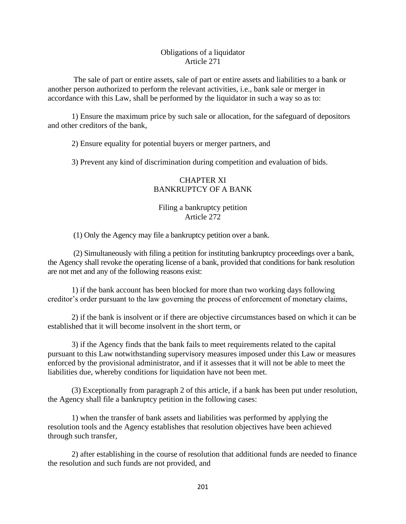## Obligations of a liquidator Article 271

The sale of part or entire assets, sale of part or entire assets and liabilities to a bank or another person authorized to perform the relevant activities, i.e., bank sale or merger in accordance with this Law, shall be performed by the liquidator in such a way so as to:

1) Ensure the maximum price by such sale or allocation, for the safeguard of depositors and other creditors of the bank,

2) Ensure equality for potential buyers or merger partners, and

3) Prevent any kind of discrimination during competition and evaluation of bids.

# CHAPTER XI BANKRUPTCY OF A BANK

## Filing a bankruptcy petition Article 272

(1) Only the Agency may file a bankruptcy petition over a bank.

(2) Simultaneously with filing a petition for instituting bankruptcy proceedings over a bank, the Agency shall revoke the operating license of a bank, provided that conditions for bank resolution are not met and any of the following reasons exist:

1) if the bank account has been blocked for more than two working days following creditor's order pursuant to the law governing the process of enforcement of monetary claims,

2) if the bank is insolvent or if there are objective circumstances based on which it can be established that it will become insolvent in the short term, or

3) if the Agency finds that the bank fails to meet requirements related to the capital pursuant to this Law notwithstanding supervisory measures imposed under this Law or measures enforced by the provisional administrator, and if it assesses that it will not be able to meet the liabilities due, whereby conditions for liquidation have not been met.

(3) Exceptionally from paragraph 2 of this article, if a bank has been put under resolution, the Agency shall file a bankruptcy petition in the following cases:

1) when the transfer of bank assets and liabilities was performed by applying the resolution tools and the Agency establishes that resolution objectives have been achieved through such transfer,

2) after establishing in the course of resolution that additional funds are needed to finance the resolution and such funds are not provided, and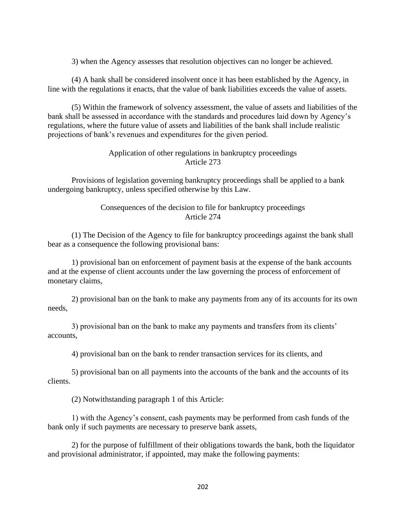3) when the Agency assesses that resolution objectives can no longer be achieved.

(4) A bank shall be considered insolvent once it has been established by the Agency, in line with the regulations it enacts, that the value of bank liabilities exceeds the value of assets.

(5) Within the framework of solvency assessment, the value of assets and liabilities of the bank shall be assessed in accordance with the standards and procedures laid down by Agency's regulations, where the future value of assets and liabilities of the bank shall include realistic projections of bank's revenues and expenditures for the given period.

## Application of other regulations in bankruptcy proceedings Article 273

Provisions of legislation governing bankruptcy proceedings shall be applied to a bank undergoing bankruptcy, unless specified otherwise by this Law.

## Consequences of the decision to file for bankruptcy proceedings Article 274

(1) The Decision of the Agency to file for bankruptcy proceedings against the bank shall bear as a consequence the following provisional bans:

1) provisional ban on enforcement of payment basis at the expense of the bank accounts and at the expense of client accounts under the law governing the process of enforcement of monetary claims,

2) provisional ban on the bank to make any payments from any of its accounts for its own needs,

3) provisional ban on the bank to make any payments and transfers from its clients' accounts,

4) provisional ban on the bank to render transaction services for its clients, and

5) provisional ban on all payments into the accounts of the bank and the accounts of its clients.

(2) Notwithstanding paragraph 1 of this Article:

1) with the Agency's consent, cash payments may be performed from cash funds of the bank only if such payments are necessary to preserve bank assets,

2) for the purpose of fulfillment of their obligations towards the bank, both the liquidator and provisional administrator, if appointed, may make the following payments: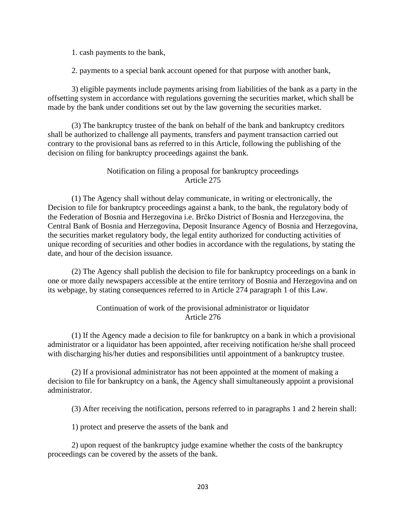1. cash payments to the bank,

2. payments to a special bank account opened for that purpose with another bank,

3) eligible payments include payments arising from liabilities of the bank as a party in the offsetting system in accordance with regulations governing the securities market, which shall be made by the bank under conditions set out by the law governing the securities market.

(3) The bankruptcy trustee of the bank on behalf of the bank and bankruptcy creditors shall be authorized to challenge all payments, transfers and payment transaction carried out contrary to the provisional bans as referred to in this Article, following the publishing of the decision on filing for bankruptcy proceedings against the bank.

## Notification on filing a proposal for bankruptcy proceedings Article 275

(1) The Agency shall without delay communicate, in writing or electronically, the Decision to file for bankruptcy proceedings against a bank, to the bank, the regulatory body of the Federation of Bosnia and Herzegovina i.e. Brčko District of Bosnia and Herzegovina, the Central Bank of Bosnia and Herzegovina, Deposit Insurance Agency of Bosnia and Herzegovina, the securities market regulatory body, the legal entity authorized for conducting activities of unique recording of securities and other bodies in accordance with the regulations, by stating the date, and hour of the decision issuance.

(2) The Agency shall publish the decision to file for bankruptcy proceedings on a bank in one or more daily newspapers accessible at the entire territory of Bosnia and Herzegovina and on its webpage, by stating consequences referred to in Article 274 paragraph 1 of this Law.

## Continuation of work of the provisional administrator or liquidator Article 276

(1) If the Agency made a decision to file for bankruptcy on a bank in which a provisional administrator or a liquidator has been appointed, after receiving notification he/she shall proceed with discharging his/her duties and responsibilities until appointment of a bankruptcy trustee.

(2) If a provisional administrator has not been appointed at the moment of making a decision to file for bankruptcy on a bank, the Agency shall simultaneously appoint a provisional administrator.

(3) After receiving the notification, persons referred to in paragraphs 1 and 2 herein shall:

1) protect and preserve the assets of the bank and

2) upon request of the bankruptcy judge examine whether the costs of the bankruptcy proceedings can be covered by the assets of the bank.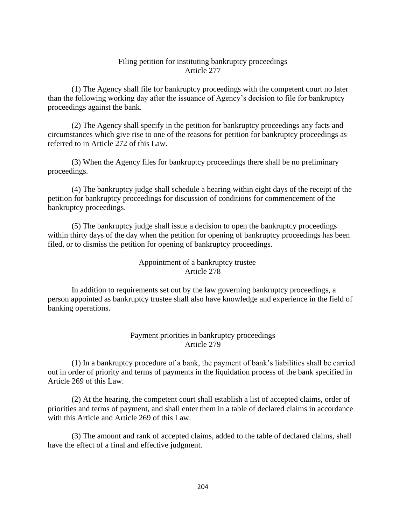## Filing petition for instituting bankruptcy proceedings Article 277

(1) The Agency shall file for bankruptcy proceedings with the competent court no later than the following working day after the issuance of Agency's decision to file for bankruptcy proceedings against the bank.

(2) The Agency shall specify in the petition for bankruptcy proceedings any facts and circumstances which give rise to one of the reasons for petition for bankruptcy proceedings as referred to in Article 272 of this Law.

(3) When the Agency files for bankruptcy proceedings there shall be no preliminary proceedings.

(4) The bankruptcy judge shall schedule a hearing within eight days of the receipt of the petition for bankruptcy proceedings for discussion of conditions for commencement of the bankruptcy proceedings.

(5) The bankruptcy judge shall issue a decision to open the bankruptcy proceedings within thirty days of the day when the petition for opening of bankruptcy proceedings has been filed, or to dismiss the petition for opening of bankruptcy proceedings.

## Appointment of a bankruptcy trustee Article 278

In addition to requirements set out by the law governing bankruptcy proceedings, a person appointed as bankruptcy trustee shall also have knowledge and experience in the field of banking operations.

# Payment priorities in bankruptcy proceedings Article 279

(1) In a bankruptcy procedure of a bank, the payment of bank's liabilities shall be carried out in order of priority and terms of payments in the liquidation process of the bank specified in Article 269 of this Law.

(2) At the hearing, the competent court shall establish a list of accepted claims, order of priorities and terms of payment, and shall enter them in a table of declared claims in accordance with this Article and Article 269 of this Law.

(3) The amount and rank of accepted claims, added to the table of declared claims, shall have the effect of a final and effective judgment.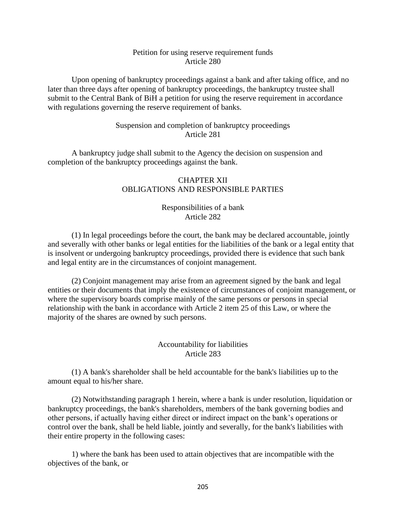## Petition for using reserve requirement funds Article 280

Upon opening of bankruptcy proceedings against a bank and after taking office, and no later than three days after opening of bankruptcy proceedings, the bankruptcy trustee shall submit to the Central Bank of BiH a petition for using the reserve requirement in accordance with regulations governing the reserve requirement of banks.

# Suspension and completion of bankruptcy proceedings Article 281

A bankruptcy judge shall submit to the Agency the decision on suspension and completion of the bankruptcy proceedings against the bank.

## CHAPTER XII OBLIGATIONS AND RESPONSIBLE PARTIES

## Responsibilities of a bank Article 282

(1) In legal proceedings before the court, the bank may be declared accountable, jointly and severally with other banks or legal entities for the liabilities of the bank or a legal entity that is insolvent or undergoing bankruptcy proceedings, provided there is evidence that such bank and legal entity are in the circumstances of conjoint management.

(2) Conjoint management may arise from an agreement signed by the bank and legal entities or their documents that imply the existence of circumstances of conjoint management, or where the supervisory boards comprise mainly of the same persons or persons in special relationship with the bank in accordance with Article 2 item 25 of this Law, or where the majority of the shares are owned by such persons.

## Accountability for liabilities Article 283

(1) A bank's shareholder shall be held accountable for the bank's liabilities up to the amount equal to his/her share.

(2) Notwithstanding paragraph 1 herein, where a bank is under resolution, liquidation or bankruptcy proceedings, the bank's shareholders, members of the bank governing bodies and other persons, if actually having either direct or indirect impact on the bank's operations or control over the bank, shall be held liable, jointly and severally, for the bank's liabilities with their entire property in the following cases:

1) where the bank has been used to attain objectives that are incompatible with the objectives of the bank, or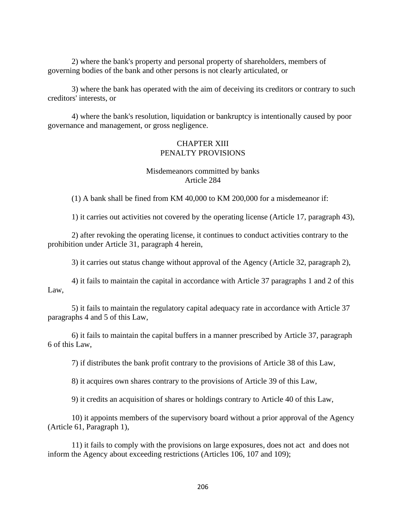2) where the bank's property and personal property of shareholders, members of governing bodies of the bank and other persons is not clearly articulated, or

3) where the bank has operated with the aim of deceiving its creditors or contrary to such creditors' interests, or

4) where the bank's resolution, liquidation or bankruptcy is intentionally caused by poor governance and management, or gross negligence.

#### CHAPTER XIII PENALTY PROVISIONS

## Misdemeanors committed by banks Article 284

(1) A bank shall be fined from KM 40,000 to KM 200,000 for a misdemeanor if:

1) it carries out activities not covered by the operating license (Article 17, paragraph 43),

2) after revoking the operating license, it continues to conduct activities contrary to the prohibition under Article 31, paragraph 4 herein,

3) it carries out status change without approval of the Agency (Article 32, paragraph 2),

4) it fails to maintain the capital in accordance with Article 37 paragraphs 1 and 2 of this Law,

5) it fails to maintain the regulatory capital adequacy rate in accordance with Article 37 paragraphs 4 and 5 of this Law,

6) it fails to maintain the capital buffers in a manner prescribed by Article 37, paragraph 6 of this Law,

7) if distributes the bank profit contrary to the provisions of Article 38 of this Law,

8) it acquires own shares contrary to the provisions of Article 39 of this Law,

9) it credits an acquisition of shares or holdings contrary to Article 40 of this Law,

10) it appoints members of the supervisory board without a prior approval of the Agency (Article 61, Paragraph 1),

11) it fails to comply with the provisions on large exposures, does not act and does not inform the Agency about exceeding restrictions (Articles 106, 107 and 109);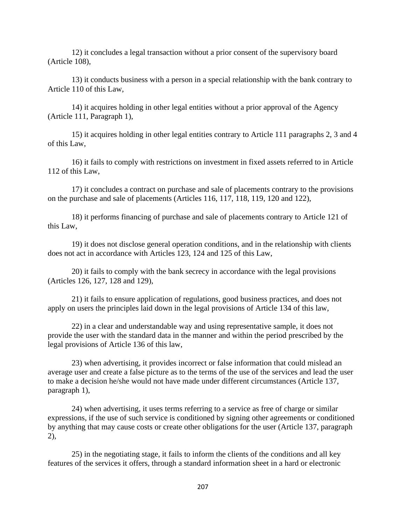12) it concludes a legal transaction without a prior consent of the supervisory board (Article 108),

13) it conducts business with a person in a special relationship with the bank contrary to Article 110 of this Law,

14) it acquires holding in other legal entities without a prior approval of the Agency (Article 111, Paragraph 1),

15) it acquires holding in other legal entities contrary to Article 111 paragraphs 2, 3 and 4 of this Law,

16) it fails to comply with restrictions on investment in fixed assets referred to in Article 112 of this Law,

17) it concludes a contract on purchase and sale of placements contrary to the provisions on the purchase and sale of placements (Articles 116, 117, 118, 119, 120 and 122),

18) it performs financing of purchase and sale of placements contrary to Article 121 of this Law,

19) it does not disclose general operation conditions, and in the relationship with clients does not act in accordance with Articles 123, 124 and 125 of this Law,

20) it fails to comply with the bank secrecy in accordance with the legal provisions (Articles 126, 127, 128 and 129),

21) it fails to ensure application of regulations, good business practices, and does not apply on users the principles laid down in the legal provisions of Article 134 of this law,

22) in a clear and understandable way and using representative sample, it does not provide the user with the standard data in the manner and within the period prescribed by the legal provisions of Article 136 of this law,

23) when advertising, it provides incorrect or false information that could mislead an average user and create a false picture as to the terms of the use of the services and lead the user to make a decision he/she would not have made under different circumstances (Article 137, paragraph 1),

24) when advertising, it uses terms referring to a service as free of charge or similar expressions, if the use of such service is conditioned by signing other agreements or conditioned by anything that may cause costs or create other obligations for the user (Article 137, paragraph 2),

25) in the negotiating stage, it fails to inform the clients of the conditions and all key features of the services it offers, through a standard information sheet in a hard or electronic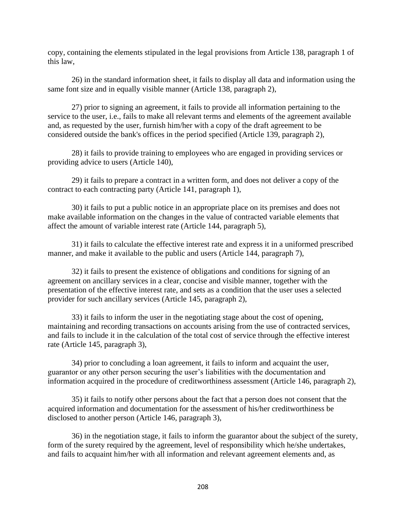copy, containing the elements stipulated in the legal provisions from Article 138, paragraph 1 of this law,

26) in the standard information sheet, it fails to display all data and information using the same font size and in equally visible manner (Article 138, paragraph 2),

27) prior to signing an agreement, it fails to provide all information pertaining to the service to the user, i.e., fails to make all relevant terms and elements of the agreement available and, as requested by the user, furnish him/her with a copy of the draft agreement to be considered outside the bank's offices in the period specified (Article 139, paragraph 2),

28) it fails to provide training to employees who are engaged in providing services or providing advice to users (Article 140),

29) it fails to prepare a contract in a written form, and does not deliver a copy of the contract to each contracting party (Article 141, paragraph 1),

30) it fails to put a public notice in an appropriate place on its premises and does not make available information on the changes in the value of contracted variable elements that affect the amount of variable interest rate (Article 144, paragraph 5),

31) it fails to calculate the effective interest rate and express it in a uniformed prescribed manner, and make it available to the public and users (Article 144, paragraph 7),

32) it fails to present the existence of obligations and conditions for signing of an agreement on ancillary services in a clear, concise and visible manner, together with the presentation of the effective interest rate, and sets as a condition that the user uses a selected provider for such ancillary services (Article 145, paragraph 2),

33) it fails to inform the user in the negotiating stage about the cost of opening, maintaining and recording transactions on accounts arising from the use of contracted services, and fails to include it in the calculation of the total cost of service through the effective interest rate (Article 145, paragraph 3),

34) prior to concluding a loan agreement, it fails to inform and acquaint the user, guarantor or any other person securing the user's liabilities with the documentation and information acquired in the procedure of creditworthiness assessment (Article 146, paragraph 2),

35) it fails to notify other persons about the fact that a person does not consent that the acquired information and documentation for the assessment of his/her creditworthiness be disclosed to another person (Article 146, paragraph 3),

36) in the negotiation stage, it fails to inform the guarantor about the subject of the surety, form of the surety required by the agreement, level of responsibility which he/she undertakes, and fails to acquaint him/her with all information and relevant agreement elements and, as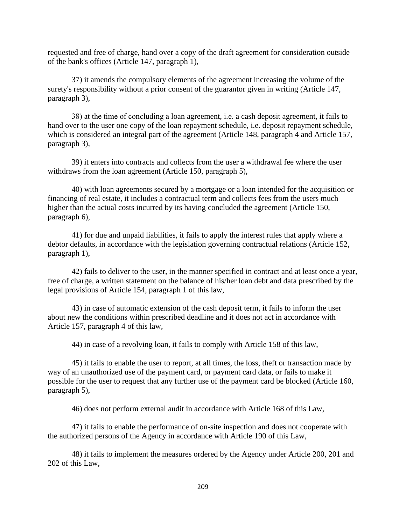requested and free of charge, hand over a copy of the draft agreement for consideration outside of the bank's offices (Article 147, paragraph 1),

37) it amends the compulsory elements of the agreement increasing the volume of the surety's responsibility without a prior consent of the guarantor given in writing (Article 147, paragraph 3),

38) аt the time of concluding a loan agreement, i.e. a cash deposit agreement, it fails to hand over to the user one copy of the loan repayment schedule, i.e. deposit repayment schedule, which is considered an integral part of the agreement (Article 148, paragraph 4 and Article 157, paragraph 3),

39) it enters into contracts and collects from the user a withdrawal fee where the user withdraws from the loan agreement (Article 150, paragraph 5),

40) with loan agreements secured by a mortgage or a loan intended for the acquisition or financing of real estate, it includes a contractual term and collects fees from the users much higher than the actual costs incurred by its having concluded the agreement (Article 150, paragraph 6),

41) for due and unpaid liabilities, it fails to apply the interest rules that apply where a debtor defaults, in accordance with the legislation governing contractual relations (Article 152, paragraph 1),

42) fails to deliver to the user, in the manner specified in contract and at least once a year, free of charge, a written statement on the balance of his/her loan debt and data prescribed by the legal provisions of Article 154, paragraph 1 of this law,

43) in case of automatic extension of the cash deposit term, it fails to inform the user about new the conditions within prescribed deadline and it does not act in accordance with Article 157, paragraph 4 of this law,

44) in case of a revolving loan, it fails to comply with Article 158 of this law,

45) it fails to enable the user to report, at all times, the loss, theft or transaction made by way of an unauthorized use of the payment card, or payment card data, or fails to make it possible for the user to request that any further use of the payment card be blocked (Article 160, paragraph 5),

46) does not perform external audit in accordance with Article 168 of this Law,

47) it fails to enable the performance of on-site inspection and does not cooperate with the authorized persons of the Agency in accordance with Article 190 of this Law,

48) it fails to implement the measures ordered by the Agency under Article 200, 201 and 202 of this Law,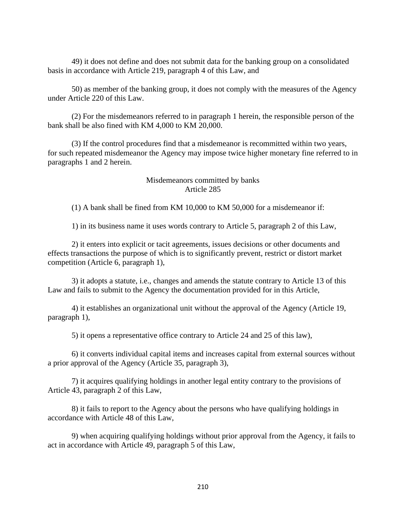49) it does not define and does not submit data for the banking group on a consolidated basis in accordance with Article 219, paragraph 4 of this Law, and

50) as member of the banking group, it does not comply with the measures of the Agency under Article 220 of this Law.

(2) For the misdemeanors referred to in paragraph 1 herein, the responsible person of the bank shall be also fined with KM 4,000 to KM 20,000.

(3) If the control procedures find that a misdemeanor is recommitted within two years, for such repeated misdemeanor the Agency may impose twice higher monetary fine referred to in paragraphs 1 and 2 herein.

## Misdemeanors committed by banks Article 285

(1) A bank shall be fined from KM 10,000 to KM 50,000 for a misdemeanor if:

1) in its business name it uses words contrary to Article 5, paragraph 2 of this Law,

2) it enters into explicit or tacit agreements, issues decisions or other documents and effects transactions the purpose of which is to significantly prevent, restrict or distort market competition (Article 6, paragraph 1),

3) it adopts a statute, i.e., changes and amends the statute contrary to Article 13 of this Law and fails to submit to the Agency the documentation provided for in this Article,

4) it establishes an organizational unit without the approval of the Agency (Article 19, paragraph 1),

5) it opens a representative office contrary to Article 24 and 25 of this law),

6) it converts individual capital items and increases capital from external sources without a prior approval of the Agency (Article 35, paragraph 3),

7) it acquires qualifying holdings in another legal entity contrary to the provisions of Article 43, paragraph 2 of this Law,

8) it fails to report to the Agency about the persons who have qualifying holdings in accordance with Article 48 of this Law,

9) when acquiring qualifying holdings without prior approval from the Agency, it fails to act in accordance with Article 49, paragraph 5 of this Law,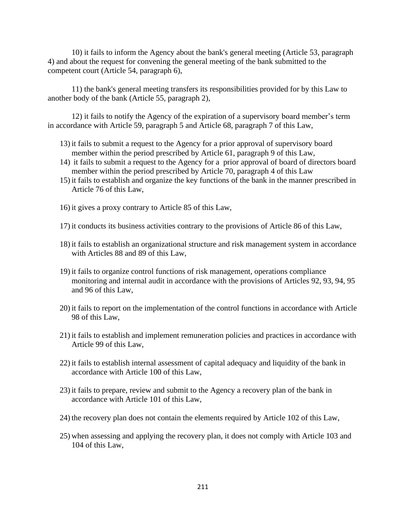10) it fails to inform the Agency about the bank's general meeting (Article 53, paragraph 4) and about the request for convening the general meeting of the bank submitted to the competent court (Article 54, paragraph 6),

11) the bank's general meeting transfers its responsibilities provided for by this Law to another body of the bank (Article 55, paragraph 2),

12) it fails to notify the Agency of the expiration of a supervisory board member's term in accordance with Article 59, paragraph 5 and Article 68, paragraph 7 of this Law,

- 13) it fails to submit a request to the Agency for a prior approval of supervisory board member within the period prescribed by Article 61, paragraph 9 of this Law,
- 14) it fails to submit a request to the Agency for a prior approval of board of directors board member within the period prescribed by Article 70, paragraph 4 of this Law
- 15) it fails to establish and organize the key functions of the bank in the manner prescribed in Article 76 of this Law,
- 16) it gives a proxy contrary to Article 85 of this Law,
- 17) it conducts its business activities contrary to the provisions of Article 86 of this Law,
- 18) it fails to establish an organizational structure and risk management system in accordance with Articles 88 and 89 of this Law,
- 19) it fails to organize control functions of risk management, operations compliance monitoring and internal audit in accordance with the provisions of Articles 92, 93, 94, 95 and 96 of this Law,
- 20) it fails to report on the implementation of the control functions in accordance with Article 98 of this Law,
- 21) it fails to establish and implement remuneration policies and practices in accordance with Article 99 of this Law,
- 22) it fails to establish internal assessment of capital adequacy and liquidity of the bank in accordance with Article 100 of this Law,
- 23) it fails to prepare, review and submit to the Agency a recovery plan of the bank in accordance with Article 101 of this Law,
- 24) the recovery plan does not contain the elements required by Article 102 of this Law,
- 25) when assessing and applying the recovery plan, it does not comply with Article 103 and 104 of this Law,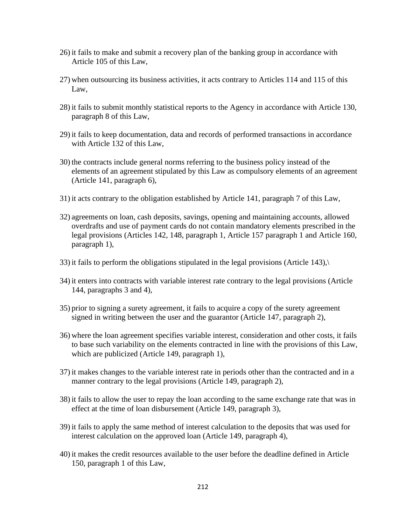- 26) it fails to make and submit a recovery plan of the banking group in accordance with Article 105 of this Law,
- 27) when outsourcing its business activities, it acts contrary to Articles 114 and 115 of this Law,
- 28) it fails to submit monthly statistical reports to the Agency in accordance with Article 130, paragraph 8 of this Law,
- 29) it fails to keep documentation, data and records of performed transactions in accordance with Article 132 of this Law,
- 30) the contracts include general norms referring to the business policy instead of the elements of an agreement stipulated by this Law as compulsory elements of an agreement (Article 141, paragraph 6),
- 31) it acts contrary to the obligation established by Article 141, paragraph 7 of this Law,
- 32) agreements on loan, cash deposits, savings, opening and maintaining accounts, allowed overdrafts and use of payment cards do not contain mandatory elements prescribed in the legal provisions (Articles 142, 148, paragraph 1, Article 157 paragraph 1 and Article 160, paragraph 1),
- 33) it fails to perform the obligations stipulated in the legal provisions (Article 143),\
- 34) it enters into contracts with variable interest rate contrary to the legal provisions (Article 144, paragraphs 3 and 4),
- 35) prior to signing a surety agreement, it fails to acquire a copy of the surety agreement signed in writing between the user and the guarantor (Article 147, paragraph 2),
- 36) where the loan agreement specifies variable interest, consideration and other costs, it fails to base such variability on the elements contracted in line with the provisions of this Law, which are publicized (Article 149, paragraph 1),
- 37) it makes changes to the variable interest rate in periods other than the contracted and in a manner contrary to the legal provisions (Article 149, paragraph 2),
- 38) it fails to allow the user to repay the loan according to the same exchange rate that was in effect at the time of loan disbursement (Article 149, paragraph 3),
- 39) it fails to apply the same method of interest calculation to the deposits that was used for interest calculation on the approved loan (Article 149, paragraph 4),
- 40) it makes the credit resources available to the user before the deadline defined in Article 150, paragraph 1 of this Law,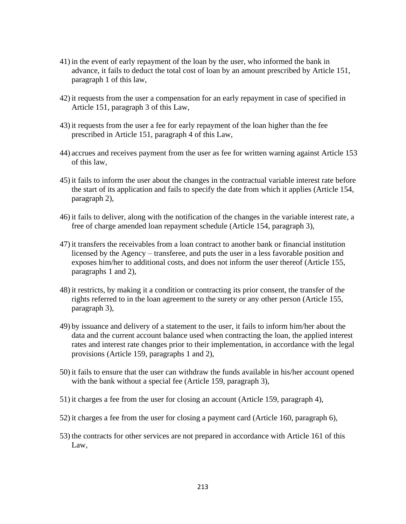- 41) in the event of early repayment of the loan by the user, who informed the bank in advance, it fails to deduct the total cost of loan by an amount prescribed by Article 151, paragraph 1 of this law,
- 42) it requests from the user a compensation for an early repayment in case of specified in Article 151, paragraph 3 of this Law,
- 43) it requests from the user a fee for early repayment of the loan higher than the fee prescribed in Article 151, paragraph 4 of this Law,
- 44) accrues and receives payment from the user as fee for written warning against Article 153 of this law,
- 45) it fails to inform the user about the changes in the contractual variable interest rate before the start of its application and fails to specify the date from which it applies (Article 154, paragraph 2),
- 46) it fails to deliver, along with the notification of the changes in the variable interest rate, a free of charge amended loan repayment schedule (Article 154, paragraph 3),
- 47) it transfers the receivables from a loan contract to another bank or financial institution licensed by the Agency – transferee, and puts the user in a less favorable position and exposes him/her to additional costs, and does not inform the user thereof (Article 155, paragraphs 1 and 2),
- 48) it restricts, by making it a condition or contracting its prior consent, the transfer of the rights referred to in the loan agreement to the surety or any other person (Article 155, paragraph 3),
- 49) by issuance and delivery of a statement to the user, it fails to inform him/her about the data and the current account balance used when contracting the loan, the applied interest rates and interest rate changes prior to their implementation, in accordance with the legal provisions (Article 159, paragraphs 1 and 2),
- 50) it fails to ensure that the user can withdraw the funds available in his/her account opened with the bank without a special fee (Article 159, paragraph 3),
- 51) it charges a fee from the user for closing an account (Article 159, paragraph 4),
- 52) it charges a fee from the user for closing a payment card (Article 160, paragraph 6),
- 53) the contracts for other services are not prepared in accordance with Article 161 of this Law,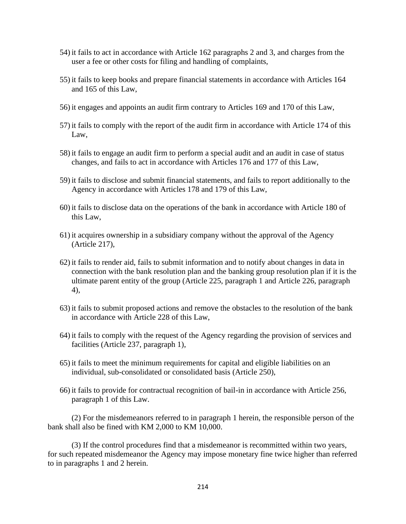- 54) it fails to act in accordance with Article 162 paragraphs 2 and 3, and charges from the user a fee or other costs for filing and handling of complaints,
- 55) it fails to keep books and prepare financial statements in accordance with Articles 164 and 165 of this Law,
- 56) it engages and appoints an audit firm contrary to Articles 169 and 170 of this Law,
- 57) it fails to comply with the report of the audit firm in accordance with Article 174 of this Law,
- 58) it fails to engage an audit firm to perform a special audit and an audit in case of status changes, and fails to act in accordance with Articles 176 and 177 of this Law,
- 59) it fails to disclose and submit financial statements, and fails to report additionally to the Agency in accordance with Articles 178 and 179 of this Law,
- 60) it fails to disclose data on the operations of the bank in accordance with Article 180 of this Law,
- 61) it acquires ownership in a subsidiary company without the approval of the Agency (Article 217),
- 62) it fails to render aid, fails to submit information and to notify about changes in data in connection with the bank resolution plan and the banking group resolution plan if it is the ultimate parent entity of the group (Article 225, paragraph 1 and Article 226, paragraph 4),
- 63) it fails to submit proposed actions and remove the obstacles to the resolution of the bank in accordance with Article 228 of this Law,
- 64) it fails to comply with the request of the Agency regarding the provision of services and facilities (Article 237, paragraph 1),
- 65) it fails to meet the minimum requirements for capital and eligible liabilities on an individual, sub-consolidated or consolidated basis (Article 250),
- 66) it fails to provide for contractual recognition of bail-in in accordance with Article 256, paragraph 1 of this Law.

(2) For the misdemeanors referred to in paragraph 1 herein, the responsible person of the bank shall also be fined with KM 2,000 to KM 10,000.

(3) If the control procedures find that a misdemeanor is recommitted within two years, for such repeated misdemeanor the Agency may impose monetary fine twice higher than referred to in paragraphs 1 and 2 herein.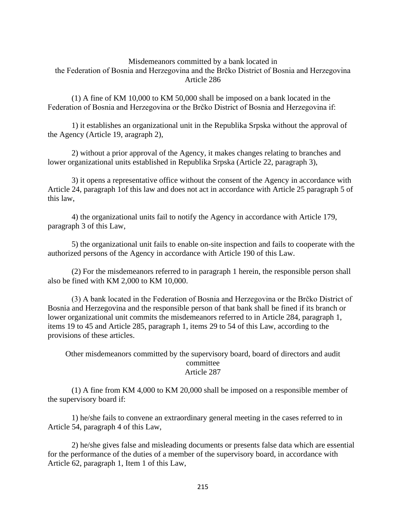## Misdemeanors committed by a bank located in the Federation of Bosnia and Herzegovina and the Brčko District of Bosnia and Herzegovina Article 286

(1) A fine of KM 10,000 to KM 50,000 shall be imposed on a bank located in the Federation of Bosnia and Herzegovina or the Brčko District of Bosnia and Herzegovina if:

1) it establishes an organizational unit in the Republika Srpska without the approval of the Agency (Article 19, aragraph 2),

2) without a prior approval of the Agency, it makes changes relating to branches and lower organizational units established in Republika Srpska (Article 22, paragraph 3),

3) it opens a representative office without the consent of the Agency in accordance with Article 24, paragraph 1of this law and does not act in accordance with Article 25 paragraph 5 of this law,

4) the organizational units fail to notify the Agency in accordance with Article 179, paragraph 3 of this Law,

5) the organizational unit fails to enable on-site inspection and fails to cooperate with the authorized persons of the Agency in accordance with Article 190 of this Law.

(2) For the misdemeanors referred to in paragraph 1 herein, the responsible person shall also be fined with KM 2,000 to KM 10,000.

(3) A bank located in the Federation of Bosnia and Herzegovina or the Brčko District of Bosnia and Herzegovina and the responsible person of that bank shall be fined if its branch or lower organizational unit commits the misdemeanors referred to in Article 284, paragraph 1, items 19 to 45 and Article 285, paragraph 1, items 29 to 54 of this Law, according to the provisions of these articles.

Other misdemeanors committed by the supervisory board, board of directors and audit committee Article 287

(1) A fine from KM 4,000 to KM 20,000 shall be imposed on a responsible member of the supervisory board if:

1) he/she fails to convene an extraordinary general meeting in the cases referred to in Article 54, paragraph 4 of this Law,

2) he/she gives false and misleading documents or presents false data which are essential for the performance of the duties of a member of the supervisory board, in accordance with Article 62, paragraph 1, Item 1 of this Law,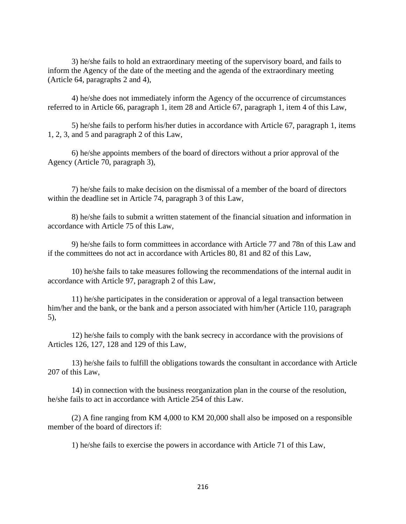3) he/she fails to hold an extraordinary meeting of the supervisory board, and fails to inform the Agency of the date of the meeting and the agenda of the extraordinary meeting (Article 64, paragraphs 2 and 4),

4) he/she does not immediately inform the Agency of the occurrence of circumstances referred to in Article 66, paragraph 1, item 28 and Article 67, paragraph 1, item 4 of this Law,

5) he/she fails to perform his/her duties in accordance with Article 67, paragraph 1, items 1, 2, 3, and 5 and paragraph 2 of this Law,

6) he/she appoints members of the board of directors without a prior approval of the Agency (Article 70, paragraph 3),

7) he/she fails to make decision on the dismissal of a member of the board of directors within the deadline set in Article 74, paragraph 3 of this Law,

8) he/she fails to submit a written statement of the financial situation and information in accordance with Article 75 of this Law,

9) he/she fails to form committees in accordance with Article 77 and 78n of this Law and if the committees do not act in accordance with Articles 80, 81 and 82 of this Law,

10) he/she fails to take measures following the recommendations of the internal audit in accordance with Article 97, paragraph 2 of this Law,

11) he/she participates in the consideration or approval of a legal transaction between him/her and the bank, or the bank and a person associated with him/her (Article 110, paragraph 5),

12) he/she fails to comply with the bank secrecy in accordance with the provisions of Articles 126, 127, 128 and 129 of this Law,

13) he/she fails to fulfill the obligations towards the consultant in accordance with Article 207 of this Law,

14) in connection with the business reorganization plan in the course of the resolution, he/she fails to act in accordance with Article 254 of this Law.

(2) A fine ranging from KM 4,000 to KM 20,000 shall also be imposed on a responsible member of the board of directors if:

1) he/she fails to exercise the powers in accordance with Article 71 of this Law,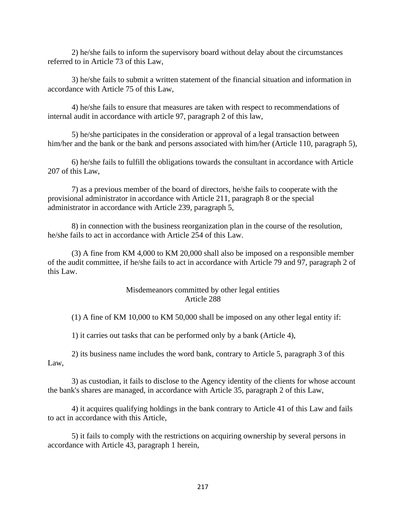2) he/she fails to inform the supervisory board without delay about the circumstances referred to in Article 73 of this Law,

3) he/she fails to submit a written statement of the financial situation and information in accordance with Article 75 of this Law,

4) he/she fails to ensure that measures are taken with respect to recommendations of internal audit in accordance with article 97, paragraph 2 of this law,

5) he/she participates in the consideration or approval of a legal transaction between him/her and the bank or the bank and persons associated with him/her (Article 110, paragraph 5),

6) he/she fails to fulfill the obligations towards the consultant in accordance with Article 207 of this Law,

7) as a previous member of the board of directors, he/she fails to cooperate with the provisional administrator in accordance with Article 211, paragraph 8 or the special administrator in accordance with Article 239, paragraph 5,

8) in connection with the business reorganization plan in the course of the resolution, he/she fails to act in accordance with Article 254 of this Law.

(3) A fine from KM 4,000 to KM 20,000 shall also be imposed on a responsible member of the audit committee, if he/she fails to act in accordance with Article 79 and 97, paragraph 2 of this Law.

## Misdemeanors committed by other legal entities Article 288

(1) A fine of KM 10,000 to KM 50,000 shall be imposed on any other legal entity if:

1) it carries out tasks that can be performed only by a bank (Article 4),

2) its business name includes the word bank, contrary to Article 5, paragraph 3 of this Law,

3) as custodian, it fails to disclose to the Agency identity of the clients for whose account the bank's shares are managed, in accordance with Article 35, paragraph 2 of this Law,

4) it acquires qualifying holdings in the bank contrary to Article 41 of this Law and fails to act in accordance with this Article,

5) it fails to comply with the restrictions on acquiring ownership by several persons in accordance with Article 43, paragraph 1 herein,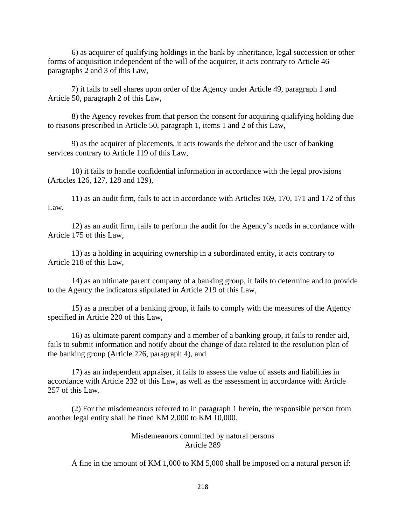6) as acquirer of qualifying holdings in the bank by inheritance, legal succession or other forms of acquisition independent of the will of the acquirer, it acts contrary to Article 46 paragraphs 2 and 3 of this Law,

7) it fails to sell shares upon order of the Agency under Article 49, paragraph 1 and Article 50, paragraph 2 of this Law,

8) the Agency revokes from that person the consent for acquiring qualifying holding due to reasons prescribed in Article 50, paragraph 1, items 1 and 2 of this Law,

9) as the acquirer of placements, it acts towards the debtor and the user of banking services contrary to Article 119 of this Law,

10) it fails to handle confidential information in accordance with the legal provisions (Articles 126, 127, 128 and 129),

11) as an audit firm, fails to act in accordance with Articles 169, 170, 171 and 172 of this Law,

12) as an audit firm, fails to perform the audit for the Agency's needs in accordance with Article 175 of this Law,

13) as a holding in acquiring ownership in a subordinated entity, it acts contrary to Article 218 of this Law,

14) as an ultimate parent company of a banking group, it fails to determine and to provide to the Agency the indicators stipulated in Article 219 of this Law,

15) as a member of a banking group, it fails to comply with the measures of the Agency specified in Article 220 of this Law,

16) as ultimate parent company and a member of a banking group, it fails to render aid, fails to submit information and notify about the change of data related to the resolution plan of the banking group (Article 226, paragraph 4), and

17) as an independent appraiser, it fails to assess the value of assets and liabilities in accordance with Article 232 of this Law, as well as the assessment in accordance with Article 257 of this Law.

(2) For the misdemeanors referred to in paragraph 1 herein, the responsible person from another legal entity shall be fined KM 2,000 to KM 10,000.

## Misdemeanors committed by natural persons Article 289

A fine in the amount of KM 1,000 to KM 5,000 shall be imposed on a natural person if: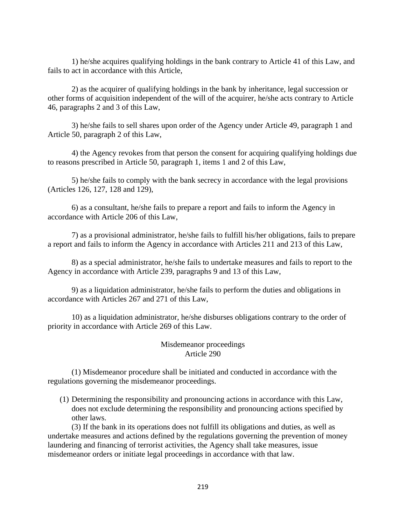1) he/she acquires qualifying holdings in the bank contrary to Article 41 of this Law, and fails to act in accordance with this Article,

2) as the acquirer of qualifying holdings in the bank by inheritance, legal succession or other forms of acquisition independent of the will of the acquirer, he/she acts contrary to Article 46, paragraphs 2 and 3 of this Law,

3) he/she fails to sell shares upon order of the Agency under Article 49, paragraph 1 and Article 50, paragraph 2 of this Law,

4) the Agency revokes from that person the consent for acquiring qualifying holdings due to reasons prescribed in Article 50, paragraph 1, items 1 and 2 of this Law,

5) he/she fails to comply with the bank secrecy in accordance with the legal provisions (Articles 126, 127, 128 and 129),

6) as a consultant, he/she fails to prepare a report and fails to inform the Agency in accordance with Article 206 of this Law,

7) as a provisional administrator, he/she fails to fulfill his/her obligations, fails to prepare a report and fails to inform the Agency in accordance with Articles 211 and 213 of this Law,

8) as a special administrator, he/she fails to undertake measures and fails to report to the Agency in accordance with Article 239, paragraphs 9 and 13 of this Law,

9) as a liquidation administrator, he/she fails to perform the duties and obligations in accordance with Articles 267 and 271 of this Law,

10) as a liquidation administrator, he/she disburses obligations contrary to the order of priority in accordance with Article 269 of this Law.

### Misdemeanor proceedings Article 290

(1) Misdemeanor procedure shall be initiated and conducted in accordance with the regulations governing the misdemeanor proceedings.

(1) Determining the responsibility and pronouncing actions in accordance with this Law, does not exclude determining the responsibility and pronouncing actions specified by other laws.

(3) If the bank in its operations does not fulfill its obligations and duties, as well as undertake measures and actions defined by the regulations governing the prevention of money laundering and financing of terrorist activities, the Agency shall take measures, issue misdemeanor orders or initiate legal proceedings in accordance with that law.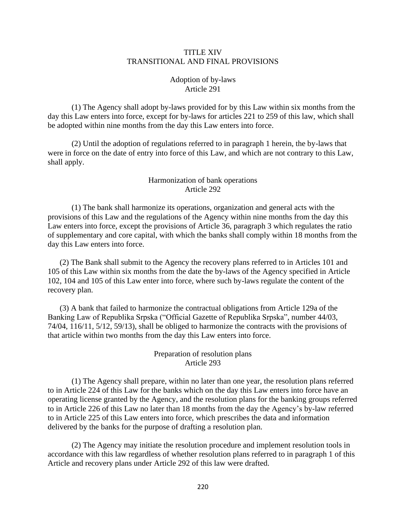### TITLE XIV TRANSITIONAL AND FINAL PROVISIONS

## Adoption of by-laws Article 291

(1) The Agency shall adopt by-laws provided for by this Law within six months from the day this Law enters into force, except for by-laws for articles 221 to 259 of this law, which shall be adopted within nine months from the day this Law enters into force.

(2) Until the adoption of regulations referred to in paragraph 1 herein, the by-laws that were in force on the date of entry into force of this Law, and which are not contrary to this Law, shall apply.

### Harmonization of bank operations Article 292

(1) The bank shall harmonize its operations, organization and general acts with the provisions of this Law and the regulations of the Agency within nine months from the day this Law enters into force, except the provisions of Article 36, paragraph 3 which regulates the ratio of supplementary and core capital, with which the banks shall comply within 18 months from the day this Law enters into force.

(2) The Bank shall submit to the Agency the recovery plans referred to in Articles 101 and 105 of this Law within six months from the date the by-laws of the Agency specified in Article 102, 104 and 105 of this Law enter into force, where such by-laws regulate the content of the recovery plan.

(3) A bank that failed to harmonize the contractual obligations from Article 129a of the Banking Law of Republika Srpska ("Official Gazette of Republika Srpska", number 44/03, 74/04, 116/11, 5/12, 59/13), shall be obliged to harmonize the contracts with the provisions of that article within two months from the day this Law enters into force.

# Preparation of resolution plans Article 293

(1) The Agency shall prepare, within no later than one year, the resolution plans referred to in Article 224 of this Law for the banks which on the day this Law enters into force have an operating license granted by the Agency, and the resolution plans for the banking groups referred to in Article 226 of this Law no later than 18 months from the day the Agency's by-law referred to in Article 225 of this Law enters into force, which prescribes the data and information delivered by the banks for the purpose of drafting a resolution plan.

(2) The Agency may initiate the resolution procedure and implement resolution tools in accordance with this law regardless of whether resolution plans referred to in paragraph 1 of this Article and recovery plans under Article 292 of this law were drafted.